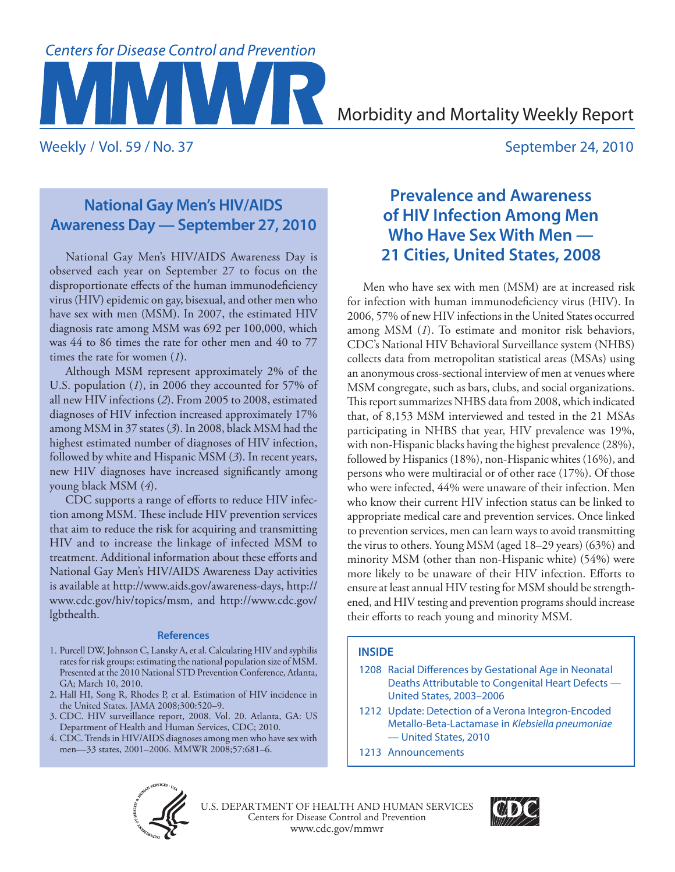# **Centers for Disease Control and Prevention**

Morbidity and Mortality Weekly Report

Weekly / Vol. 59 / No. 37 September 24, 2010

# **National Gay Men's HIV/AIDS Awareness Day — September 27, 2010**

National Gay Men's HIV/AIDS Awareness Day is observed each year on September 27 to focus on the disproportionate effects of the human immunodeficiency virus (HIV) epidemic on gay, bisexual, and other men who have sex with men (MSM). In 2007, the estimated HIV diagnosis rate among MSM was 692 per 100,000, which was 44 to 86 times the rate for other men and 40 to 77 times the rate for women (*1*).

Although MSM represent approximately 2% of the U.S. population (*1*), in 2006 they accounted for 57% of all new HIV infections (*2*). From 2005 to 2008, estimated diagnoses of HIV infection increased approximately 17% among MSM in 37 states (*3*). In 2008, black MSM had the highest estimated number of diagnoses of HIV infection, followed by white and Hispanic MSM (*3*). In recent years, new HIV diagnoses have increased significantly among young black MSM (*4*).

CDC supports a range of efforts to reduce HIV infection among MSM. These include HIV prevention services that aim to reduce the risk for acquiring and transmitting HIV and to increase the linkage of infected MSM to treatment. Additional information about these efforts and National Gay Men's HIV/AIDS Awareness Day activities is available at [http://www.aids.gov/awareness-days,](http://www.aids.gov/awareness-days) [http://](http://www.cdc.gov/hiv/topics/msm) [www.cdc.gov/hiv/topics/msm](http://www.cdc.gov/hiv/topics/msm), and [http://www.cdc.gov/](http://www.cdc.gov/lgbthealth) [lgbthealth.](http://www.cdc.gov/lgbthealth)

## **References**

- 1. Purcell DW, Johnson C, Lansky A, et al. Calculating HIV and syphilis rates for risk groups: estimating the national population size of MSM. Presented at the 2010 National STD Prevention Conference, Atlanta, GA; March 10, 2010.
- 2. Hall HI, Song R, Rhodes P, et al. Estimation of HIV incidence in the United States. JAMA 2008;300:520–9.
- 3. CDC. HIV surveillance report, 2008. Vol. 20. Atlanta, GA: US Department of Health and Human Services, CDC; 2010.
- 4. CDC. Trends in HIV/AIDS diagnoses among men who have sex with men—33 states, 2001–2006. MMWR 2008;57:681–6.

# **Prevalence and Awareness of HIV Infection Among Men Who Have Sex With Men — 21 Cities, United States, 2008**

Men who have sex with men (MSM) are at increased risk for infection with human immunodeficiency virus (HIV). In 2006, 57% of new HIV infections in the United States occurred among MSM (*1*). To estimate and monitor risk behaviors, CDC's National HIV Behavioral Surveillance system (NHBS) collects data from metropolitan statistical areas (MSAs) using an anonymous cross-sectional interview of men at venues where MSM congregate, such as bars, clubs, and social organizations. This report summarizes NHBS data from 2008, which indicated that, of 8,153 MSM interviewed and tested in the 21 MSAs participating in NHBS that year, HIV prevalence was 19%, with non-Hispanic blacks having the highest prevalence (28%), followed by Hispanics (18%), non-Hispanic whites (16%), and persons who were multiracial or of other race (17%). Of those who were infected, 44% were unaware of their infection. Men who know their current HIV infection status can be linked to appropriate medical care and prevention services. Once linked to prevention services, men can learn ways to avoid transmitting the virus to others. Young MSM (aged 18–29 years) (63%) and minority MSM (other than non-Hispanic white) (54%) were more likely to be unaware of their HIV infection. Efforts to ensure at least annual HIV testing for MSM should be strengthened, and HIV testing and prevention programs should increase their efforts to reach young and minority MSM.

## **INSIDE**

- 1208 [Racial Differences by Gestational Age in Neonatal](#page-7-0)  [Deaths Attributable to Congenital Heart Defects —](#page-7-0)  [United States, 2003–2006](#page-7-0)
- 1212 [Update: Detection of a Verona Integron-Encoded](#page-11-0)  [Metallo-Beta-Lactamase in](#page-11-0) *Klebsiella pneumoniae* [— United States, 2010](#page-11-0)
- 1213 [Announcements](#page-12-0)



Centers for Disease Control and Prevention www.cdc.gov/mmwr U.S. DEPARTMENT OF HEALTH AND HUMAN SERVICES

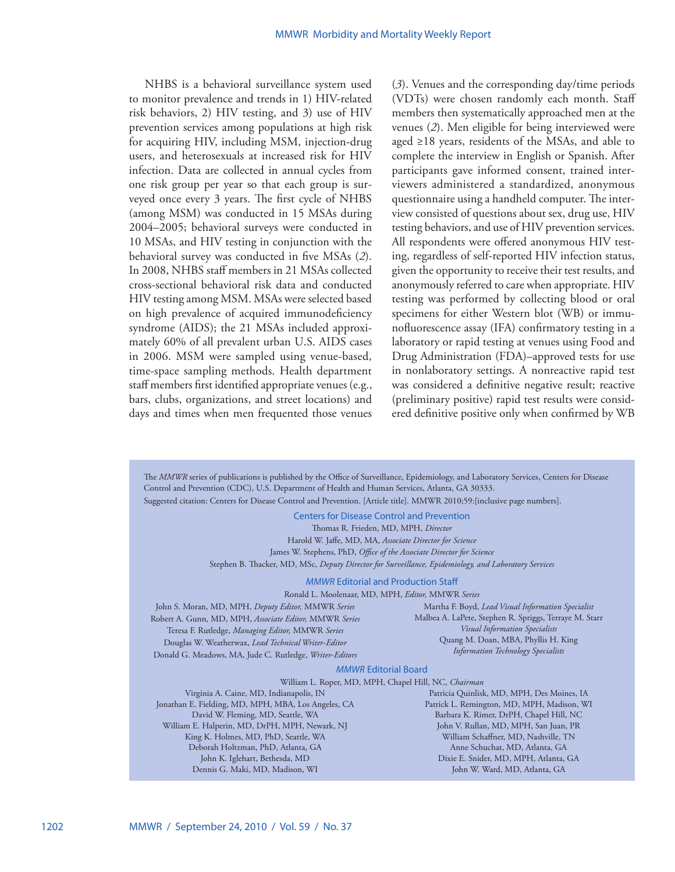NHBS is a behavioral surveillance system used to monitor prevalence and trends in 1) HIV-related risk behaviors, 2) HIV testing, and 3) use of HIV prevention services among populations at high risk for acquiring HIV, including MSM, injection-drug users, and heterosexuals at increased risk for HIV infection. Data are collected in annual cycles from one risk group per year so that each group is surveyed once every 3 years. The first cycle of NHBS (among MSM) was conducted in 15 MSAs during 2004–2005; behavioral surveys were conducted in 10 MSAs, and HIV testing in conjunction with the behavioral survey was conducted in five MSAs (*2*). In 2008, NHBS staff members in 21 MSAs collected cross-sectional behavioral risk data and conducted HIV testing among MSM. MSAs were selected based on high prevalence of acquired immunodeficiency syndrome (AIDS); the 21 MSAs included approximately 60% of all prevalent urban U.S. AIDS cases in 2006. MSM were sampled using venue-based, time-space sampling methods. Health department staff members first identified appropriate venues (e.g., bars, clubs, organizations, and street locations) and days and times when men frequented those venues

(*3*). Venues and the corresponding day/time periods (VDTs) were chosen randomly each month. Staff members then systematically approached men at the venues (*2*). Men eligible for being interviewed were aged ≥18 years, residents of the MSAs, and able to complete the interview in English or Spanish. After participants gave informed consent, trained interviewers administered a standardized, anonymous questionnaire using a handheld computer. The interview consisted of questions about sex, drug use, HIV testing behaviors, and use of HIV prevention services. All respondents were offered anonymous HIV testing, regardless of self-reported HIV infection status, given the opportunity to receive their test results, and anonymously referred to care when appropriate. HIV testing was performed by collecting blood or oral specimens for either Western blot (WB) or immunofluorescence assay (IFA) confirmatory testing in a laboratory or rapid testing at venues using Food and Drug Administration (FDA)–approved tests for use in nonlaboratory settings. A nonreactive rapid test was considered a definitive negative result; reactive (preliminary positive) rapid test results were considered definitive positive only when confirmed by WB

The *MMWR* series of publications is published by the Office of Surveillance, Epidemiology, and Laboratory Services, Centers for Disease Control and Prevention (CDC), U.S. Department of Health and Human Services, Atlanta, GA 30333. Suggested citation: Centers for Disease Control and Prevention. [Article title]. MMWR 2010;59:[inclusive page numbers].

Centers for Disease Control and Prevention

Thomas R. Frieden, MD, MPH, *Director*

Harold W. Jaffe, MD, MA, *Associate Director for Science* James W. Stephens, PhD, *Office of the Associate Director for Science*

Stephen B. Thacker, MD, MSc, *Deputy Director for Surveillance, Epidemiology, and Laboratory Services*

## *MMWR* Editorial and Production Staff

Ronald L. Moolenaar, MD, MPH, *Editor,* MMWR *Series*

John S. Moran, MD, MPH, *Deputy Editor,* MMWR *Series* Robert A. Gunn, MD, MPH, *Associate Editor,* MMWR *Series* Teresa F. Rutledge, *Managing Editor,* MMWR *Series* Douglas W. Weatherwax, *Lead Technical Writer-Editor* Donald G. Meadows, MA, Jude C. Rutledge, *Writer-Editors*

Martha F. Boyd, *Lead Visual Information Specialist* Malbea A. LaPete, Stephen R. Spriggs, Terraye M. Starr *Visual Information Specialists* Quang M. Doan, MBA, Phyllis H. King *Information Technology Specialists*

## *MMWR* Editorial Board

William L. Roper, MD, MPH, Chapel Hill, NC, *Chairman*

Virginia A. Caine, MD, Indianapolis, IN Jonathan E. Fielding, MD, MPH, MBA, Los Angeles, CA David W. Fleming, MD, Seattle, WA William E. Halperin, MD, DrPH, MPH, Newark, NJ King K. Holmes, MD, PhD, Seattle, WA Deborah Holtzman, PhD, Atlanta, GA John K. Iglehart, Bethesda, MD Dennis G. Maki, MD, Madison, WI

Patricia Quinlisk, MD, MPH, Des Moines, IA Patrick L. Remington, MD, MPH, Madison, WI Barbara K. Rimer, DrPH, Chapel Hill, NC John V. Rullan, MD, MPH, San Juan, PR William Schaffner, MD, Nashville, TN Anne Schuchat, MD, Atlanta, GA Dixie E. Snider, MD, MPH, Atlanta, GA John W. Ward, MD, Atlanta, GA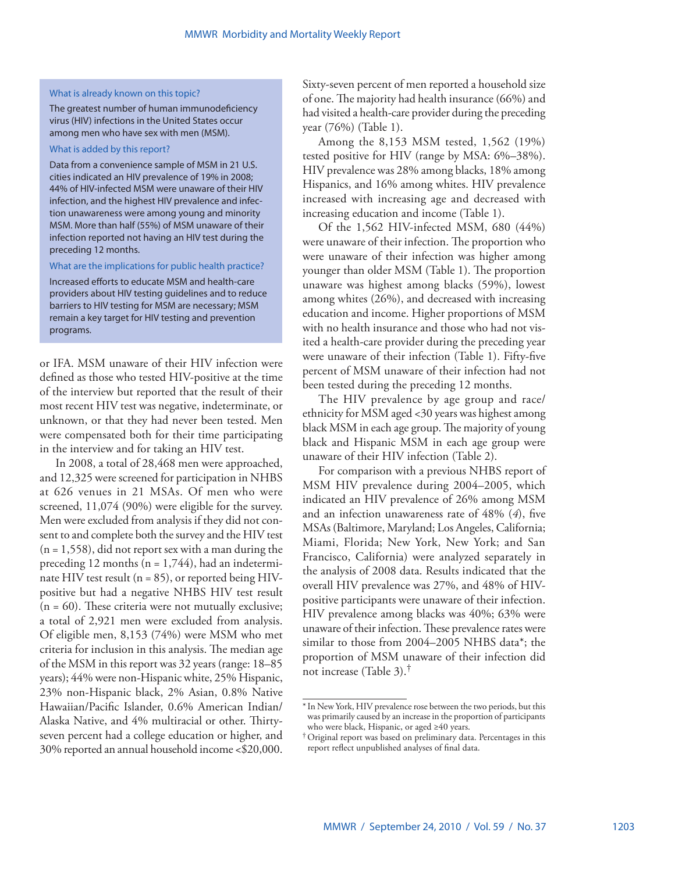## What is already known on this topic?

The greatest number of human immunodeficiency virus (HIV) infections in the United States occur among men who have sex with men (MSM).

## What is added by this report?

Data from a convenience sample of MSM in 21 U.S. cities indicated an HIV prevalence of 19% in 2008; 44% of HIV-infected MSM were unaware of their HIV infection, and the highest HIV prevalence and infection unawareness were among young and minority MSM. More than half (55%) of MSM unaware of their infection reported not having an HIV test during the preceding 12 months.

## What are the implications for public health practice?

Increased efforts to educate MSM and health-care providers about HIV testing guidelines and to reduce barriers to HIV testing for MSM are necessary; MSM remain a key target for HIV testing and prevention programs.

or IFA. MSM unaware of their HIV infection were defined as those who tested HIV-positive at the time of the interview but reported that the result of their most recent HIV test was negative, indeterminate, or unknown, or that they had never been tested. Men were compensated both for their time participating in the interview and for taking an HIV test.

In 2008, a total of 28,468 men were approached, and 12,325 were screened for participation in NHBS at 626 venues in 21 MSAs. Of men who were screened, 11,074 (90%) were eligible for the survey. Men were excluded from analysis if they did not consent to and complete both the survey and the HIV test (n = 1,558), did not report sex with a man during the preceding 12 months ( $n = 1,744$ ), had an indeterminate HIV test result ( $n = 85$ ), or reported being HIVpositive but had a negative NHBS HIV test result  $(n = 60)$ . These criteria were not mutually exclusive; a total of 2,921 men were excluded from analysis. Of eligible men, 8,153 (74%) were MSM who met criteria for inclusion in this analysis. The median age of the MSM in this report was 32 years (range: 18–85 years); 44% were non-Hispanic white, 25% Hispanic, 23% non-Hispanic black, 2% Asian, 0.8% Native Hawaiian/Pacific Islander, 0.6% American Indian/ Alaska Native, and 4% multiracial or other. Thirtyseven percent had a college education or higher, and 30% reported an annual household income <\$20,000.

Sixty-seven percent of men reported a household size of one. The majority had health insurance (66%) and had visited a health-care provider during the preceding year (76%) (Table 1).

Among the 8,153 MSM tested, 1,562 (19%) tested positive for HIV (range by MSA: 6%–38%). HIV prevalence was 28% among blacks, 18% among Hispanics, and 16% among whites. HIV prevalence increased with increasing age and decreased with increasing education and income (Table 1).

Of the 1,562 HIV-infected MSM, 680 (44%) were unaware of their infection. The proportion who were unaware of their infection was higher among younger than older MSM (Table 1). The proportion unaware was highest among blacks (59%), lowest among whites (26%), and decreased with increasing education and income. Higher proportions of MSM with no health insurance and those who had not visited a health-care provider during the preceding year were unaware of their infection (Table 1). Fifty-five percent of MSM unaware of their infection had not been tested during the preceding 12 months.

The HIV prevalence by age group and race/ ethnicity for MSM aged <30 years was highest among black MSM in each age group. The majority of young black and Hispanic MSM in each age group were unaware of their HIV infection (Table 2).

For comparison with a previous NHBS report of MSM HIV prevalence during 2004–2005, which indicated an HIV prevalence of 26% among MSM and an infection unawareness rate of 48% (*4*), five MSAs (Baltimore, Maryland; Los Angeles, California; Miami, Florida; New York, New York; and San Francisco, California) were analyzed separately in the analysis of 2008 data. Results indicated that the overall HIV prevalence was 27%, and 48% of HIVpositive participants were unaware of their infection. HIV prevalence among blacks was 40%; 63% were unaware of their infection. These prevalence rates were similar to those from 2004–2005 NHBS data\*; the proportion of MSM unaware of their infection did not increase (Table 3).†

<sup>\*</sup>In New York, HIV prevalence rose between the two periods, but this was primarily caused by an increase in the proportion of participants who were black, Hispanic, or aged ≥40 years.

<sup>†</sup>Original report was based on preliminary data. Percentages in this report reflect unpublished analyses of final data.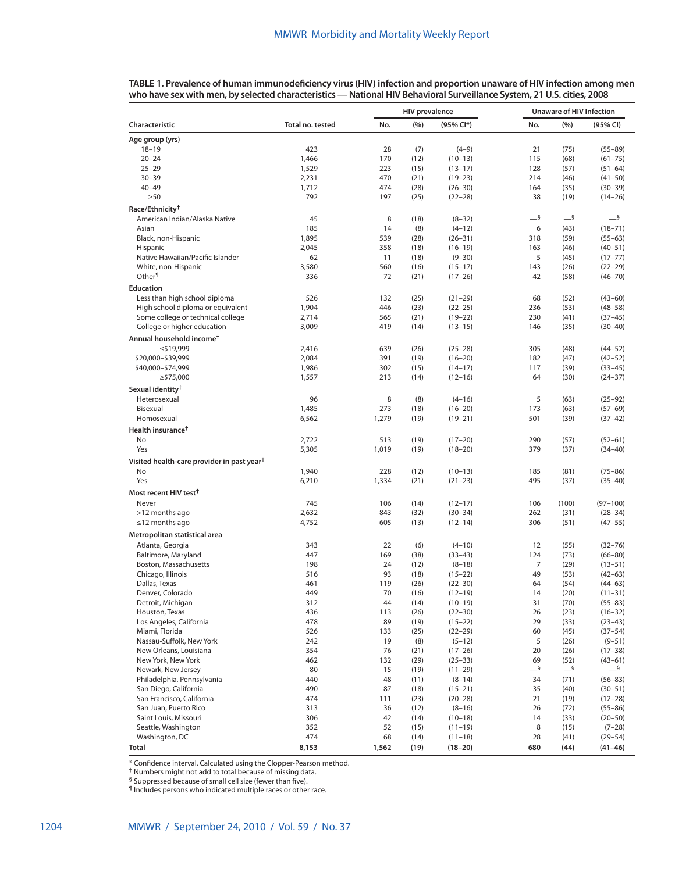|                                                        |                  |           | <b>HIV</b> prevalence |                          | <b>Unaware of HIV Infection</b> |              |                            |  |
|--------------------------------------------------------|------------------|-----------|-----------------------|--------------------------|---------------------------------|--------------|----------------------------|--|
| Characteristic                                         | Total no. tested | No.       | (%)                   | (95% Cl*)                | No.                             | (%)          | (95% CI)                   |  |
| Age group (yrs)                                        |                  |           |                       |                          |                                 |              |                            |  |
| $18 - 19$                                              | 423              | 28        | (7)                   | $(4-9)$                  | 21                              | (75)         | $(55 - 89)$                |  |
| $20 - 24$                                              | 1,466            | 170       | (12)                  | $(10-13)$                | 115                             | (68)         | $(61 - 75)$                |  |
| $25 - 29$                                              | 1,529            | 223       | (15)                  | $(13-17)$                | 128                             | (57)         | $(51-64)$                  |  |
| $30 - 39$                                              | 2,231            | 470       | (21)                  | $(19-23)$                | 214                             | (46)         | $(41 - 50)$                |  |
| $40 - 49$                                              | 1,712            | 474       | (28)                  | $(26 - 30)$              | 164                             | (35)         | $(30 - 39)$                |  |
| $\geq 50$                                              | 792              | 197       | (25)                  | $(22 - 28)$              | 38                              | (19)         | $(14 - 26)$                |  |
| Race/Ethnicity <sup>†</sup>                            |                  |           |                       |                          |                                 |              |                            |  |
| American Indian/Alaska Native                          | 45               | 8         | (18)                  | $(8-32)$                 | $-$ §                           | $-$ §        | $-$ §                      |  |
| Asian                                                  | 185              | 14        | (8)                   | $(4-12)$                 | 6                               | (43)         | $(18 - 71)$                |  |
| Black, non-Hispanic                                    | 1,895            | 539       | (28)                  | $(26 - 31)$              | 318                             | (59)         | $(55 - 63)$                |  |
| Hispanic                                               | 2,045            | 358       | (18)                  | $(16-19)$                | 163                             | (46)         | $(40 - 51)$                |  |
| Native Hawaiian/Pacific Islander                       | 62               | 11        | (18)                  | $(9 - 30)$               | 5                               | (45)         | $(17 - 77)$                |  |
| White, non-Hispanic                                    | 3,580            | 560       | (16)                  | $(15-17)$                | 143                             | (26)         | $(22 - 29)$                |  |
| Other <sup>¶</sup>                                     | 336              | 72        | (21)                  | $(17-26)$                | 42                              | (58)         | $(46 - 70)$                |  |
| Education                                              |                  |           |                       |                          |                                 |              |                            |  |
| Less than high school diploma                          | 526              | 132       | (25)                  | $(21-29)$                | 68                              | (52)         | $(43 - 60)$                |  |
| High school diploma or equivalent                      | 1,904            | 446       | (23)                  | $(22 - 25)$              | 236                             | (53)         | $(48 - 58)$                |  |
| Some college or technical college                      | 2,714            | 565       | (21)                  | $(19-22)$                | 230                             | (41)         | $(37 - 45)$                |  |
| College or higher education                            | 3,009            | 419       | (14)                  | $(13-15)$                | 146                             | (35)         | $(30 - 40)$                |  |
| Annual household income <sup>t</sup>                   |                  |           |                       |                          |                                 |              |                            |  |
| $\leq$ \$19,999                                        | 2,416            | 639       | (26)                  | $(25-28)$                | 305                             | (48)         | $(44 - 52)$                |  |
| \$20,000-\$39,999                                      | 2,084            | 391       | (19)                  | $(16 - 20)$              | 182                             | (47)         | $(42 - 52)$                |  |
| \$40,000-\$74,999                                      | 1,986            | 302       | (15)                  | $(14-17)$                | 117                             | (39)         | $(33-45)$                  |  |
| $\ge$ \$75,000                                         | 1,557            | 213       | (14)                  | $(12 - 16)$              | 64                              | (30)         | $(24 - 37)$                |  |
| Sexual identity <sup>†</sup>                           |                  |           |                       |                          |                                 |              |                            |  |
| Heterosexual                                           | 96               | 8         | (8)                   | $(4-16)$                 | 5                               | (63)         | $(25-92)$                  |  |
| Bisexual                                               | 1,485            | 273       | (18)                  | $(16 - 20)$              | 173                             | (63)         | $(57-69)$                  |  |
| Homosexual                                             | 6,562            | 1,279     | (19)                  | $(19 - 21)$              | 501                             | (39)         | $(37-42)$                  |  |
| Health insurance <sup>†</sup>                          |                  |           |                       |                          |                                 |              |                            |  |
| <b>No</b>                                              | 2,722            | 513       | (19)                  | $(17-20)$                | 290                             | (57)         | $(52 - 61)$                |  |
| Yes                                                    | 5,305            | 1,019     | (19)                  | $(18 - 20)$              | 379                             | (37)         | $(34 - 40)$                |  |
| Visited health-care provider in past year <sup>†</sup> |                  |           |                       |                          |                                 |              |                            |  |
| No                                                     | 1,940            | 228       | (12)                  | $(10-13)$                | 185                             | (81)         | $(75 - 86)$                |  |
| Yes                                                    | 6,210            | 1,334     | (21)                  | $(21-23)$                | 495                             | (37)         | $(35 - 40)$                |  |
| Most recent HIV test <sup>†</sup>                      |                  |           |                       |                          |                                 |              |                            |  |
| Never                                                  | 745              | 106       | (14)                  |                          | 106                             | (100)        | $(97 - 100)$               |  |
| >12 months ago                                         | 2,632            | 843       | (32)                  | $(12-17)$<br>$(30 - 34)$ | 262                             | (31)         | $(28 - 34)$                |  |
| $\leq$ 12 months ago                                   | 4,752            | 605       | (13)                  | $(12-14)$                | 306                             | (51)         | $(47 - 55)$                |  |
|                                                        |                  |           |                       |                          |                                 |              |                            |  |
| Metropolitan statistical area                          |                  |           |                       |                          |                                 |              |                            |  |
| Atlanta, Georgia                                       | 343              | 22        | (6)                   | $(4 - 10)$               | 12                              | (55)         | $(32 - 76)$                |  |
| Baltimore, Maryland                                    | 447              | 169       | (38)                  | $(33-43)$                | 124                             | (73)         | $(66 - 80)$                |  |
| Boston, Massachusetts                                  | 198              | 24        | (12)                  | $(8-18)$                 | 7                               | (29)         | $(13 - 51)$                |  |
| Chicago, Illinois                                      | 516<br>461       | 93<br>119 | (18)                  | $(15-22)$                | 49                              | (53)         | $(42 - 63)$                |  |
| Dallas, Texas<br>Denver, Colorado                      | 449              | 70        | (26)<br>(16)          | $(22 - 30)$<br>$(12-19)$ | 64<br>14                        | (54)<br>(20) | $(44 - 63)$<br>$(11 - 31)$ |  |
| Detroit, Michigan                                      | 312              | 44        | (14)                  | $(10-19)$                | 31                              | (70)         | $(55 - 83)$                |  |
| Houston, Texas                                         | 436              | 113       | (26)                  | $(22 - 30)$              | 26                              | (23)         | $(16 - 32)$                |  |
| Los Angeles, California                                | 478              | 89        | (19)                  | $(15 - 22)$              | 29                              | (33)         | $(23-43)$                  |  |
| Miami, Florida                                         | 526              | 133       | (25)                  | $(22 - 29)$              | 60                              | (45)         | $(37 - 54)$                |  |
| Nassau-Suffolk, New York                               | 242              | 19        | (8)                   | $(5-12)$                 | 5                               | (26)         | $(9 - 51)$                 |  |
| New Orleans, Louisiana                                 | 354              | 76        | (21)                  | $(17-26)$                | 20                              | (26)         | $(17 - 38)$                |  |
| New York, New York                                     | 462              | 132       | (29)                  | $(25 - 33)$              | 69                              | (52)         | $(43 - 61)$                |  |
| Newark, New Jersey                                     | 80               | 15        | (19)                  | $(11-29)$                | $-$ §                           | $-$ §        | $-$ §                      |  |
| Philadelphia, Pennsylvania                             | 440              | 48        | (11)                  | $(8-14)$                 | 34                              | (71)         | $(56 - 83)$                |  |
| San Diego, California                                  | 490              | 87        | (18)                  | $(15 - 21)$              | 35                              | (40)         | $(30 - 51)$                |  |
| San Francisco, California                              | 474              | 111       | (23)                  | $(20-28)$                | 21                              | (19)         | $(12 - 28)$                |  |
| San Juan, Puerto Rico                                  | 313              | 36        | (12)                  | $(8-16)$                 | 26                              | (72)         | $(55 - 86)$                |  |
| Saint Louis, Missouri                                  | 306              | 42        | (14)                  | $(10-18)$                | 14                              | (33)         | $(20 - 50)$                |  |
| Seattle, Washington                                    | 352              | 52        | (15)                  | $(11 - 19)$              | 8                               | (15)         | $(7-28)$                   |  |
| Washington, DC                                         | 474              | 68        | (14)                  | $(11 - 18)$              | 28                              | (41)         | $(29 - 54)$                |  |
| Total                                                  | 8,153            | 1,562     | (19)                  | $(18 - 20)$              | 680                             | (44)         | $(41 - 46)$                |  |

**TABLE 1. Prevalence of human immunodeficiency virus (HIV) infection and proportion unaware of HIV infection among men who have sex with men, by selected characteristics — National HIV Behavioral Surveillance System, 21 U.S. cities, 2008**

\* Confidence interval. Calculated using the Clopper-Pearson method. † Numbers might not add to total because of missing data.

§ Suppressed because of small cell size (fewer than five). ¶ Includes persons who indicated multiple races or other race.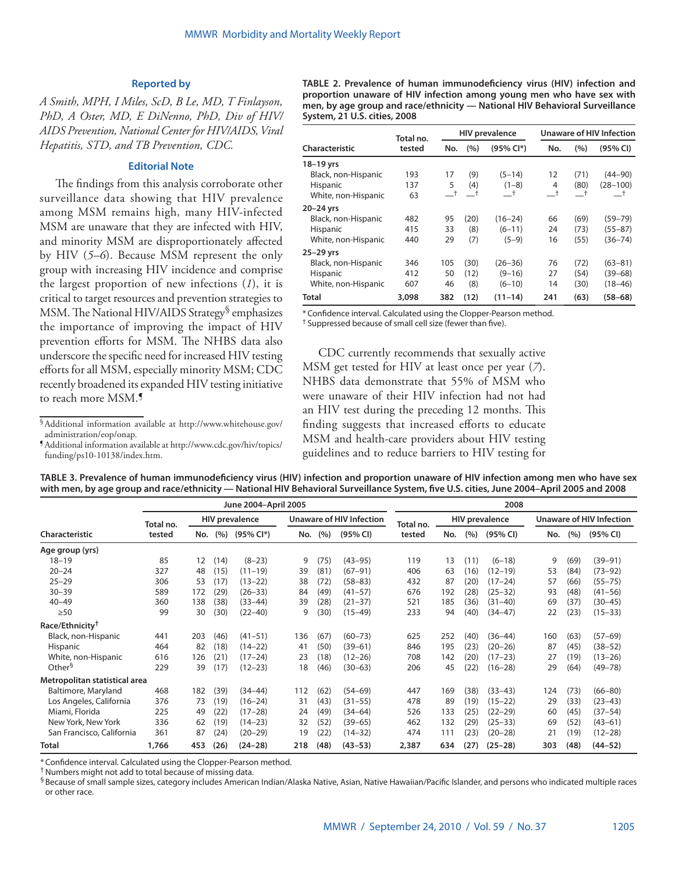## **Reported by**

*A Smith, MPH, I Miles, ScD, B Le, MD, T Finlayson, PhD, A Oster, MD, E DiNenno, PhD, Div of HIV/ AIDS Prevention, National Center for HIV/AIDS, Viral Hepatitis, STD, and TB Prevention, CDC.*

## **Editorial Note**

The findings from this analysis corroborate other surveillance data showing that HIV prevalence among MSM remains high, many HIV-infected MSM are unaware that they are infected with HIV, and minority MSM are disproportionately affected by HIV (*5–6*). Because MSM represent the only group with increasing HIV incidence and comprise the largest proportion of new infections (*1*), it is critical to target resources and prevention strategies to MSM. The National HIV/AIDS Strategy§ emphasizes the importance of improving the impact of HIV prevention efforts for MSM. The NHBS data also underscore the specific need for increased HIV testing efforts for all MSM, especially minority MSM; CDC recently broadened its expanded HIV testing initiative to reach more MSM.¶

[funding/ps10-10138/index.htm](http://www.cdc.gov/hiv/topics/funding/ps10-10138/index.htm).

**TABLE 2. Prevalence of human immunodeficiency virus (HIV) infection and proportion unaware of HIV infection among young men who have sex with men, by age group and race/ethnicity — National HIV Behavioral Surveillance System, 21 U.S. cities, 2008**

|                     | Total no. |               |      | <b>HIV prevalence</b> | <b>Unaware of HIV Infection</b> |      |              |  |  |  |
|---------------------|-----------|---------------|------|-----------------------|---------------------------------|------|--------------|--|--|--|
| Characteristic      | tested    | No.           | (%)  | (95% CI*)             | No.                             | (%)  | (95% CI)     |  |  |  |
| 18-19 yrs           |           |               |      |                       |                                 |      |              |  |  |  |
| Black, non-Hispanic | 193       | 17            | (9)  | $(5-14)$              | 12                              | (71) | $(44 - 90)$  |  |  |  |
| Hispanic            | 137       | 5             | (4)  | $(1-8)$               | 4                               | (80) | $(28 - 100)$ |  |  |  |
| White, non-Hispanic | 63        | $-^{\dagger}$ | —†   | $-$ t                 | $\_^{\dagger}$                  | —†   | $^{-+}$      |  |  |  |
| 20–24 yrs           |           |               |      |                       |                                 |      |              |  |  |  |
| Black, non-Hispanic | 482       | 95            | (20) | $(16 - 24)$           | 66                              | (69) | $(59 - 79)$  |  |  |  |
| Hispanic            | 415       | 33            | (8)  | $(6 - 11)$            | 24                              | (73) | $(55 - 87)$  |  |  |  |
| White, non-Hispanic | 440       | 29            | (7)  | $(5-9)$               | 16                              | (55) | $(36 - 74)$  |  |  |  |
| 25-29 yrs           |           |               |      |                       |                                 |      |              |  |  |  |
| Black, non-Hispanic | 346       | 105           | (30) | $(26 - 36)$           | 76                              | (72) | $(63 - 81)$  |  |  |  |
| <b>Hispanic</b>     | 412       | 50            | (12) | $(9 - 16)$            | 27                              | (54) | $(39 - 68)$  |  |  |  |
| White, non-Hispanic | 607       | 46            | (8)  | $(6 - 10)$            | 14                              | (30) | $(18 - 46)$  |  |  |  |
| Total               | 3,098     | 382           | (12) | $(11 - 14)$           | 241                             | (63) | $(58 - 68)$  |  |  |  |

\* Confidence interval. Calculated using the Clopper-Pearson method.

† Suppressed because of small cell size (fewer than five).

CDC currently recommends that sexually active MSM get tested for HIV at least once per year (*7*). NHBS data demonstrate that 55% of MSM who were unaware of their HIV infection had not had an HIV test during the preceding 12 months. This finding suggests that increased efforts to educate MSM and health-care providers about HIV testing guidelines and to reduce barriers to HIV testing for

| TABLE 3. Prevalence of human immunodeficiency virus (HIV) infection and proportion unaware of HIV infection among men who have sex       |
|------------------------------------------------------------------------------------------------------------------------------------------|
| with men, by age group and race/ethnicity — National HIV Behavioral Surveillance System, five U.S. cities, June 2004-April 2005 and 2008 |

|                               |           |     |      | June 2004-April 2005  |     |      |                                 | 2008      |     |      |                       |     |      |                                 |  |
|-------------------------------|-----------|-----|------|-----------------------|-----|------|---------------------------------|-----------|-----|------|-----------------------|-----|------|---------------------------------|--|
|                               | Total no. |     |      | <b>HIV prevalence</b> |     |      | <b>Unaware of HIV Infection</b> | Total no. |     |      | <b>HIV prevalence</b> |     |      | <b>Unaware of HIV Infection</b> |  |
| <b>Characteristic</b>         | tested    | No. | (%)  | (95% Cl*)             | No. | (%)  | (95% CI)                        | tested    | No. | (%)  | (95% CI)              | No. | (% ) | (95% CI)                        |  |
| Age group (yrs)               |           |     |      |                       |     |      |                                 |           |     |      |                       |     |      |                                 |  |
| $18 - 19$                     | 85        | 12  | (14) | $(8-23)$              | 9   | (75) | $(43 - 95)$                     | 119       | 13  | (11) | $(6 - 18)$            | 9   | (69) | $(39 - 91)$                     |  |
| $20 - 24$                     | 327       | 48  | (15) | $(11 - 19)$           | 39  | (81) | $(67 - 91)$                     | 406       | 63  | (16) | $(12-19)$             | 53  | (84) | $(73 - 92)$                     |  |
| $25 - 29$                     | 306       | 53  | (17) | $(13 - 22)$           | 38  | (72) | $(58 - 83)$                     | 432       | 87  | (20) | $(17 - 24)$           | 57  | (66) | $(55 - 75)$                     |  |
| $30 - 39$                     | 589       | 172 | (29) | $(26 - 33)$           | 84  | (49) | $(41 - 57)$                     | 676       | 192 | (28) | $(25 - 32)$           | 93  | (48) | $(41 - 56)$                     |  |
| $40 - 49$                     | 360       | 138 | (38) | $(33-44)$             | 39  | (28) | $(21 - 37)$                     | 521       | 185 | (36) | $(31 - 40)$           | 69  | (37) | $(30 - 45)$                     |  |
| $\geq 50$                     | 99        | 30  | (30) | $(22 - 40)$           | 9   | (30) | $(15 - 49)$                     | 233       | 94  | (40) | $(34 - 47)$           | 22  | (23) | $(15 - 33)$                     |  |
| Race/Ethnicity <sup>†</sup>   |           |     |      |                       |     |      |                                 |           |     |      |                       |     |      |                                 |  |
| Black, non-Hispanic           | 441       | 203 | (46) | $(41 - 51)$           | 136 | (67) | $(60 - 73)$                     | 625       | 252 | (40) | $(36 - 44)$           | 160 | (63) | $(57-69)$                       |  |
| Hispanic                      | 464       | 82  | (18) | $(14-22)$             | 41  | (50) | $(39 - 61)$                     | 846       | 195 | (23) | $(20 - 26)$           | 87  | (45) | $(38 - 52)$                     |  |
| White, non-Hispanic           | 616       | 126 | (21) | $(17 - 24)$           | 23  | (18) | $(12 - 26)$                     | 708       | 142 | (20) | $(17-23)$             | 27  | (19) | $(13 - 26)$                     |  |
| Other <sup>§</sup>            | 229       | 39  | (17) | $(12 - 23)$           | 18  | (46) | $(30 - 63)$                     | 206       | 45  | (22) | $(16 - 28)$           | 29  | (64) | $(49 - 78)$                     |  |
| Metropolitan statistical area |           |     |      |                       |     |      |                                 |           |     |      |                       |     |      |                                 |  |
| Baltimore, Maryland           | 468       | 182 | (39) | $(34 - 44)$           | 112 | (62) | $(54 - 69)$                     | 447       | 169 | (38) | $(33-43)$             | 124 | (73) | $(66 - 80)$                     |  |
| Los Angeles, California       | 376       | 73  | (19) | $(16-24)$             | 31  | (43) | $(31 - 55)$                     | 478       | 89  | (19) | $(15 - 22)$           | 29  | (33) | $(23-43)$                       |  |
| Miami, Florida                | 225       | 49  | (22) | $(17 - 28)$           | 24  | (49) | $(34 - 64)$                     | 526       | 133 | (25) | $(22 - 29)$           | 60  | (45) | $(37 - 54)$                     |  |
| New York, New York            | 336       | 62  | (19) | $(14 - 23)$           | 32  | (52) | $(39 - 65)$                     | 462       | 132 | (29) | $(25 - 33)$           | 69  | (52) | $(43 - 61)$                     |  |
| San Francisco, California     | 361       | 87  | (24) | $(20-29)$             | 19  | (22) | $(14 - 32)$                     | 474       | 111 | (23) | $(20-28)$             | 21  | (19) | $(12 - 28)$                     |  |
| <b>Total</b>                  | 1,766     | 453 | (26) | $(24 - 28)$           | 218 | (48) | $(43 - 53)$                     | 2,387     | 634 | (27) | $(25-28)$             | 303 | (48) | $(44 - 52)$                     |  |

\* Confidence interval. Calculated using the Clopper-Pearson method.

† Numbers might not add to total because of missing data.

§Because of small sample sizes, category includes American Indian/Alaska Native, Asian, Native Hawaiian/Pacific Islander, and persons who indicated multiple races or other race.

 $\delta$ Additional information available at [http://www.whitehouse.gov/](http://www.whitehouse.gov/administration/eop/onap) administration/eop/onap. Additional information available at [http://www.cdc.gov/hiv/topics/](http://www.cdc.gov/hiv/topics/funding/ps10-10138/index.htm)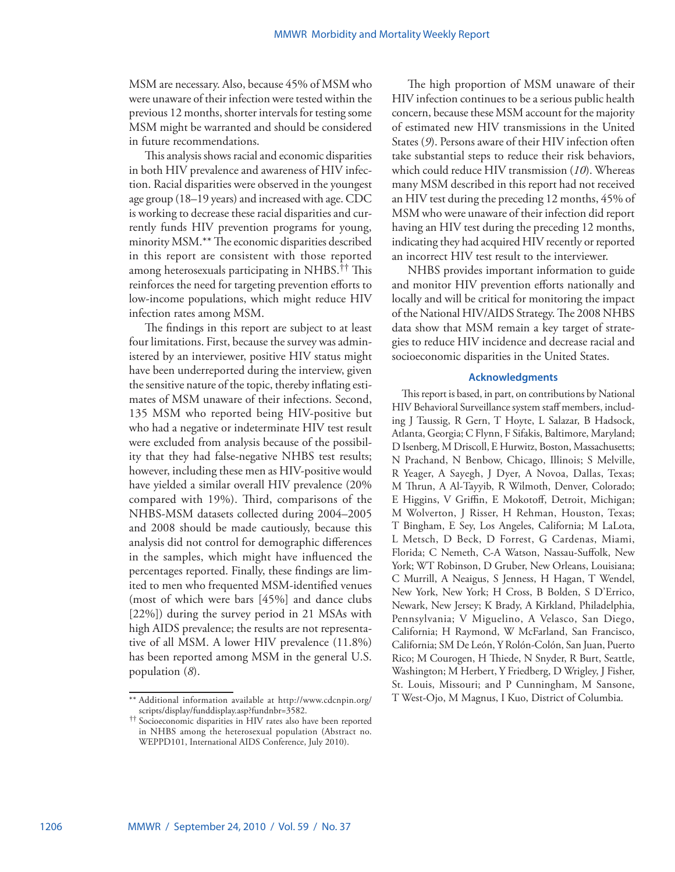MSM are necessary. Also, because 45% of MSM who were unaware of their infection were tested within the previous 12 months, shorter intervals for testing some MSM might be warranted and should be considered in future recommendations.

This analysis shows racial and economic disparities in both HIV prevalence and awareness of HIV infection. Racial disparities were observed in the youngest age group (18–19 years) and increased with age. CDC is working to decrease these racial disparities and currently funds HIV prevention programs for young, minority MSM.\*\* The economic disparities described in this report are consistent with those reported among heterosexuals participating in NHBS.†† This reinforces the need for targeting prevention efforts to low-income populations, which might reduce HIV infection rates among MSM.

The findings in this report are subject to at least four limitations. First, because the survey was administered by an interviewer, positive HIV status might have been underreported during the interview, given the sensitive nature of the topic, thereby inflating estimates of MSM unaware of their infections. Second, 135 MSM who reported being HIV-positive but who had a negative or indeterminate HIV test result were excluded from analysis because of the possibility that they had false-negative NHBS test results; however, including these men as HIV-positive would have yielded a similar overall HIV prevalence (20% compared with 19%). Third, comparisons of the NHBS-MSM datasets collected during 2004–2005 and 2008 should be made cautiously, because this analysis did not control for demographic differences in the samples, which might have influenced the percentages reported. Finally, these findings are limited to men who frequented MSM-identified venues (most of which were bars [45%] and dance clubs [22%]) during the survey period in 21 MSAs with high AIDS prevalence; the results are not representative of all MSM. A lower HIV prevalence (11.8%) has been reported among MSM in the general U.S. population (*8*).

The high proportion of MSM unaware of their HIV infection continues to be a serious public health concern, because these MSM account for the majority of estimated new HIV transmissions in the United States (*9*). Persons aware of their HIV infection often take substantial steps to reduce their risk behaviors, which could reduce HIV transmission (*10*). Whereas many MSM described in this report had not received an HIV test during the preceding 12 months, 45% of MSM who were unaware of their infection did report having an HIV test during the preceding 12 months, indicating they had acquired HIV recently or reported an incorrect HIV test result to the interviewer.

NHBS provides important information to guide and monitor HIV prevention efforts nationally and locally and will be critical for monitoring the impact of the National HIV/AIDS Strategy. The 2008 NHBS data show that MSM remain a key target of strategies to reduce HIV incidence and decrease racial and socioeconomic disparities in the United States.

## **Acknowledgments**

This report is based, in part, on contributions by National HIV Behavioral Surveillance system staff members, including J Taussig, R Gern, T Hoyte, L Salazar, B Hadsock, Atlanta, Georgia; C Flynn, F Sifakis, Baltimore, Maryland; D Isenberg, M Driscoll, E Hurwitz, Boston, Massachusetts; N Prachand, N Benbow, Chicago, Illinois; S Melville, R Yeager, A Sayegh, J Dyer, A Novoa, Dallas, Texas; M Thrun, A Al-Tayyib, R Wilmoth, Denver, Colorado; E Higgins, V Griffin, E Mokotoff, Detroit, Michigan; M Wolverton, J Risser, H Rehman, Houston, Texas; T Bingham, E Sey, Los Angeles, California; M LaLota, L Metsch, D Beck, D Forrest, G Cardenas, Miami, Florida; C Nemeth, C-A Watson, Nassau-Suffolk, New York; WT Robinson, D Gruber, New Orleans, Louisiana; C Murrill, A Neaigus, S Jenness, H Hagan, T Wendel, New York, New York; H Cross, B Bolden, S D'Errico, Newark, New Jersey; K Brady, A Kirkland, Philadelphia, Pennsylvania; V Miguelino, A Velasco, San Diego, California; H Raymond, W McFarland, San Francisco, California; SM De León, Y Rolón-Colón, San Juan, Puerto Rico; M Courogen, H Thiede, N Snyder, R Burt, Seattle, Washington; M Herbert, Y Friedberg, D Wrigley, J Fisher, St. Louis, Missouri; and P Cunningham, M Sansone,

<sup>\*\*</sup> Additional information available at [http://www.cdcnpin.org/](http://www.cdcnpin.org/scripts/display/funddisplay.asp?fundnbr=3582) T West-Ojo, M Magnus, I Kuo, District of Columbia.

Socioeconomic disparities in HIV rates also have been reported in NHBS among the heterosexual population (Abstract no. WEPPD101, International AIDS Conference, July 2010).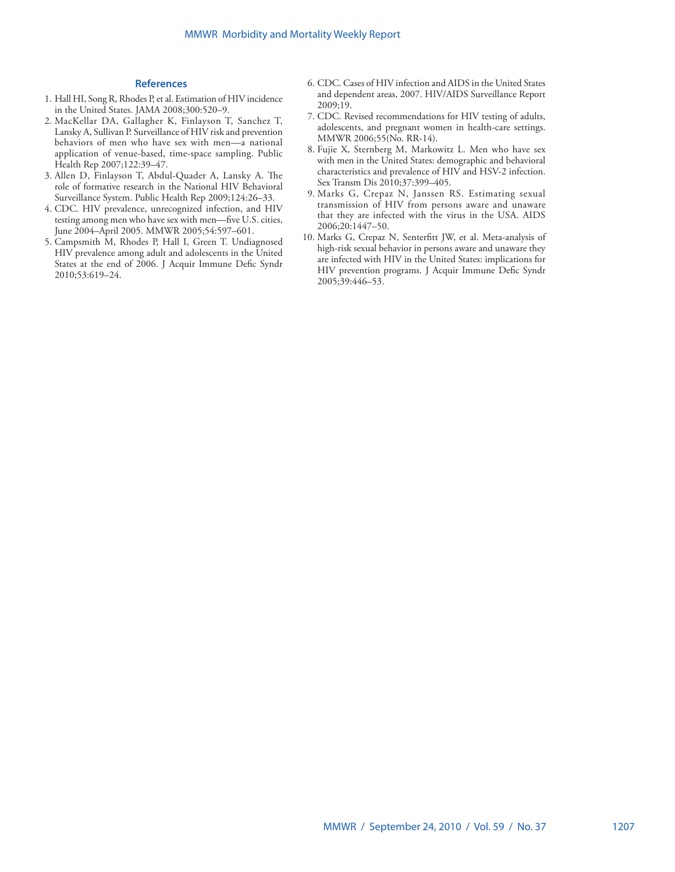## **References**

- 1. Hall HI, Song R, Rhodes P, et al. Estimation of HIV incidence in the United States. JAMA 2008;300:520–9.
- 2. MacKellar DA, Gallagher K, Finlayson T, Sanchez T, Lansky A, Sullivan P. Surveillance of HIV risk and prevention behaviors of men who have sex with men—a national application of venue-based, time-space sampling. Public Health Rep 2007;122:39–47.
- 3. Allen D, Finlayson T, Abdul-Quader A, Lansky A. The role of formative research in the National HIV Behavioral Surveillance System. Public Health Rep 2009;124:26–33.
- 4. CDC. HIV prevalence, unrecognized infection, and HIV testing among men who have sex with men—five U.S. cities, June 2004–April 2005. MMWR 2005;54:597–601.
- 5. Campsmith M, Rhodes P, Hall I, Green T. Undiagnosed HIV prevalence among adult and adolescents in the United States at the end of 2006. J Acquir Immune Defic Syndr 2010;53:619–24.
- 6. CDC. Cases of HIV infection and AIDS in the United States and dependent areas, 2007. HIV/AIDS Surveillance Report 2009;19.
- 7. CDC. Revised recommendations for HIV testing of adults, adolescents, and pregnant women in health-care settings. MMWR 2006;55(No. RR-14).
- 8. Fujie X, Sternberg M, Markowitz L. Men who have sex with men in the United States: demographic and behavioral characteristics and prevalence of HIV and HSV-2 infection. Sex Transm Dis 2010;37:399–405.
- 9. Marks G, Crepaz N, Janssen RS. Estimating sexual transmission of HIV from persons aware and unaware that they are infected with the virus in the USA. AIDS 2006;20:1447–50.
- 10. Marks G, Crepaz N, Senterfitt JW, et al. Meta-analysis of high-risk sexual behavior in persons aware and unaware they are infected with HIV in the United States: implications for HIV prevention programs. J Acquir Immune Defic Syndr 2005;39:446–53.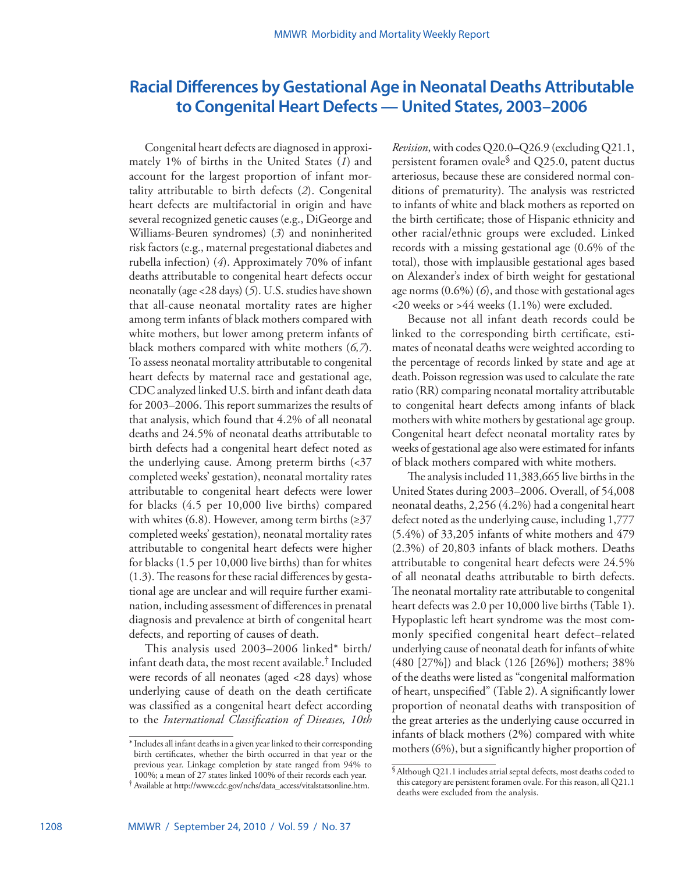# <span id="page-7-0"></span>**Racial Differences by Gestational Age in Neonatal Deaths Attributable to Congenital Heart Defects — United States, 2003–2006**

Congenital heart defects are diagnosed in approximately 1% of births in the United States (*1*) and account for the largest proportion of infant mortality attributable to birth defects (*2*). Congenital heart defects are multifactorial in origin and have several recognized genetic causes (e.g., DiGeorge and Williams-Beuren syndromes) (*3*) and noninherited risk factors (e.g., maternal pregestational diabetes and rubella infection) (*4*). Approximately 70% of infant deaths attributable to congenital heart defects occur neonatally (age <28 days) (*5*). U.S. studies have shown that all-cause neonatal mortality rates are higher among term infants of black mothers compared with white mothers, but lower among preterm infants of black mothers compared with white mothers (*6,7*). To assess neonatal mortality attributable to congenital heart defects by maternal race and gestational age, CDC analyzed linked U.S. birth and infant death data for 2003–2006. This report summarizes the results of that analysis, which found that 4.2% of all neonatal deaths and 24.5% of neonatal deaths attributable to birth defects had a congenital heart defect noted as the underlying cause. Among preterm births (<37 completed weeks' gestation), neonatal mortality rates attributable to congenital heart defects were lower for blacks (4.5 per 10,000 live births) compared with whites (6.8). However, among term births  $(≥37)$ completed weeks' gestation), neonatal mortality rates attributable to congenital heart defects were higher for blacks (1.5 per 10,000 live births) than for whites (1.3). The reasons for these racial differences by gestational age are unclear and will require further examination, including assessment of differences in prenatal diagnosis and prevalence at birth of congenital heart defects, and reporting of causes of death.

This analysis used 2003–2006 linked\* birth/ infant death data, the most recent available.† Included were records of all neonates (aged <28 days) whose underlying cause of death on the death certificate was classified as a congenital heart defect according to the *International Classification of Diseases, 10th* 

*Revision*, with codes Q20.0–Q26.9 (excluding Q21.1, persistent foramen ovale<sup>§</sup> and  $Q25.0$ , patent ductus arteriosus, because these are considered normal conditions of prematurity). The analysis was restricted to infants of white and black mothers as reported on the birth certificate; those of Hispanic ethnicity and other racial/ethnic groups were excluded. Linked records with a missing gestational age (0.6% of the total), those with implausible gestational ages based on Alexander's index of birth weight for gestational age norms (0.6%) (*6*), and those with gestational ages <20 weeks or >44 weeks (1.1%) were excluded.

Because not all infant death records could be linked to the corresponding birth certificate, estimates of neonatal deaths were weighted according to the percentage of records linked by state and age at death. Poisson regression was used to calculate the rate ratio (RR) comparing neonatal mortality attributable to congenital heart defects among infants of black mothers with white mothers by gestational age group. Congenital heart defect neonatal mortality rates by weeks of gestational age also were estimated for infants of black mothers compared with white mothers.

The analysis included 11,383,665 live births in the United States during 2003–2006. Overall, of 54,008 neonatal deaths, 2,256 (4.2%) had a congenital heart defect noted as the underlying cause, including 1,777 (5.4%) of 33,205 infants of white mothers and 479 (2.3%) of 20,803 infants of black mothers. Deaths attributable to congenital heart defects were 24.5% of all neonatal deaths attributable to birth defects. The neonatal mortality rate attributable to congenital heart defects was 2.0 per 10,000 live births (Table 1). Hypoplastic left heart syndrome was the most commonly specified congenital heart defect–related underlying cause of neonatal death for infants of white (480 [27%]) and black (126 [26%]) mothers; 38% of the deaths were listed as "congenital malformation of heart, unspecified" (Table 2). A significantly lower proportion of neonatal deaths with transposition of the great arteries as the underlying cause occurred in infants of black mothers (2%) compared with white mothers (6%), but a significantly higher proportion of

<sup>\*</sup>Includes all infant deaths in a given year linked to their corresponding birth certificates, whether the birth occurred in that year or the previous year. Linkage completion by state ranged from 94% to 100%; a mean of 27 states linked 100% of their records each year.

<sup>†</sup>Available at [http://www.cdc.gov/nchs/data\\_access/vitalstatsonline.htm](http://www.cdc.gov/nchs/data_access/vitalstatsonline.htm).

<sup>§</sup>Although Q21.1 includes atrial septal defects, most deaths coded to this category are persistent foramen ovale. For this reason, all Q21.1 deaths were excluded from the analysis.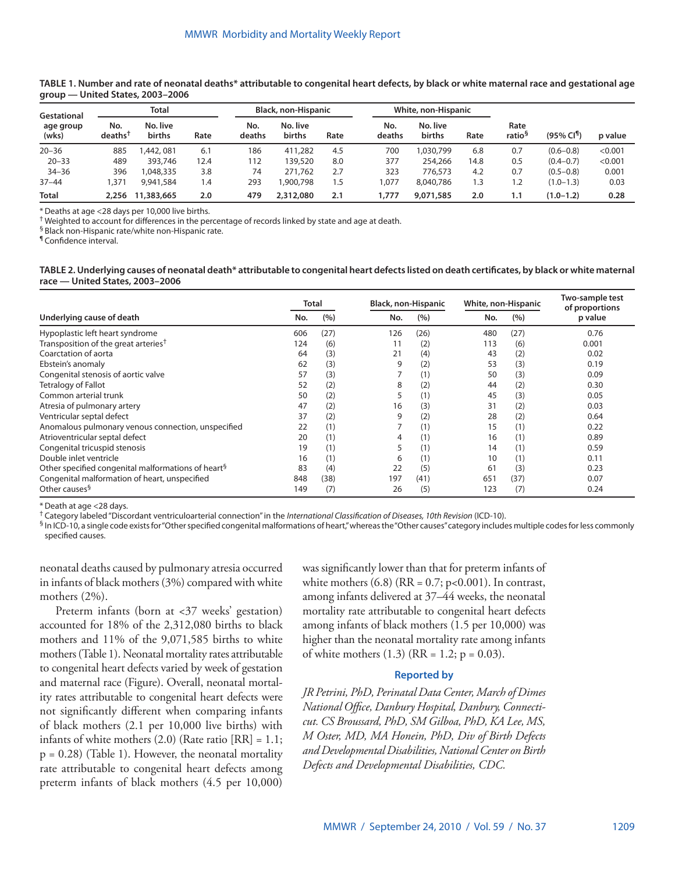| Gestational        |                            | Total              |      |               | Black, non-Hispanic |      |               | White, non-Hispanic |      |                            |                           |         |
|--------------------|----------------------------|--------------------|------|---------------|---------------------|------|---------------|---------------------|------|----------------------------|---------------------------|---------|
| age group<br>(wks) | No.<br>deaths <sup>T</sup> | No. live<br>births | Rate | No.<br>deaths | No. live<br>births  | Rate | No.<br>deaths | No. live<br>births  | Rate | Rate<br>ratio <sup>§</sup> | $(95\%$ CI <sup>1</sup> ) | p value |
| $20 - 36$          | 885                        | A42,081            | 6.1  | 186           | 411,282             | 4.5  | 700           | 1,030,799           | 6.8  | 0.7                        | $(0.6 - 0.8)$             | < 0.001 |
| $20 - 33$          | 489                        | 393,746            | 12.4 | 112           | 139,520             | 8.0  | 377           | 254,266             | 14.8 | 0.5                        | $(0.4 - 0.7)$             | < 0.001 |
| $34 - 36$          | 396                        | .048.335           | 3.8  | 74            | 271.762             | 2.7  | 323           | 776,573             | 4.2  | 0.7                        | $(0.5 - 0.8)$             | 0.001   |
| $37 - 44$          | .371                       | 9,941,584          | ۱.4  | 293           | .900.798            | 1.5  | 1,077         | 8,040,786           | 1.3  | 1.2                        | $(1.0 - 1.3)$             | 0.03    |
| <b>Total</b>       |                            | 2,256 11,383,665   | 2.0  | 479           | 2,312,080           | 2.1  | 1,777         | 9,071,585           | 2.0  | 1.1                        | $(1.0 - 1.2)$             | 0.28    |

## **TABLE 1. Number and rate of neonatal deaths\* attributable to congenital heart defects, by black or white maternal race and gestational age group — United States, 2003–2006**

\*Deaths at age <28 days per 10,000 live births.

† Weighted to account for differences in the percentage of records linked by state and age at death.

§ Black non-Hispanic rate/white non-Hispanic rate.

¶ Confidence interval.

#### **TABLE 2. Underlying causes of neonatal death\* attributable to congenital heart defects listed on death certificates, by black or white maternal race — United States, 2003–2006**

|                                                                | Total |      | <b>Black, non-Hispanic</b> |      | White, non-Hispanic |      | Two-sample test<br>of proportions |  |
|----------------------------------------------------------------|-------|------|----------------------------|------|---------------------|------|-----------------------------------|--|
| Underlying cause of death                                      | No.   | (%)  | No.                        | (%)  | No.                 | (%)  | p value                           |  |
| Hypoplastic left heart syndrome                                | 606   | (27) | 126                        | (26) | 480                 | (27) | 0.76                              |  |
| Transposition of the great arteries <sup>†</sup>               | 124   | (6)  |                            | (2)  | 113                 | (6)  | 0.001                             |  |
| Coarctation of aorta                                           | 64    | (3)  | 21                         | (4)  | 43                  | (2)  | 0.02                              |  |
| Ebstein's anomaly                                              | 62    | (3)  | 9                          | (2)  | 53                  | (3)  | 0.19                              |  |
| Congenital stenosis of aortic valve                            | 57    | (3)  |                            | (1)  | 50                  | (3)  | 0.09                              |  |
| Tetralogy of Fallot                                            | 52    | (2)  | 8                          | (2)  | 44                  | (2)  | 0.30                              |  |
| Common arterial trunk                                          | 50    | (2)  | 5                          | (1)  | 45                  | (3)  | 0.05                              |  |
| Atresia of pulmonary artery                                    | 47    | (2)  | 16                         | (3)  | 31                  | (2)  | 0.03                              |  |
| Ventricular septal defect                                      | 37    | (2)  | 9                          | (2)  | 28                  | (2)  | 0.64                              |  |
| Anomalous pulmonary venous connection, unspecified             | 22    | (1)  |                            | (1)  | 15                  | (1)  | 0.22                              |  |
| Atrioventricular septal defect                                 | 20    | (1)  | 4                          | (1)  | 16                  | (1)  | 0.89                              |  |
| Congenital tricuspid stenosis                                  | 19    | (1)  | 5                          | (1)  | 14                  | (1)  | 0.59                              |  |
| Double inlet ventricle                                         | 16    | (1)  | 6                          | (1)  | 10                  | (1)  | 0.11                              |  |
| Other specified congenital malformations of heart <sup>§</sup> | 83    | (4)  | 22                         | (5)  | 61                  | (3)  | 0.23                              |  |
| Congenital malformation of heart, unspecified                  | 848   | (38) | 197                        | (41) | 651                 | (37) | 0.07                              |  |
| Other causes <sup>§</sup>                                      | 149   | (7)  | 26                         | (5)  | 123                 | (7)  | 0.24                              |  |

\*Death at age <28 days.

† Category labeled "Discordant ventriculoarterial connection" in the *International Classification of Diseases, 10th Revision* (ICD-10).

§ In ICD-10, a single code exists for "Other specified congenital malformations of heart," whereas the "Other causes" category includes multiple codes for less commonly specified causes.

neonatal deaths caused by pulmonary atresia occurred in infants of black mothers (3%) compared with white mothers (2%).

Preterm infants (born at <37 weeks' gestation) accounted for 18% of the 2,312,080 births to black mothers and 11% of the 9,071,585 births to white mothers (Table 1). Neonatal mortality rates attributable to congenital heart defects varied by week of gestation and maternal race (Figure). Overall, neonatal mortality rates attributable to congenital heart defects were not significantly different when comparing infants of black mothers (2.1 per 10,000 live births) with infants of white mothers  $(2.0)$  (Rate ratio [RR] = 1.1;  $p = 0.28$ ) (Table 1). However, the neonatal mortality rate attributable to congenital heart defects among preterm infants of black mothers (4.5 per 10,000)

was significantly lower than that for preterm infants of white mothers  $(6.8)$  (RR = 0.7; p<0.001). In contrast, among infants delivered at 37–44 weeks, the neonatal mortality rate attributable to congenital heart defects among infants of black mothers (1.5 per 10,000) was higher than the neonatal mortality rate among infants of white mothers  $(1.3)$  (RR = 1.2; p = 0.03).

## **Reported by**

*JR Petrini, PhD, Perinatal Data Center, March of Dimes National Office, Danbury Hospital, Danbury, Connecticut. CS Broussard, PhD, SM Gilboa, PhD, KA Lee, MS, M Oster, MD, MA Honein, PhD, Div of Birth Defects and Developmental Disabilities, National Center on Birth Defects and Developmental Disabilities, CDC.*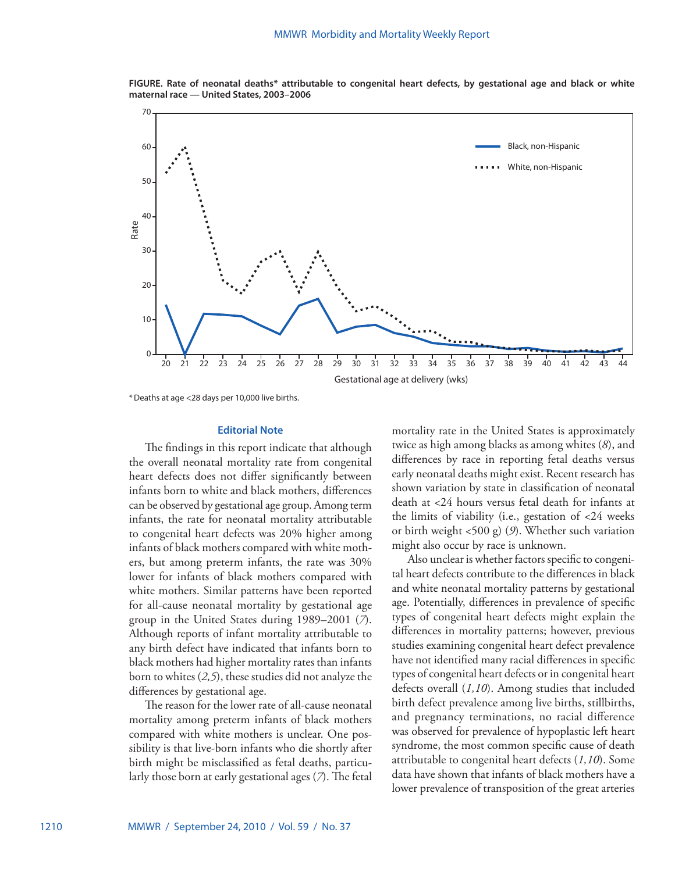**FIGURE. Rate of neonatal deaths\* attributable to congenital heart defects, by gestational age and black or white maternal race — United States, 2003–2006** 



\*Deaths at age <28 days per 10,000 live births.

### **Editorial Note**

The findings in this report indicate that although the overall neonatal mortality rate from congenital heart defects does not differ significantly between infants born to white and black mothers, differences can be observed by gestational age group. Among term infants, the rate for neonatal mortality attributable to congenital heart defects was 20% higher among infants of black mothers compared with white mothers, but among preterm infants, the rate was 30% lower for infants of black mothers compared with white mothers. Similar patterns have been reported for all-cause neonatal mortality by gestational age group in the United States during 1989–2001 (*7*). Although reports of infant mortality attributable to any birth defect have indicated that infants born to black mothers had higher mortality rates than infants born to whites (*2,5*), these studies did not analyze the differences by gestational age.

The reason for the lower rate of all-cause neonatal mortality among preterm infants of black mothers compared with white mothers is unclear. One possibility is that live-born infants who die shortly after birth might be misclassified as fetal deaths, particularly those born at early gestational ages (*7*). The fetal

mortality rate in the United States is approximately twice as high among blacks as among whites (*8*), and differences by race in reporting fetal deaths versus early neonatal deaths might exist. Recent research has shown variation by state in classification of neonatal death at <24 hours versus fetal death for infants at the limits of viability (i.e., gestation of <24 weeks or birth weight <500 g) (*9*). Whether such variation might also occur by race is unknown.

Also unclear is whether factors specific to congenital heart defects contribute to the differences in black and white neonatal mortality patterns by gestational age. Potentially, differences in prevalence of specific types of congenital heart defects might explain the differences in mortality patterns; however, previous studies examining congenital heart defect prevalence have not identified many racial differences in specific types of congenital heart defects or in congenital heart defects overall (*1,10*). Among studies that included birth defect prevalence among live births, stillbirths, and pregnancy terminations, no racial difference was observed for prevalence of hypoplastic left heart syndrome, the most common specific cause of death attributable to congenital heart defects (*1,10*). Some data have shown that infants of black mothers have a lower prevalence of transposition of the great arteries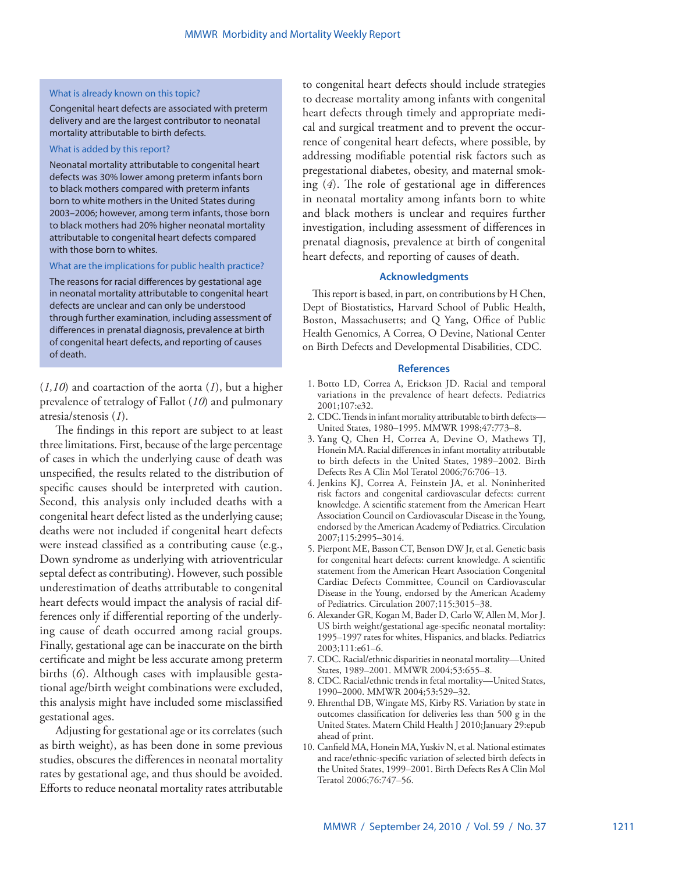## What is already known on this topic?

Congenital heart defects are associated with preterm delivery and are the largest contributor to neonatal mortality attributable to birth defects.

## What is added by this report?

Neonatal mortality attributable to congenital heart defects was 30% lower among preterm infants born to black mothers compared with preterm infants born to white mothers in the United States during 2003–2006; however, among term infants, those born to black mothers had 20% higher neonatal mortality attributable to congenital heart defects compared with those born to whites.

## What are the implications for public health practice?

The reasons for racial differences by gestational age in neonatal mortality attributable to congenital heart defects are unclear and can only be understood through further examination, including assessment of differences in prenatal diagnosis, prevalence at birth of congenital heart defects, and reporting of causes of death.

(*1,10*) and coartaction of the aorta (*1*), but a higher prevalence of tetralogy of Fallot (*10*) and pulmonary atresia/stenosis (*1*).

The findings in this report are subject to at least three limitations. First, because of the large percentage of cases in which the underlying cause of death was unspecified, the results related to the distribution of specific causes should be interpreted with caution. Second, this analysis only included deaths with a congenital heart defect listed as the underlying cause; deaths were not included if congenital heart defects were instead classified as a contributing cause (e.g., Down syndrome as underlying with atrioventricular septal defect as contributing). However, such possible underestimation of deaths attributable to congenital heart defects would impact the analysis of racial differences only if differential reporting of the underlying cause of death occurred among racial groups. Finally, gestational age can be inaccurate on the birth certificate and might be less accurate among preterm births (*6*). Although cases with implausible gestational age/birth weight combinations were excluded, this analysis might have included some misclassified gestational ages.

Adjusting for gestational age or its correlates (such as birth weight), as has been done in some previous studies, obscures the differences in neonatal mortality rates by gestational age, and thus should be avoided. Efforts to reduce neonatal mortality rates attributable

to congenital heart defects should include strategies to decrease mortality among infants with congenital heart defects through timely and appropriate medical and surgical treatment and to prevent the occurrence of congenital heart defects, where possible, by addressing modifiable potential risk factors such as pregestational diabetes, obesity, and maternal smoking (*4*). The role of gestational age in differences in neonatal mortality among infants born to white and black mothers is unclear and requires further investigation, including assessment of differences in prenatal diagnosis, prevalence at birth of congenital heart defects, and reporting of causes of death.

## **Acknowledgments**

This report is based, in part, on contributions by H Chen, Dept of Biostatistics, Harvard School of Public Health, Boston, Massachusetts; and Q Yang, Office of Public Health Genomics, A Correa, O Devine, National Center on Birth Defects and Developmental Disabilities, CDC.

#### **References**

- 1. Botto LD, Correa A, Erickson JD. Racial and temporal variations in the prevalence of heart defects. Pediatrics 2001;107:e32.
- 2. CDC. Trends in infant mortality attributable to birth defects— United States, 1980–1995. MMWR 1998;47:773–8.
- 3. Yang Q, Chen H, Correa A, Devine O, Mathews TJ, Honein MA. Racial differences in infant mortality attributable to birth defects in the United States, 1989–2002. Birth Defects Res A Clin Mol Teratol 2006;76:706–13.
- 4. Jenkins KJ, Correa A, Feinstein JA, et al. Noninherited risk factors and congenital cardiovascular defects: current knowledge. A scientific statement from the American Heart Association Council on Cardiovascular Disease in the Young, endorsed by the American Academy of Pediatrics. Circulation 2007;115:2995–3014.
- 5. Pierpont ME, Basson CT, Benson DW Jr, et al. Genetic basis for congenital heart defects: current knowledge. A scientific statement from the American Heart Association Congenital Cardiac Defects Committee, Council on Cardiovascular Disease in the Young, endorsed by the American Academy of Pediatrics. Circulation 2007;115:3015–38.
- 6. Alexander GR, Kogan M, Bader D, Carlo W, Allen M, Mor J. US birth weight/gestational age-specific neonatal mortality: 1995–1997 rates for whites, Hispanics, and blacks. Pediatrics 2003;111:e61–6.
- 7. CDC. Racial/ethnic disparities in neonatal mortality—United States, 1989–2001. MMWR 2004;53:655–8.
- 8. CDC. Racial/ethnic trends in fetal mortality—United States, 1990–2000. MMWR 2004;53:529–32.
- 9. Ehrenthal DB, Wingate MS, Kirby RS. Variation by state in outcomes classification for deliveries less than 500 g in the United States. Matern Child Health J 2010;January 29:epub ahead of print.
- 10. Canfield MA, Honein MA, Yuskiv N, et al. National estimates and race/ethnic-specific variation of selected birth defects in the United States, 1999–2001. Birth Defects Res A Clin Mol Teratol 2006;76:747–56.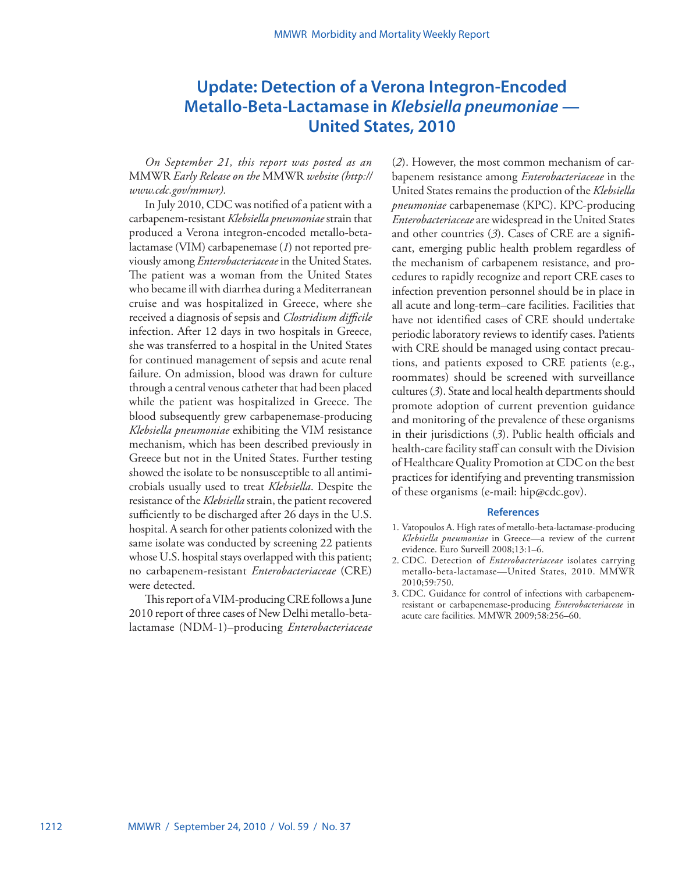# <span id="page-11-0"></span>**Update: Detection of a Verona Integron-Encoded Metallo-Beta-Lactamase in** *Klebsiella pneumoniae* **— United States, 2010**

*On September 21, this report was posted as an*  MMWR *Early Release on the* MMWR *website ([http://](http://www.cdc.gov/mmwr) [www.cdc.gov/mmwr](http://www.cdc.gov/mmwr)).*

In July 2010, CDC was notified of a patient with a carbapenem-resistant *Klebsiella pneumoniae* strain that produced a Verona integron-encoded metallo-betalactamase (VIM) carbapenemase (*1*) not reported previously among *Enterobacteriaceae* in the United States. The patient was a woman from the United States who became ill with diarrhea during a Mediterranean cruise and was hospitalized in Greece, where she received a diagnosis of sepsis and *Clostridium difficile* infection. After 12 days in two hospitals in Greece, she was transferred to a hospital in the United States for continued management of sepsis and acute renal failure. On admission, blood was drawn for culture through a central venous catheter that had been placed while the patient was hospitalized in Greece. The blood subsequently grew carbapenemase-producing *Klebsiella pneumoniae* exhibiting the VIM resistance mechanism, which has been described previously in Greece but not in the United States. Further testing showed the isolate to be nonsusceptible to all antimicrobials usually used to treat *Klebsiella*. Despite the resistance of the *Klebsiella* strain, the patient recovered sufficiently to be discharged after 26 days in the U.S. hospital. A search for other patients colonized with the same isolate was conducted by screening 22 patients whose U.S. hospital stays overlapped with this patient; no carbapenem-resistant *Enterobacteriaceae* (CRE) were detected.

This report of a VIM-producing CRE follows a June 2010 report of three cases of New Delhi metallo-betalactamase (NDM-1)–producing *Enterobacteriaceae*

(*2*). However, the most common mechanism of carbapenem resistance among *Enterobacteriaceae* in the United States remains the production of the *Klebsiella pneumoniae* carbapenemase (KPC). KPC-producing *Enterobacteriaceae* are widespread in the United States and other countries (*3*). Cases of CRE are a significant, emerging public health problem regardless of the mechanism of carbapenem resistance, and procedures to rapidly recognize and report CRE cases to infection prevention personnel should be in place in all acute and long-term–care facilities. Facilities that have not identified cases of CRE should undertake periodic laboratory reviews to identify cases. Patients with CRE should be managed using contact precautions, and patients exposed to CRE patients (e.g., roommates) should be screened with surveillance cultures (*3*). State and local health departments should promote adoption of current prevention guidance and monitoring of the prevalence of these organisms in their jurisdictions (*3*). Public health officials and health-care facility staff can consult with the Division of Healthcare Quality Promotion at CDC on the best practices for identifying and preventing transmission of these organisms (e-mail: [hip@cdc.gov](mailto:hip@cdc.gov)).

### **References**

- 1. Vatopoulos A. High rates of metallo-beta-lactamase-producing *Klebsiella pneumoniae* in Greece—a review of the current evidence. Euro Surveill 2008;13:1–6.
- 2. CDC. Detection of *Enterobacteriaceae* isolates carrying metallo-beta-lactamase—United States, 2010. MMWR 2010;59:750.
- 3. CDC. Guidance for control of infections with carbapenemresistant or carbapenemase-producing *Enterobacteriaceae* in acute care facilities. MMWR 2009;58:256–60.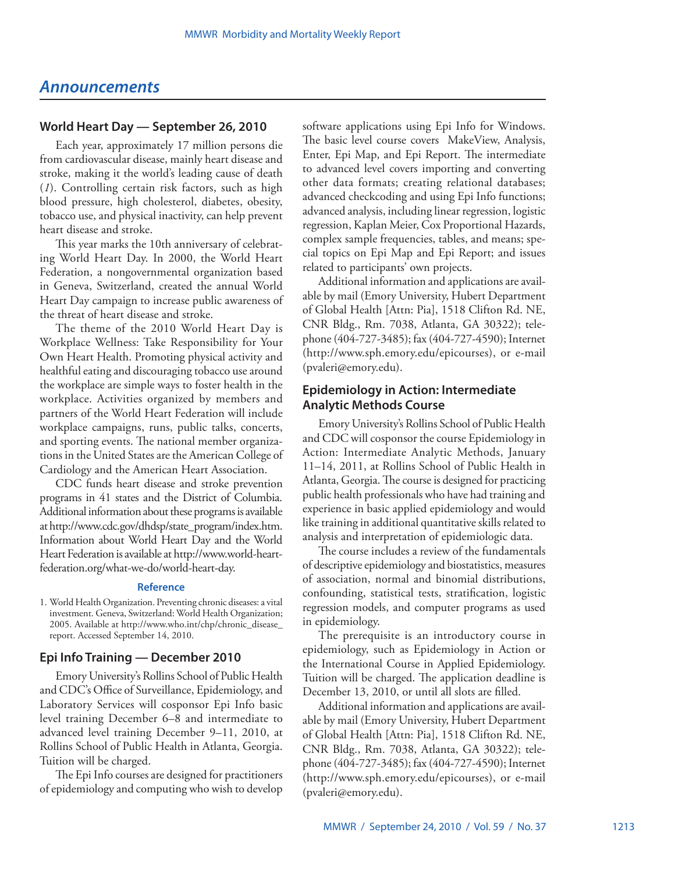## <span id="page-12-0"></span>*Announcements*

## **World Heart Day — September 26, 2010**

Each year, approximately 17 million persons die from cardiovascular disease, mainly heart disease and stroke, making it the world's leading cause of death (*1*). Controlling certain risk factors, such as high blood pressure, high cholesterol, diabetes, obesity, tobacco use, and physical inactivity, can help prevent heart disease and stroke.

This year marks the 10th anniversary of celebrating World Heart Day. In 2000, the World Heart Federation, a nongovernmental organization based in Geneva, Switzerland, created the annual World Heart Day campaign to increase public awareness of the threat of heart disease and stroke.

The theme of the 2010 World Heart Day is Workplace Wellness: Take Responsibility for Your Own Heart Health. Promoting physical activity and healthful eating and discouraging tobacco use around the workplace are simple ways to foster health in the workplace. Activities organized by members and partners of the World Heart Federation will include workplace campaigns, runs, public talks, concerts, and sporting events. The national member organizations in the United States are the American College of Cardiology and the American Heart Association.

CDC funds heart disease and stroke prevention programs in 41 states and the District of Columbia. Additional information about these programs is available at [http://www.cdc.gov/dhdsp/state\\_program/index.htm.](http://www.cdc.gov/dhdsp/state_program/index.htm) Information about World Heart Day and the World Heart Federation is available at [http://www.world-heart](http://www.world-heart-federation.org/what-we-do/world-heart-day)[federation.org/what-we-do/world-heart-day](http://www.world-heart-federation.org/what-we-do/world-heart-day).

## **Reference**

1. World Health Organization. Preventing chronic diseases: a vital investment. Geneva, Switzerland: World Health Organization; 2005. Available at [http://www.who.int/chp/chronic\\_disease\\_](http://www.who.int/chp/chronic_disease_report) [report](http://www.who.int/chp/chronic_disease_report). Accessed September 14, 2010.

## **Epi Info Training — December 2010**

Emory University's Rollins School of Public Health and CDC's Office of Surveillance, Epidemiology, and Laboratory Services will cosponsor Epi Info basic level training December 6–8 and intermediate to advanced level training December 9–11, 2010, at Rollins School of Public Health in Atlanta, Georgia. Tuition will be charged.

The Epi Info courses are designed for practitioners of epidemiology and computing who wish to develop

software applications using Epi Info for Windows. The basic level course covers MakeView, Analysis, Enter, Epi Map, and Epi Report. The intermediate to advanced level covers importing and converting other data formats; creating relational databases; advanced checkcoding and using Epi Info functions; advanced analysis, including linear regression, logistic regression, Kaplan Meier, Cox Proportional Hazards, complex sample frequencies, tables, and means; special topics on Epi Map and Epi Report; and issues related to participants' own projects.

Additional information and applications are available by mail (Emory University, Hubert Department of Global Health [Attn: Pia], 1518 Clifton Rd. NE, CNR Bldg., Rm. 7038, Atlanta, GA 30322); telephone (404-727-3485); fax (404-727-4590); Internet [\(http://www.sph.emory.edu/epicourses](http://www.sph.emory.edu/epicourses)), or e-mail [\(pvaleri@emory.edu](mailto:pvaleri@emory.edu)).

## **Epidemiology in Action: Intermediate Analytic Methods Course**

Emory University's Rollins School of Public Health and CDC will cosponsor the course Epidemiology in Action: Intermediate Analytic Methods, January 11–14, 2011, at Rollins School of Public Health in Atlanta, Georgia. The course is designed for practicing public health professionals who have had training and experience in basic applied epidemiology and would like training in additional quantitative skills related to analysis and interpretation of epidemiologic data.

The course includes a review of the fundamentals of descriptive epidemiology and biostatistics, measures of association, normal and binomial distributions, confounding, statistical tests, stratification, logistic regression models, and computer programs as used in epidemiology.

The prerequisite is an introductory course in epidemiology, such as Epidemiology in Action or the International Course in Applied Epidemiology. Tuition will be charged. The application deadline is December 13, 2010, or until all slots are filled.

Additional information and applications are available by mail (Emory University, Hubert Department of Global Health [Attn: Pia], 1518 Clifton Rd. NE, CNR Bldg., Rm. 7038, Atlanta, GA 30322); telephone (404-727-3485); fax (404-727-4590); Internet [\(http://www.sph.emory.edu/epicourses](http://www.sph.emory.edu/epicourses)), or e-mail [\(pvaleri@emory.edu](mailto:pvaleri@emory.edu)).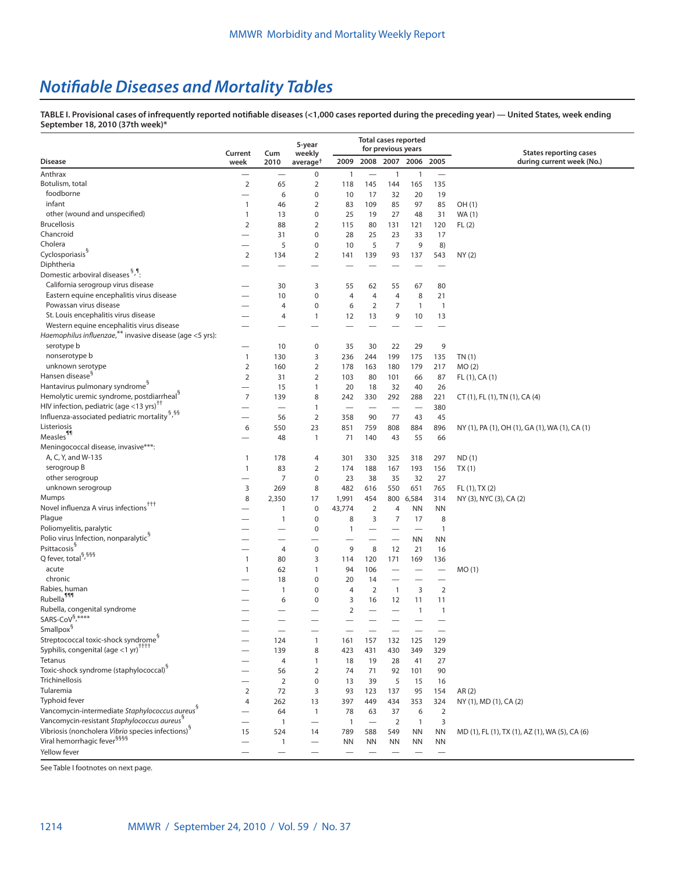# *Notifiable Diseases and Mortality Tables*

**TABLE I. Provisional cases of infrequently reported notifiable diseases (<1,000 cases reported during the preceding year) — United States, week ending September 18, 2010 (37th week)\***

|                                                                                                                          |                                                      | <b>Total cases reported</b><br>5-year |                      |                          |                          |                          |                                 |                          |                                                |
|--------------------------------------------------------------------------------------------------------------------------|------------------------------------------------------|---------------------------------------|----------------------|--------------------------|--------------------------|--------------------------|---------------------------------|--------------------------|------------------------------------------------|
|                                                                                                                          | Current                                              | Cum                                   | weekly               |                          |                          | for previous years       |                                 |                          | <b>States reporting cases</b>                  |
| <b>Disease</b>                                                                                                           | week                                                 | 2010                                  | average <sup>†</sup> | 2009                     |                          |                          | 2008 2007 2006 2005             |                          | during current week (No.)                      |
| Anthrax                                                                                                                  |                                                      |                                       | 0                    | $\mathbf{1}$             |                          | $\mathbf{1}$             | $\mathbf{1}$                    |                          |                                                |
| Botulism, total                                                                                                          | $\overline{2}$                                       | 65                                    | 2                    | 118                      | 145                      | 144                      | 165                             | 135                      |                                                |
| foodborne                                                                                                                | $\overline{\phantom{0}}$                             | 6                                     | 0                    | 10                       | 17                       | 32                       | 20                              | 19                       |                                                |
| infant                                                                                                                   | $\mathbf{1}$                                         | 46                                    | 2                    | 83                       | 109                      | 85                       | 97                              | 85                       | OH (1)                                         |
| other (wound and unspecified)                                                                                            | $\mathbf{1}$                                         | 13                                    | 0                    | 25                       | 19                       | 27                       | 48                              | 31                       | WA (1)                                         |
| <b>Brucellosis</b>                                                                                                       | $\overline{2}$                                       | 88                                    | $\overline{2}$       | 115                      | 80                       | 131                      | 121                             | 120                      | FL(2)                                          |
| Chancroid                                                                                                                | -                                                    | 31                                    | 0                    | 28                       | 25                       | 23                       | 33                              | 17                       |                                                |
| Cholera                                                                                                                  | -                                                    | 5                                     | 0                    | 10                       | 5                        | $\overline{7}$           | 9                               | 8)                       |                                                |
| Cyclosporiasis <sup>§</sup><br>Diphtheria                                                                                | $\overline{2}$                                       | 134                                   | 2                    | 141                      | 139                      | 93                       | 137                             | 543                      | NY(2)                                          |
| Domestic arboviral diseases 5, 1:                                                                                        |                                                      |                                       |                      |                          |                          |                          |                                 |                          |                                                |
| California serogroup virus disease                                                                                       |                                                      |                                       |                      |                          |                          |                          |                                 |                          |                                                |
| Eastern equine encephalitis virus disease                                                                                |                                                      | 30                                    | 3                    | 55                       | 62                       | 55                       | 67                              | 80                       |                                                |
| Powassan virus disease                                                                                                   | -                                                    | 10                                    | 0                    | $\overline{4}$           | 4                        | 4                        | 8                               | 21                       |                                                |
| St. Louis encephalitis virus disease                                                                                     |                                                      | $\overline{4}$<br>4                   | 0<br>$\mathbf{1}$    | 6                        | $\overline{2}$           | 7<br>9                   | 1                               | 1                        |                                                |
| Western equine encephalitis virus disease                                                                                | -                                                    |                                       |                      | 12                       | 13                       |                          | 10                              | 13                       |                                                |
| Haemophilus influenzae, <sup>**</sup> invasive disease (age <5 yrs):                                                     |                                                      |                                       |                      |                          |                          |                          |                                 |                          |                                                |
| serotype b                                                                                                               | $\overline{\phantom{0}}$                             | 10                                    | 0                    | 35                       | 30                       | 22                       | 29                              | 9                        |                                                |
| nonserotype b                                                                                                            | $\mathbf{1}$                                         | 130                                   | 3                    | 236                      | 244                      | 199                      | 175                             | 135                      | TN(1)                                          |
| unknown serotype                                                                                                         | $\overline{2}$                                       | 160                                   | 2                    | 178                      | 163                      | 180                      | 179                             | 217                      | MO(2)                                          |
| Hansen disease <sup>§</sup>                                                                                              | $\overline{2}$                                       | 31                                    | $\overline{2}$       | 103                      | 80                       | 101                      | 66                              | 87                       | FL (1), CA (1)                                 |
| Hantavirus pulmonary syndrome <sup>5</sup>                                                                               | $\overline{\phantom{0}}$                             | 15                                    | $\mathbf{1}$         | 20                       | 18                       | 32                       | 40                              | 26                       |                                                |
| Hemolytic uremic syndrome, postdiarrheal <sup>9</sup>                                                                    | $\overline{7}$                                       | 139                                   | 8                    | 242                      | 330                      | 292                      | 288                             | 221                      | CT (1), FL (1), TN (1), CA (4)                 |
| HIV infection, pediatric (age <13 yrs) <sup>11</sup>                                                                     | $\overline{\phantom{0}}$                             | $\overbrace{\phantom{123221111}}$     | 1                    | $\overline{\phantom{0}}$ |                          |                          | $\overbrace{\phantom{1232211}}$ | 380                      |                                                |
| Influenza-associated pediatric mortality <sup>§,§§</sup>                                                                 | $\overline{\phantom{0}}$                             | 56                                    | $\overline{2}$       | 358                      | 90                       | 77                       | 43                              | 45                       |                                                |
| Listeriosis                                                                                                              | 6                                                    | 550                                   | 23                   | 851                      | 759                      | 808                      | 884                             | 896                      | NY (1), PA (1), OH (1), GA (1), WA (1), CA (1) |
| Measles <sup>11</sup>                                                                                                    |                                                      | 48                                    | $\mathbf{1}$         | 71                       | 140                      | 43                       | 55                              | 66                       |                                                |
| Meningococcal disease, invasive***:                                                                                      |                                                      |                                       |                      |                          |                          |                          |                                 |                          |                                                |
| A, C, Y, and W-135                                                                                                       | $\mathbf{1}$                                         | 178                                   | 4                    | 301                      | 330                      | 325                      | 318                             | 297                      | ND(1)                                          |
| serogroup B                                                                                                              | $\mathbf{1}$                                         | 83                                    | 2                    | 174                      | 188                      | 167                      | 193                             | 156                      | TX(1)                                          |
| other serogroup                                                                                                          | $\overline{\phantom{0}}$                             | 7                                     | 0                    | 23                       | 38                       | 35                       | 32                              | 27                       |                                                |
| unknown serogroup                                                                                                        | 3                                                    | 269                                   | 8                    | 482                      | 616                      | 550                      | 651                             | 765                      | FL (1), TX (2)                                 |
| Mumps                                                                                                                    | 8                                                    | 2,350                                 | 17                   | 1,991                    | 454                      | 800                      | 6,584                           | 314                      | NY (3), NYC (3), CA (2)                        |
| Novel influenza A virus infections <sup>†††</sup>                                                                        |                                                      | $\mathbf{1}$                          | $\pmb{0}$            | 43,774                   | $\overline{2}$           | 4                        | <b>NN</b>                       | <b>NN</b>                |                                                |
| Plague                                                                                                                   |                                                      | $\mathbf{1}$                          | 0                    | 8                        | 3                        | 7                        | 17                              | 8                        |                                                |
| Poliomyelitis, paralytic                                                                                                 |                                                      |                                       | 0                    | $\mathbf{1}$             | $\overline{\phantom{0}}$ |                          | $\overline{\phantom{0}}$        | 1                        |                                                |
| Polio virus Infection, nonparalytic <sup>9</sup>                                                                         |                                                      |                                       |                      |                          |                          | $\overline{\phantom{0}}$ | <b>NN</b>                       | <b>NN</b>                |                                                |
| Psittacosis <sup>§</sup>                                                                                                 |                                                      | 4                                     | 0                    | 9                        | 8                        | 12                       | 21                              | 16                       |                                                |
| Q fever, total <sup>§,§§§</sup>                                                                                          | $\mathbf{1}$                                         | 80                                    | 3                    | 114                      | 120                      | 171                      | 169                             | 136                      |                                                |
| acute                                                                                                                    | $\mathbf{1}$                                         | 62                                    | $\mathbf{1}$         | 94                       | 106                      |                          |                                 |                          | MO(1)                                          |
| chronic                                                                                                                  |                                                      | 18                                    | 0                    | 20                       | 14                       | —                        |                                 |                          |                                                |
| Rabies, human                                                                                                            |                                                      | $\mathbf{1}$                          | 0                    | $\overline{4}$           | $\overline{2}$           | $\mathbf{1}$             | 3                               | $\overline{2}$           |                                                |
| Rubella <sup>111</sup>                                                                                                   |                                                      | 6                                     | 0                    | 3                        | 16                       | 12                       | 11                              | 11                       |                                                |
| Rubella, congenital syndrome                                                                                             |                                                      |                                       |                      | $\overline{2}$           |                          |                          | 1                               | 1                        |                                                |
| SARS-CoV <sup>§,****</sup>                                                                                               |                                                      |                                       |                      |                          |                          |                          |                                 |                          |                                                |
| $\textsf{Smallpox}^{\S}$                                                                                                 |                                                      |                                       |                      |                          |                          |                          |                                 |                          |                                                |
| Streptococcal toxic-shock syndrome <sup>§</sup>                                                                          | $\overline{\phantom{0}}$                             | 124                                   | $\mathbf{1}$         | 161                      | 157                      | 132                      | 125                             | 129                      |                                                |
| Syphilis, congenital (age <1 yr) <sup>††††</sup>                                                                         |                                                      | 139                                   | 8                    | 423                      | 431                      | 430                      | 349                             | 329                      |                                                |
| Tetanus                                                                                                                  |                                                      | 4                                     | 1                    | 18                       | 19                       | 28                       | 41                              | 27                       |                                                |
| Toxic-shock syndrome (staphylococcal) <sup>§</sup>                                                                       |                                                      | 56                                    | 2                    | 74                       | 71                       | 92                       | 101                             | 90                       |                                                |
| Trichinellosis                                                                                                           |                                                      | $\overline{2}$                        | 0                    | 13                       | 39                       | 5                        | 15                              | 16                       |                                                |
| Tularemia                                                                                                                | $\overline{2}$                                       | 72                                    | 3                    | 93                       | 123                      | 137                      | 95                              | 154                      | AR(2)                                          |
| Typhoid fever                                                                                                            | 4                                                    | 262                                   | 13                   | 397                      | 449                      | 434                      | 353                             | 324                      | NY (1), MD (1), CA (2)                         |
| Vancomycin-intermediate Staphylococcus aureus <sup>§</sup>                                                               |                                                      | 64                                    | $\mathbf{1}$         | 78                       | 63                       | 37                       | 6                               | $\overline{2}$           |                                                |
| Vancomycin-resistant Staphylococcus aureus <sup>8</sup><br>Vibriosis (noncholera Vibrio species infections) <sup>§</sup> | $\overline{\phantom{0}}$                             | $\mathbf{1}$                          |                      | $\mathbf{1}$             |                          | 2                        | $\mathbf{1}$                    | 3                        |                                                |
| Viral hemorrhagic fever <sup>§§§§</sup>                                                                                  | 15                                                   | 524                                   | 14                   | 789                      | 588                      | 549                      | <b>NN</b>                       | ΝN                       | MD (1), FL (1), TX (1), AZ (1), WA (5), CA (6) |
| Yellow fever                                                                                                             | $\overline{\phantom{0}}$<br>$\overline{\phantom{0}}$ | $\mathbf{1}$                          |                      | <b>NN</b>                | <b>NN</b>                | ΝN                       | <b>NN</b>                       | <b>NN</b>                |                                                |
|                                                                                                                          |                                                      |                                       |                      |                          |                          |                          |                                 | $\overline{\phantom{m}}$ |                                                |

See Table I footnotes on next page.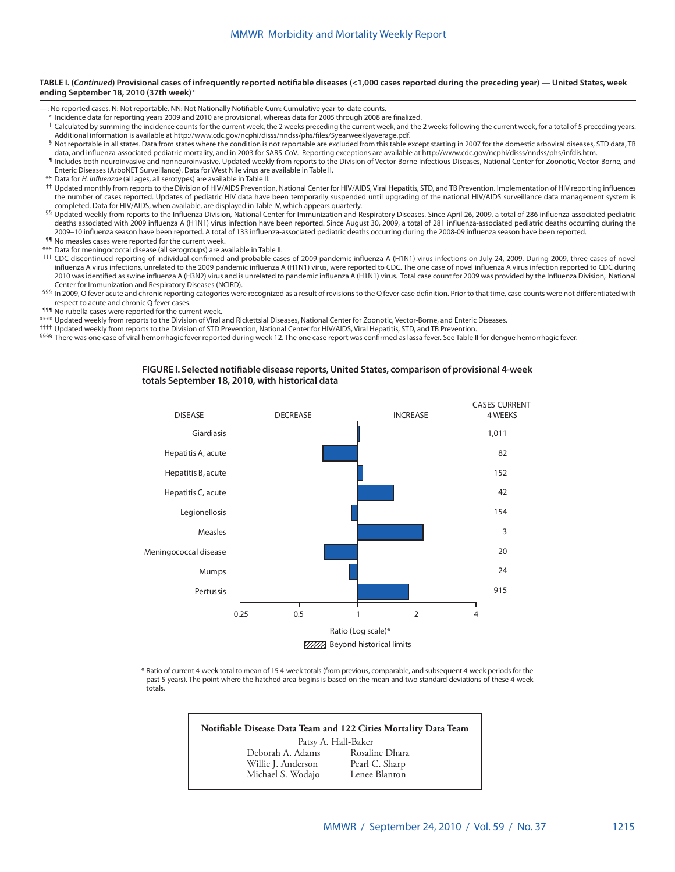#### **TABLE I. (***Continued***) Provisional cases of infrequently reported notifiable diseases (<1,000 cases reported during the preceding year) — United States, week ending September 18, 2010 (37th week)\***

—: No reported cases. N: Not reportable. NN: Not Nationally Notifiable Cum: Cumulative year-to-date counts.

- \* Incidence data for reporting years 2009 and 2010 are provisional, whereas data for 2005 through 2008 are finalized.
- <sup>†</sup> Calculated by summing the incidence counts for the current week, the 2 weeks preceding the current week, and the 2 weeks following the current week, for a total of 5 preceding years. Additional information is available at <http://www.cdc.gov/ncphi/disss/nndss/phs/files/5yearweeklyaverage.pdf>.
- § Not reportable in all states. Data from states where the condition is not reportable are excluded from this table except starting in 2007 for the domestic arboviral diseases, STD data, TB data, and influenza-associated pediatric mortality, and in 2003 for SARS-CoV. Reporting exceptions are available at [http://www.cdc.gov/ncphi/disss/nndss/phs/infdis.htm.](Not reportable in all states.   Data from states where the condition is not reportable are excluded from this table except starting in 2007 for the domestic arboviral diseases, STD data, TB data, and influenza-associated pediatric mortality, and in 2003 for SARS-CoV.   Reporting exceptions are available at http://www.cdc.gov/ncphi/disss/nndss/phs/infdis.htm.)
- ¶ Includes both neuroinvasive and nonneuroinvasive. Updated weekly from reports to the Division of Vector-Borne Infectious Diseases, National Center for Zoonotic, Vector-Borne, and Enteric Diseases (ArboNET Surveillance). Data for West Nile virus are available in Table II.
- \*\* Data for *H. influenzae* (all ages, all serotypes) are available in Table II.
- †† Updated monthly from reports to the Division of HIV/AIDS Prevention, National Center for HIV/AIDS, Viral Hepatitis, STD, and TB Prevention. Implementation of HIV reporting influences the number of cases reported. Updates of pediatric HIV data have been temporarily suspended until upgrading of the national HIV/AIDS surveillance data management system is completed. Data for HIV/AIDS, when available, are displayed in Table IV, which appears quarterly.
- §§ Updated weekly from reports to the Influenza Division, National Center for Immunization and Respiratory Diseases. Since April 26, 2009, a total of 286 influenza-associated pediatric deaths associated with 2009 influenza A (H1N1) virus infection have been reported. Since August 30, 2009, a total of 281 influenza-associated pediatric deaths occurring during the 2009–10 influenza season have been reported. A total of 133 influenza-associated pediatric deaths occurring during the 2008-09 influenza season have been reported. ¶¶ No measles cases were reported for the current week.
- \*\*\* Data for meningococcal disease (all serogroups) are available in Table II.
- ††† CDC discontinued reporting of individual confirmed and probable cases of 2009 pandemic influenza A (H1N1) virus infections on July 24, 2009. During 2009, three cases of novel influenza A virus infections, unrelated to the 2009 pandemic influenza A (H1N1) virus, were reported to CDC. The one case of novel influenza A virus infection reported to CDC during 2010 was identified as swine influenza A (H3N2) virus and is unrelated to pandemic influenza A (H1N1) virus. Total case count for 2009 was provided by the Influenza Division, National Center for Immunization and Respiratory Diseases (NCIRD).
- §§§ In 2009, Q fever acute and chronic reporting categories were recognized as a result of revisions to the Q fever case definition. Prior to that time, case counts were not differentiated with respect to acute and chronic Q fever cases.
- **111** No rubella cases were reported for the current week.
- \*\*\*\* Updated weekly from reports to the Division of Viral and Rickettsial Diseases, National Center for Zoonotic, Vector-Borne, and Enteric Diseases.
- †††† Updated weekly from reports to the Division of STD Prevention, National Center for HIV/AIDS, Viral Hepatitis, STD, and TB Prevention.
- <sup>§§§§</sup> There was one case of viral hemorrhagic fever reported during week 12. The one case report was confirmed as lassa fever. See Table II for dengue hemorrhagic fever.

#### **FIGURE I. Selected notifiable disease reports, United States, comparison of provisional 4-week totals September 18, 2010, with historical data**



\* Ratio of current 4-week total to mean of 15 4-week totals (from previous, comparable, and subsequent 4-week periods for the past 5 years). The point where the hatched area begins is based on the mean and two standard deviations of these 4-week totals.

| Notifiable Disease Data Team and 122 Cities Mortality Data Team |  |
|-----------------------------------------------------------------|--|
| Patsy A. Hall-Baker                                             |  |
| Rosaline Dhara<br>Deborah A. Adams                              |  |
| Willie J. Anderson<br>Pearl C. Sharp                            |  |
| Michael S. Wodajo<br>Lenee Blanton                              |  |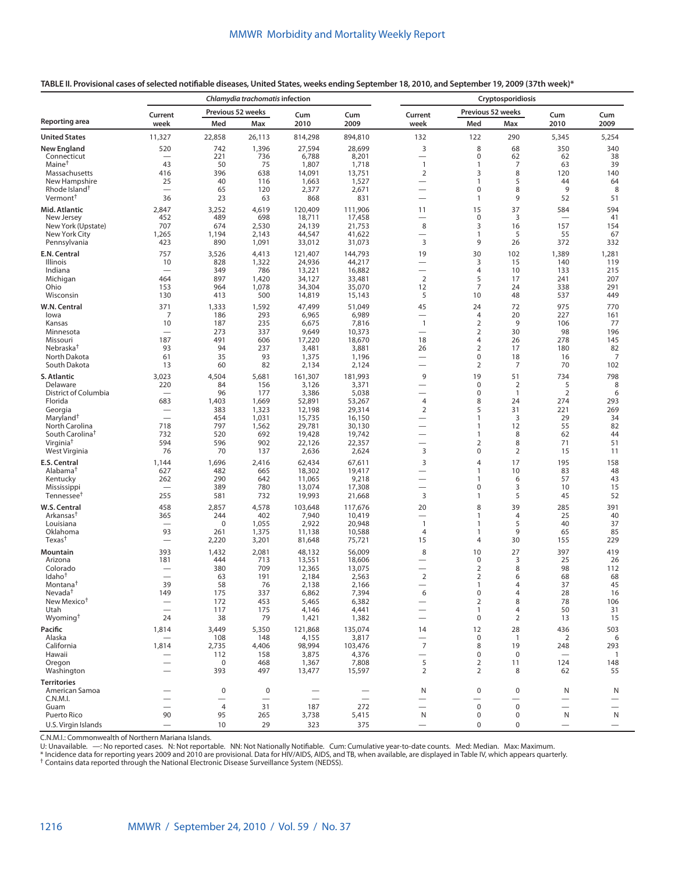**TABLE II. Provisional cases of selected notifiable diseases, United States, weeks ending September 18, 2010, and September 19, 2009 (37th week)\***

|                                                      |                                               |                   | Chlamydia trachomatis infection |                   | Cryptosporidiosis               |                                 |                             |                      |                                                    |                          |  |  |
|------------------------------------------------------|-----------------------------------------------|-------------------|---------------------------------|-------------------|---------------------------------|---------------------------------|-----------------------------|----------------------|----------------------------------------------------|--------------------------|--|--|
| Reporting area                                       | Current                                       | Previous 52 weeks |                                 | Cum               | Cum                             | Current                         | Previous 52 weeks           |                      | Cum                                                | Cum                      |  |  |
|                                                      | week                                          | Med               | Max                             | 2010              | 2009                            | week                            | Med                         | Max                  | 2010                                               | 2009                     |  |  |
| <b>United States</b><br><b>New England</b>           | 11,327<br>520                                 | 22,858<br>742     | 26,113<br>1,396                 | 814,298<br>27,594 | 894,810<br>28,699               | 132<br>3                        | 122<br>8                    | 290<br>68            | 5,345<br>350                                       | 5,254<br>340             |  |  |
| Connecticut                                          |                                               | 221               | 736                             | 6,788             | 8,201                           | $\overline{\phantom{0}}$        | 0                           | 62                   | 62                                                 | 38                       |  |  |
| Maine <sup>†</sup>                                   | 43                                            | 50                | 75                              | 1,807             | 1,718                           | $\mathbf{1}$                    | 1                           | $\overline{7}$       | 63                                                 | 39                       |  |  |
| Massachusetts                                        | 416                                           | 396               | 638                             | 14,091            | 13,751                          | $\overline{2}$                  | 3                           | 8                    | 120                                                | 140                      |  |  |
| New Hampshire<br>Rhode Island <sup>†</sup>           | 25<br>$\equiv$                                | 40<br>65          | 116<br>120                      | 1,663<br>2,377    | 1,527<br>2,671                  | $\overline{\phantom{0}}$        | 1<br>0                      | 5<br>8               | 44<br>9                                            | 64<br>8                  |  |  |
| Vermont <sup>†</sup>                                 | 36                                            | 23                | 63                              | 868               | 831                             | $\qquad \qquad$                 | 1                           | 9                    | 52                                                 | 51                       |  |  |
| Mid. Atlantic                                        | 2,847                                         | 3,252             | 4,619                           | 120,409           | 111,906                         | 11                              | 15                          | 37                   | 584                                                | 594                      |  |  |
| New Jersey                                           | 452                                           | 489               | 698                             | 18,711            | 17,458                          | $\overline{\phantom{0}}$        | $\pmb{0}$                   | 3                    | $\overline{\phantom{0}}$                           | 41                       |  |  |
| New York (Upstate)                                   | 707                                           | 674               | 2,530                           | 24,139            | 21,753                          | 8                               | 3                           | 16                   | 157                                                | 154                      |  |  |
| New York City<br>Pennsylvania                        | 1,265<br>423                                  | 1,194<br>890      | 2,143<br>1,091                  | 44,547<br>33,012  | 41,622<br>31,073                | —<br>3                          | 1<br>9                      | 5<br>26              | 55<br>372                                          | 67<br>332                |  |  |
| E.N. Central                                         | 757                                           | 3,526             | 4,413                           | 121,407           | 144,793                         | 19                              | 30                          | 102                  | 1,389                                              | 1,281                    |  |  |
| Illinois                                             | 10                                            | 828               | 1,322                           | 24,936            | 44,217                          | $\overline{\phantom{0}}$        | 3                           | 15                   | 140                                                | 119                      |  |  |
| Indiana                                              | $\overbrace{\phantom{12322111}}$              | 349               | 786                             | 13,221            | 16,882                          |                                 | 4                           | 10                   | 133                                                | 215                      |  |  |
| Michigan                                             | 464                                           | 897               | 1,420                           | 34,127            | 33,481                          | 2                               | 5<br>7                      | 17                   | 241                                                | 207                      |  |  |
| Ohio<br>Wisconsin                                    | 153<br>130                                    | 964<br>413        | 1,078<br>500                    | 34,304<br>14,819  | 35,070<br>15,143                | 12<br>5                         | 10                          | 24<br>48             | 338<br>537                                         | 291<br>449               |  |  |
| W.N. Central                                         | 371                                           | 1,333             | 1,592                           | 47,499            | 51,049                          | 45                              | 24                          | 72                   | 975                                                | 770                      |  |  |
| lowa                                                 | 7                                             | 186               | 293                             | 6,965             | 6,989                           | $\overline{\phantom{0}}$        | 4                           | 20                   | 227                                                | 161                      |  |  |
| Kansas                                               | 10                                            | 187               | 235                             | 6,675             | 7,816                           | $\mathbf{1}$                    | $\overline{2}$              | 9                    | 106                                                | 77                       |  |  |
| Minnesota                                            |                                               | 273               | 337                             | 9,649             | 10,373                          |                                 | $\overline{2}$              | 30                   | 98                                                 | 196                      |  |  |
| Missouri<br>Nebraska <sup>†</sup>                    | 187<br>93                                     | 491<br>94         | 606<br>237                      | 17,220<br>3,481   | 18,670<br>3,881                 | 18<br>26                        | 4<br>$\overline{2}$         | 26<br>17             | 278<br>180                                         | 145<br>82                |  |  |
| North Dakota                                         | 61                                            | 35                | 93                              | 1,375             | 1,196                           | $\overline{\phantom{0}}$        | 0                           | 18                   | 16                                                 | $\overline{7}$           |  |  |
| South Dakota                                         | 13                                            | 60                | 82                              | 2,134             | 2,124                           | $\overbrace{\phantom{1232211}}$ | $\overline{2}$              | 7                    | 70                                                 | 102                      |  |  |
| S. Atlantic                                          | 3,023                                         | 4,504             | 5,681                           | 161,307           | 181,993                         | 9                               | 19                          | 51                   | 734                                                | 798                      |  |  |
| Delaware                                             | 220                                           | 84                | 156                             | 3,126             | 3,371                           | $\overline{\phantom{0}}$        | 0                           | 2                    | 5                                                  | 8                        |  |  |
| District of Columbia<br>Florida                      | $\qquad \qquad$<br>683                        | 96<br>1,403       | 177<br>1,669                    | 3,386<br>52,891   | 5,038<br>53,267                 | $\overline{\phantom{0}}$<br>4   | 0<br>8                      | $\mathbf{1}$<br>24   | 2<br>274                                           | 6<br>293                 |  |  |
| Georgia                                              |                                               | 383               | 1,323                           | 12,198            | 29,314                          | $\overline{2}$                  | 5                           | 31                   | 221                                                | 269                      |  |  |
| Maryland <sup>†</sup>                                |                                               | 454               | 1,031                           | 15,735            | 16,150                          |                                 | 1                           | 3                    | 29                                                 | 34                       |  |  |
| North Carolina                                       | 718                                           | 797               | 1,562                           | 29,781            | 30,130                          | $\overline{\phantom{0}}$        | 1                           | 12                   | 55                                                 | 82                       |  |  |
| South Carolina <sup>t</sup><br>Virginia <sup>†</sup> | 732<br>594                                    | 520<br>596        | 692<br>902                      | 19,428<br>22,126  | 19,742<br>22,357                | $\overline{\phantom{0}}$        | 1<br>$\overline{2}$         | 8<br>8               | 62<br>71                                           | 44<br>51                 |  |  |
| West Virginia                                        | 76                                            | 70                | 137                             | 2,636             | 2,624                           | 3                               | 0                           | $\overline{2}$       | 15                                                 | 11                       |  |  |
| E.S. Central                                         | 1,144                                         | 1,696             | 2,416                           | 62,434            | 67,611                          | 3                               | 4                           | 17                   | 195                                                | 158                      |  |  |
| Alabama <sup>t</sup>                                 | 627                                           | 482               | 665                             | 18,302            | 19,417                          | -                               | 1                           | 10                   | 83                                                 | 48                       |  |  |
| Kentucky                                             | 262                                           | 290               | 642                             | 11,065            | 9,218                           |                                 | 1                           | 6                    | 57                                                 | 43                       |  |  |
| Mississippi<br>Tennessee <sup>t</sup>                | $\overline{\phantom{0}}$<br>255               | 389<br>581        | 780<br>732                      | 13,074<br>19,993  | 17,308<br>21,668                | $\overline{\phantom{0}}$<br>3   | 0<br>1                      | 3<br>5               | 10<br>45                                           | 15<br>52                 |  |  |
|                                                      |                                               |                   |                                 |                   |                                 |                                 |                             |                      |                                                    |                          |  |  |
| W.S. Central<br>Arkansas <sup>†</sup>                | 458<br>365                                    | 2,857<br>244      | 4,578<br>402                    | 103,648<br>7,940  | 117,676<br>10,419               | 20<br>$\overline{\phantom{0}}$  | 8<br>1                      | 39<br>$\overline{4}$ | 285<br>25                                          | 391<br>40                |  |  |
| Louisiana                                            |                                               | $\mathbf 0$       | 1,055                           | 2,922             | 20,948                          | $\mathbf{1}$                    | 1                           | 5                    | 40                                                 | 37                       |  |  |
| Oklahoma                                             | 93                                            | 261               | 1,375                           | 11,138            | 10,588                          | $\overline{4}$                  | 1                           | 9                    | 65                                                 | 85                       |  |  |
| Texas <sup>t</sup>                                   |                                               | 2,220             | 3,201                           | 81,648            | 75,721                          | 15                              | 4                           | 30                   | 155                                                | 229                      |  |  |
| Mountain                                             | 393                                           | 1,432             | 2,081                           | 48,132            | 56,009                          | 8                               | 10                          | 27                   | 397                                                | 419                      |  |  |
| Arizona<br>Colorado                                  | 181                                           | 444<br>380        | 713<br>709                      | 13,551<br>12,365  | 18,606<br>13,075                |                                 | $\pmb{0}$<br>$\overline{2}$ | 3<br>8               | 25<br>98                                           | 26<br>112                |  |  |
| Idaho <sup>†</sup>                                   | $\overline{\phantom{0}}$                      | 63                | 191                             | 2,184             | 2,563                           | 2                               | 2                           | 6                    | 68                                                 | 68                       |  |  |
| Montana <sup>†</sup>                                 | 39                                            | 58                | 76                              | 2,138             | 2,166                           |                                 | 1                           | Δ                    | 37                                                 | 45                       |  |  |
| Nevada <sup>†</sup>                                  | 149                                           | 175               | 337                             | 6,862             | 7,394                           | 6                               | $\pmb{0}$<br>$\overline{2}$ | $\overline{4}$       | 28                                                 | 16                       |  |  |
| New Mexico <sup>+</sup><br>Utah                      | $\qquad \qquad -$<br>$\overline{\phantom{0}}$ | 172<br>117        | 453<br>175                      | 5,465<br>4,146    | 6,382<br>4,441                  | $\overline{\phantom{0}}$<br>—   | 1                           | $\,8\,$<br>4         | 78<br>50                                           | 106<br>31                |  |  |
| Wyoming <sup>†</sup>                                 | 24                                            | 38                | 79                              | 1,421             | 1,382                           | $\overline{\phantom{0}}$        | 0                           | $\overline{2}$       | 13                                                 | 15                       |  |  |
| Pacific                                              | 1,814                                         | 3,449             | 5,350                           | 121,868           | 135,074                         | 14                              | 12                          | 28                   | 436                                                | 503                      |  |  |
| Alaska                                               |                                               | 108               | 148                             | 4,155             | 3,817                           | $\qquad \qquad$                 | 0                           | $\overline{1}$       | 2                                                  | 6                        |  |  |
| California                                           | 1,814                                         | 2,735             | 4,406                           | 98,994            | 103,476                         | $\overline{7}$                  | 8                           | 19                   | 248                                                | 293                      |  |  |
| Hawaii<br>Oregon                                     | $\qquad \qquad -$<br>$\overline{\phantom{0}}$ | 112<br>$\pmb{0}$  | 158<br>468                      | 3,875<br>1,367    | 4,376<br>7,808                  | $\overline{\phantom{0}}$<br>5   | 0<br>$\overline{2}$         | $\pmb{0}$<br>11      | $\qquad \qquad$<br>124                             | $\overline{1}$<br>148    |  |  |
| Washington                                           |                                               | 393               | 497                             | 13,477            | 15,597                          | $\overline{2}$                  | $\overline{2}$              | 8                    | 62                                                 | 55                       |  |  |
| <b>Territories</b>                                   |                                               |                   |                                 |                   |                                 |                                 |                             |                      |                                                    |                          |  |  |
| American Samoa                                       |                                               | $\pmb{0}$         | $\mathbf 0$                     |                   | $\qquad \qquad -$               | N                               | 0                           | $\boldsymbol{0}$     | N                                                  | N                        |  |  |
| C.N.M.I.<br>Guam                                     | $\overline{\phantom{0}}$                      | $\overline{4}$    | —<br>31                         | 187               | $\overline{\phantom{0}}$<br>272 | $\overbrace{\phantom{1232211}}$ | —<br>0                      | $\mathsf 0$          | $\qquad \qquad$<br>$\overbrace{\phantom{1232211}}$ | $\overline{\phantom{0}}$ |  |  |
| Puerto Rico                                          | 90                                            | 95                | 265                             | 3,738             | 5,415                           | N                               | 0                           | $\mathbf 0$          | N                                                  | N                        |  |  |
| U.S. Virgin Islands                                  |                                               | 10                | 29                              | 323               | 375                             | $\qquad \qquad -$               | 0                           | $\mathsf 0$          | $\qquad \qquad -$                                  |                          |  |  |

C.N.M.I.: Commonwealth of Northern Mariana Islands.

U: Unavailable. —: No reported cases. N: Not reportable. NN: Not Nationally Notifiable. Cum: Cumulative year-to-date counts. Med: Median. Max: Maximum.<br>\* Incidence data for reporting years 2009 and 2010 are prov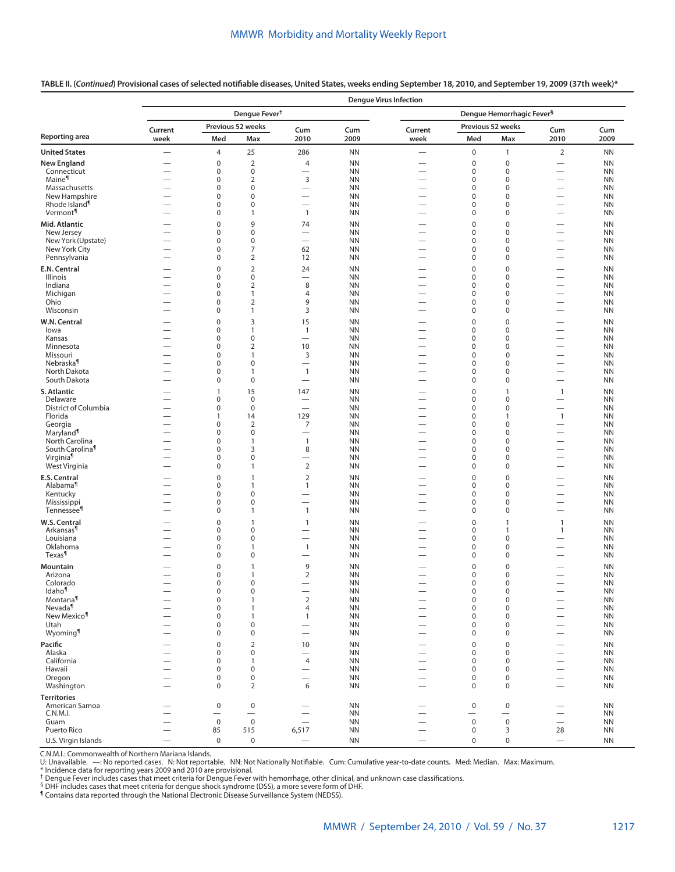|                                         |                                | <b>Dengue Virus Infection</b> |                                    |                                                      |                        |                                       |                                  |                                      |                                                      |                        |  |  |  |  |
|-----------------------------------------|--------------------------------|-------------------------------|------------------------------------|------------------------------------------------------|------------------------|---------------------------------------|----------------------------------|--------------------------------------|------------------------------------------------------|------------------------|--|--|--|--|
|                                         |                                |                               | Dengue Fever <sup>†</sup>          |                                                      |                        | Dengue Hemorrhagic Fever <sup>§</sup> |                                  |                                      |                                                      |                        |  |  |  |  |
|                                         | Current                        |                               | Previous 52 weeks                  | Cum                                                  | Cum                    | Current                               |                                  | Previous 52 weeks                    | Cum                                                  | Cum                    |  |  |  |  |
| <b>Reporting area</b>                   | week                           | Med                           | Max                                | 2010                                                 | 2009                   | week                                  | Med                              | Max                                  | 2010                                                 | 2009                   |  |  |  |  |
| <b>United States</b>                    |                                | $\overline{4}$                | 25                                 | 286                                                  | <b>NN</b>              | $\overline{\phantom{0}}$              | $\boldsymbol{0}$                 | $\mathbf{1}$                         | $\overline{2}$                                       | <b>NN</b>              |  |  |  |  |
| <b>New England</b>                      |                                | $\pmb{0}$                     | $\overline{2}$                     | $\overline{4}$                                       | <b>NN</b>              |                                       | $\mathbf 0$                      | $\pmb{0}$                            |                                                      | <b>NN</b>              |  |  |  |  |
| Connecticut                             | $\overline{\phantom{0}}$       | 0                             | $\mathbf 0$                        | $\overline{\phantom{0}}$                             | <b>NN</b>              |                                       | 0                                | $\mathbf 0$                          |                                                      | <b>NN</b>              |  |  |  |  |
| Maine <sup>¶</sup>                      | -                              | $\mathbf 0$                   | $\overline{2}$                     | $\mathsf 3$                                          | <b>NN</b>              |                                       | $\mathbf 0$                      | $\mathbf 0$                          | $\overline{\phantom{0}}$                             | <b>NN</b>              |  |  |  |  |
| Massachusetts<br>New Hampshire          | $\overline{\phantom{0}}$       | $\pmb{0}$<br>$\pmb{0}$        | $\pmb{0}$<br>$\mathbf 0$           | $\overline{\phantom{0}}$                             | <b>NN</b><br><b>NN</b> |                                       | $\mathbf 0$<br>$\mathbf 0$       | $\boldsymbol{0}$<br>$\boldsymbol{0}$ | $\overline{\phantom{0}}$                             | <b>NN</b><br><b>NN</b> |  |  |  |  |
| Rhode Island <sup>1</sup>               | $\overline{\phantom{0}}$       | 0                             | $\pmb{0}$                          |                                                      | <b>NN</b>              |                                       | $\mathbf 0$                      | 0                                    |                                                      | <b>NN</b>              |  |  |  |  |
| Vermont <sup>¶</sup>                    |                                | $\pmb{0}$                     | $\overline{1}$                     | $\mathbf{1}$                                         | <b>NN</b>              |                                       | $\mathbf 0$                      | $\boldsymbol{0}$                     | $\overline{\phantom{0}}$                             | <b>NN</b>              |  |  |  |  |
| Mid. Atlantic                           | $\overline{\phantom{0}}$       | $\pmb{0}$                     | 9                                  | 74                                                   | <b>NN</b>              |                                       | $\mathbf 0$                      | $\boldsymbol{0}$                     | $\overline{\phantom{0}}$                             | <b>NN</b>              |  |  |  |  |
| New Jersey                              |                                | $\pmb{0}$                     | $\pmb{0}$                          | $\overline{\phantom{0}}$                             | <b>NN</b>              |                                       | $\mathbf 0$                      | $\boldsymbol{0}$                     | $\overline{\phantom{0}}$                             | <b>NN</b>              |  |  |  |  |
| New York (Upstate)                      |                                | $\pmb{0}$                     | $\pmb{0}$                          | $\overline{\phantom{0}}$                             | <b>NN</b>              |                                       | $\mathbf 0$                      | $\boldsymbol{0}$                     | $\overline{\phantom{0}}$                             | <b>NN</b>              |  |  |  |  |
| New York City                           | $\overline{\phantom{0}}$       | 0<br>$\pmb{0}$                | 7<br>$\overline{2}$                | 62                                                   | <b>NN</b><br><b>NN</b> |                                       | $\mathbf 0$<br>$\mathbf 0$       | $\boldsymbol{0}$<br>0                | $\overline{\phantom{0}}$<br>$\overline{\phantom{0}}$ | <b>NN</b>              |  |  |  |  |
| Pennsylvania                            |                                |                               |                                    | 12                                                   |                        |                                       |                                  |                                      |                                                      | <b>NN</b>              |  |  |  |  |
| E.N. Central<br>Illinois                | --<br>$\overline{\phantom{0}}$ | $\pmb{0}$<br>$\pmb{0}$        | $\overline{2}$<br>$\boldsymbol{0}$ | 24<br>$\overline{\phantom{0}}$                       | <b>NN</b><br><b>NN</b> | $\overline{\phantom{0}}$              | $\mathbf 0$<br>$\mathbf 0$       | $\boldsymbol{0}$<br>$\boldsymbol{0}$ | $\overline{\phantom{0}}$<br>$\overline{\phantom{0}}$ | <b>NN</b><br><b>NN</b> |  |  |  |  |
| Indiana                                 | $\overline{\phantom{0}}$       | $\pmb{0}$                     | $\overline{2}$                     | 8                                                    | <b>NN</b>              |                                       | $\mathbf 0$                      | $\boldsymbol{0}$                     |                                                      | <b>NN</b>              |  |  |  |  |
| Michigan                                |                                | $\pmb{0}$                     | $\overline{1}$                     | $\overline{4}$                                       | <b>NN</b>              |                                       | $\mathbf 0$                      | $\pmb{0}$                            | $\overline{\phantom{0}}$                             | <b>NN</b>              |  |  |  |  |
| Ohio                                    | $\overline{\phantom{0}}$       | $\pmb{0}$                     | $\overline{2}$                     | 9                                                    | <b>NN</b>              |                                       | $\mathbf 0$                      | $\pmb{0}$                            | $\overline{\phantom{0}}$                             | <b>NN</b>              |  |  |  |  |
| Wisconsin                               |                                | 0                             | $\overline{1}$                     | 3                                                    | <b>NN</b>              |                                       | 0                                | 0                                    | $\overline{\phantom{0}}$                             | <b>NN</b>              |  |  |  |  |
| W.N. Central                            |                                | $\pmb{0}$                     | 3                                  | 15                                                   | <b>NN</b>              |                                       | $\mathbf 0$                      | $\mathbf 0$                          |                                                      | <b>NN</b>              |  |  |  |  |
| lowa                                    |                                | 0                             | $\mathbf{1}$                       | $\mathbf{1}$                                         | <b>NN</b>              |                                       | 0                                | 0                                    | $\overline{\phantom{0}}$                             | <b>NN</b>              |  |  |  |  |
| Kansas<br>Minnesota                     | $\overline{\phantom{0}}$       | $\pmb{0}$<br>$\pmb{0}$        | $\mathbf 0$<br>$\overline{2}$      | $\overline{\phantom{0}}$<br>10                       | <b>NN</b><br><b>NN</b> | $\overline{\phantom{0}}$              | 0<br>$\mathbf 0$                 | $\pmb{0}$<br>$\pmb{0}$               | $\overline{\phantom{0}}$<br>$\overline{\phantom{0}}$ | <b>NN</b><br><b>NN</b> |  |  |  |  |
| Missouri                                |                                | $\pmb{0}$                     | $\overline{1}$                     | 3                                                    | <b>NN</b>              |                                       | $\mathbf 0$                      | $\mathsf 0$                          | $\overline{\phantom{0}}$                             | <b>NN</b>              |  |  |  |  |
| Nebraska <sup>¶</sup>                   |                                | $\pmb{0}$                     | $\mathbf 0$                        | $\overline{\phantom{0}}$                             | <b>NN</b>              |                                       | $\mathbf 0$                      | $\mathsf 0$                          | $\overline{\phantom{0}}$                             | <b>NN</b>              |  |  |  |  |
| North Dakota                            | $\overline{\phantom{0}}$       | $\pmb{0}$                     | $\mathbf{1}$                       | $\mathbf{1}$                                         | <b>NN</b>              |                                       | $\mathbf 0$                      | $\mathsf 0$                          | $\overline{\phantom{0}}$                             | <b>NN</b>              |  |  |  |  |
| South Dakota                            |                                | 0                             | $\mathbf 0$                        |                                                      | <b>NN</b>              | $\overline{\phantom{0}}$              | $\mathbf 0$                      | $\mathsf 0$                          |                                                      | <b>NN</b>              |  |  |  |  |
| S. Atlantic                             | -                              | $\mathbf{1}$                  | 15                                 | 147                                                  | <b>NN</b>              | $\overline{\phantom{0}}$              | $\mathbf 0$                      | $\mathbf{1}$                         | $\overline{1}$                                       | <b>NN</b>              |  |  |  |  |
| Delaware<br>District of Columbia        | $\overline{\phantom{0}}$       | 0<br>$\pmb{0}$                | $\mathbf 0$<br>$\mathbf 0$         |                                                      | <b>NN</b><br><b>NN</b> | $\overline{\phantom{0}}$              | $\mathbf 0$<br>$\mathbf 0$       | $\boldsymbol{0}$<br>$\boldsymbol{0}$ | $\overline{\phantom{0}}$                             | <b>NN</b><br><b>NN</b> |  |  |  |  |
| Florida                                 | $\overline{\phantom{0}}$       | $\mathbf{1}$                  | 14                                 | 129                                                  | <b>NN</b>              |                                       | $\mathbf 0$                      | $\mathbf{1}$                         | $\overline{1}$                                       | <b>NN</b>              |  |  |  |  |
| Georgia                                 | $\overline{\phantom{0}}$       | $\pmb{0}$                     | $\overline{2}$                     | 7                                                    | <b>NN</b>              | $\overline{\phantom{0}}$              | $\mathbf 0$                      | $\mathbf 0$                          |                                                      | <b>NN</b>              |  |  |  |  |
| Maryland <sup>¶</sup>                   |                                | $\pmb{0}$                     | $\mathbf 0$                        |                                                      | <b>NN</b>              |                                       | $\mathbf 0$                      | $\boldsymbol{0}$                     | $\overline{\phantom{0}}$                             | <b>NN</b>              |  |  |  |  |
| North Carolina                          |                                | $\pmb{0}$                     | $\overline{1}$                     | $\mathbf{1}$                                         | <b>NN</b>              |                                       | $\mathbf 0$                      | 0                                    | $\overline{\phantom{0}}$                             | <b>NN</b>              |  |  |  |  |
| South Carolina <sup>1</sup><br>Virginia | $\overline{\phantom{0}}$       | $\pmb{0}$<br>$\pmb{0}$        | 3<br>$\pmb{0}$                     | 8                                                    | <b>NN</b><br><b>NN</b> |                                       | $\mathbf 0$<br>$\mathbf 0$       | $\boldsymbol{0}$<br>0                |                                                      | <b>NN</b><br><b>NN</b> |  |  |  |  |
| West Virginia                           | -                              | $\pmb{0}$                     | $\mathbf{1}$                       | $\overline{2}$                                       | <b>NN</b>              |                                       | $\mathbf 0$                      | $\mathbf 0$                          | $\overline{\phantom{0}}$                             | <b>NN</b>              |  |  |  |  |
| E.S. Central                            |                                | $\mathbf 0$                   | $\overline{1}$                     | $\overline{2}$                                       | <b>NN</b>              |                                       | $\mathbf 0$                      | $\mathbf 0$                          | $\overline{\phantom{0}}$                             | <b>NN</b>              |  |  |  |  |
| Alabama <sup>1</sup>                    |                                | $\pmb{0}$                     | $\overline{1}$                     | $\mathbf{1}$                                         | <b>NN</b>              |                                       | $\mathbf 0$                      | $\boldsymbol{0}$                     | $\overline{\phantom{0}}$                             | <b>NN</b>              |  |  |  |  |
| Kentucky                                | $\overline{\phantom{0}}$       | $\pmb{0}$                     | $\pmb{0}$                          | $\overline{\phantom{0}}$                             | <b>NN</b>              | $\overline{\phantom{0}}$              | $\mathbf 0$                      | 0                                    |                                                      | <b>NN</b>              |  |  |  |  |
| Mississippi                             |                                | $\pmb{0}$                     | $\pmb{0}$                          |                                                      | <b>NN</b>              |                                       | $\mathbf 0$                      | $\boldsymbol{0}$                     |                                                      | <b>NN</b>              |  |  |  |  |
| Tennessee <sup>¶</sup>                  |                                | $\pmb{0}$                     | $\overline{1}$                     | $\mathbf{1}$                                         | <b>NN</b>              | $\overline{\phantom{0}}$              | $\mathbf 0$                      | $\boldsymbol{0}$                     | $\overline{\phantom{0}}$                             | <b>NN</b>              |  |  |  |  |
| W.S. Central<br>Arkansas <sup>¶</sup>   |                                | $\pmb{0}$                     | $\overline{1}$                     | $\mathbf{1}$                                         | <b>NN</b>              |                                       | $\mathbf 0$                      | $\mathbf{1}$                         | $\mathbf{1}$                                         | <b>NN</b>              |  |  |  |  |
| Louisiana                               |                                | $\pmb{0}$<br>$\pmb{0}$        | $\pmb{0}$<br>$\mathbf 0$           | $\overline{\phantom{0}}$<br>$\overline{\phantom{0}}$ | <b>NN</b><br><b>NN</b> |                                       | $\mathbf 0$<br>$\mathbf 0$       | $\mathbf{1}$<br>$\boldsymbol{0}$     | $\overline{1}$<br>$\overline{\phantom{0}}$           | <b>NN</b><br><b>NN</b> |  |  |  |  |
| Oklahoma                                |                                | $\pmb{0}$                     | $\overline{1}$                     | $\mathbf{1}$                                         | <b>NN</b>              | $\overline{\phantom{0}}$              | $\mathbf 0$                      | $\boldsymbol{0}$                     | -                                                    | <b>NN</b>              |  |  |  |  |
| Texas <sup>¶</sup>                      |                                | $\pmb{0}$                     | $\mathbf 0$                        | $\overline{\phantom{0}}$                             | <b>NN</b>              |                                       | $\mathbf 0$                      | $\boldsymbol{0}$                     |                                                      | <b>NN</b>              |  |  |  |  |
| Mountain                                |                                | 0                             | $\mathbf{1}$                       | 9                                                    | <b>NN</b>              |                                       | $\mathbf 0$                      | 0                                    |                                                      | <b>NN</b>              |  |  |  |  |
| Arizona                                 |                                | 0                             | $\mathbf{1}$                       | $\overline{2}$                                       | <b>NN</b>              |                                       | $\mathbf 0$                      | $\boldsymbol{0}$                     | $\overline{\phantom{0}}$                             | <b>NN</b>              |  |  |  |  |
| Colorado                                |                                | 0                             | 0                                  | $\overline{\phantom{0}}$                             | <b>NN</b>              | $\overline{\phantom{0}}$              | $\mathbf 0$                      | $\mathbf 0$                          | $\overline{\phantom{0}}$                             | <b>NN</b>              |  |  |  |  |
| Idaho <sup>¶</sup><br>Montana           |                                | 0<br>$\pmb{0}$                | $\pmb{0}$<br>$\mathbf{1}$          | $\mathbf 2$                                          | <b>NN</b><br><b>NN</b> |                                       | $\pmb{0}$<br>$\pmb{0}$           | $\mathsf{O}\xspace$<br>$\mathsf 0$   | —                                                    | <b>NN</b><br><b>NN</b> |  |  |  |  |
| Nevada <sup>1</sup>                     |                                | $\pmb{0}$                     | $\mathbf{1}$                       | $\overline{4}$                                       | <b>NN</b>              | $\overline{\phantom{0}}$              | $\pmb{0}$                        | $\boldsymbol{0}$                     | $\overline{\phantom{0}}$                             | <b>NN</b>              |  |  |  |  |
| New Mexico <sup>¶</sup>                 |                                | $\pmb{0}$                     | $\mathbf{1}$                       | $\mathbf{1}$                                         | <b>NN</b>              |                                       | $\pmb{0}$                        | $\mathbf 0$                          |                                                      | <b>NN</b>              |  |  |  |  |
| Utah                                    |                                | $\pmb{0}$                     | $\mathbf 0$                        | $\qquad \qquad$                                      | <b>NN</b>              |                                       | $\mathbf 0$                      | $\mathbf 0$                          | $\overline{\phantom{0}}$                             | <b>NN</b>              |  |  |  |  |
| Wyoming <sup>1</sup>                    |                                | $\pmb{0}$                     | $\mathsf 0$                        | $\overline{\phantom{0}}$                             | <b>NN</b>              |                                       | $\pmb{0}$                        | $\mathsf 0$                          |                                                      | <b>NN</b>              |  |  |  |  |
| Pacific                                 |                                | $\mathbf 0$                   | $\overline{2}$                     | 10                                                   | <b>NN</b>              |                                       | $\mathbf 0$                      | $\mathbf 0$                          |                                                      | <b>NN</b>              |  |  |  |  |
| Alaska<br>California                    | <u>.</u>                       | $\pmb{0}$<br>$\pmb{0}$        | $\pmb{0}$<br>$\mathbf{1}$          | $\qquad \qquad$<br>$\overline{4}$                    | <b>NN</b><br><b>NN</b> |                                       | $\pmb{0}$<br>$\pmb{0}$           | $\mathbf 0$<br>0                     | $\overline{\phantom{0}}$                             | <b>NN</b><br><b>NN</b> |  |  |  |  |
| Hawaii                                  | $\overline{\phantom{0}}$       | $\pmb{0}$                     | $\mathbf 0$                        | $\qquad \qquad$                                      | <b>NN</b>              |                                       | $\pmb{0}$                        | $\mathbf 0$                          |                                                      | <b>NN</b>              |  |  |  |  |
| Oregon                                  | —                              | $\pmb{0}$                     | $\mathsf 0$                        | $\overline{\phantom{0}}$                             | <b>NN</b>              |                                       | $\pmb{0}$                        | $\mathsf 0$                          |                                                      | <b>NN</b>              |  |  |  |  |
| Washington                              | $\overline{\phantom{0}}$       | $\mathbf 0$                   | $\overline{2}$                     | 6                                                    | <b>NN</b>              | $\overline{\phantom{0}}$              | $\mathsf 0$                      | $\mathbf 0$                          |                                                      | <b>NN</b>              |  |  |  |  |
| <b>Territories</b>                      |                                |                               |                                    |                                                      |                        |                                       |                                  |                                      |                                                      |                        |  |  |  |  |
| American Samoa                          |                                | $\pmb{0}$                     | $\pmb{0}$                          | $\overline{\phantom{0}}$                             | <b>NN</b>              |                                       | $\pmb{0}$                        | 0                                    | $\overline{\phantom{0}}$                             | <b>NN</b>              |  |  |  |  |
| C.N.M.I.                                | $\overline{\phantom{0}}$       | $\overline{\phantom{0}}$      | $\overline{\phantom{0}}$           |                                                      | <b>NN</b>              |                                       | $\overbrace{\phantom{12322111}}$ | $\overline{\phantom{0}}$             | $\equiv$                                             | <b>NN</b>              |  |  |  |  |
| Guam<br>Puerto Rico                     |                                | $\mathsf 0$<br>85             | $\mathsf 0$<br>515                 | 6,517                                                | <b>NN</b><br><b>NN</b> |                                       | $\mathsf 0$<br>0                 | $\mathsf 0$<br>3                     | $\overbrace{\phantom{123221111}}$<br>28              | <b>NN</b><br><b>NN</b> |  |  |  |  |
| U.S. Virgin Islands                     |                                | $\pmb{0}$                     | $\mathbf 0$                        |                                                      | <b>NN</b>              |                                       | $\mathbf 0$                      | $\mathsf{O}\xspace$                  |                                                      | <b>NN</b>              |  |  |  |  |
|                                         |                                |                               |                                    |                                                      |                        |                                       |                                  |                                      |                                                      |                        |  |  |  |  |

**TABLE II. (***Continued***) Provisional cases of selected notifiable diseases, United States, weeks ending September 18, 2010, and September 19, 2009 (37th week)\***

C.N.M.I.: Commonwealth of Northern Mariana Islands.<br>U: Unavailable. —: No reported cases. N: Not reportable. NN: Not Nationally Notifiable. Cum: Cumulative year-to-date counts. Med: Median. Max: Maximum.

\* Incidence data for reporting years 2009 and 2010 are provisional. † Dengue Fever includes cases that meet criteria for Dengue Fever with hemorrhage, other clinical, and unknown case classifications.

§ DHF includes cases that meet criteria for dengue shock syndrome (DSS), a more severe form of DHF.

¶ Contains data reported through the National Electronic Disease Surveillance System (NEDSS).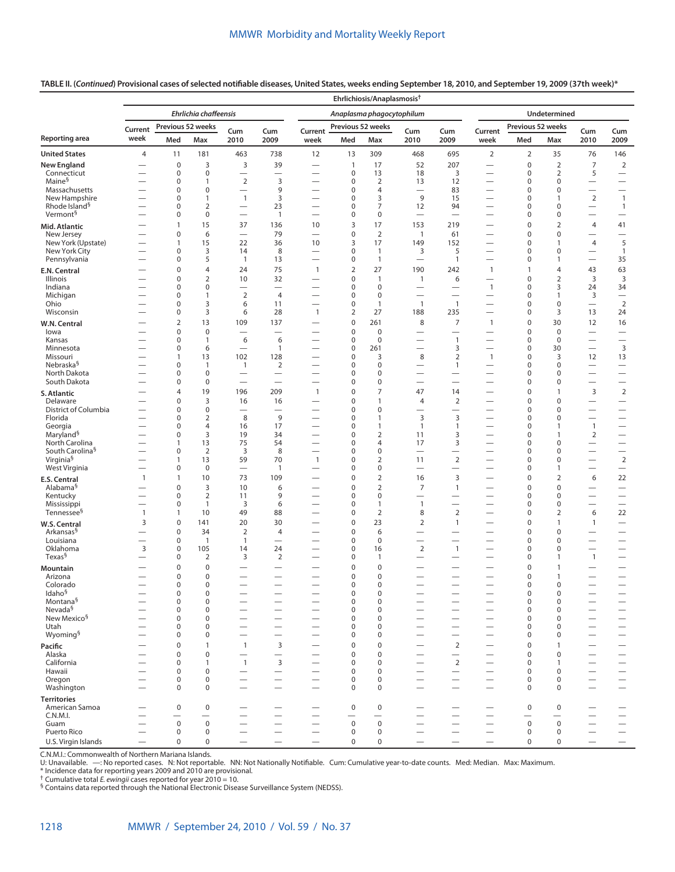## **TABLE II. (***Continued***) Provisional cases of selected notifiable diseases, United States, weeks ending September 18, 2010, and September 19, 2009 (37th week)\***

|                                            |                               |                                       |                                |                                             |                                         |                                                      |                            | Ehrlichiosis/Anaplasmosis <sup>†</sup> |                                                      |                                                      |                                                              |                            |                                |                                          |                                                      |
|--------------------------------------------|-------------------------------|---------------------------------------|--------------------------------|---------------------------------------------|-----------------------------------------|------------------------------------------------------|----------------------------|----------------------------------------|------------------------------------------------------|------------------------------------------------------|--------------------------------------------------------------|----------------------------|--------------------------------|------------------------------------------|------------------------------------------------------|
|                                            |                               |                                       | Ehrlichia chaffeensis          |                                             |                                         |                                                      |                            | Anaplasma phagocytophilum              |                                                      |                                                      |                                                              |                            | Undetermined                   |                                          |                                                      |
|                                            | Current                       | Previous 52 weeks                     |                                | Cum                                         | Cum                                     | Current                                              | Previous 52 weeks          |                                        | Cum                                                  | Cum                                                  | Current                                                      | Previous 52 weeks          |                                | Cum                                      | Cum                                                  |
| Reporting area                             | week                          | Med                                   | Max                            | 2010                                        | 2009                                    | week                                                 | Med                        | Max                                    | 2010                                                 | 2009                                                 | week                                                         | Med                        | Max                            | 2010                                     | 2009                                                 |
| <b>United States</b>                       | $\overline{4}$                | 11                                    | 181                            | 463                                         | 738                                     | 12                                                   | 13                         | 309                                    | 468                                                  | 695                                                  | $\overline{2}$                                               | $\overline{2}$             | 35                             | 76                                       | 146                                                  |
| <b>New England</b>                         | $\overline{\phantom{0}}$      | $\mathbf 0$                           | 3                              | 3                                           | 39                                      | $\overline{\phantom{0}}$                             | $\mathbf{1}$               | 17                                     | 52                                                   | 207                                                  | $\qquad \qquad$                                              | $\mathbf 0$                | $\overline{2}$                 | $\overline{7}$                           | $\overline{2}$                                       |
| Connecticut<br>Maine <sup>§</sup>          |                               | 0<br>0                                | $\pmb{0}$<br>$\mathbf{1}$      | $\overline{2}$                              | 3                                       | $\overline{\phantom{0}}$                             | $\pmb{0}$<br>$\pmb{0}$     | 13<br>$\overline{2}$                   | 18<br>13                                             | 3<br>12                                              | $\overbrace{\phantom{12322111}}$<br>$\overline{\phantom{0}}$ | $\mathbf 0$<br>$\mathbf 0$ | $\overline{2}$<br>0            | 5<br>$\overline{\phantom{0}}$            | $\overline{\phantom{0}}$                             |
| Massachusetts                              |                               | 0                                     | $\pmb{0}$                      | $\qquad \qquad$                             | 9                                       | $\overline{\phantom{0}}$                             | $\pmb{0}$                  | $\overline{4}$                         |                                                      | 83                                                   | $\qquad \qquad$                                              | $\mathbf 0$                | 0                              |                                          | $\overline{\phantom{0}}$                             |
| New Hampshire<br>Rhode Island <sup>§</sup> |                               | 0<br>0                                | $\mathbf{1}$<br>$\overline{2}$ | $\mathbf{1}$                                | 3<br>23                                 | $\overline{\phantom{0}}$                             | $\mathbf 0$<br>$\pmb{0}$   | 3<br>$\overline{7}$                    | 9<br>12                                              | 15<br>94                                             | $\qquad \qquad$                                              | $\mathbf 0$<br>$\mathbf 0$ | $\mathbf{1}$<br>0              | $\overline{2}$                           | $\overline{1}$<br>$\mathbf{1}$                       |
| Vermont <sup>§</sup>                       |                               | 0                                     | $\pmb{0}$                      | $\qquad \qquad$<br>$\overline{\phantom{0}}$ | $\overline{1}$                          | $\overline{\phantom{0}}$                             | $\pmb{0}$                  | 0                                      | $\overline{\phantom{0}}$                             | $\overline{\phantom{0}}$                             | $\overline{\phantom{0}}$                                     | $\mathbf 0$                | 0                              | $\qquad \qquad$<br>$\qquad \qquad$       |                                                      |
| Mid. Atlantic                              |                               | $\mathbf{1}$                          | 15                             | 37                                          | 136                                     | 10                                                   | 3                          | 17                                     | 153                                                  | 219                                                  | $\overline{\phantom{0}}$                                     | $\mathbf 0$                | $\overline{2}$                 | 4                                        | 41                                                   |
| New Jersey                                 |                               | 0                                     | 6                              | $\equiv$                                    | 79                                      | $\overline{\phantom{0}}$                             | $\pmb{0}$                  | $\overline{2}$                         | $\overline{1}$                                       | 61                                                   |                                                              | $\mathbf 0$                | $\pmb{0}$                      |                                          | $\overline{\phantom{0}}$                             |
| New York (Upstate)<br>New York City        |                               | 1<br>0                                | 15<br>3                        | 22<br>14                                    | 36<br>8                                 | 10                                                   | 3<br>$\mathbf 0$           | 17<br>$\mathbf{1}$                     | 149<br>3                                             | 152<br>5                                             | $\overline{\phantom{0}}$<br>$\qquad \qquad$                  | $\mathbf 0$<br>$\mathbf 0$ | $\mathbf{1}$<br>$\mathbf 0$    | 4<br>$\qquad \qquad$                     | 5<br>$\overline{1}$                                  |
| Pennsylvania                               |                               | 0                                     | 5                              | $\overline{1}$                              | 13                                      | $\overline{\phantom{0}}$                             | $\pmb{0}$                  | $\mathbf{1}$                           | $\overline{\phantom{0}}$                             | $\mathbf{1}$                                         | $\overline{\phantom{0}}$                                     | $\mathbf 0$                | 1                              | $\overline{\phantom{0}}$                 | 35                                                   |
| E.N. Central                               |                               | $\mathbf 0$                           | $\overline{4}$                 | 24                                          | 75                                      | $\mathbf{1}$                                         | $\overline{2}$             | 27                                     | 190                                                  | 242                                                  | $\mathbf{1}$                                                 | 1                          | $\overline{4}$                 | 43                                       | 63                                                   |
| Illinois<br>Indiana                        |                               | 0<br>0                                | $\overline{2}$<br>$\pmb{0}$    | 10<br>$\overline{\phantom{0}}$              | 32<br>$\overline{\phantom{0}}$          | $\overline{\phantom{0}}$                             | $\mathbf 0$<br>$\pmb{0}$   | $\mathbf{1}$<br>$\pmb{0}$              | $\overline{1}$<br>$\overline{\phantom{0}}$           | 6<br>$\overline{\phantom{0}}$                        | $\overline{\phantom{0}}$<br>$\mathbf{1}$                     | $\mathbf 0$<br>$\mathbf 0$ | $\overline{2}$<br>3            | 3<br>24                                  | $\overline{3}$<br>34                                 |
| Michigan                                   |                               | 0                                     | $\mathbf{1}$                   | $\overline{2}$                              | $\overline{4}$                          | $\overline{\phantom{0}}$                             | $\pmb{0}$                  | $\mathbf 0$                            | $\overline{\phantom{0}}$                             | $\overline{\phantom{0}}$                             | $\qquad \qquad$                                              | $\mathbf 0$                | $\mathbf{1}$                   | 3                                        | $\qquad \qquad$                                      |
| Ohio                                       |                               | 0                                     | 3                              | 6                                           | 11                                      | $\overline{\phantom{0}}$                             | $\pmb{0}$                  | $\mathbf{1}$                           | $\mathbf{1}$                                         | $\mathbf{1}$                                         | $\overline{\phantom{0}}$                                     | $\mathbf 0$                | $\mathbf 0$                    | $\qquad \qquad$                          | $\overline{2}$                                       |
| Wisconsin                                  |                               | $\mathbf 0$                           | 3                              | 6                                           | 28                                      | $\mathbf{1}$                                         | $\overline{2}$             | 27                                     | 188                                                  | 235                                                  |                                                              | $\mathbf 0$                | 3                              | 13                                       | 24                                                   |
| W.N. Central<br>lowa                       |                               | $\overline{2}$<br>0                   | 13<br>$\mathbf 0$              | 109                                         | 137                                     | $\overline{\phantom{0}}$                             | $\mathbf 0$<br>$\mathbf 0$ | 261<br>$\pmb{0}$                       | 8                                                    | $\overline{7}$<br>$\overline{\phantom{0}}$           | $\mathbf{1}$                                                 | $\mathbf 0$<br>$\mathbf 0$ | 30<br>$\mathbf 0$              | 12<br>$\overline{\phantom{0}}$           | 16<br>$\overline{\phantom{0}}$                       |
| Kansas                                     |                               | 0                                     | $\mathbf{1}$                   | 6                                           | 6                                       | $\overline{\phantom{0}}$                             | $\pmb{0}$                  | $\mathbf 0$                            | $\overline{\phantom{0}}$                             | $\mathbf{1}$                                         | $\overline{\phantom{0}}$                                     | $\mathbf 0$                | $\mathbf 0$                    | $\overline{\phantom{0}}$                 | $\overline{\phantom{0}}$                             |
| Minnesota                                  |                               | 0                                     | 6                              | $\overline{\phantom{m}}$                    | $\mathbf{1}$                            | $\overline{\phantom{0}}$                             | $\pmb{0}$                  | 261                                    |                                                      | 3                                                    | $\overline{\phantom{0}}$                                     | $\mathbf 0$                | 30                             | $\qquad \qquad -$                        | 3                                                    |
| Missouri<br>Nebraska <sup>§</sup>          |                               | 1<br>0                                | 13<br>$\mathbf{1}$             | 102<br>$\mathbf{1}$                         | 128<br>$\overline{2}$                   | $\overline{\phantom{0}}$<br>$\overline{\phantom{0}}$ | $\mathbf 0$<br>$\mathbf 0$ | 3<br>$\mathbf 0$                       | 8<br>$\overline{\phantom{0}}$                        | $\mathbf 2$<br>$\mathbf{1}$                          | $\mathbf{1}$<br>$\overline{\phantom{0}}$                     | $\mathbf 0$<br>$\mathbf 0$ | 3<br>$\mathbf 0$               | 12<br>$\qquad \qquad$                    | 13                                                   |
| North Dakota                               |                               | 0                                     | $\pmb{0}$                      | $\qquad \qquad$                             |                                         |                                                      | $\mathbf 0$                | $\mathbf 0$                            |                                                      |                                                      |                                                              | $\mathbf 0$                | $\mathbf 0$                    | $\overline{\phantom{0}}$                 | $\overline{\phantom{0}}$                             |
| South Dakota                               | $\overline{\phantom{0}}$      | 0                                     | $\mathbf 0$                    | $\overline{\phantom{0}}$                    |                                         | $\overline{\phantom{0}}$                             | $\mathbf 0$                | $\mathbf 0$                            | $\overline{\phantom{0}}$                             | $\overline{\phantom{0}}$                             | $\overline{\phantom{0}}$                                     | $\mathbf 0$                | $\mathbf 0$                    | $\qquad \qquad$                          | $\qquad \qquad -$                                    |
| S. Atlantic                                |                               | 4                                     | 19                             | 196                                         | 209                                     | $\mathbf{1}$                                         | $\mathbf 0$                | $\overline{7}$                         | 47                                                   | 14                                                   | $\overline{\phantom{0}}$                                     | $\mathbf 0$                | $\mathbf{1}$                   | 3                                        | $\overline{2}$                                       |
| Delaware<br>District of Columbia           | —                             | $\mathbf 0$<br>0                      | 3<br>$\pmb{0}$                 | 16<br>$\overline{\phantom{0}}$              | 16<br>$\overline{\phantom{0}}$          | $\overline{\phantom{0}}$                             | $\mathbf 0$<br>$\mathbf 0$ | $\mathbf{1}$<br>$\mathbf 0$            | 4<br>$\overline{\phantom{0}}$                        | $\overline{2}$<br>$\overline{\phantom{0}}$           | $\qquad \qquad$<br>$\overline{\phantom{0}}$                  | $\mathbf 0$<br>$\mathbf 0$ | $\mathbf 0$<br>$\mathbf 0$     | $\qquad \qquad$                          | $\qquad \qquad -$<br>$\overline{\phantom{0}}$        |
| Florida                                    |                               | 0                                     | $\overline{2}$                 | 8                                           | 9                                       | $\overline{\phantom{0}}$                             | $\mathbf 0$                | $\mathbf{1}$                           | 3                                                    | $\overline{3}$                                       | $\overline{\phantom{0}}$                                     | $\mathbf 0$                | $\mathbf 0$                    | $\qquad \qquad$                          | $\overline{\phantom{0}}$                             |
| Georgia                                    |                               | 0                                     | $\overline{4}$                 | 16                                          | 17                                      |                                                      | $\mathbf 0$                | $\mathbf{1}$                           | $\overline{1}$                                       | $\mathbf{1}$                                         | $\qquad \qquad$                                              | $\mathbf 0$                | $\mathbf{1}$                   | $\mathbf{1}$                             |                                                      |
| Maryland <sup>§</sup><br>North Carolina    |                               | 0<br>1                                | 3<br>13                        | 19<br>75                                    | 34<br>54                                | $\overline{\phantom{0}}$                             | $\mathbf 0$<br>$\mathbf 0$ | $\overline{2}$<br>$\overline{4}$       | 11<br>17                                             | 3<br>3                                               | $\qquad \qquad$<br>$\overline{\phantom{0}}$                  | $\mathbf 0$<br>$\mathbf 0$ | 1<br>$\mathbf 0$               | $\overline{2}$<br>$\qquad \qquad$        | $\overline{\phantom{0}}$                             |
| South Carolina <sup>§</sup>                |                               | 0                                     | $\overline{2}$                 | 3                                           | 8                                       | $\overline{\phantom{0}}$                             | $\mathbf 0$                | $\mathbf 0$                            | $\overline{\phantom{0}}$                             | $\overline{\phantom{0}}$                             | $\overline{\phantom{0}}$                                     | $\mathbf 0$                | $\mathbf 0$                    | $\qquad \qquad$                          |                                                      |
| Virginia <sup>§</sup>                      |                               | 1                                     | 13                             | 59                                          | 70                                      | $\mathbf{1}$                                         | $\mathbf 0$                | $\overline{2}$                         | 11                                                   | $\overline{2}$                                       | $\qquad \qquad -$                                            | $\mathbf 0$                | 0                              | $\qquad \qquad$                          | $\overline{2}$                                       |
| West Virginia                              | $\mathbf{1}$                  | 0<br>$\mathbf{1}$                     | $\mathbf 0$<br>10              | 73                                          | $\mathbf{1}$<br>109                     | $\overline{\phantom{0}}$                             | $\mathbf 0$<br>$\mathbf 0$ | $\mathbf 0$<br>$\overline{2}$          | $\overline{\phantom{0}}$<br>16                       | $\overline{\phantom{0}}$<br>3                        | $\overline{\phantom{0}}$                                     | $\mathbf 0$<br>$\mathbf 0$ | 1<br>$\mathbf 2$               | $\overline{\phantom{0}}$<br>6            | $\overline{\phantom{0}}$<br>22                       |
| E.S. Central<br>Alabama <sup>§</sup>       | $\overline{\phantom{0}}$      | $\mathbf 0$                           | 3                              | 10                                          | 6                                       | $\overline{\phantom{0}}$                             | $\mathbf 0$                | $\overline{2}$                         | $\overline{7}$                                       | $\mathbf{1}$                                         | $\qquad \qquad$                                              | $\mathbf 0$                | $\mathbf 0$                    |                                          |                                                      |
| Kentucky                                   |                               | 0                                     | $\overline{2}$                 | 11                                          | 9                                       | $\overline{\phantom{0}}$                             | $\mathbf 0$                | $\mathbf 0$                            | $\overline{\phantom{0}}$                             | $\overline{\phantom{0}}$                             | $\overline{\phantom{0}}$                                     | $\mathbf 0$                | $\mathbf 0$                    | $\overline{\phantom{0}}$                 | $\overline{\phantom{0}}$                             |
| Mississippi<br>Tennessee <sup>§</sup>      | $\overline{\phantom{0}}$      | 0                                     | $\mathbf{1}$                   | 3                                           | 6                                       |                                                      | $\mathbf 0$                | $\mathbf{1}$                           | $\mathbf{1}$                                         | $\overline{\phantom{0}}$                             |                                                              | $\mathbf 0$                | $\mathbf 0$                    | $\overline{\phantom{0}}$                 | $\overline{\phantom{0}}$                             |
|                                            | $\mathbf{1}$<br>3             | 1<br>$\mathbf 0$                      | 10<br>141                      | 49<br>20                                    | 88<br>30                                | $\overline{\phantom{0}}$                             | $\pmb{0}$<br>$\mathbf 0$   | $\overline{2}$<br>23                   | 8<br>$\overline{2}$                                  | $\overline{2}$<br>$\mathbf{1}$                       | $\overbrace{\phantom{12322111}}$                             | $\mathbf 0$<br>$\mathbf 0$ | $\overline{2}$<br>$\mathbf{1}$ | 6<br>$\mathbf{1}$                        | 22<br>$\overline{\phantom{0}}$                       |
| W.S. Central<br>Arkansas <sup>§</sup>      | $\overline{\phantom{0}}$      | $\mathbf 0$                           | 34                             | 2                                           | 4                                       | $\overline{\phantom{0}}$                             | $\mathbf 0$                | 6                                      | $\overline{\phantom{0}}$                             | $\overline{\phantom{0}}$                             |                                                              | $\mathbf 0$                | $\mathbf 0$                    | $\qquad \qquad$                          |                                                      |
| Louisiana                                  | $\overline{\phantom{0}}$      | 0                                     | $\mathbf{1}$                   | $\mathbf{1}$                                | $\overline{\phantom{0}}$                |                                                      | $\mathbf 0$                | $\mathbf 0$                            | $\overline{\phantom{0}}$                             |                                                      | $\qquad \qquad$                                              | $\mathbf 0$                | $\mathbf 0$                    | $\qquad \qquad$                          | $\qquad \qquad -$                                    |
| Oklahoma<br>Texas <sup>§</sup>             | 3<br>$\overline{\phantom{0}}$ | 0<br>0                                | 105<br>$\overline{2}$          | 14<br>3                                     | 24<br>$\overline{2}$                    | $\overline{\phantom{0}}$                             | $\mathbf 0$<br>$\mathbf 0$ | 16<br>1                                | $\overline{2}$<br>$\overline{\phantom{0}}$           | $\mathbf{1}$<br>—                                    | $\overline{\phantom{0}}$<br>$\overline{\phantom{0}}$         | $\mathbf 0$<br>$\mathbf 0$ | 0<br>1                         | $\overline{\phantom{0}}$<br>$\mathbf{1}$ | $\overline{\phantom{0}}$                             |
| <b>Mountain</b>                            |                               | 0                                     | $\mathbf 0$                    |                                             | $\overline{\phantom{0}}$                |                                                      | $\mathbf 0$                | $\mathbf 0$                            |                                                      | —                                                    |                                                              | $\mathbf 0$                | 1                              |                                          | $\overline{\phantom{0}}$                             |
| Arizona                                    |                               | $\mathbf 0$                           | $\mathbf 0$                    | $\overline{\phantom{0}}$                    | $\overline{\phantom{0}}$                |                                                      | $\mathbf 0$                | $\mathbf 0$                            |                                                      | $\overline{\phantom{0}}$                             |                                                              | $\mathbf 0$                | $\mathbf{1}$                   |                                          |                                                      |
| Colorado                                   | $\overline{\phantom{0}}$      | 0                                     | $\mathbf 0$                    | $\overline{\phantom{0}}$                    | $\overline{\phantom{0}}$                | $\overline{\phantom{0}}$                             | $\mathbf 0$                | $\Omega$                               |                                                      | $\overline{\phantom{0}}$                             | $\overline{\phantom{0}}$                                     | $\Omega$                   | $\mathbf 0$                    | $\overline{\phantom{0}}$                 | $\overline{\phantom{0}}$                             |
| Idaho <sup>§</sup><br>Montana <sup>§</sup> |                               | $\pmb{0}$<br>$\pmb{0}$                | $\pmb{0}$<br>$\pmb{0}$         |                                             |                                         |                                                      | $\pmb{0}$<br>$\pmb{0}$     | $\pmb{0}$<br>$\mathsf{O}\xspace$       | $\overline{\phantom{0}}$                             | —<br><u>.</u>                                        |                                                              | $\pmb{0}$<br>$\mathbf 0$   | 0<br>$\pmb{0}$                 |                                          | $\equiv$                                             |
| Nevada <sup>§</sup>                        |                               | 0                                     | $\pmb{0}$                      | -                                           | $\overline{\phantom{0}}$                |                                                      | $\pmb{0}$                  | $\mathbf 0$                            |                                                      | -                                                    | $\overline{\phantom{0}}$                                     | $\mathbf 0$                | $\mathbf 0$                    |                                          |                                                      |
| New Mexico <sup>§</sup>                    | $\overline{\phantom{0}}$      | 0<br>0                                | $\pmb{0}$<br>$\mathbf 0$       | $\overline{\phantom{0}}$                    | $\equiv$                                | $\overline{\phantom{0}}$                             | $\mathbf 0$<br>$\mathbf 0$ | 0<br>$\mathbf 0$                       | $\overline{\phantom{0}}$                             | $\overline{\phantom{0}}$<br>$\overline{\phantom{0}}$ | $\overbrace{\phantom{12322111}}$                             | $\mathbf 0$<br>$\Omega$    | 0<br>$\mathbf 0$               | $\qquad \qquad$                          | $\frac{1}{2}$                                        |
| Utah<br>Wyoming <sup>§</sup>               |                               | $\mathbf 0$                           | $\mathbf 0$                    | $\overline{\phantom{0}}$                    | $\overline{\phantom{0}}$                | $\overline{\phantom{0}}$                             | $\mathbf 0$                | 0                                      | $\overline{\phantom{0}}$                             | $\overline{\phantom{0}}$                             | $\overline{\phantom{0}}$                                     | $\mathbf 0$                | 0                              | $\overline{\phantom{0}}$                 | $\overline{\phantom{0}}$                             |
| Pacific                                    |                               | 0                                     | $\mathbf{1}$                   | $\mathbf{1}$                                | 3                                       | $\overline{\phantom{0}}$                             | $\pmb{0}$                  | $\pmb{0}$                              | $\overline{\phantom{0}}$                             | $\overline{2}$                                       | $\overline{\phantom{0}}$                                     | $\pmb{0}$                  | $\mathbf{1}$                   | $\overline{\phantom{0}}$                 |                                                      |
| Alaska                                     |                               | 0                                     | $\pmb{0}$                      | $\overline{\phantom{0}}$                    | $\overline{\phantom{0}}$                |                                                      | $\mathbf 0$                | $\mathbf 0$                            |                                                      | $\overline{\phantom{0}}$                             |                                                              | $\mathbf 0$                | $\pmb{0}$                      |                                          |                                                      |
| California<br>Hawaii                       | $\overline{\phantom{0}}$      | 0<br>0                                | $\mathbf{1}$<br>$\pmb{0}$      | $\mathbf{1}$<br>$\overline{\phantom{0}}$    | $\mathsf 3$<br>$\overline{\phantom{0}}$ | $\overline{\phantom{0}}$                             | $\mathbf 0$<br>$\pmb{0}$   | $\mathbf 0$<br>$\mathsf 0$             | $\overline{\phantom{0}}$<br>$\overline{\phantom{0}}$ | $\sqrt{2}$<br>$\overline{\phantom{0}}$               | $\overline{\phantom{0}}$                                     | $\mathbf 0$<br>$\mathbf 0$ | $\mathbf{1}$<br>0              | $\qquad \qquad$                          | $\overline{\phantom{0}}$<br>$\overline{\phantom{0}}$ |
| Oregon                                     |                               | 0                                     | $\pmb{0}$                      | $\equiv$                                    | $\equiv$                                |                                                      | $\mathbf 0$                | $\mathbf 0$                            | $\equiv$                                             | $\overline{\phantom{0}}$                             |                                                              | $\mathbf 0$                | $\mathbf 0$                    | $\overline{\phantom{0}}$                 | $\equiv$                                             |
| Washington                                 |                               | $\mathbf 0$                           | $\mathbf 0$                    | $\overline{\phantom{0}}$                    | $\overline{\phantom{0}}$                | $\overline{\phantom{0}}$                             | $\mathbf 0$                | $\mathbf 0$                            | $\overline{\phantom{0}}$                             | $\overline{\phantom{0}}$                             | $\overbrace{\phantom{12322111}}$                             | $\mathbf 0$                | $\mathbf 0$                    | $\overline{\phantom{0}}$                 | $\overline{\phantom{0}}$                             |
| <b>Territories</b>                         |                               |                                       |                                |                                             |                                         |                                                      |                            |                                        |                                                      |                                                      |                                                              |                            |                                |                                          |                                                      |
| American Samoa<br>C.N.M.I.                 |                               | $\pmb{0}$<br>$\overline{\phantom{0}}$ | $\pmb{0}$                      | $\overline{\phantom{0}}$                    |                                         |                                                      | $\mathbf 0$                | 0<br>$\qquad \qquad$                   | $\overline{\phantom{0}}$                             | $\overline{\phantom{0}}$                             |                                                              | 0                          | $\pmb{0}$                      |                                          | $\overline{\phantom{0}}$                             |
| Guam                                       | $\overline{\phantom{0}}$      | $\mathsf 0$                           | $\mathsf 0$                    |                                             | $\qquad \qquad -$                       |                                                      | $\mathsf 0$                | $\mathsf 0$                            | $\overline{\phantom{0}}$                             |                                                      | $\qquad \qquad$                                              | $\mathsf 0$                | $\mathsf 0$                    | $\qquad \qquad$                          |                                                      |
| Puerto Rico                                |                               | $\mathbf 0$                           | $\mathsf 0$                    | $\overbrace{\phantom{13333}}$               | $\overline{\phantom{0}}$                |                                                      | $\mathbf 0$                | $\mathbf 0$                            | $\overline{\phantom{0}}$                             | $\overline{\phantom{0}}$                             | $\overline{\phantom{0}}$                                     | $\mathbf 0$                | $\mathbf 0$                    | $\qquad \qquad$                          | $\overline{\phantom{0}}$                             |
| U.S. Virgin Islands                        |                               | $\mathbf 0$                           | $\mathsf 0$                    | -                                           |                                         |                                                      | $\mathbf 0$                | 0                                      | $\overline{\phantom{0}}$                             |                                                      |                                                              | $\mathbf 0$                | $\mathbf 0$                    | $\overline{\phantom{0}}$                 | $\qquad \qquad$                                      |

C.N.M.I.: Commonwealth of Northern Mariana Islands.<br>U: Unavailable. —: No reported cases. N: Not reportable. NN: Not Nationally Notifiable. Cum: Cumulative year-to-date counts. Med: Median. Max: Maximum.<br>\* Incid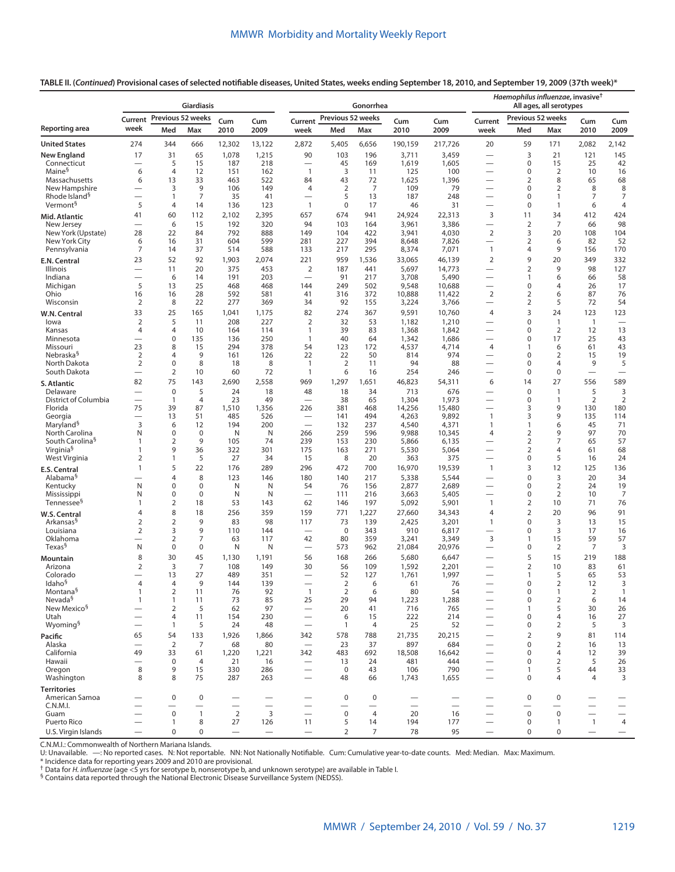**TABLE II. (***Continued***) Provisional cases of selected notifiable diseases, United States, weeks ending September 18, 2010, and September 19, 2009 (37th week)\***

|                                      | <b>Giardiasis</b>                |                                |                          |                          |                          |                                                      |                          | Gonorrhea                |                          | Haemophilus influenzae, invasive <sup>†</sup><br>All ages, all serotypes |                                               |                                 |                      |                          |                                        |
|--------------------------------------|----------------------------------|--------------------------------|--------------------------|--------------------------|--------------------------|------------------------------------------------------|--------------------------|--------------------------|--------------------------|--------------------------------------------------------------------------|-----------------------------------------------|---------------------------------|----------------------|--------------------------|----------------------------------------|
|                                      |                                  | Current Previous 52 weeks      |                          | Cum                      | Cum                      | Current                                              | Previous 52 weeks        |                          | Cum                      | Cum                                                                      | Current                                       | Previous 52 weeks               |                      | Cum                      | Cum                                    |
| Reporting area                       | week                             | Med                            | Max                      | 2010                     | 2009                     | week                                                 | Med                      | Max                      | 2010                     | 2009                                                                     | week                                          | Med                             | Max                  | 2010                     | 2009                                   |
| <b>United States</b>                 | 274                              | 344                            | 666                      | 12,302                   | 13,122                   | 2,872                                                | 5,405                    | 6,656                    | 190,159                  | 217,726                                                                  | 20                                            | 59                              | 171                  | 2,082                    | 2,142                                  |
| <b>New England</b>                   | 17                               | 31                             | 65                       | 1,078                    | 1,215                    | 90                                                   | 103                      | 196                      | 3,711                    | 3,459                                                                    | $\overline{\phantom{0}}$                      | 3                               | 21                   | 121                      | 145                                    |
| Connecticut<br>Maine <sup>§</sup>    |                                  | 5<br>$\overline{4}$            | 15                       | 187                      | 218                      | $\overline{\phantom{0}}$                             | 45                       | 169                      | 1,619                    | 1,605                                                                    |                                               | 0                               | 15                   | 25                       | 42                                     |
| Massachusetts                        | 6<br>6                           | 13                             | 12<br>33                 | 151<br>463               | 162<br>522               | $\overline{1}$<br>84                                 | 3<br>43                  | 11<br>72                 | 125<br>1,625             | 100<br>1,396                                                             | -<br>$\overline{\phantom{0}}$                 | 0<br>2                          | 2<br>8               | 10<br>65                 | 16<br>68                               |
| New Hampshire                        |                                  | 3                              | 9                        | 106                      | 149                      | 4                                                    | $\overline{2}$           | 7                        | 109                      | 79                                                                       | $\overline{\phantom{0}}$                      | $\boldsymbol{0}$                | 2                    | 8                        | 8                                      |
| Rhode Island <sup>§</sup>            |                                  | $\mathbf{1}$                   | 7                        | 35                       | 41                       |                                                      | 5                        | 13                       | 187                      | 248                                                                      |                                               | $\mathbf 0$                     | $\mathbf{1}$         | $\overline{7}$           | 7                                      |
| Vermont <sup>§</sup>                 | 5                                | $\overline{4}$                 | 14                       | 136                      | 123                      | $\mathbf{1}$                                         | $\mathbf 0$              | 17                       | 46                       | 31                                                                       | $\overline{\phantom{0}}$                      | $\mathbf 0$                     | $\mathbf{1}$         | 6                        | $\overline{4}$                         |
| Mid. Atlantic<br>New Jersey          | 41                               | 60<br>6                        | 112<br>15                | 2,102<br>192             | 2,395<br>320             | 657<br>94                                            | 674<br>103               | 941<br>164               | 24,924<br>3,961          | 22,313<br>3,386                                                          | 3                                             | 11<br>$\overline{2}$            | 34<br>$\overline{7}$ | 412<br>66                | 424<br>98                              |
| New York (Upstate)                   | 28                               | 22                             | 84                       | 792                      | 888                      | 149                                                  | 104                      | 422                      | 3,941                    | 4,030                                                                    | $\overline{2}$                                | 3                               | 20                   | 108                      | 104                                    |
| New York City                        | 6                                | 16                             | 31                       | 604                      | 599                      | 281                                                  | 227                      | 394                      | 8,648                    | 7,826                                                                    |                                               | $\overline{2}$                  | 6                    | 82                       | 52                                     |
| Pennsylvania                         | 7                                | 14                             | 37                       | 514                      | 588                      | 133                                                  | 217                      | 295                      | 8,374                    | 7,071                                                                    | $\mathbf{1}$                                  | $\overline{4}$                  | 9                    | 156                      | 170                                    |
| E.N. Central                         | 23                               | 52                             | 92                       | 1,903                    | 2,074                    | 221                                                  | 959                      | 1,536                    | 33,065                   | 46,139                                                                   | $\overline{2}$                                | 9                               | 20                   | 349                      | 332                                    |
| Illinois<br>Indiana                  |                                  | 11<br>6                        | 20<br>14                 | 375<br>191               | 453<br>203               | $\overline{2}$<br>$\overline{\phantom{0}}$           | 187<br>91                | 441<br>217               | 5,697<br>3,708           | 14,773<br>5,490                                                          |                                               | $\overline{2}$<br>$\mathbf{1}$  | 9<br>6               | 98<br>66                 | 127<br>58                              |
| Michigan                             | 5                                | 13                             | 25                       | 468                      | 468                      | 144                                                  | 249                      | 502                      | 9,548                    | 10,688                                                                   |                                               | $\mathbf 0$                     | 4                    | 26                       | 17                                     |
| Ohio                                 | 16                               | 16                             | 28                       | 592                      | 581                      | 41                                                   | 316                      | 372                      | 10,888                   | 11,422                                                                   | $\overline{2}$                                | $\overline{2}$                  | 6                    | 87                       | 76                                     |
| Wisconsin                            | $\overline{2}$                   | 8                              | 22                       | 277                      | 369                      | 34                                                   | 92                       | 155                      | 3,224                    | 3,766                                                                    | $\overline{\phantom{0}}$                      | $\overline{2}$                  | 5                    | 72                       | 54                                     |
| W.N. Central                         | 33                               | 25                             | 165                      | 1,041                    | 1,175                    | 82                                                   | 274                      | 367                      | 9,591                    | 10,760                                                                   | $\overline{4}$                                | 3                               | 24                   | 123                      | 123                                    |
| lowa                                 | $\overline{2}$<br>4              | 5<br>4                         | 11<br>10                 | 208                      | 227                      | $\overline{2}$<br>$\mathbf{1}$                       | 32<br>39                 | 53<br>83                 | 1,182                    | 1,210                                                                    | $\overline{\phantom{0}}$                      | $\mathbf 0$<br>$\mathbf 0$      | $\mathbf{1}$<br>2    | $\overline{1}$<br>12     | $\overbrace{\phantom{12322111}}$<br>13 |
| Kansas<br>Minnesota                  |                                  | 0                              | 135                      | 164<br>136               | 114<br>250               | $\mathbf{1}$                                         | 40                       | 64                       | 1,368<br>1,342           | 1,842<br>1,686                                                           |                                               | $\mathbf 0$                     | 17                   | 25                       | 43                                     |
| Missouri                             | 23                               | 8                              | 15                       | 294                      | 378                      | 54                                                   | 123                      | 172                      | 4,537                    | 4,714                                                                    | $\overline{4}$                                | $\mathbf{1}$                    | 6                    | 61                       | 43                                     |
| Nebraska <sup>§</sup>                | $\overline{2}$                   | 4                              | 9                        | 161                      | 126                      | 22                                                   | 22                       | 50                       | 814                      | 974                                                                      |                                               | $\mathbf 0$                     | $\overline{2}$       | 15                       | 19                                     |
| North Dakota<br>South Dakota         | $\overline{2}$                   | 0<br>$\overline{2}$            | 8<br>10                  | 18<br>60                 | 8<br>72                  | $\mathbf{1}$<br>$\mathbf{1}$                         | $\overline{2}$<br>6      | 11<br>16                 | 94<br>254                | 88<br>246                                                                | $\overline{\phantom{0}}$                      | $\mathbf 0$<br>$\boldsymbol{0}$ | 4<br>0               | 9                        | 5<br>$\overline{\phantom{m}}$          |
|                                      | 82                               | 75                             | 143                      | 2,690                    | 2,558                    | 969                                                  | 1,297                    | 1,651                    | 46,823                   | 54,311                                                                   | 6                                             | 14                              | 27                   | 556                      | 589                                    |
| <b>S. Atlantic</b><br>Delaware       |                                  | $\mathbf{0}$                   | 5                        | 24                       | 18                       | 48                                                   | 18                       | 34                       | 713                      | 676                                                                      |                                               | $\mathbf 0$                     | $\mathbf{1}$         | 5                        | 3                                      |
| <b>District of Columbia</b>          |                                  | $\overline{1}$                 | 4                        | 23                       | 49                       | $\overline{\phantom{0}}$                             | 38                       | 65                       | 1,304                    | 1,973                                                                    | $\overline{\phantom{0}}$                      | $\mathbf 0$                     | 1                    | $\overline{2}$           | 2                                      |
| Florida                              | 75                               | 39                             | 87                       | 1,510                    | 1,356                    | 226                                                  | 381                      | 468                      | 14,256                   | 15,480                                                                   |                                               | 3                               | 9                    | 130                      | 180                                    |
| Georgia<br>Maryland <sup>§</sup>     | 3                                | 13<br>6                        | 51<br>12                 | 485<br>194               | 526<br>200               | $\overline{\phantom{0}}$                             | 141<br>132               | 494<br>237               | 4,263<br>4,540           | 9,892<br>4,371                                                           | $\mathbf{1}$<br>$\mathbf{1}$                  | 3<br>$\mathbf{1}$               | 9<br>6               | 135<br>45                | 114<br>71                              |
| North Carolina                       | N                                | 0                              | $\mathbf 0$              | N                        | N                        | 266                                                  | 259                      | 596                      | 9,988                    | 10,345                                                                   | $\overline{4}$                                | $\overline{2}$                  | 9                    | 97                       | 70                                     |
| South Carolina <sup>§</sup>          | 1                                | $\overline{2}$                 | 9                        | 105                      | 74                       | 239                                                  | 153                      | 230                      | 5,866                    | 6,135                                                                    |                                               | $\overline{2}$                  | 7                    | 65                       | 57                                     |
| Virginia <sup>§</sup>                | 1                                | 9                              | 36                       | 322                      | 301                      | 175                                                  | 163                      | 271                      | 5,530                    | 5,064                                                                    |                                               | $\overline{2}$                  | 4                    | 61                       | 68                                     |
| West Virginia                        | 2                                | $\mathbf{1}$                   | 5                        | 27                       | 34                       | 15                                                   | 8                        | 20                       | 363                      | 375                                                                      |                                               | $\mathbf 0$                     | 5                    | 16                       | 24                                     |
| E.S. Central<br>Alabama <sup>§</sup> | $\mathbf{1}$                     | 5<br>4                         | 22<br>8                  | 176<br>123               | 289<br>146               | 296<br>180                                           | 472<br>140               | 700<br>217               | 16,970<br>5,338          | 19,539<br>5,544                                                          | $\mathbf{1}$                                  | 3<br>$\mathbf 0$                | 12<br>3              | 125<br>20                | 136<br>34                              |
| Kentucky                             | N                                | $\mathbf 0$                    | $\mathbf 0$              | N                        | N                        | 54                                                   | 76                       | 156                      | 2,877                    | 2,689                                                                    |                                               | $\mathbf 0$                     | $\overline{2}$       | 24                       | 19                                     |
| Mississippi                          | N                                | 0                              | 0                        | N                        | N                        | $\overline{\phantom{0}}$                             | 111                      | 216                      | 3,663                    | 5,405                                                                    | $\overline{\phantom{0}}$                      | $\mathbf 0$                     | 2                    | 10                       | $\overline{7}$                         |
| Tennessee <sup>§</sup>               | 1                                | $\overline{2}$                 | 18                       | 53                       | 143                      | 62                                                   | 146                      | 197                      | 5,092                    | 5,901                                                                    | $\mathbf{1}$                                  | $\overline{2}$                  | 10                   | 71                       | 76                                     |
| W.S. Central                         | 4                                | 8                              | 18                       | 256                      | 359                      | 159                                                  | 771                      | 1,227                    | 27,660                   | 34,343                                                                   | $\overline{4}$                                | $\overline{2}$                  | 20                   | 96                       | 91                                     |
| Arkansas <sup>§</sup><br>Louisiana   | $\overline{2}$<br>$\overline{2}$ | $\overline{2}$<br>3            | 9<br>9                   | 83<br>110                | 98<br>144                | 117                                                  | 73<br>0                  | 139<br>343               | 2,425<br>910             | 3,201<br>6,817                                                           | $\mathbf{1}$                                  | $\mathbf 0$<br>$\mathbf 0$      | 3<br>3               | 13<br>17                 | 15<br>16                               |
| Oklahoma                             |                                  | $\overline{2}$                 | 7                        | 63                       | 117                      | 42                                                   | 80                       | 359                      | 3,241                    | 3,349                                                                    | 3                                             | $\mathbf{1}$                    | 15                   | 59                       | 57                                     |
| Texas <sup>§</sup>                   | N                                | $\mathbf 0$                    | 0                        | N                        | N                        | $\overline{\phantom{0}}$                             | 573                      | 962                      | 21,084                   | 20,976                                                                   | —                                             | $\mathbf 0$                     | 2                    | 7                        | 3                                      |
| Mountain                             | 8                                | 30                             | 45                       | 1,130                    | 1,191                    | 56                                                   | 168                      | 266                      | 5,680                    | 6,647                                                                    | $\overline{\phantom{0}}$                      | 5                               | 15                   | 219                      | 188                                    |
| Arizona                              | $\overline{2}$                   | 3                              | 7                        | 108                      | 149                      | 30                                                   | 56                       | 109                      | 1,592                    | 2,201                                                                    |                                               | $\overline{2}$                  | 10                   | 83                       | 61                                     |
| Colorado<br>Idaho <sup>§</sup>       | $\overline{4}$                   | 13<br>4                        | 27<br>9                  | 489<br>144               | 351<br>139               | $\overline{\phantom{0}}$                             | 52<br>$\overline{2}$     | 127<br>6                 | 1,761<br>61              | 1,997                                                                    |                                               | $\mathbf{1}$<br>$\Omega$        | 5<br>2               | 65<br>12                 | 53<br>3                                |
| Montana <sup>§</sup>                 | $\mathbf{1}$                     | 2                              | 11                       | 76                       | 92                       | $\overline{1}$                                       | 2                        | 6                        | 80                       | 76<br>54                                                                 |                                               | $\pmb{0}$                       | $\mathbf{1}$         | $\overline{2}$           | $\overline{1}$                         |
| Nevada <sup>§</sup>                  | $\mathbf{1}$                     | $\mathbf{1}$                   | 11                       | 73                       | 85                       | 25                                                   | 29                       | 94                       | 1,223                    | 1,288                                                                    |                                               | $\pmb{0}$                       | $\overline{2}$       | 6                        | 14                                     |
| New Mexico <sup>§</sup>              | $\overline{\phantom{0}}$         | $\overline{2}$                 | 5                        | 62                       | 97                       | $\overline{\phantom{0}}$                             | 20                       | 41                       | 716                      | 765                                                                      |                                               | $\mathbf{1}$                    | 5                    | 30                       | 26                                     |
| Utah<br>Wyoming <sup>§</sup>         |                                  | $\overline{4}$<br>$\mathbf{1}$ | 11<br>5                  | 154<br>24                | 230<br>48                | $\overline{\phantom{0}}$<br>$\overline{\phantom{0}}$ | 6<br>$\overline{1}$      | 15<br>4                  | 222<br>25                | 214<br>52                                                                | $\overline{\phantom{0}}$                      | $\mathbf 0$<br>$\mathbf 0$      | $\overline{4}$<br>2  | 16<br>5                  | 27<br>3                                |
| Pacific                              | 65                               | 54                             | 133                      | 1,926                    | 1,866                    | 342                                                  | 578                      | 788                      | 21,735                   | 20,215                                                                   | $\overline{\phantom{0}}$                      | $\sqrt{2}$                      | 9                    | 81                       | 114                                    |
| Alaska                               | $\overline{\phantom{0}}$         | $\overline{2}$                 | $\overline{7}$           | 68                       | 80                       | $\overline{\phantom{m}}$                             | 23                       | 37                       | 897                      | 684                                                                      |                                               | $\mathbf 0$                     | $\overline{2}$       | 16                       | 13                                     |
| California                           | 49                               | 33                             | 61                       | 1,220                    | 1,221                    | 342                                                  | 483                      | 692                      | 18,508                   | 16,642                                                                   |                                               | $\mathbf 0$                     | 4                    | 12                       | 39                                     |
| Hawaii                               | $\overline{\phantom{0}}$         | $\mathbf 0$                    | $\overline{4}$           | 21                       | 16                       | $\overbrace{\phantom{123221111}}$                    | 13                       | 24                       | 481                      | 444                                                                      | $\overline{\phantom{0}}$                      | $\mathsf{O}\xspace$             | 2                    | 5                        | 26                                     |
| Oregon<br>Washington                 | 8<br>8                           | 9<br>8                         | 15<br>75                 | 330<br>287               | 286<br>263               | $\qquad \qquad$<br>$\overbrace{\phantom{12322111}}$  | $\mathbf 0$<br>48        | 43<br>66                 | 106<br>1,743             | 790<br>1,655                                                             | $\qquad \qquad -$<br>$\overline{\phantom{0}}$ | $\mathbf{1}$<br>$\mathbf 0$     | 5<br>$\overline{4}$  | 44<br>$\overline{4}$     | 33<br>3                                |
|                                      |                                  |                                |                          |                          |                          |                                                      |                          |                          |                          |                                                                          |                                               |                                 |                      |                          |                                        |
| <b>Territories</b><br>American Samoa | $\overline{\phantom{0}}$         | $\mathbf 0$                    | $\mathbf 0$              |                          |                          | $\overline{\phantom{0}}$                             | $\pmb{0}$                | 0                        | $\overline{\phantom{m}}$ |                                                                          |                                               | $\pmb{0}$                       | $\mathbf 0$          |                          |                                        |
| C.N.M.I.                             |                                  |                                | $\overline{\phantom{0}}$ | $\overline{\phantom{0}}$ | $\equiv$                 |                                                      | $\overline{\phantom{0}}$ | $\overline{\phantom{0}}$ | $\equiv$                 | $\overbrace{\phantom{123221111}}$                                        |                                               | $\overline{\phantom{0}}$        |                      | $\overline{\phantom{0}}$ |                                        |
| Guam                                 | $\overline{\phantom{0}}$         | $\boldsymbol{0}$               | $\mathbf{1}$             | $\overline{2}$           | 3                        | $\qquad \qquad$                                      | $\pmb{0}$                | 4                        | 20                       | 16                                                                       | $\overline{\phantom{0}}$                      | $\mathsf{O}\xspace$             | $\mathbf 0$          |                          | $\overbrace{\phantom{123221111}}$      |
| Puerto Rico                          |                                  | 1                              | 8                        | 27                       | 126                      | 11                                                   | 5                        | 14                       | 194                      | 177                                                                      |                                               | $\mathbf 0$                     | $\mathbf{1}$         | $\mathbf{1}$             | $\overline{4}$                         |
| U.S. Virgin Islands                  |                                  | 0                              | 0                        |                          | $\overline{\phantom{0}}$ |                                                      | $\overline{2}$           | $\overline{7}$           | 78                       | 95                                                                       |                                               | $\mathbf 0$                     | 0                    |                          |                                        |

C.N.M.I.: Commonwealth of Northern Mariana Islands.

U: Unavailable. —: No reported cases. N: Not reportable. NN: Not Nationally Notifiable. Cum: Cumulative year-to-date counts. Med: Median. Max: Maximum.

\* Incidence data for reporting years 2009 and 2010 are provisional.

<sup>\*</sup> Data for *H. influenzae* (age <5 yrs for serotype b, nonserotype b, and unknown serotype) are available in Table I. <sup>5</sup> Contains data reported through the National Electronic Disease Surveillance System (NEDSS).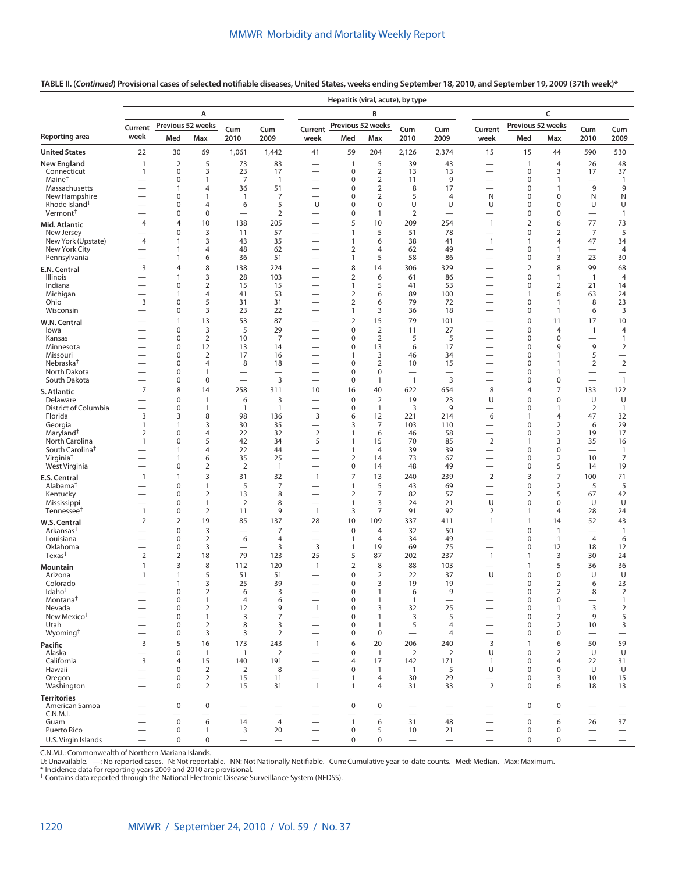## **TABLE II. (***Continued***) Provisional cases of selected notifiable diseases, United States, weeks ending September 18, 2010, and September 19, 2009 (37th week)\***

|                                                |                                                      |                   |                                       |                               |                                            |                                                      | Hepatitis (viral, acute), by type |                                       |                                   |                                |                                                      |                                         |                                |                                |                                            |  |
|------------------------------------------------|------------------------------------------------------|-------------------|---------------------------------------|-------------------------------|--------------------------------------------|------------------------------------------------------|-----------------------------------|---------------------------------------|-----------------------------------|--------------------------------|------------------------------------------------------|-----------------------------------------|--------------------------------|--------------------------------|--------------------------------------------|--|
|                                                |                                                      |                   | A                                     |                               |                                            |                                                      |                                   | B                                     |                                   |                                | C                                                    |                                         |                                |                                |                                            |  |
|                                                | Current                                              |                   | Previous 52 weeks                     | Cum                           | Cum                                        | Current                                              | Previous 52 weeks                 |                                       | Cum                               | Cum                            | Current                                              | Previous 52 weeks                       |                                | Cum                            | Cum                                        |  |
| Reporting area                                 | week                                                 | Med               | Max                                   | 2010                          | 2009                                       | week                                                 | Med                               | Max                                   | 2010                              | 2009                           | week                                                 | Med                                     | Max                            | 2010                           | 2009                                       |  |
| <b>United States</b>                           | 22                                                   | 30                | 69                                    | 1,061                         | 1,442                                      | 41                                                   | 59                                | 204                                   | 2,126                             | 2,374                          | 15                                                   | 15                                      | 44                             | 590                            | 530                                        |  |
| <b>New England</b>                             | 1                                                    | $\overline{2}$    | 5                                     | 73                            | 83                                         | $\overline{\phantom{0}}$                             | 1                                 | 5                                     | 39                                | 43                             |                                                      | $\mathbf{1}$                            | 4                              | 26                             | 48                                         |  |
| Connecticut<br>Maine <sup>†</sup>              | $\mathbf{1}$                                         | 0<br>0            | 3<br>$\mathbf{1}$                     | 23<br>$\overline{7}$          | 17<br>$\overline{1}$                       | $\overline{\phantom{0}}$                             | 0<br>$\mathbf 0$                  | $\overline{2}$<br>$\overline{2}$      | 13<br>11                          | 13<br>9                        | $\overline{\phantom{0}}$                             | $\mathbf 0$<br>$\mathbf 0$              | 3<br>1                         | 17<br>$\overline{\phantom{0}}$ | 37<br>$\mathbf{1}$                         |  |
| Massachusetts                                  |                                                      | 1                 | 4                                     | 36                            | 51                                         | $\overline{\phantom{0}}$                             | $\mathbf 0$                       | $\overline{2}$                        | 8                                 | 17                             | $\overline{\phantom{0}}$                             | $\mathbf 0$                             | 1                              | 9                              | 9                                          |  |
| New Hampshire<br>Rhode Island <sup>†</sup>     |                                                      | 0<br>0            | $\mathbf{1}$<br>$\overline{4}$        | $\mathbf{1}$<br>6             | 7<br>5                                     | $\overline{\phantom{0}}$<br>U                        | $\mathbf 0$<br>$\pmb{0}$          | $\overline{2}$<br>$\pmb{0}$           | 5<br>U                            | $\overline{4}$<br>U            | N<br>U                                               | $\mathbf 0$<br>0                        | $\mathbf 0$<br>0               | N<br>U                         | N<br>U                                     |  |
| Vermont <sup>†</sup>                           |                                                      | 0                 | $\mathbf 0$                           |                               | $\overline{2}$                             |                                                      | $\pmb{0}$                         | 1                                     | $\overline{2}$                    | $\overline{\phantom{0}}$       |                                                      | $\mathbf 0$                             | 0                              | $\overline{\phantom{0}}$       | $\mathbf{1}$                               |  |
| Mid. Atlantic                                  | $\overline{4}$                                       | 4                 | 10                                    | 138                           | 205                                        |                                                      | 5                                 | 10                                    | 209                               | 254                            | $\mathbf{1}$                                         | 2                                       | 6                              | 77                             | 73                                         |  |
| New Jersey<br>New York (Upstate)               | 4                                                    | 0<br>1            | 3<br>3                                | 11<br>43                      | 57<br>35                                   | $\overline{\phantom{0}}$                             | 1<br>1                            | 5<br>6                                | 51<br>38                          | 78<br>41                       | $\overline{\phantom{0}}$<br>$\mathbf{1}$             | $\mathbf 0$<br>1                        | $\overline{2}$<br>4            | $\overline{7}$<br>47           | 5<br>34                                    |  |
| New York City                                  | $\overline{\phantom{0}}$                             | $\mathbf{1}$      | $\overline{4}$                        | 48                            | 62                                         | $\overline{\phantom{0}}$                             | 2                                 | $\overline{4}$                        | 62                                | 49                             | $\overline{\phantom{0}}$                             | $\mathbf 0$                             | 1                              | $\overline{\phantom{0}}$       | 4                                          |  |
| Pennsylvania                                   | $\overline{\phantom{0}}$                             | $\mathbf{1}$      | 6                                     | 36                            | 51                                         |                                                      | $\mathbf{1}$                      | 5                                     | 58                                | 86                             |                                                      | 0                                       | 3                              | 23                             | 30                                         |  |
| E.N. Central                                   | 3                                                    | 4                 | 8<br>3                                | 138                           | 224                                        |                                                      | 8                                 | 14                                    | 306                               | 329                            |                                                      | 2<br>$\mathbf 0$                        | 8<br>$\mathbf{1}$              | 99                             | 68                                         |  |
| Illinois<br>Indiana                            | $\overline{\phantom{0}}$<br>$\overline{\phantom{0}}$ | 1<br>0            | $\overline{2}$                        | 28<br>15                      | 103<br>15                                  |                                                      | $\overline{2}$<br>1               | 6<br>5                                | 61<br>41                          | 86<br>53                       |                                                      | $\mathbf 0$                             | $\overline{2}$                 | $\overline{1}$<br>21           | 4<br>14                                    |  |
| Michigan                                       |                                                      | 1                 | $\overline{4}$                        | 41                            | 53                                         | $\overline{\phantom{0}}$                             | 2                                 | 6                                     | 89                                | 100                            |                                                      | 1                                       | 6                              | 63                             | 24                                         |  |
| Ohio<br>Wisconsin                              | 3<br>$\overline{\phantom{0}}$                        | 0<br>0            | 5<br>3                                | 31<br>23                      | 31<br>22                                   | $\overline{\phantom{0}}$                             | 2<br>$\mathbf{1}$                 | 6<br>3                                | 79<br>36                          | 72<br>18                       |                                                      | $\mathbf 0$<br>0                        | 1<br>1                         | 8<br>6                         | 23<br>3                                    |  |
| W.N. Central                                   |                                                      | 1                 | 13                                    | 53                            | 87                                         |                                                      | 2                                 | 15                                    | 79                                | 101                            |                                                      | 0                                       | 11                             | 17                             | 10                                         |  |
| lowa                                           |                                                      | 0                 | 3                                     | 5                             | 29                                         |                                                      | $\mathbf 0$                       | $\mathbf 2$                           | 11                                | 27                             |                                                      | $\mathbf 0$                             | $\overline{4}$                 | $\mathbf{1}$                   | 4                                          |  |
| Kansas<br>Minnesota                            |                                                      | 0<br>0            | $\overline{2}$<br>12                  | 10<br>13                      | $\overline{7}$<br>14                       | $\overline{\phantom{0}}$                             | $\mathbf 0$<br>$\pmb{0}$          | $\overline{2}$<br>13                  | 5<br>6                            | 5<br>17                        | $\overline{\phantom{0}}$                             | $\mathbf 0$<br>$\mathbf 0$              | $\mathbf 0$<br>9               | $\overline{\phantom{0}}$<br>9  | $\mathbf{1}$<br>$\overline{2}$             |  |
| Missouri                                       | $\overline{\phantom{0}}$                             | 0                 | $\overline{2}$                        | 17                            | 16                                         | $\overline{\phantom{0}}$                             | $\mathbf{1}$                      | 3                                     | 46                                | 34                             | $\overline{\phantom{0}}$                             | $\mathbf 0$                             | 1                              | 5                              | $\qquad \qquad -$                          |  |
| Nebraska <sup>†</sup>                          |                                                      | 0                 | 4                                     | 8                             | 18                                         |                                                      | $\pmb{0}$                         | $\overline{2}$                        | 10                                | 15                             |                                                      | 0                                       | 1                              | $\overline{2}$                 | $\overline{2}$                             |  |
| North Dakota<br>South Dakota                   | $\overline{\phantom{0}}$                             | 0<br>0            | 1<br>$\pmb{0}$                        | $\overline{\phantom{0}}$      | 3                                          | $\overline{\phantom{0}}$                             | $\pmb{0}$<br>0                    | $\mathbf 0$<br>1                      | $\overline{1}$                    | 3                              | $\overline{\phantom{0}}$                             | $\mathbf 0$<br>0                        | 1<br>0                         | $\qquad \qquad -$              | $\overline{\phantom{0}}$<br>$\overline{1}$ |  |
| S. Atlantic                                    | $\overline{7}$                                       | 8                 | 14                                    | 258                           | 311                                        | 10                                                   | 16                                | 40                                    | 622                               | 654                            | 8                                                    | $\overline{4}$                          | 7                              | 133                            | 122                                        |  |
| Delaware                                       |                                                      | 0                 | 1                                     | 6                             | 3                                          | $\overline{\phantom{0}}$                             | $\pmb{0}$                         | $\overline{2}$                        | 19                                | 23                             | U                                                    | $\mathbf 0$                             | 0                              | U                              | U                                          |  |
| District of Columbia<br>Florida                | $\overline{\phantom{0}}$<br>3                        | 0<br>3            | 1<br>8                                | $\overline{1}$<br>98          | $\mathbf{1}$<br>136                        | $\overline{\phantom{0}}$<br>3                        | $\pmb{0}$<br>6                    | $\mathbf{1}$<br>12                    | 3<br>221                          | 9<br>214                       | 6                                                    | $\mathbf 0$<br>1                        | 1<br>4                         | 2<br>47                        | $\overline{1}$<br>32                       |  |
| Georgia                                        | 1                                                    | $\mathbf{1}$      | 3                                     | 30                            | 35                                         |                                                      | 3                                 | 7                                     | 103                               | 110                            |                                                      | $\mathbf 0$                             | $\overline{2}$                 | 6                              | 29                                         |  |
| Maryland <sup>†</sup><br>North Carolina        | $\overline{2}$                                       | 0<br>0            | $\overline{4}$<br>5                   | 22<br>42                      | 32<br>34                                   | $\overline{2}$<br>5                                  | 1<br>1                            | 6                                     | 46<br>70                          | 58<br>85                       | $\overline{\phantom{0}}$                             | 0<br>$\mathbf{1}$                       | $\overline{2}$<br>3            | 19<br>35                       | 17                                         |  |
| South Carolina <sup>t</sup>                    | 1                                                    | 1                 | $\overline{4}$                        | 22                            | 44                                         | $\overline{\phantom{0}}$                             | 1                                 | 15<br>4                               | 39                                | 39                             | $\overline{2}$<br>$\overline{\phantom{0}}$           | 0                                       | 0                              | $\overline{\phantom{0}}$       | 16<br>$\mathbf{1}$                         |  |
| Virginia <sup>†</sup>                          |                                                      | 1                 | 6                                     | 35                            | 25                                         |                                                      | $\overline{2}$                    | 14                                    | 73                                | 67                             | $\qquad \qquad$                                      | $\mathbf 0$                             | $\overline{2}$                 | 10                             | $\overline{7}$                             |  |
| West Virginia                                  | $\mathbf{1}$                                         | 0<br>$\mathbf{1}$ | $\overline{2}$<br>3                   | $\overline{2}$<br>31          | $\mathbf{1}$<br>32                         | $\overline{\phantom{0}}$<br>$\mathbf{1}$             | $\pmb{0}$<br>$\overline{7}$       | 14<br>13                              | 48<br>240                         | 49<br>239                      | $\overline{2}$                                       | $\mathbf 0$<br>3                        | 5<br>7                         | 14<br>100                      | 19<br>71                                   |  |
| E.S. Central<br>Alabama <sup>†</sup>           |                                                      | 0                 | $\mathbf{1}$                          | 5                             | 7                                          |                                                      | 1                                 | 5                                     | 43                                | 69                             | $\overline{\phantom{0}}$                             | 0                                       | $\overline{2}$                 | 5                              | 5                                          |  |
| Kentucky                                       | $\overline{\phantom{0}}$                             | 0                 | $\overline{2}$                        | 13                            | 8                                          | $\overline{\phantom{0}}$                             | $\overline{2}$                    | 7                                     | 82                                | 57                             | $\overline{\phantom{0}}$                             | 2                                       | 5                              | 67                             | 42                                         |  |
| Mississippi<br>Tennessee <sup>t</sup>          | $\mathbf{1}$                                         | 0<br>0            | $\mathbf{1}$<br>$\overline{2}$        | 2<br>11                       | 8<br>9                                     | $\overline{\phantom{0}}$<br>$\mathbf{1}$             | $\mathbf{1}$<br>3                 | 3<br>$\overline{7}$                   | 24<br>91                          | 21<br>92                       | U<br>$\overline{2}$                                  | $\mathbf 0$<br>1                        | 0<br>$\overline{4}$            | U<br>28                        | U<br>24                                    |  |
| W.S. Central                                   | 2                                                    | 2                 | 19                                    | 85                            | 137                                        | 28                                                   | 10                                | 109                                   | 337                               | 411                            | $\mathbf{1}$                                         | $\mathbf{1}$                            | 14                             | 52                             | 43                                         |  |
| Arkansas <sup>†</sup>                          | $\overline{\phantom{0}}$                             | 0                 | 3                                     | $\overline{\phantom{0}}$      | 7                                          |                                                      | $\pmb{0}$                         | $\overline{4}$                        | 32                                | 50                             |                                                      | $\mathbf 0$                             | $\mathbf{1}$                   | $\overline{\phantom{0}}$       | $\mathbf{1}$                               |  |
| Louisiana<br>Oklahoma                          | $\overline{\phantom{0}}$                             | 0<br>0            | $\overline{2}$<br>3                   | 6<br>$\overline{\phantom{0}}$ | 4<br>3                                     | $\overline{\phantom{0}}$<br>3                        | 1<br>1                            | 4<br>19                               | 34<br>69                          | 49<br>75                       | $\overline{\phantom{0}}$<br>$\overline{\phantom{0}}$ | 0<br>$\mathbf 0$                        | $\mathbf{1}$<br>12             | $\overline{4}$<br>18           | 6<br>12                                    |  |
| $T$ exas <sup>†</sup>                          | $\overline{2}$                                       | $\overline{2}$    | 18                                    | 79                            | 123                                        | 25                                                   | 5                                 | 87                                    | 202                               | 237                            | $\mathbf{1}$                                         | 1                                       | 3                              | 30                             | 24                                         |  |
| Mountain                                       | 1                                                    | 3                 | 8                                     | 112                           | 120                                        | $\mathbf{1}$                                         | 2                                 | 8                                     | 88                                | 103                            |                                                      | 1                                       | 5                              | 36                             | 36                                         |  |
| Arizona<br>Colorado                            | 1                                                    | $\mathbf{1}$<br>1 | 5<br>3                                | 51<br>25                      | 51<br>39                                   |                                                      | $\pmb{0}$<br>$\mathbf 0$          | $\overline{2}$<br>3                   | 22<br>19                          | 37<br>19                       | U                                                    | 0<br>$\Omega$                           | 0<br>$\overline{2}$            | U<br>6                         | U<br>23                                    |  |
| Idaho <sup>†</sup>                             |                                                      | 0                 | $\overline{2}$                        | 6                             | 3                                          |                                                      | $\pmb{0}$                         | -1                                    | 6                                 | 9                              |                                                      | $\mathbf 0$                             | $\overline{2}$                 | 8                              | $\overline{2}$                             |  |
| Montana <sup>†</sup>                           |                                                      | 0                 | $\mathbf{1}$                          | 4                             | 6                                          | $\overline{\phantom{0}}$                             | $\pmb{0}$                         | $\mathbf{1}$                          | $\mathbf{1}$                      | $\qquad \qquad -$              | $\qquad \qquad$                                      | $\mathbf 0$                             | $\pmb{0}$                      | $\overline{\phantom{0}}$       | $\mathbf{1}$                               |  |
| Nevada <sup>†</sup><br>New Mexico <sup>+</sup> |                                                      | 0<br>0            | $\overline{2}$<br>$\mathbf{1}$        | 12<br>3                       | 9<br>$\overline{7}$                        | $\mathbf{1}$<br>$\overline{\phantom{0}}$             | $\pmb{0}$<br>$\pmb{0}$            | 3<br>$\mathbf{1}$                     | 32<br>3                           | 25<br>5                        | $\qquad \qquad$                                      | $\mathbf 0$<br>$\mathbf 0$              | $\mathbf{1}$<br>$\overline{2}$ | 3<br>9                         | $\overline{2}$<br>5                        |  |
| Utah                                           |                                                      | 0                 | $\overline{2}$                        | 8                             | 3                                          |                                                      | $\pmb{0}$                         | $\mathbf{1}$                          | 5                                 | $\overline{4}$                 | $\qquad \qquad$                                      | $\mathbf 0$                             | $\overline{2}$                 | 10                             | 3                                          |  |
| Wyoming <sup>+</sup>                           | $\overline{\phantom{0}}$                             | 0                 | 3                                     | 3                             | $\overline{2}$                             | $\overline{\phantom{0}}$                             | $\pmb{0}$                         | 0                                     | $\overbrace{\phantom{123221111}}$ | $\overline{4}$                 | $\overbrace{\phantom{12322111}}$                     | $\mathbf 0$                             | 0                              | $\overline{\phantom{0}}$       |                                            |  |
| Pacific<br>Alaska                              | 3                                                    | 5<br>0            | 16<br>$\mathbf{1}$                    | 173<br>$\mathbf{1}$           | 243<br>$\overline{2}$                      | $\mathbf{1}$                                         | 6<br>$\pmb{0}$                    | 20<br>$\overline{1}$                  | 206<br>$\overline{2}$             | 240<br>2                       | 3<br>U                                               | $\mathbf{1}$<br>$\mathbf 0$             | 6<br>$\overline{2}$            | 50<br>U                        | 59<br>U                                    |  |
| California                                     | 3                                                    | 4                 | 15                                    | 140                           | 191                                        | $\overline{\phantom{0}}$                             | $\overline{4}$                    | 17                                    | 142                               | 171                            | $\mathbf{1}$                                         | $\mathbf 0$                             | $\overline{4}$                 | 22                             | 31                                         |  |
| Hawaii                                         |                                                      | 0                 | $\overline{2}$                        | 2                             | 8                                          |                                                      | $\pmb{0}$                         | $\mathbf{1}$                          | $\overline{1}$                    | 5                              | U                                                    | $\mathbf 0$                             | 0                              | U                              | U                                          |  |
| Oregon<br>Washington                           | $\overline{\phantom{0}}$                             | 0<br>$\mathbf 0$  | $\overline{2}$<br>$\overline{2}$      | 15<br>15                      | 11<br>31                                   | $\mathbf{1}$                                         | $\mathbf{1}$<br>$\mathbf{1}$      | 4<br>$\overline{4}$                   | 30<br>31                          | 29<br>33                       | $\qquad \qquad -$<br>2                               | $\mathbf 0$<br>$\mathbf 0$              | 3<br>6                         | 10<br>18                       | 15<br>13                                   |  |
| <b>Territories</b>                             |                                                      |                   |                                       |                               |                                            |                                                      |                                   |                                       |                                   |                                |                                                      |                                         |                                |                                |                                            |  |
| American Samoa                                 |                                                      | $\mathbf 0$       | $\mathbf 0$                           | $\overline{\phantom{0}}$      |                                            |                                                      | $\mathbf 0$                       | $\mathbf 0$                           | —                                 |                                |                                                      | $\mathbf 0$                             | $\boldsymbol{0}$               | $\overline{\phantom{0}}$       |                                            |  |
| C.N.M.I.<br>Guam                               | $\overline{\phantom{0}}$                             | $\mathsf 0$       | $\overbrace{\phantom{12322111}}$<br>6 | 14                            | $\overline{\phantom{0}}$<br>$\overline{4}$ | $\overline{\phantom{0}}$<br>$\overline{\phantom{0}}$ | $\mathbf{1}$                      | $\overbrace{\phantom{12322111}}$<br>6 | $\overline{\phantom{0}}$<br>31    | $\overline{\phantom{0}}$<br>48 | $\overline{\phantom{0}}$<br>$\overline{\phantom{0}}$ | $\overline{\phantom{0}}$<br>$\mathsf 0$ | $\overline{\phantom{0}}$<br>6  | $\overline{\phantom{0}}$<br>26 | $\overline{\phantom{0}}$<br>37             |  |
| Puerto Rico                                    | $\overline{\phantom{0}}$                             | 0                 | $\mathbf{1}$                          | 3                             | 20                                         |                                                      | $\mathbf 0$                       | 5                                     | 10                                | 21                             | $\qquad \qquad$                                      | $\mathbf 0$                             | $\boldsymbol{0}$               | $\qquad \qquad -$              | $\qquad \qquad -$                          |  |
| U.S. Virgin Islands                            | $\overline{\phantom{0}}$                             | 0                 | $\mathsf 0$                           | $\qquad \qquad -$             |                                            | $\overline{\phantom{0}}$                             | $\mathbf 0$                       | 0                                     |                                   | $\overline{\phantom{0}}$       | $\overline{\phantom{0}}$                             | 0                                       | $\mathbf 0$                    | $\overline{\phantom{0}}$       | $\overline{\phantom{0}}$                   |  |

C.N.M.I.: Commonwealth of Northern Mariana Islands.<br>U: Unavailable. —: No reported cases. N: Not reportable. NN: Not Nationally Notifiable. Cum: Cumulative year-to-date counts. Med: Median. Max: Maximum.<br>\* Incide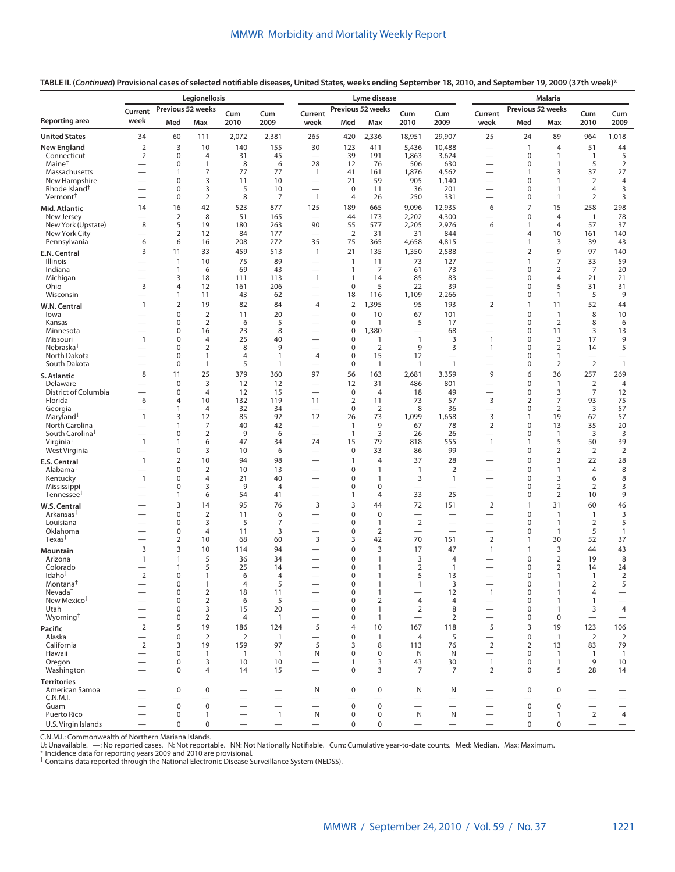**TABLE II. (***Continued***) Provisional cases of selected notifiable diseases, United States, weeks ending September 18, 2010, and September 19, 2009 (37th week)\***

| Previous 52 weeks<br>Previous 52 weeks<br>Previous 52 weeks<br>Current<br>Cum<br>Cum<br>Current<br>Cum<br>Cum<br>Current<br>Cum<br>Cum<br>Reporting area<br>week<br>Med<br>Max<br>2010<br>2009<br>week<br>Med<br>Max<br>2010<br>2009<br>week<br>Med<br>Max<br>2010<br>2009<br><b>United States</b><br>34<br>60<br>2,072<br>2,381<br>265<br>420<br>2,336<br>29,907<br>25<br>24<br>89<br>964<br>1,018<br>111<br>18,951<br>$\mathbf 2$<br>3<br>140<br><b>New England</b><br>10<br>155<br>30<br>123<br>411<br>5,436<br>$\overline{4}$<br>44<br>10,488<br>$\mathbf{1}$<br>51<br>$\overline{2}$<br>5<br>$\mathbf 0$<br>31<br>45<br>39<br>191<br>$\mathbf 0$<br>4<br>1,863<br>3,624<br>1<br>Connecticut<br>$\overline{\phantom{0}}$<br>$\overbrace{\phantom{12322111}}$<br>$\overline{1}$<br>Maine <sup>†</sup><br>0<br>8<br>28<br>76<br>506<br>630<br>5<br>$\overline{2}$<br>$\mathbf{1}$<br>6<br>12<br>$\mathbf 0$<br>1<br>$\overline{\phantom{0}}$<br>$\qquad \qquad$<br>$\overline{7}$<br>77<br>27<br>77<br>41<br>3<br>37<br>Massachusetts<br>1<br>$\mathbf{1}$<br>161<br>1,876<br>4,562<br>1<br>$\overline{\phantom{0}}$<br>$\overline{\phantom{0}}$<br>21<br>New Hampshire<br>3<br>10<br>$\Omega$<br>11<br>59<br>905<br>1,140<br>$\Omega$<br>$\mathbf{1}$<br>2<br>4<br>$\overline{\phantom{0}}$<br>3<br>Rhode Island <sup>†</sup><br>5<br>10<br>0<br>$\mathbf 0$<br>11<br>36<br>201<br>$\mathbf 0$<br>1<br>4<br>3<br>$\overline{\phantom{0}}$<br>$\overline{\phantom{0}}$<br>$\overline{\phantom{0}}$<br>Vermont <sup>+</sup><br>$\overline{2}$<br>8<br>7<br>$\mathbf{1}$<br>$\overline{2}$<br>0<br>4<br>26<br>250<br>331<br>$\mathbf 0$<br>1<br>3<br>$\overline{\phantom{0}}$<br>$\overline{\phantom{0}}$<br>42<br>877<br>15<br>16<br>523<br>125<br>189<br>665<br>9,096<br>12,935<br>6<br>7<br>258<br>298<br>14<br>Mid. Atlantic<br>$\overline{2}$<br>8<br>51<br>165<br>173<br>2,202<br>4,300<br>$\mathbf 0$<br>$\overline{4}$<br>$\overline{1}$<br>78<br>New Jersey<br>44<br>$\overline{\phantom{0}}$<br>5<br>New York (Upstate)<br>8<br>19<br>263<br>90<br>55<br>577<br>2,205<br>2,976<br>6<br>57<br>37<br>180<br>4<br>1<br>$\overline{2}$<br>$\overline{2}$<br>10<br>140<br>New York City<br>12<br>84<br>177<br>31<br>31<br>844<br>$\overline{4}$<br>161<br>$\overline{\phantom{0}}$<br>$\overbrace{\phantom{12322111}}$<br>6<br>35<br>Pennsylvania<br>6<br>16<br>208<br>272<br>75<br>365<br>4,658<br>4,815<br>3<br>39<br>43<br>1<br>$\overline{\phantom{0}}$<br>9<br>3<br>11<br>33<br>459<br>513<br>$\mathbf{1}$<br>21<br>1,350<br>2,588<br>2<br>97<br>140<br>135<br>$\overline{\phantom{0}}$<br>E.N. Central<br>89<br>$\overline{7}$<br>59<br>10<br>75<br>73<br>127<br>33<br><b>Illinois</b><br>$\mathbf{1}$<br>$\overline{1}$<br>11<br>$\mathbf{1}$<br>$\overline{\phantom{0}}$<br>$\overline{\phantom{0}}$<br>$\overline{7}$<br>Indiana<br>69<br>7<br>61<br>73<br>$\overline{2}$<br>20<br>$\mathbf{1}$<br>6<br>43<br>1<br>$\mathbf 0$<br>$\overline{\phantom{0}}$<br>$\overline{\phantom{0}}$<br>$\overline{\phantom{0}}$<br>18<br>$\mathbf{1}$<br>21<br>Michigan<br>3<br>111<br>113<br>$\mathbf{1}$<br>14<br>85<br>83<br>$\mathbf 0$<br>4<br>21<br>$\overline{\phantom{0}}$<br>$\overline{\phantom{0}}$<br>3<br>5<br>$\mathbf 0$<br>5<br>39<br>Ohio<br>4<br>12<br>161<br>206<br>22<br>$\Omega$<br>31<br>31<br>$\overline{\phantom{0}}$<br>5<br>9<br>Wisconsin<br>1<br>11<br>43<br>62<br>18<br>116<br>1,109<br>2,266<br>$\mathbf 0$<br>1<br>$\overline{\phantom{0}}$<br>$\overline{\phantom{0}}$<br>$\overline{\phantom{0}}$<br>$\overline{2}$<br>2<br>19<br>82<br>84<br>1,395<br>95<br>193<br>$\overline{2}$<br>11<br>52<br>44<br>$\mathbf{1}$<br>4<br>$\mathbf{1}$<br>W.N. Central<br>$\mathbf 0$<br>$\overline{2}$<br>$\mathbf 0$<br>8<br>20<br>10<br>67<br>$\mathbf 0$<br>10<br>lowa<br>11<br>101<br>1<br>$\overbrace{\phantom{12322111}}$<br>$\overline{2}$<br>5<br>$\overline{2}$<br>8<br>Kansas<br>0<br>6<br>0<br>$\mathbf{1}$<br>5<br>17<br>$\mathbf 0$<br>6<br>$\overline{\phantom{0}}$<br>16<br>23<br>8<br>$\pmb{0}$<br>1,380<br>68<br>3<br>13<br>Minnesota<br>0<br>$\mathbf 0$<br>11<br>$\overline{\phantom{0}}$<br>$\overline{\phantom{0}}$<br>$\overline{\phantom{0}}$<br>$\mathbf{1}$<br>$\mathbf{1}$<br>25<br>$\mathbf 0$<br>$\mathbf{1}$<br>9<br>Missouri<br>0<br>$\overline{4}$<br>40<br>$\mathbf{1}$<br>3<br>$\Omega$<br>3<br>17<br>Nebraska <sup>†</sup><br>$\overline{2}$<br>8<br>9<br>5<br>0<br>9<br>$\mathbf 0$<br>2<br>3<br>$\mathbf{1}$<br>$\mathbf 0$<br>2<br>14<br>$\overline{\phantom{0}}$<br>North Dakota<br>$\mathbf 0$<br>15<br>12<br>0<br>$\mathbf{1}$<br>$\overline{4}$<br>$\mathbf{1}$<br>4<br>$\Omega$<br>1<br>$\overline{\phantom{0}}$<br>$\overline{2}$<br>$\overline{1}$<br>South Dakota<br>5<br>$\mathbf 0$<br>$\mathbf{1}$<br>$\overline{2}$<br>0<br>$\mathbf{1}$<br>1<br>$\mathbf{1}$<br>$\mathbf{1}$<br>$\mathbf 0$<br>$\overline{\phantom{0}}$<br>$\equiv$<br>8<br>11<br>25<br>379<br>360<br>97<br>56<br>163<br>2,681<br>3,359<br>9<br>36<br>257<br>269<br>6<br>S. Atlantic<br>3<br>12<br>12<br>31<br>486<br>801<br>$\overline{2}$<br>$\overline{4}$<br>Delaware<br>$\mathbf 0$<br>12<br>$\mathbf 0$<br>1<br>$\overline{\phantom{0}}$<br>$\overline{\phantom{0}}$<br>District of Columbia<br>0<br>$\overline{4}$<br>$\mathbf 0$<br>3<br>7<br>12<br>12<br>15<br>$\equiv$<br>$\overline{4}$<br>18<br>49<br>$\Omega$<br>$\overline{\phantom{0}}$<br>$\mathsf 3$<br>6<br>10<br>$\overline{2}$<br>7<br>75<br>Florida<br>4<br>132<br>119<br>11<br>11<br>73<br>57<br>2<br>93<br>57<br>32<br>$\mathbf 0$<br>$\overline{2}$<br>8<br>$\overline{2}$<br>3<br>Georgia<br>$\overline{4}$<br>34<br>36<br>$\mathbf 0$<br>1<br>$\overline{\phantom{0}}$<br>$\mathsf 3$<br>Maryland <sup>+</sup><br>$\mathbf{1}$<br>3<br>12<br>85<br>92<br>12<br>73<br>1,099<br>57<br>26<br>1,658<br>19<br>62<br>1<br>North Carolina<br>7<br>40<br>42<br>9<br>78<br>$\overline{2}$<br>13<br>20<br>1<br>$\mathbf{1}$<br>67<br>$\mathbf 0$<br>35<br>$\overline{\phantom{0}}$<br>South Carolina <sup>t</sup><br>$\overline{2}$<br>9<br>3<br>3<br>3<br>0<br>6<br>$\mathbf{1}$<br>26<br>26<br>0<br>$\mathbf{1}$<br>$\overline{\phantom{0}}$<br>$\overline{\phantom{0}}$<br>$\overline{\phantom{0}}$<br>Virginia <sup>†</sup><br>6<br>47<br>74<br>79<br>818<br>555<br>5<br>50<br>39<br>$\mathbf{1}$<br>1<br>34<br>15<br>$\mathbf{1}$<br>1<br>West Virginia<br>3<br>33<br>99<br>$\overline{2}$<br>$\overline{2}$<br>0<br>10<br>6<br>0<br>86<br>0<br>2<br>$\overline{\phantom{0}}$<br>$\overline{\phantom{0}}$<br>$\overline{\phantom{0}}$<br>$\overline{2}$<br>10<br>3<br>$\mathbf{1}$<br>94<br>98<br>$\overline{4}$<br>37<br>28<br>$\mathbf 0$<br>22<br>28<br>$\mathbf{1}$<br><b>E.S. Central</b><br>$\overline{2}$<br>Alabama <sup>†</sup><br>0<br>10<br>13<br>$\pmb{0}$<br>$\overline{2}$<br>$\mathbf{1}$<br>8<br>1<br>$\mathbf{1}$<br>$\mathbf 0$<br>4<br>$\overline{\phantom{0}}$<br>$\mathbf{1}$<br>0<br>$\overline{4}$<br>40<br>$\mathbf 0$<br>3<br>3<br>Kentucky<br>21<br>1<br>$\mathbf{1}$<br>$\mathbf 0$<br>6<br>8<br>$\overline{\phantom{0}}$<br>$\overline{\phantom{0}}$<br>3<br>9<br>$\overline{2}$<br>$\overline{2}$<br>Mississippi<br>0<br>4<br>0<br>0<br>0<br>3<br>$\overline{\phantom{0}}$<br>$\overline{\phantom{0}}$<br>$\overline{\phantom{0}}$<br>6<br>54<br>41<br>$\overline{4}$<br>33<br>25<br>$\overline{2}$<br>10<br>9<br>Tennessee <sup>t</sup><br>1<br>1<br>$\mathbf 0$<br>$\overline{\phantom{0}}$<br>$\overline{\phantom{0}}$<br>$\overline{\phantom{0}}$<br>$\overline{2}$<br>3<br>14<br>95<br>76<br>3<br>3<br>44<br>72<br>151<br>31<br>60<br>46<br>$\mathbf{1}$<br>W.S. Central<br>$\overline{2}$<br>Arkansas <sup>†</sup><br>0<br>11<br>$\mathbf 0$<br>$\mathbf 0$<br>$\mathbf 0$<br>$\mathbf{1}$<br>3<br>6<br>$\overline{1}$<br>$\overline{\phantom{0}}$<br>3<br>$\overline{2}$<br>5<br>Louisiana<br>0<br>5<br>7<br>0<br>1<br>0<br>$\mathbf{1}$<br>2<br>$\overline{\phantom{0}}$<br>$\overline{\phantom{0}}$<br>$\overline{\phantom{0}}$<br>$\overline{\phantom{0}}$<br>$\overline{4}$<br>2<br>5<br>Oklahoma<br>0<br>11<br>3<br>0<br>$\mathbf 0$<br>$\overline{1}$<br>$\overline{1}$<br>$\qquad \qquad$<br>$\overline{\phantom{0}}$<br>$\overline{\phantom{0}}$<br>$\overline{\phantom{0}}$<br>$\overline{\phantom{0}}$<br>Texas <sup>†</sup><br>2<br>68<br>60<br>3<br>3<br>42<br>70<br>151<br>$\overline{2}$<br>52<br>37<br>10<br>$\mathbf{1}$<br>30<br>$\overline{\phantom{0}}$<br>3<br>3<br>10<br>94<br>$\pmb{0}$<br>3<br>17<br>47<br>3<br>44<br>43<br>114<br>$\mathbf{1}$<br>1<br>Mountain<br>5<br>$\mathbf 0$<br>3<br>Arizona<br>1<br>1<br>36<br>34<br>1<br>4<br>$\overline{2}$<br>19<br>8<br>0<br>5<br>25<br>$\pmb{0}$<br>2<br>2<br>Colorado<br>$\mathbf{1}$<br>14<br>$\mathbf{1}$<br>1<br>$\mathbf 0$<br>14<br>24<br>Idaho <sup>†</sup><br>2<br>0<br>5<br>13<br>$\overline{2}$<br>$\mathbf{1}$<br>6<br>4<br>0<br>1<br>$\mathbf 0$<br>1<br>$\mathbf{1}$<br>$\overline{\phantom{0}}$<br>$\overline{\phantom{0}}$<br>Montana <sup>†</sup><br>0<br>$\overline{4}$<br>$\Omega$<br>3<br>$\Omega$<br>2<br>5<br>1<br>5<br>1<br>1<br>1<br>$\qquad \qquad -$<br>Nevada <sup>†</sup><br>$\overline{2}$<br>12<br>0<br>18<br>11<br>$\pmb{0}$<br>$\mathbf{1}$<br>$\mathbf{1}$<br>$\mathbf 0$<br>$\mathbf{1}$<br>4<br>$\overline{\phantom{0}}$<br>$\overline{2}$<br>5<br>$\overline{4}$<br>New Mexico <sup>+</sup><br>0<br>6<br>$\pmb{0}$<br>$\overline{2}$<br>$\overline{4}$<br>$\pmb{0}$<br>$\mathbf{1}$<br>$\mathbf{1}$<br>$\overline{\phantom{0}}$<br>$\overline{\phantom{0}}$<br>$\overline{\phantom{0}}$<br>$\overline{\phantom{0}}$<br>Utah<br>0<br>3<br>15<br>20<br>$\pmb{0}$<br>2<br>8<br>$\pmb{0}$<br>3<br>$\overline{4}$<br>1<br>1<br>$\overline{\phantom{0}}$<br>$\overbrace{\phantom{12322111}}$<br>$\overline{\phantom{0}}$<br>Wyoming <sup>+</sup><br>0<br>2<br>4<br>$\overline{1}$<br>$\pmb{0}$<br>$\boldsymbol{0}$<br>1<br>2<br>$\mathbf 0$<br>$\qquad \qquad$<br>$\qquad \qquad -$<br>$\overline{2}$<br>5<br>19<br>118<br>19<br>123<br>186<br>124<br>5<br>4<br>10<br>167<br>5<br>3<br>106<br>Pacific<br>$\overline{2}$<br>Alaska<br>0<br>2<br>$\mathbf{1}$<br>$\mathbf 0$<br>$\mathbf{1}$<br>$\overline{4}$<br>5<br>$\mathbf 0$<br>$\mathbf{1}$<br>2<br>$\overline{2}$<br>$\qquad \qquad -$<br>$\overline{2}$<br>5<br>$\overline{2}$<br>California<br>3<br>19<br>159<br>97<br>3<br>8<br>76<br>$\overline{2}$<br>13<br>83<br>79<br>113<br>Hawaii<br>0<br>$\mathbf{1}$<br>$\overline{1}$<br>N<br>$\mathbf 0$<br>0<br>N<br>$\mathbf 0$<br>$\overline{1}$<br>$\overline{1}$<br>N<br>$\mathbf{1}$<br>$\overline{1}$<br>$\overbrace{\phantom{1232211}}$<br>$\overbrace{\phantom{12322111}}$<br>Oregon<br>3<br>10<br>10<br>3<br>43<br>30<br>$\mathbf{1}$<br>$\pmb{0}$<br>$\mathbf{1}$<br>9<br>10<br>0<br>$\mathbf{1}$<br>$\overbrace{\phantom{12322111}}$<br>$\overline{\phantom{0}}$<br>$\overline{4}$<br>Washington<br>0<br>14<br>15<br>$\mathbf 0$<br>3<br>7<br>7<br>$\overline{2}$<br>$\mathbf 0$<br>5<br>28<br>14<br>$\overline{\phantom{0}}$<br>$\overline{\phantom{0}}$<br><b>Territories</b><br>American Samoa<br>$\mathbf 0$<br>$\mathbf 0$<br>$\mathbf 0$<br>0<br>$\mathbf 0$<br>N<br>N<br>N<br>0<br>C.N.M.I.<br>$\overbrace{\phantom{12322111}}$<br>$\overline{\phantom{0}}$<br>$\overline{\phantom{0}}$<br>$\overline{\phantom{0}}$<br>$\overline{\phantom{0}}$<br>$\overline{\phantom{0}}$<br>$\qquad \qquad$<br>$\overline{\phantom{0}}$<br>$\overline{\phantom{0}}$<br>$\overline{\phantom{0}}$<br>$\overline{\phantom{0}}$<br>$\pmb{0}$<br>$\pmb{0}$<br>$\pmb{0}$<br>$\pmb{0}$<br>$\pmb{0}$<br>$\mathsf 0$<br>Guam<br>$\equiv$<br>$\overline{\phantom{0}}$<br>$\overline{\phantom{0}}$<br>$\overline{\phantom{0}}$<br>$\overline{\phantom{0}}$<br>$\overbrace{\phantom{12322111}}$<br>$\overbrace{\phantom{12322111}}$<br>$\overline{\phantom{0}}$<br>Puerto Rico<br>$\overline{2}$<br>$\overline{4}$<br>$\mathbf 0$<br>$\mathbf{1}$<br>N<br>$\mathbf 0$<br>0<br>N<br>N<br>$\mathbf 0$<br>$\mathbf{1}$<br>$\mathbf{1}$<br>$\overbrace{\phantom{12322111}}$<br>$\qquad \qquad -$<br>$\pmb{0}$<br>$\mathsf 0$<br>U.S. Virgin Islands<br>0<br>$\mathbf 0$<br>0<br>$\mathsf 0$<br>$\equiv$<br>$\equiv$<br>$\overline{\phantom{0}}$<br>$\equiv$<br>$\equiv$<br>$\equiv$<br>$\overline{\phantom{0}}$ | Legionellosis |  |  |  |  |  | Lyme disease |  | <b>Malaria</b> |  |  |  |  |  |  |
|-------------------------------------------------------------------------------------------------------------------------------------------------------------------------------------------------------------------------------------------------------------------------------------------------------------------------------------------------------------------------------------------------------------------------------------------------------------------------------------------------------------------------------------------------------------------------------------------------------------------------------------------------------------------------------------------------------------------------------------------------------------------------------------------------------------------------------------------------------------------------------------------------------------------------------------------------------------------------------------------------------------------------------------------------------------------------------------------------------------------------------------------------------------------------------------------------------------------------------------------------------------------------------------------------------------------------------------------------------------------------------------------------------------------------------------------------------------------------------------------------------------------------------------------------------------------------------------------------------------------------------------------------------------------------------------------------------------------------------------------------------------------------------------------------------------------------------------------------------------------------------------------------------------------------------------------------------------------------------------------------------------------------------------------------------------------------------------------------------------------------------------------------------------------------------------------------------------------------------------------------------------------------------------------------------------------------------------------------------------------------------------------------------------------------------------------------------------------------------------------------------------------------------------------------------------------------------------------------------------------------------------------------------------------------------------------------------------------------------------------------------------------------------------------------------------------------------------------------------------------------------------------------------------------------------------------------------------------------------------------------------------------------------------------------------------------------------------------------------------------------------------------------------------------------------------------------------------------------------------------------------------------------------------------------------------------------------------------------------------------------------------------------------------------------------------------------------------------------------------------------------------------------------------------------------------------------------------------------------------------------------------------------------------------------------------------------------------------------------------------------------------------------------------------------------------------------------------------------------------------------------------------------------------------------------------------------------------------------------------------------------------------------------------------------------------------------------------------------------------------------------------------------------------------------------------------------------------------------------------------------------------------------------------------------------------------------------------------------------------------------------------------------------------------------------------------------------------------------------------------------------------------------------------------------------------------------------------------------------------------------------------------------------------------------------------------------------------------------------------------------------------------------------------------------------------------------------------------------------------------------------------------------------------------------------------------------------------------------------------------------------------------------------------------------------------------------------------------------------------------------------------------------------------------------------------------------------------------------------------------------------------------------------------------------------------------------------------------------------------------------------------------------------------------------------------------------------------------------------------------------------------------------------------------------------------------------------------------------------------------------------------------------------------------------------------------------------------------------------------------------------------------------------------------------------------------------------------------------------------------------------------------------------------------------------------------------------------------------------------------------------------------------------------------------------------------------------------------------------------------------------------------------------------------------------------------------------------------------------------------------------------------------------------------------------------------------------------------------------------------------------------------------------------------------------------------------------------------------------------------------------------------------------------------------------------------------------------------------------------------------------------------------------------------------------------------------------------------------------------------------------------------------------------------------------------------------------------------------------------------------------------------------------------------------------------------------------------------------------------------------------------------------------------------------------------------------------------------------------------------------------------------------------------------------------------------------------------------------------------------------------------------------------------------------------------------------------------------------------------------------------------------------------------------------------------------------------------------------------------------------------------------------------------------------------------------------------------------------------------------------------------------------------------------------------------------------------------------------------------------------------------------------------------------------------------------------------------------------------------------------------------------------------------------------------------------------------------------------------------------------------------------------------------------------------------------------------------------------------------------------------------------------------------------------------------------------------------------------------------------------------------------------------------------------------------------------------------------------------------------------------------------------------------------------------------------------------------------------------------------------------------------------------------------------------------------------------------------------------------------------------------------------------------------------------------------------------------------------------------------------------------------------------------------------------------------------------------------------------------------------------------------------------------------------------------------------------------------------------------------------------------------------------------------------------------------------------------------------------------------------------------------------------------------------------------------------------------------------------------------------------------------------------------------------------------------------------------------------------------------------------------------------------------------------------------------------------------------------------------------------------------------------------------------------------------------------------------------------------------------------------------------------------------------------------------------------------------------------------------------------------------------------------------------------------------------------------------------------------------------------------------------------------------------------------------------------------------------------------------------------------------------------------------------------------------------------------------------------------------------------------------------------------------------------------------------------------------------------------------------------------------------------------------------------------------------------------------------------------------------------------------------------------------------------------------------------------------------------------------------------------------------------------------------------------------------------------------------------------------------------------------------------------------------------------------------------------------------------------------------------------------------------------------------------------------------------------------------------------------------------------------------------------------------------------------------------------------------------------------------------------------------------------------------------------------------------------------------------------------------------------------------------------------------------------------------------------------------------------------------------------------------------------------------------------------------------------------------------------------------------------------------------------------------------------------------------------------------------------------------------------------------------------------------------------------------------------------------------------------------------------------------------------------------------------------------------------------------------------------------------------------------------------------------------------------------------------------------------------------------------------------------------------------------------------------------------------------------------------------------------------------------------------------------------------------------------------------------------------------------------------------------------------------------------------------------------------------------------------------------------------------|---------------|--|--|--|--|--|--------------|--|----------------|--|--|--|--|--|--|
|                                                                                                                                                                                                                                                                                                                                                                                                                                                                                                                                                                                                                                                                                                                                                                                                                                                                                                                                                                                                                                                                                                                                                                                                                                                                                                                                                                                                                                                                                                                                                                                                                                                                                                                                                                                                                                                                                                                                                                                                                                                                                                                                                                                                                                                                                                                                                                                                                                                                                                                                                                                                                                                                                                                                                                                                                                                                                                                                                                                                                                                                                                                                                                                                                                                                                                                                                                                                                                                                                                                                                                                                                                                                                                                                                                                                                                                                                                                                                                                                                                                                                                                                                                                                                                                                                                                                                                                                                                                                                                                                                                                                                                                                                                                                                                                                                                                                                                                                                                                                                                                                                                                                                                                                                                                                                                                                                                                                                                                                                                                                                                                                                                                                                                                                                                                                                                                                                                                                                                                                                                                                                                                                                                                                                                                                                                                                                                                                                                                                                                                                                                                                                                                                                                                                                                                                                                                                                                                                                                                                                                                                                                                                                                                                                                                                                                                                                                                                                                                                                                                                                                                                                                                                                                                                                                                                                                                                                                                                                                                                                                                                                                                                                                                                                                                                                                                                                                                                                                                                                                                                                                                                                                                                                                                                                                                                                                                                                                                                                                                                                                                                                                                                                                                                                                                                                                                                                                                                                                                                                                                                                                                                                                                                                                                                                                                                                                                                                                                                                                                                                                                                                                                                                                                                                                                                                                                                                                                                                                                                                                                                                                                                                                                                                                                                                                                                                                                                                                                                                                                                                                                                                                                                                                                                                                                                                                                                                                                                                                                                                                                                                                                                                                                                                                                                                                                                                                                                                                                                                                                                                                                                                                                                                                                                                                                             |               |  |  |  |  |  |              |  |                |  |  |  |  |  |  |
|                                                                                                                                                                                                                                                                                                                                                                                                                                                                                                                                                                                                                                                                                                                                                                                                                                                                                                                                                                                                                                                                                                                                                                                                                                                                                                                                                                                                                                                                                                                                                                                                                                                                                                                                                                                                                                                                                                                                                                                                                                                                                                                                                                                                                                                                                                                                                                                                                                                                                                                                                                                                                                                                                                                                                                                                                                                                                                                                                                                                                                                                                                                                                                                                                                                                                                                                                                                                                                                                                                                                                                                                                                                                                                                                                                                                                                                                                                                                                                                                                                                                                                                                                                                                                                                                                                                                                                                                                                                                                                                                                                                                                                                                                                                                                                                                                                                                                                                                                                                                                                                                                                                                                                                                                                                                                                                                                                                                                                                                                                                                                                                                                                                                                                                                                                                                                                                                                                                                                                                                                                                                                                                                                                                                                                                                                                                                                                                                                                                                                                                                                                                                                                                                                                                                                                                                                                                                                                                                                                                                                                                                                                                                                                                                                                                                                                                                                                                                                                                                                                                                                                                                                                                                                                                                                                                                                                                                                                                                                                                                                                                                                                                                                                                                                                                                                                                                                                                                                                                                                                                                                                                                                                                                                                                                                                                                                                                                                                                                                                                                                                                                                                                                                                                                                                                                                                                                                                                                                                                                                                                                                                                                                                                                                                                                                                                                                                                                                                                                                                                                                                                                                                                                                                                                                                                                                                                                                                                                                                                                                                                                                                                                                                                                                                                                                                                                                                                                                                                                                                                                                                                                                                                                                                                                                                                                                                                                                                                                                                                                                                                                                                                                                                                                                                                                                                                                                                                                                                                                                                                                                                                                                                                                                                                                                                                             |               |  |  |  |  |  |              |  |                |  |  |  |  |  |  |
|                                                                                                                                                                                                                                                                                                                                                                                                                                                                                                                                                                                                                                                                                                                                                                                                                                                                                                                                                                                                                                                                                                                                                                                                                                                                                                                                                                                                                                                                                                                                                                                                                                                                                                                                                                                                                                                                                                                                                                                                                                                                                                                                                                                                                                                                                                                                                                                                                                                                                                                                                                                                                                                                                                                                                                                                                                                                                                                                                                                                                                                                                                                                                                                                                                                                                                                                                                                                                                                                                                                                                                                                                                                                                                                                                                                                                                                                                                                                                                                                                                                                                                                                                                                                                                                                                                                                                                                                                                                                                                                                                                                                                                                                                                                                                                                                                                                                                                                                                                                                                                                                                                                                                                                                                                                                                                                                                                                                                                                                                                                                                                                                                                                                                                                                                                                                                                                                                                                                                                                                                                                                                                                                                                                                                                                                                                                                                                                                                                                                                                                                                                                                                                                                                                                                                                                                                                                                                                                                                                                                                                                                                                                                                                                                                                                                                                                                                                                                                                                                                                                                                                                                                                                                                                                                                                                                                                                                                                                                                                                                                                                                                                                                                                                                                                                                                                                                                                                                                                                                                                                                                                                                                                                                                                                                                                                                                                                                                                                                                                                                                                                                                                                                                                                                                                                                                                                                                                                                                                                                                                                                                                                                                                                                                                                                                                                                                                                                                                                                                                                                                                                                                                                                                                                                                                                                                                                                                                                                                                                                                                                                                                                                                                                                                                                                                                                                                                                                                                                                                                                                                                                                                                                                                                                                                                                                                                                                                                                                                                                                                                                                                                                                                                                                                                                                                                                                                                                                                                                                                                                                                                                                                                                                                                                                                                                             |               |  |  |  |  |  |              |  |                |  |  |  |  |  |  |
|                                                                                                                                                                                                                                                                                                                                                                                                                                                                                                                                                                                                                                                                                                                                                                                                                                                                                                                                                                                                                                                                                                                                                                                                                                                                                                                                                                                                                                                                                                                                                                                                                                                                                                                                                                                                                                                                                                                                                                                                                                                                                                                                                                                                                                                                                                                                                                                                                                                                                                                                                                                                                                                                                                                                                                                                                                                                                                                                                                                                                                                                                                                                                                                                                                                                                                                                                                                                                                                                                                                                                                                                                                                                                                                                                                                                                                                                                                                                                                                                                                                                                                                                                                                                                                                                                                                                                                                                                                                                                                                                                                                                                                                                                                                                                                                                                                                                                                                                                                                                                                                                                                                                                                                                                                                                                                                                                                                                                                                                                                                                                                                                                                                                                                                                                                                                                                                                                                                                                                                                                                                                                                                                                                                                                                                                                                                                                                                                                                                                                                                                                                                                                                                                                                                                                                                                                                                                                                                                                                                                                                                                                                                                                                                                                                                                                                                                                                                                                                                                                                                                                                                                                                                                                                                                                                                                                                                                                                                                                                                                                                                                                                                                                                                                                                                                                                                                                                                                                                                                                                                                                                                                                                                                                                                                                                                                                                                                                                                                                                                                                                                                                                                                                                                                                                                                                                                                                                                                                                                                                                                                                                                                                                                                                                                                                                                                                                                                                                                                                                                                                                                                                                                                                                                                                                                                                                                                                                                                                                                                                                                                                                                                                                                                                                                                                                                                                                                                                                                                                                                                                                                                                                                                                                                                                                                                                                                                                                                                                                                                                                                                                                                                                                                                                                                                                                                                                                                                                                                                                                                                                                                                                                                                                                                                                                                             |               |  |  |  |  |  |              |  |                |  |  |  |  |  |  |
|                                                                                                                                                                                                                                                                                                                                                                                                                                                                                                                                                                                                                                                                                                                                                                                                                                                                                                                                                                                                                                                                                                                                                                                                                                                                                                                                                                                                                                                                                                                                                                                                                                                                                                                                                                                                                                                                                                                                                                                                                                                                                                                                                                                                                                                                                                                                                                                                                                                                                                                                                                                                                                                                                                                                                                                                                                                                                                                                                                                                                                                                                                                                                                                                                                                                                                                                                                                                                                                                                                                                                                                                                                                                                                                                                                                                                                                                                                                                                                                                                                                                                                                                                                                                                                                                                                                                                                                                                                                                                                                                                                                                                                                                                                                                                                                                                                                                                                                                                                                                                                                                                                                                                                                                                                                                                                                                                                                                                                                                                                                                                                                                                                                                                                                                                                                                                                                                                                                                                                                                                                                                                                                                                                                                                                                                                                                                                                                                                                                                                                                                                                                                                                                                                                                                                                                                                                                                                                                                                                                                                                                                                                                                                                                                                                                                                                                                                                                                                                                                                                                                                                                                                                                                                                                                                                                                                                                                                                                                                                                                                                                                                                                                                                                                                                                                                                                                                                                                                                                                                                                                                                                                                                                                                                                                                                                                                                                                                                                                                                                                                                                                                                                                                                                                                                                                                                                                                                                                                                                                                                                                                                                                                                                                                                                                                                                                                                                                                                                                                                                                                                                                                                                                                                                                                                                                                                                                                                                                                                                                                                                                                                                                                                                                                                                                                                                                                                                                                                                                                                                                                                                                                                                                                                                                                                                                                                                                                                                                                                                                                                                                                                                                                                                                                                                                                                                                                                                                                                                                                                                                                                                                                                                                                                                                                                                             |               |  |  |  |  |  |              |  |                |  |  |  |  |  |  |
|                                                                                                                                                                                                                                                                                                                                                                                                                                                                                                                                                                                                                                                                                                                                                                                                                                                                                                                                                                                                                                                                                                                                                                                                                                                                                                                                                                                                                                                                                                                                                                                                                                                                                                                                                                                                                                                                                                                                                                                                                                                                                                                                                                                                                                                                                                                                                                                                                                                                                                                                                                                                                                                                                                                                                                                                                                                                                                                                                                                                                                                                                                                                                                                                                                                                                                                                                                                                                                                                                                                                                                                                                                                                                                                                                                                                                                                                                                                                                                                                                                                                                                                                                                                                                                                                                                                                                                                                                                                                                                                                                                                                                                                                                                                                                                                                                                                                                                                                                                                                                                                                                                                                                                                                                                                                                                                                                                                                                                                                                                                                                                                                                                                                                                                                                                                                                                                                                                                                                                                                                                                                                                                                                                                                                                                                                                                                                                                                                                                                                                                                                                                                                                                                                                                                                                                                                                                                                                                                                                                                                                                                                                                                                                                                                                                                                                                                                                                                                                                                                                                                                                                                                                                                                                                                                                                                                                                                                                                                                                                                                                                                                                                                                                                                                                                                                                                                                                                                                                                                                                                                                                                                                                                                                                                                                                                                                                                                                                                                                                                                                                                                                                                                                                                                                                                                                                                                                                                                                                                                                                                                                                                                                                                                                                                                                                                                                                                                                                                                                                                                                                                                                                                                                                                                                                                                                                                                                                                                                                                                                                                                                                                                                                                                                                                                                                                                                                                                                                                                                                                                                                                                                                                                                                                                                                                                                                                                                                                                                                                                                                                                                                                                                                                                                                                                                                                                                                                                                                                                                                                                                                                                                                                                                                                                                                                             |               |  |  |  |  |  |              |  |                |  |  |  |  |  |  |
|                                                                                                                                                                                                                                                                                                                                                                                                                                                                                                                                                                                                                                                                                                                                                                                                                                                                                                                                                                                                                                                                                                                                                                                                                                                                                                                                                                                                                                                                                                                                                                                                                                                                                                                                                                                                                                                                                                                                                                                                                                                                                                                                                                                                                                                                                                                                                                                                                                                                                                                                                                                                                                                                                                                                                                                                                                                                                                                                                                                                                                                                                                                                                                                                                                                                                                                                                                                                                                                                                                                                                                                                                                                                                                                                                                                                                                                                                                                                                                                                                                                                                                                                                                                                                                                                                                                                                                                                                                                                                                                                                                                                                                                                                                                                                                                                                                                                                                                                                                                                                                                                                                                                                                                                                                                                                                                                                                                                                                                                                                                                                                                                                                                                                                                                                                                                                                                                                                                                                                                                                                                                                                                                                                                                                                                                                                                                                                                                                                                                                                                                                                                                                                                                                                                                                                                                                                                                                                                                                                                                                                                                                                                                                                                                                                                                                                                                                                                                                                                                                                                                                                                                                                                                                                                                                                                                                                                                                                                                                                                                                                                                                                                                                                                                                                                                                                                                                                                                                                                                                                                                                                                                                                                                                                                                                                                                                                                                                                                                                                                                                                                                                                                                                                                                                                                                                                                                                                                                                                                                                                                                                                                                                                                                                                                                                                                                                                                                                                                                                                                                                                                                                                                                                                                                                                                                                                                                                                                                                                                                                                                                                                                                                                                                                                                                                                                                                                                                                                                                                                                                                                                                                                                                                                                                                                                                                                                                                                                                                                                                                                                                                                                                                                                                                                                                                                                                                                                                                                                                                                                                                                                                                                                                                                                                                                                             |               |  |  |  |  |  |              |  |                |  |  |  |  |  |  |
|                                                                                                                                                                                                                                                                                                                                                                                                                                                                                                                                                                                                                                                                                                                                                                                                                                                                                                                                                                                                                                                                                                                                                                                                                                                                                                                                                                                                                                                                                                                                                                                                                                                                                                                                                                                                                                                                                                                                                                                                                                                                                                                                                                                                                                                                                                                                                                                                                                                                                                                                                                                                                                                                                                                                                                                                                                                                                                                                                                                                                                                                                                                                                                                                                                                                                                                                                                                                                                                                                                                                                                                                                                                                                                                                                                                                                                                                                                                                                                                                                                                                                                                                                                                                                                                                                                                                                                                                                                                                                                                                                                                                                                                                                                                                                                                                                                                                                                                                                                                                                                                                                                                                                                                                                                                                                                                                                                                                                                                                                                                                                                                                                                                                                                                                                                                                                                                                                                                                                                                                                                                                                                                                                                                                                                                                                                                                                                                                                                                                                                                                                                                                                                                                                                                                                                                                                                                                                                                                                                                                                                                                                                                                                                                                                                                                                                                                                                                                                                                                                                                                                                                                                                                                                                                                                                                                                                                                                                                                                                                                                                                                                                                                                                                                                                                                                                                                                                                                                                                                                                                                                                                                                                                                                                                                                                                                                                                                                                                                                                                                                                                                                                                                                                                                                                                                                                                                                                                                                                                                                                                                                                                                                                                                                                                                                                                                                                                                                                                                                                                                                                                                                                                                                                                                                                                                                                                                                                                                                                                                                                                                                                                                                                                                                                                                                                                                                                                                                                                                                                                                                                                                                                                                                                                                                                                                                                                                                                                                                                                                                                                                                                                                                                                                                                                                                                                                                                                                                                                                                                                                                                                                                                                                                                                                                                                             |               |  |  |  |  |  |              |  |                |  |  |  |  |  |  |
|                                                                                                                                                                                                                                                                                                                                                                                                                                                                                                                                                                                                                                                                                                                                                                                                                                                                                                                                                                                                                                                                                                                                                                                                                                                                                                                                                                                                                                                                                                                                                                                                                                                                                                                                                                                                                                                                                                                                                                                                                                                                                                                                                                                                                                                                                                                                                                                                                                                                                                                                                                                                                                                                                                                                                                                                                                                                                                                                                                                                                                                                                                                                                                                                                                                                                                                                                                                                                                                                                                                                                                                                                                                                                                                                                                                                                                                                                                                                                                                                                                                                                                                                                                                                                                                                                                                                                                                                                                                                                                                                                                                                                                                                                                                                                                                                                                                                                                                                                                                                                                                                                                                                                                                                                                                                                                                                                                                                                                                                                                                                                                                                                                                                                                                                                                                                                                                                                                                                                                                                                                                                                                                                                                                                                                                                                                                                                                                                                                                                                                                                                                                                                                                                                                                                                                                                                                                                                                                                                                                                                                                                                                                                                                                                                                                                                                                                                                                                                                                                                                                                                                                                                                                                                                                                                                                                                                                                                                                                                                                                                                                                                                                                                                                                                                                                                                                                                                                                                                                                                                                                                                                                                                                                                                                                                                                                                                                                                                                                                                                                                                                                                                                                                                                                                                                                                                                                                                                                                                                                                                                                                                                                                                                                                                                                                                                                                                                                                                                                                                                                                                                                                                                                                                                                                                                                                                                                                                                                                                                                                                                                                                                                                                                                                                                                                                                                                                                                                                                                                                                                                                                                                                                                                                                                                                                                                                                                                                                                                                                                                                                                                                                                                                                                                                                                                                                                                                                                                                                                                                                                                                                                                                                                                                                                                                                             |               |  |  |  |  |  |              |  |                |  |  |  |  |  |  |
|                                                                                                                                                                                                                                                                                                                                                                                                                                                                                                                                                                                                                                                                                                                                                                                                                                                                                                                                                                                                                                                                                                                                                                                                                                                                                                                                                                                                                                                                                                                                                                                                                                                                                                                                                                                                                                                                                                                                                                                                                                                                                                                                                                                                                                                                                                                                                                                                                                                                                                                                                                                                                                                                                                                                                                                                                                                                                                                                                                                                                                                                                                                                                                                                                                                                                                                                                                                                                                                                                                                                                                                                                                                                                                                                                                                                                                                                                                                                                                                                                                                                                                                                                                                                                                                                                                                                                                                                                                                                                                                                                                                                                                                                                                                                                                                                                                                                                                                                                                                                                                                                                                                                                                                                                                                                                                                                                                                                                                                                                                                                                                                                                                                                                                                                                                                                                                                                                                                                                                                                                                                                                                                                                                                                                                                                                                                                                                                                                                                                                                                                                                                                                                                                                                                                                                                                                                                                                                                                                                                                                                                                                                                                                                                                                                                                                                                                                                                                                                                                                                                                                                                                                                                                                                                                                                                                                                                                                                                                                                                                                                                                                                                                                                                                                                                                                                                                                                                                                                                                                                                                                                                                                                                                                                                                                                                                                                                                                                                                                                                                                                                                                                                                                                                                                                                                                                                                                                                                                                                                                                                                                                                                                                                                                                                                                                                                                                                                                                                                                                                                                                                                                                                                                                                                                                                                                                                                                                                                                                                                                                                                                                                                                                                                                                                                                                                                                                                                                                                                                                                                                                                                                                                                                                                                                                                                                                                                                                                                                                                                                                                                                                                                                                                                                                                                                                                                                                                                                                                                                                                                                                                                                                                                                                                                                                                             |               |  |  |  |  |  |              |  |                |  |  |  |  |  |  |
|                                                                                                                                                                                                                                                                                                                                                                                                                                                                                                                                                                                                                                                                                                                                                                                                                                                                                                                                                                                                                                                                                                                                                                                                                                                                                                                                                                                                                                                                                                                                                                                                                                                                                                                                                                                                                                                                                                                                                                                                                                                                                                                                                                                                                                                                                                                                                                                                                                                                                                                                                                                                                                                                                                                                                                                                                                                                                                                                                                                                                                                                                                                                                                                                                                                                                                                                                                                                                                                                                                                                                                                                                                                                                                                                                                                                                                                                                                                                                                                                                                                                                                                                                                                                                                                                                                                                                                                                                                                                                                                                                                                                                                                                                                                                                                                                                                                                                                                                                                                                                                                                                                                                                                                                                                                                                                                                                                                                                                                                                                                                                                                                                                                                                                                                                                                                                                                                                                                                                                                                                                                                                                                                                                                                                                                                                                                                                                                                                                                                                                                                                                                                                                                                                                                                                                                                                                                                                                                                                                                                                                                                                                                                                                                                                                                                                                                                                                                                                                                                                                                                                                                                                                                                                                                                                                                                                                                                                                                                                                                                                                                                                                                                                                                                                                                                                                                                                                                                                                                                                                                                                                                                                                                                                                                                                                                                                                                                                                                                                                                                                                                                                                                                                                                                                                                                                                                                                                                                                                                                                                                                                                                                                                                                                                                                                                                                                                                                                                                                                                                                                                                                                                                                                                                                                                                                                                                                                                                                                                                                                                                                                                                                                                                                                                                                                                                                                                                                                                                                                                                                                                                                                                                                                                                                                                                                                                                                                                                                                                                                                                                                                                                                                                                                                                                                                                                                                                                                                                                                                                                                                                                                                                                                                                                                                                                             |               |  |  |  |  |  |              |  |                |  |  |  |  |  |  |
|                                                                                                                                                                                                                                                                                                                                                                                                                                                                                                                                                                                                                                                                                                                                                                                                                                                                                                                                                                                                                                                                                                                                                                                                                                                                                                                                                                                                                                                                                                                                                                                                                                                                                                                                                                                                                                                                                                                                                                                                                                                                                                                                                                                                                                                                                                                                                                                                                                                                                                                                                                                                                                                                                                                                                                                                                                                                                                                                                                                                                                                                                                                                                                                                                                                                                                                                                                                                                                                                                                                                                                                                                                                                                                                                                                                                                                                                                                                                                                                                                                                                                                                                                                                                                                                                                                                                                                                                                                                                                                                                                                                                                                                                                                                                                                                                                                                                                                                                                                                                                                                                                                                                                                                                                                                                                                                                                                                                                                                                                                                                                                                                                                                                                                                                                                                                                                                                                                                                                                                                                                                                                                                                                                                                                                                                                                                                                                                                                                                                                                                                                                                                                                                                                                                                                                                                                                                                                                                                                                                                                                                                                                                                                                                                                                                                                                                                                                                                                                                                                                                                                                                                                                                                                                                                                                                                                                                                                                                                                                                                                                                                                                                                                                                                                                                                                                                                                                                                                                                                                                                                                                                                                                                                                                                                                                                                                                                                                                                                                                                                                                                                                                                                                                                                                                                                                                                                                                                                                                                                                                                                                                                                                                                                                                                                                                                                                                                                                                                                                                                                                                                                                                                                                                                                                                                                                                                                                                                                                                                                                                                                                                                                                                                                                                                                                                                                                                                                                                                                                                                                                                                                                                                                                                                                                                                                                                                                                                                                                                                                                                                                                                                                                                                                                                                                                                                                                                                                                                                                                                                                                                                                                                                                                                                                                                                             |               |  |  |  |  |  |              |  |                |  |  |  |  |  |  |
|                                                                                                                                                                                                                                                                                                                                                                                                                                                                                                                                                                                                                                                                                                                                                                                                                                                                                                                                                                                                                                                                                                                                                                                                                                                                                                                                                                                                                                                                                                                                                                                                                                                                                                                                                                                                                                                                                                                                                                                                                                                                                                                                                                                                                                                                                                                                                                                                                                                                                                                                                                                                                                                                                                                                                                                                                                                                                                                                                                                                                                                                                                                                                                                                                                                                                                                                                                                                                                                                                                                                                                                                                                                                                                                                                                                                                                                                                                                                                                                                                                                                                                                                                                                                                                                                                                                                                                                                                                                                                                                                                                                                                                                                                                                                                                                                                                                                                                                                                                                                                                                                                                                                                                                                                                                                                                                                                                                                                                                                                                                                                                                                                                                                                                                                                                                                                                                                                                                                                                                                                                                                                                                                                                                                                                                                                                                                                                                                                                                                                                                                                                                                                                                                                                                                                                                                                                                                                                                                                                                                                                                                                                                                                                                                                                                                                                                                                                                                                                                                                                                                                                                                                                                                                                                                                                                                                                                                                                                                                                                                                                                                                                                                                                                                                                                                                                                                                                                                                                                                                                                                                                                                                                                                                                                                                                                                                                                                                                                                                                                                                                                                                                                                                                                                                                                                                                                                                                                                                                                                                                                                                                                                                                                                                                                                                                                                                                                                                                                                                                                                                                                                                                                                                                                                                                                                                                                                                                                                                                                                                                                                                                                                                                                                                                                                                                                                                                                                                                                                                                                                                                                                                                                                                                                                                                                                                                                                                                                                                                                                                                                                                                                                                                                                                                                                                                                                                                                                                                                                                                                                                                                                                                                                                                                                                                                             |               |  |  |  |  |  |              |  |                |  |  |  |  |  |  |
|                                                                                                                                                                                                                                                                                                                                                                                                                                                                                                                                                                                                                                                                                                                                                                                                                                                                                                                                                                                                                                                                                                                                                                                                                                                                                                                                                                                                                                                                                                                                                                                                                                                                                                                                                                                                                                                                                                                                                                                                                                                                                                                                                                                                                                                                                                                                                                                                                                                                                                                                                                                                                                                                                                                                                                                                                                                                                                                                                                                                                                                                                                                                                                                                                                                                                                                                                                                                                                                                                                                                                                                                                                                                                                                                                                                                                                                                                                                                                                                                                                                                                                                                                                                                                                                                                                                                                                                                                                                                                                                                                                                                                                                                                                                                                                                                                                                                                                                                                                                                                                                                                                                                                                                                                                                                                                                                                                                                                                                                                                                                                                                                                                                                                                                                                                                                                                                                                                                                                                                                                                                                                                                                                                                                                                                                                                                                                                                                                                                                                                                                                                                                                                                                                                                                                                                                                                                                                                                                                                                                                                                                                                                                                                                                                                                                                                                                                                                                                                                                                                                                                                                                                                                                                                                                                                                                                                                                                                                                                                                                                                                                                                                                                                                                                                                                                                                                                                                                                                                                                                                                                                                                                                                                                                                                                                                                                                                                                                                                                                                                                                                                                                                                                                                                                                                                                                                                                                                                                                                                                                                                                                                                                                                                                                                                                                                                                                                                                                                                                                                                                                                                                                                                                                                                                                                                                                                                                                                                                                                                                                                                                                                                                                                                                                                                                                                                                                                                                                                                                                                                                                                                                                                                                                                                                                                                                                                                                                                                                                                                                                                                                                                                                                                                                                                                                                                                                                                                                                                                                                                                                                                                                                                                                                                                                                                             |               |  |  |  |  |  |              |  |                |  |  |  |  |  |  |
|                                                                                                                                                                                                                                                                                                                                                                                                                                                                                                                                                                                                                                                                                                                                                                                                                                                                                                                                                                                                                                                                                                                                                                                                                                                                                                                                                                                                                                                                                                                                                                                                                                                                                                                                                                                                                                                                                                                                                                                                                                                                                                                                                                                                                                                                                                                                                                                                                                                                                                                                                                                                                                                                                                                                                                                                                                                                                                                                                                                                                                                                                                                                                                                                                                                                                                                                                                                                                                                                                                                                                                                                                                                                                                                                                                                                                                                                                                                                                                                                                                                                                                                                                                                                                                                                                                                                                                                                                                                                                                                                                                                                                                                                                                                                                                                                                                                                                                                                                                                                                                                                                                                                                                                                                                                                                                                                                                                                                                                                                                                                                                                                                                                                                                                                                                                                                                                                                                                                                                                                                                                                                                                                                                                                                                                                                                                                                                                                                                                                                                                                                                                                                                                                                                                                                                                                                                                                                                                                                                                                                                                                                                                                                                                                                                                                                                                                                                                                                                                                                                                                                                                                                                                                                                                                                                                                                                                                                                                                                                                                                                                                                                                                                                                                                                                                                                                                                                                                                                                                                                                                                                                                                                                                                                                                                                                                                                                                                                                                                                                                                                                                                                                                                                                                                                                                                                                                                                                                                                                                                                                                                                                                                                                                                                                                                                                                                                                                                                                                                                                                                                                                                                                                                                                                                                                                                                                                                                                                                                                                                                                                                                                                                                                                                                                                                                                                                                                                                                                                                                                                                                                                                                                                                                                                                                                                                                                                                                                                                                                                                                                                                                                                                                                                                                                                                                                                                                                                                                                                                                                                                                                                                                                                                                                                                                                             |               |  |  |  |  |  |              |  |                |  |  |  |  |  |  |
|                                                                                                                                                                                                                                                                                                                                                                                                                                                                                                                                                                                                                                                                                                                                                                                                                                                                                                                                                                                                                                                                                                                                                                                                                                                                                                                                                                                                                                                                                                                                                                                                                                                                                                                                                                                                                                                                                                                                                                                                                                                                                                                                                                                                                                                                                                                                                                                                                                                                                                                                                                                                                                                                                                                                                                                                                                                                                                                                                                                                                                                                                                                                                                                                                                                                                                                                                                                                                                                                                                                                                                                                                                                                                                                                                                                                                                                                                                                                                                                                                                                                                                                                                                                                                                                                                                                                                                                                                                                                                                                                                                                                                                                                                                                                                                                                                                                                                                                                                                                                                                                                                                                                                                                                                                                                                                                                                                                                                                                                                                                                                                                                                                                                                                                                                                                                                                                                                                                                                                                                                                                                                                                                                                                                                                                                                                                                                                                                                                                                                                                                                                                                                                                                                                                                                                                                                                                                                                                                                                                                                                                                                                                                                                                                                                                                                                                                                                                                                                                                                                                                                                                                                                                                                                                                                                                                                                                                                                                                                                                                                                                                                                                                                                                                                                                                                                                                                                                                                                                                                                                                                                                                                                                                                                                                                                                                                                                                                                                                                                                                                                                                                                                                                                                                                                                                                                                                                                                                                                                                                                                                                                                                                                                                                                                                                                                                                                                                                                                                                                                                                                                                                                                                                                                                                                                                                                                                                                                                                                                                                                                                                                                                                                                                                                                                                                                                                                                                                                                                                                                                                                                                                                                                                                                                                                                                                                                                                                                                                                                                                                                                                                                                                                                                                                                                                                                                                                                                                                                                                                                                                                                                                                                                                                                                                                                             |               |  |  |  |  |  |              |  |                |  |  |  |  |  |  |
|                                                                                                                                                                                                                                                                                                                                                                                                                                                                                                                                                                                                                                                                                                                                                                                                                                                                                                                                                                                                                                                                                                                                                                                                                                                                                                                                                                                                                                                                                                                                                                                                                                                                                                                                                                                                                                                                                                                                                                                                                                                                                                                                                                                                                                                                                                                                                                                                                                                                                                                                                                                                                                                                                                                                                                                                                                                                                                                                                                                                                                                                                                                                                                                                                                                                                                                                                                                                                                                                                                                                                                                                                                                                                                                                                                                                                                                                                                                                                                                                                                                                                                                                                                                                                                                                                                                                                                                                                                                                                                                                                                                                                                                                                                                                                                                                                                                                                                                                                                                                                                                                                                                                                                                                                                                                                                                                                                                                                                                                                                                                                                                                                                                                                                                                                                                                                                                                                                                                                                                                                                                                                                                                                                                                                                                                                                                                                                                                                                                                                                                                                                                                                                                                                                                                                                                                                                                                                                                                                                                                                                                                                                                                                                                                                                                                                                                                                                                                                                                                                                                                                                                                                                                                                                                                                                                                                                                                                                                                                                                                                                                                                                                                                                                                                                                                                                                                                                                                                                                                                                                                                                                                                                                                                                                                                                                                                                                                                                                                                                                                                                                                                                                                                                                                                                                                                                                                                                                                                                                                                                                                                                                                                                                                                                                                                                                                                                                                                                                                                                                                                                                                                                                                                                                                                                                                                                                                                                                                                                                                                                                                                                                                                                                                                                                                                                                                                                                                                                                                                                                                                                                                                                                                                                                                                                                                                                                                                                                                                                                                                                                                                                                                                                                                                                                                                                                                                                                                                                                                                                                                                                                                                                                                                                                                                                                             |               |  |  |  |  |  |              |  |                |  |  |  |  |  |  |
|                                                                                                                                                                                                                                                                                                                                                                                                                                                                                                                                                                                                                                                                                                                                                                                                                                                                                                                                                                                                                                                                                                                                                                                                                                                                                                                                                                                                                                                                                                                                                                                                                                                                                                                                                                                                                                                                                                                                                                                                                                                                                                                                                                                                                                                                                                                                                                                                                                                                                                                                                                                                                                                                                                                                                                                                                                                                                                                                                                                                                                                                                                                                                                                                                                                                                                                                                                                                                                                                                                                                                                                                                                                                                                                                                                                                                                                                                                                                                                                                                                                                                                                                                                                                                                                                                                                                                                                                                                                                                                                                                                                                                                                                                                                                                                                                                                                                                                                                                                                                                                                                                                                                                                                                                                                                                                                                                                                                                                                                                                                                                                                                                                                                                                                                                                                                                                                                                                                                                                                                                                                                                                                                                                                                                                                                                                                                                                                                                                                                                                                                                                                                                                                                                                                                                                                                                                                                                                                                                                                                                                                                                                                                                                                                                                                                                                                                                                                                                                                                                                                                                                                                                                                                                                                                                                                                                                                                                                                                                                                                                                                                                                                                                                                                                                                                                                                                                                                                                                                                                                                                                                                                                                                                                                                                                                                                                                                                                                                                                                                                                                                                                                                                                                                                                                                                                                                                                                                                                                                                                                                                                                                                                                                                                                                                                                                                                                                                                                                                                                                                                                                                                                                                                                                                                                                                                                                                                                                                                                                                                                                                                                                                                                                                                                                                                                                                                                                                                                                                                                                                                                                                                                                                                                                                                                                                                                                                                                                                                                                                                                                                                                                                                                                                                                                                                                                                                                                                                                                                                                                                                                                                                                                                                                                                                                                             |               |  |  |  |  |  |              |  |                |  |  |  |  |  |  |
|                                                                                                                                                                                                                                                                                                                                                                                                                                                                                                                                                                                                                                                                                                                                                                                                                                                                                                                                                                                                                                                                                                                                                                                                                                                                                                                                                                                                                                                                                                                                                                                                                                                                                                                                                                                                                                                                                                                                                                                                                                                                                                                                                                                                                                                                                                                                                                                                                                                                                                                                                                                                                                                                                                                                                                                                                                                                                                                                                                                                                                                                                                                                                                                                                                                                                                                                                                                                                                                                                                                                                                                                                                                                                                                                                                                                                                                                                                                                                                                                                                                                                                                                                                                                                                                                                                                                                                                                                                                                                                                                                                                                                                                                                                                                                                                                                                                                                                                                                                                                                                                                                                                                                                                                                                                                                                                                                                                                                                                                                                                                                                                                                                                                                                                                                                                                                                                                                                                                                                                                                                                                                                                                                                                                                                                                                                                                                                                                                                                                                                                                                                                                                                                                                                                                                                                                                                                                                                                                                                                                                                                                                                                                                                                                                                                                                                                                                                                                                                                                                                                                                                                                                                                                                                                                                                                                                                                                                                                                                                                                                                                                                                                                                                                                                                                                                                                                                                                                                                                                                                                                                                                                                                                                                                                                                                                                                                                                                                                                                                                                                                                                                                                                                                                                                                                                                                                                                                                                                                                                                                                                                                                                                                                                                                                                                                                                                                                                                                                                                                                                                                                                                                                                                                                                                                                                                                                                                                                                                                                                                                                                                                                                                                                                                                                                                                                                                                                                                                                                                                                                                                                                                                                                                                                                                                                                                                                                                                                                                                                                                                                                                                                                                                                                                                                                                                                                                                                                                                                                                                                                                                                                                                                                                                                                                                                             |               |  |  |  |  |  |              |  |                |  |  |  |  |  |  |
|                                                                                                                                                                                                                                                                                                                                                                                                                                                                                                                                                                                                                                                                                                                                                                                                                                                                                                                                                                                                                                                                                                                                                                                                                                                                                                                                                                                                                                                                                                                                                                                                                                                                                                                                                                                                                                                                                                                                                                                                                                                                                                                                                                                                                                                                                                                                                                                                                                                                                                                                                                                                                                                                                                                                                                                                                                                                                                                                                                                                                                                                                                                                                                                                                                                                                                                                                                                                                                                                                                                                                                                                                                                                                                                                                                                                                                                                                                                                                                                                                                                                                                                                                                                                                                                                                                                                                                                                                                                                                                                                                                                                                                                                                                                                                                                                                                                                                                                                                                                                                                                                                                                                                                                                                                                                                                                                                                                                                                                                                                                                                                                                                                                                                                                                                                                                                                                                                                                                                                                                                                                                                                                                                                                                                                                                                                                                                                                                                                                                                                                                                                                                                                                                                                                                                                                                                                                                                                                                                                                                                                                                                                                                                                                                                                                                                                                                                                                                                                                                                                                                                                                                                                                                                                                                                                                                                                                                                                                                                                                                                                                                                                                                                                                                                                                                                                                                                                                                                                                                                                                                                                                                                                                                                                                                                                                                                                                                                                                                                                                                                                                                                                                                                                                                                                                                                                                                                                                                                                                                                                                                                                                                                                                                                                                                                                                                                                                                                                                                                                                                                                                                                                                                                                                                                                                                                                                                                                                                                                                                                                                                                                                                                                                                                                                                                                                                                                                                                                                                                                                                                                                                                                                                                                                                                                                                                                                                                                                                                                                                                                                                                                                                                                                                                                                                                                                                                                                                                                                                                                                                                                                                                                                                                                                                                                                             |               |  |  |  |  |  |              |  |                |  |  |  |  |  |  |
|                                                                                                                                                                                                                                                                                                                                                                                                                                                                                                                                                                                                                                                                                                                                                                                                                                                                                                                                                                                                                                                                                                                                                                                                                                                                                                                                                                                                                                                                                                                                                                                                                                                                                                                                                                                                                                                                                                                                                                                                                                                                                                                                                                                                                                                                                                                                                                                                                                                                                                                                                                                                                                                                                                                                                                                                                                                                                                                                                                                                                                                                                                                                                                                                                                                                                                                                                                                                                                                                                                                                                                                                                                                                                                                                                                                                                                                                                                                                                                                                                                                                                                                                                                                                                                                                                                                                                                                                                                                                                                                                                                                                                                                                                                                                                                                                                                                                                                                                                                                                                                                                                                                                                                                                                                                                                                                                                                                                                                                                                                                                                                                                                                                                                                                                                                                                                                                                                                                                                                                                                                                                                                                                                                                                                                                                                                                                                                                                                                                                                                                                                                                                                                                                                                                                                                                                                                                                                                                                                                                                                                                                                                                                                                                                                                                                                                                                                                                                                                                                                                                                                                                                                                                                                                                                                                                                                                                                                                                                                                                                                                                                                                                                                                                                                                                                                                                                                                                                                                                                                                                                                                                                                                                                                                                                                                                                                                                                                                                                                                                                                                                                                                                                                                                                                                                                                                                                                                                                                                                                                                                                                                                                                                                                                                                                                                                                                                                                                                                                                                                                                                                                                                                                                                                                                                                                                                                                                                                                                                                                                                                                                                                                                                                                                                                                                                                                                                                                                                                                                                                                                                                                                                                                                                                                                                                                                                                                                                                                                                                                                                                                                                                                                                                                                                                                                                                                                                                                                                                                                                                                                                                                                                                                                                                                                                                             |               |  |  |  |  |  |              |  |                |  |  |  |  |  |  |
|                                                                                                                                                                                                                                                                                                                                                                                                                                                                                                                                                                                                                                                                                                                                                                                                                                                                                                                                                                                                                                                                                                                                                                                                                                                                                                                                                                                                                                                                                                                                                                                                                                                                                                                                                                                                                                                                                                                                                                                                                                                                                                                                                                                                                                                                                                                                                                                                                                                                                                                                                                                                                                                                                                                                                                                                                                                                                                                                                                                                                                                                                                                                                                                                                                                                                                                                                                                                                                                                                                                                                                                                                                                                                                                                                                                                                                                                                                                                                                                                                                                                                                                                                                                                                                                                                                                                                                                                                                                                                                                                                                                                                                                                                                                                                                                                                                                                                                                                                                                                                                                                                                                                                                                                                                                                                                                                                                                                                                                                                                                                                                                                                                                                                                                                                                                                                                                                                                                                                                                                                                                                                                                                                                                                                                                                                                                                                                                                                                                                                                                                                                                                                                                                                                                                                                                                                                                                                                                                                                                                                                                                                                                                                                                                                                                                                                                                                                                                                                                                                                                                                                                                                                                                                                                                                                                                                                                                                                                                                                                                                                                                                                                                                                                                                                                                                                                                                                                                                                                                                                                                                                                                                                                                                                                                                                                                                                                                                                                                                                                                                                                                                                                                                                                                                                                                                                                                                                                                                                                                                                                                                                                                                                                                                                                                                                                                                                                                                                                                                                                                                                                                                                                                                                                                                                                                                                                                                                                                                                                                                                                                                                                                                                                                                                                                                                                                                                                                                                                                                                                                                                                                                                                                                                                                                                                                                                                                                                                                                                                                                                                                                                                                                                                                                                                                                                                                                                                                                                                                                                                                                                                                                                                                                                                                                                                             |               |  |  |  |  |  |              |  |                |  |  |  |  |  |  |
|                                                                                                                                                                                                                                                                                                                                                                                                                                                                                                                                                                                                                                                                                                                                                                                                                                                                                                                                                                                                                                                                                                                                                                                                                                                                                                                                                                                                                                                                                                                                                                                                                                                                                                                                                                                                                                                                                                                                                                                                                                                                                                                                                                                                                                                                                                                                                                                                                                                                                                                                                                                                                                                                                                                                                                                                                                                                                                                                                                                                                                                                                                                                                                                                                                                                                                                                                                                                                                                                                                                                                                                                                                                                                                                                                                                                                                                                                                                                                                                                                                                                                                                                                                                                                                                                                                                                                                                                                                                                                                                                                                                                                                                                                                                                                                                                                                                                                                                                                                                                                                                                                                                                                                                                                                                                                                                                                                                                                                                                                                                                                                                                                                                                                                                                                                                                                                                                                                                                                                                                                                                                                                                                                                                                                                                                                                                                                                                                                                                                                                                                                                                                                                                                                                                                                                                                                                                                                                                                                                                                                                                                                                                                                                                                                                                                                                                                                                                                                                                                                                                                                                                                                                                                                                                                                                                                                                                                                                                                                                                                                                                                                                                                                                                                                                                                                                                                                                                                                                                                                                                                                                                                                                                                                                                                                                                                                                                                                                                                                                                                                                                                                                                                                                                                                                                                                                                                                                                                                                                                                                                                                                                                                                                                                                                                                                                                                                                                                                                                                                                                                                                                                                                                                                                                                                                                                                                                                                                                                                                                                                                                                                                                                                                                                                                                                                                                                                                                                                                                                                                                                                                                                                                                                                                                                                                                                                                                                                                                                                                                                                                                                                                                                                                                                                                                                                                                                                                                                                                                                                                                                                                                                                                                                                                                                                                             |               |  |  |  |  |  |              |  |                |  |  |  |  |  |  |
|                                                                                                                                                                                                                                                                                                                                                                                                                                                                                                                                                                                                                                                                                                                                                                                                                                                                                                                                                                                                                                                                                                                                                                                                                                                                                                                                                                                                                                                                                                                                                                                                                                                                                                                                                                                                                                                                                                                                                                                                                                                                                                                                                                                                                                                                                                                                                                                                                                                                                                                                                                                                                                                                                                                                                                                                                                                                                                                                                                                                                                                                                                                                                                                                                                                                                                                                                                                                                                                                                                                                                                                                                                                                                                                                                                                                                                                                                                                                                                                                                                                                                                                                                                                                                                                                                                                                                                                                                                                                                                                                                                                                                                                                                                                                                                                                                                                                                                                                                                                                                                                                                                                                                                                                                                                                                                                                                                                                                                                                                                                                                                                                                                                                                                                                                                                                                                                                                                                                                                                                                                                                                                                                                                                                                                                                                                                                                                                                                                                                                                                                                                                                                                                                                                                                                                                                                                                                                                                                                                                                                                                                                                                                                                                                                                                                                                                                                                                                                                                                                                                                                                                                                                                                                                                                                                                                                                                                                                                                                                                                                                                                                                                                                                                                                                                                                                                                                                                                                                                                                                                                                                                                                                                                                                                                                                                                                                                                                                                                                                                                                                                                                                                                                                                                                                                                                                                                                                                                                                                                                                                                                                                                                                                                                                                                                                                                                                                                                                                                                                                                                                                                                                                                                                                                                                                                                                                                                                                                                                                                                                                                                                                                                                                                                                                                                                                                                                                                                                                                                                                                                                                                                                                                                                                                                                                                                                                                                                                                                                                                                                                                                                                                                                                                                                                                                                                                                                                                                                                                                                                                                                                                                                                                                                                                                                                             |               |  |  |  |  |  |              |  |                |  |  |  |  |  |  |
|                                                                                                                                                                                                                                                                                                                                                                                                                                                                                                                                                                                                                                                                                                                                                                                                                                                                                                                                                                                                                                                                                                                                                                                                                                                                                                                                                                                                                                                                                                                                                                                                                                                                                                                                                                                                                                                                                                                                                                                                                                                                                                                                                                                                                                                                                                                                                                                                                                                                                                                                                                                                                                                                                                                                                                                                                                                                                                                                                                                                                                                                                                                                                                                                                                                                                                                                                                                                                                                                                                                                                                                                                                                                                                                                                                                                                                                                                                                                                                                                                                                                                                                                                                                                                                                                                                                                                                                                                                                                                                                                                                                                                                                                                                                                                                                                                                                                                                                                                                                                                                                                                                                                                                                                                                                                                                                                                                                                                                                                                                                                                                                                                                                                                                                                                                                                                                                                                                                                                                                                                                                                                                                                                                                                                                                                                                                                                                                                                                                                                                                                                                                                                                                                                                                                                                                                                                                                                                                                                                                                                                                                                                                                                                                                                                                                                                                                                                                                                                                                                                                                                                                                                                                                                                                                                                                                                                                                                                                                                                                                                                                                                                                                                                                                                                                                                                                                                                                                                                                                                                                                                                                                                                                                                                                                                                                                                                                                                                                                                                                                                                                                                                                                                                                                                                                                                                                                                                                                                                                                                                                                                                                                                                                                                                                                                                                                                                                                                                                                                                                                                                                                                                                                                                                                                                                                                                                                                                                                                                                                                                                                                                                                                                                                                                                                                                                                                                                                                                                                                                                                                                                                                                                                                                                                                                                                                                                                                                                                                                                                                                                                                                                                                                                                                                                                                                                                                                                                                                                                                                                                                                                                                                                                                                                                                                                             |               |  |  |  |  |  |              |  |                |  |  |  |  |  |  |
|                                                                                                                                                                                                                                                                                                                                                                                                                                                                                                                                                                                                                                                                                                                                                                                                                                                                                                                                                                                                                                                                                                                                                                                                                                                                                                                                                                                                                                                                                                                                                                                                                                                                                                                                                                                                                                                                                                                                                                                                                                                                                                                                                                                                                                                                                                                                                                                                                                                                                                                                                                                                                                                                                                                                                                                                                                                                                                                                                                                                                                                                                                                                                                                                                                                                                                                                                                                                                                                                                                                                                                                                                                                                                                                                                                                                                                                                                                                                                                                                                                                                                                                                                                                                                                                                                                                                                                                                                                                                                                                                                                                                                                                                                                                                                                                                                                                                                                                                                                                                                                                                                                                                                                                                                                                                                                                                                                                                                                                                                                                                                                                                                                                                                                                                                                                                                                                                                                                                                                                                                                                                                                                                                                                                                                                                                                                                                                                                                                                                                                                                                                                                                                                                                                                                                                                                                                                                                                                                                                                                                                                                                                                                                                                                                                                                                                                                                                                                                                                                                                                                                                                                                                                                                                                                                                                                                                                                                                                                                                                                                                                                                                                                                                                                                                                                                                                                                                                                                                                                                                                                                                                                                                                                                                                                                                                                                                                                                                                                                                                                                                                                                                                                                                                                                                                                                                                                                                                                                                                                                                                                                                                                                                                                                                                                                                                                                                                                                                                                                                                                                                                                                                                                                                                                                                                                                                                                                                                                                                                                                                                                                                                                                                                                                                                                                                                                                                                                                                                                                                                                                                                                                                                                                                                                                                                                                                                                                                                                                                                                                                                                                                                                                                                                                                                                                                                                                                                                                                                                                                                                                                                                                                                                                                                                                                                             |               |  |  |  |  |  |              |  |                |  |  |  |  |  |  |
|                                                                                                                                                                                                                                                                                                                                                                                                                                                                                                                                                                                                                                                                                                                                                                                                                                                                                                                                                                                                                                                                                                                                                                                                                                                                                                                                                                                                                                                                                                                                                                                                                                                                                                                                                                                                                                                                                                                                                                                                                                                                                                                                                                                                                                                                                                                                                                                                                                                                                                                                                                                                                                                                                                                                                                                                                                                                                                                                                                                                                                                                                                                                                                                                                                                                                                                                                                                                                                                                                                                                                                                                                                                                                                                                                                                                                                                                                                                                                                                                                                                                                                                                                                                                                                                                                                                                                                                                                                                                                                                                                                                                                                                                                                                                                                                                                                                                                                                                                                                                                                                                                                                                                                                                                                                                                                                                                                                                                                                                                                                                                                                                                                                                                                                                                                                                                                                                                                                                                                                                                                                                                                                                                                                                                                                                                                                                                                                                                                                                                                                                                                                                                                                                                                                                                                                                                                                                                                                                                                                                                                                                                                                                                                                                                                                                                                                                                                                                                                                                                                                                                                                                                                                                                                                                                                                                                                                                                                                                                                                                                                                                                                                                                                                                                                                                                                                                                                                                                                                                                                                                                                                                                                                                                                                                                                                                                                                                                                                                                                                                                                                                                                                                                                                                                                                                                                                                                                                                                                                                                                                                                                                                                                                                                                                                                                                                                                                                                                                                                                                                                                                                                                                                                                                                                                                                                                                                                                                                                                                                                                                                                                                                                                                                                                                                                                                                                                                                                                                                                                                                                                                                                                                                                                                                                                                                                                                                                                                                                                                                                                                                                                                                                                                                                                                                                                                                                                                                                                                                                                                                                                                                                                                                                                                                                                                             |               |  |  |  |  |  |              |  |                |  |  |  |  |  |  |
|                                                                                                                                                                                                                                                                                                                                                                                                                                                                                                                                                                                                                                                                                                                                                                                                                                                                                                                                                                                                                                                                                                                                                                                                                                                                                                                                                                                                                                                                                                                                                                                                                                                                                                                                                                                                                                                                                                                                                                                                                                                                                                                                                                                                                                                                                                                                                                                                                                                                                                                                                                                                                                                                                                                                                                                                                                                                                                                                                                                                                                                                                                                                                                                                                                                                                                                                                                                                                                                                                                                                                                                                                                                                                                                                                                                                                                                                                                                                                                                                                                                                                                                                                                                                                                                                                                                                                                                                                                                                                                                                                                                                                                                                                                                                                                                                                                                                                                                                                                                                                                                                                                                                                                                                                                                                                                                                                                                                                                                                                                                                                                                                                                                                                                                                                                                                                                                                                                                                                                                                                                                                                                                                                                                                                                                                                                                                                                                                                                                                                                                                                                                                                                                                                                                                                                                                                                                                                                                                                                                                                                                                                                                                                                                                                                                                                                                                                                                                                                                                                                                                                                                                                                                                                                                                                                                                                                                                                                                                                                                                                                                                                                                                                                                                                                                                                                                                                                                                                                                                                                                                                                                                                                                                                                                                                                                                                                                                                                                                                                                                                                                                                                                                                                                                                                                                                                                                                                                                                                                                                                                                                                                                                                                                                                                                                                                                                                                                                                                                                                                                                                                                                                                                                                                                                                                                                                                                                                                                                                                                                                                                                                                                                                                                                                                                                                                                                                                                                                                                                                                                                                                                                                                                                                                                                                                                                                                                                                                                                                                                                                                                                                                                                                                                                                                                                                                                                                                                                                                                                                                                                                                                                                                                                                                                                                                             |               |  |  |  |  |  |              |  |                |  |  |  |  |  |  |
|                                                                                                                                                                                                                                                                                                                                                                                                                                                                                                                                                                                                                                                                                                                                                                                                                                                                                                                                                                                                                                                                                                                                                                                                                                                                                                                                                                                                                                                                                                                                                                                                                                                                                                                                                                                                                                                                                                                                                                                                                                                                                                                                                                                                                                                                                                                                                                                                                                                                                                                                                                                                                                                                                                                                                                                                                                                                                                                                                                                                                                                                                                                                                                                                                                                                                                                                                                                                                                                                                                                                                                                                                                                                                                                                                                                                                                                                                                                                                                                                                                                                                                                                                                                                                                                                                                                                                                                                                                                                                                                                                                                                                                                                                                                                                                                                                                                                                                                                                                                                                                                                                                                                                                                                                                                                                                                                                                                                                                                                                                                                                                                                                                                                                                                                                                                                                                                                                                                                                                                                                                                                                                                                                                                                                                                                                                                                                                                                                                                                                                                                                                                                                                                                                                                                                                                                                                                                                                                                                                                                                                                                                                                                                                                                                                                                                                                                                                                                                                                                                                                                                                                                                                                                                                                                                                                                                                                                                                                                                                                                                                                                                                                                                                                                                                                                                                                                                                                                                                                                                                                                                                                                                                                                                                                                                                                                                                                                                                                                                                                                                                                                                                                                                                                                                                                                                                                                                                                                                                                                                                                                                                                                                                                                                                                                                                                                                                                                                                                                                                                                                                                                                                                                                                                                                                                                                                                                                                                                                                                                                                                                                                                                                                                                                                                                                                                                                                                                                                                                                                                                                                                                                                                                                                                                                                                                                                                                                                                                                                                                                                                                                                                                                                                                                                                                                                                                                                                                                                                                                                                                                                                                                                                                                                                                                                                             |               |  |  |  |  |  |              |  |                |  |  |  |  |  |  |
|                                                                                                                                                                                                                                                                                                                                                                                                                                                                                                                                                                                                                                                                                                                                                                                                                                                                                                                                                                                                                                                                                                                                                                                                                                                                                                                                                                                                                                                                                                                                                                                                                                                                                                                                                                                                                                                                                                                                                                                                                                                                                                                                                                                                                                                                                                                                                                                                                                                                                                                                                                                                                                                                                                                                                                                                                                                                                                                                                                                                                                                                                                                                                                                                                                                                                                                                                                                                                                                                                                                                                                                                                                                                                                                                                                                                                                                                                                                                                                                                                                                                                                                                                                                                                                                                                                                                                                                                                                                                                                                                                                                                                                                                                                                                                                                                                                                                                                                                                                                                                                                                                                                                                                                                                                                                                                                                                                                                                                                                                                                                                                                                                                                                                                                                                                                                                                                                                                                                                                                                                                                                                                                                                                                                                                                                                                                                                                                                                                                                                                                                                                                                                                                                                                                                                                                                                                                                                                                                                                                                                                                                                                                                                                                                                                                                                                                                                                                                                                                                                                                                                                                                                                                                                                                                                                                                                                                                                                                                                                                                                                                                                                                                                                                                                                                                                                                                                                                                                                                                                                                                                                                                                                                                                                                                                                                                                                                                                                                                                                                                                                                                                                                                                                                                                                                                                                                                                                                                                                                                                                                                                                                                                                                                                                                                                                                                                                                                                                                                                                                                                                                                                                                                                                                                                                                                                                                                                                                                                                                                                                                                                                                                                                                                                                                                                                                                                                                                                                                                                                                                                                                                                                                                                                                                                                                                                                                                                                                                                                                                                                                                                                                                                                                                                                                                                                                                                                                                                                                                                                                                                                                                                                                                                                                                                                                             |               |  |  |  |  |  |              |  |                |  |  |  |  |  |  |
|                                                                                                                                                                                                                                                                                                                                                                                                                                                                                                                                                                                                                                                                                                                                                                                                                                                                                                                                                                                                                                                                                                                                                                                                                                                                                                                                                                                                                                                                                                                                                                                                                                                                                                                                                                                                                                                                                                                                                                                                                                                                                                                                                                                                                                                                                                                                                                                                                                                                                                                                                                                                                                                                                                                                                                                                                                                                                                                                                                                                                                                                                                                                                                                                                                                                                                                                                                                                                                                                                                                                                                                                                                                                                                                                                                                                                                                                                                                                                                                                                                                                                                                                                                                                                                                                                                                                                                                                                                                                                                                                                                                                                                                                                                                                                                                                                                                                                                                                                                                                                                                                                                                                                                                                                                                                                                                                                                                                                                                                                                                                                                                                                                                                                                                                                                                                                                                                                                                                                                                                                                                                                                                                                                                                                                                                                                                                                                                                                                                                                                                                                                                                                                                                                                                                                                                                                                                                                                                                                                                                                                                                                                                                                                                                                                                                                                                                                                                                                                                                                                                                                                                                                                                                                                                                                                                                                                                                                                                                                                                                                                                                                                                                                                                                                                                                                                                                                                                                                                                                                                                                                                                                                                                                                                                                                                                                                                                                                                                                                                                                                                                                                                                                                                                                                                                                                                                                                                                                                                                                                                                                                                                                                                                                                                                                                                                                                                                                                                                                                                                                                                                                                                                                                                                                                                                                                                                                                                                                                                                                                                                                                                                                                                                                                                                                                                                                                                                                                                                                                                                                                                                                                                                                                                                                                                                                                                                                                                                                                                                                                                                                                                                                                                                                                                                                                                                                                                                                                                                                                                                                                                                                                                                                                                                                                                                             |               |  |  |  |  |  |              |  |                |  |  |  |  |  |  |
|                                                                                                                                                                                                                                                                                                                                                                                                                                                                                                                                                                                                                                                                                                                                                                                                                                                                                                                                                                                                                                                                                                                                                                                                                                                                                                                                                                                                                                                                                                                                                                                                                                                                                                                                                                                                                                                                                                                                                                                                                                                                                                                                                                                                                                                                                                                                                                                                                                                                                                                                                                                                                                                                                                                                                                                                                                                                                                                                                                                                                                                                                                                                                                                                                                                                                                                                                                                                                                                                                                                                                                                                                                                                                                                                                                                                                                                                                                                                                                                                                                                                                                                                                                                                                                                                                                                                                                                                                                                                                                                                                                                                                                                                                                                                                                                                                                                                                                                                                                                                                                                                                                                                                                                                                                                                                                                                                                                                                                                                                                                                                                                                                                                                                                                                                                                                                                                                                                                                                                                                                                                                                                                                                                                                                                                                                                                                                                                                                                                                                                                                                                                                                                                                                                                                                                                                                                                                                                                                                                                                                                                                                                                                                                                                                                                                                                                                                                                                                                                                                                                                                                                                                                                                                                                                                                                                                                                                                                                                                                                                                                                                                                                                                                                                                                                                                                                                                                                                                                                                                                                                                                                                                                                                                                                                                                                                                                                                                                                                                                                                                                                                                                                                                                                                                                                                                                                                                                                                                                                                                                                                                                                                                                                                                                                                                                                                                                                                                                                                                                                                                                                                                                                                                                                                                                                                                                                                                                                                                                                                                                                                                                                                                                                                                                                                                                                                                                                                                                                                                                                                                                                                                                                                                                                                                                                                                                                                                                                                                                                                                                                                                                                                                                                                                                                                                                                                                                                                                                                                                                                                                                                                                                                                                                                                                                                             |               |  |  |  |  |  |              |  |                |  |  |  |  |  |  |
|                                                                                                                                                                                                                                                                                                                                                                                                                                                                                                                                                                                                                                                                                                                                                                                                                                                                                                                                                                                                                                                                                                                                                                                                                                                                                                                                                                                                                                                                                                                                                                                                                                                                                                                                                                                                                                                                                                                                                                                                                                                                                                                                                                                                                                                                                                                                                                                                                                                                                                                                                                                                                                                                                                                                                                                                                                                                                                                                                                                                                                                                                                                                                                                                                                                                                                                                                                                                                                                                                                                                                                                                                                                                                                                                                                                                                                                                                                                                                                                                                                                                                                                                                                                                                                                                                                                                                                                                                                                                                                                                                                                                                                                                                                                                                                                                                                                                                                                                                                                                                                                                                                                                                                                                                                                                                                                                                                                                                                                                                                                                                                                                                                                                                                                                                                                                                                                                                                                                                                                                                                                                                                                                                                                                                                                                                                                                                                                                                                                                                                                                                                                                                                                                                                                                                                                                                                                                                                                                                                                                                                                                                                                                                                                                                                                                                                                                                                                                                                                                                                                                                                                                                                                                                                                                                                                                                                                                                                                                                                                                                                                                                                                                                                                                                                                                                                                                                                                                                                                                                                                                                                                                                                                                                                                                                                                                                                                                                                                                                                                                                                                                                                                                                                                                                                                                                                                                                                                                                                                                                                                                                                                                                                                                                                                                                                                                                                                                                                                                                                                                                                                                                                                                                                                                                                                                                                                                                                                                                                                                                                                                                                                                                                                                                                                                                                                                                                                                                                                                                                                                                                                                                                                                                                                                                                                                                                                                                                                                                                                                                                                                                                                                                                                                                                                                                                                                                                                                                                                                                                                                                                                                                                                                                                                                                                                             |               |  |  |  |  |  |              |  |                |  |  |  |  |  |  |
|                                                                                                                                                                                                                                                                                                                                                                                                                                                                                                                                                                                                                                                                                                                                                                                                                                                                                                                                                                                                                                                                                                                                                                                                                                                                                                                                                                                                                                                                                                                                                                                                                                                                                                                                                                                                                                                                                                                                                                                                                                                                                                                                                                                                                                                                                                                                                                                                                                                                                                                                                                                                                                                                                                                                                                                                                                                                                                                                                                                                                                                                                                                                                                                                                                                                                                                                                                                                                                                                                                                                                                                                                                                                                                                                                                                                                                                                                                                                                                                                                                                                                                                                                                                                                                                                                                                                                                                                                                                                                                                                                                                                                                                                                                                                                                                                                                                                                                                                                                                                                                                                                                                                                                                                                                                                                                                                                                                                                                                                                                                                                                                                                                                                                                                                                                                                                                                                                                                                                                                                                                                                                                                                                                                                                                                                                                                                                                                                                                                                                                                                                                                                                                                                                                                                                                                                                                                                                                                                                                                                                                                                                                                                                                                                                                                                                                                                                                                                                                                                                                                                                                                                                                                                                                                                                                                                                                                                                                                                                                                                                                                                                                                                                                                                                                                                                                                                                                                                                                                                                                                                                                                                                                                                                                                                                                                                                                                                                                                                                                                                                                                                                                                                                                                                                                                                                                                                                                                                                                                                                                                                                                                                                                                                                                                                                                                                                                                                                                                                                                                                                                                                                                                                                                                                                                                                                                                                                                                                                                                                                                                                                                                                                                                                                                                                                                                                                                                                                                                                                                                                                                                                                                                                                                                                                                                                                                                                                                                                                                                                                                                                                                                                                                                                                                                                                                                                                                                                                                                                                                                                                                                                                                                                                                                                                                                             |               |  |  |  |  |  |              |  |                |  |  |  |  |  |  |
|                                                                                                                                                                                                                                                                                                                                                                                                                                                                                                                                                                                                                                                                                                                                                                                                                                                                                                                                                                                                                                                                                                                                                                                                                                                                                                                                                                                                                                                                                                                                                                                                                                                                                                                                                                                                                                                                                                                                                                                                                                                                                                                                                                                                                                                                                                                                                                                                                                                                                                                                                                                                                                                                                                                                                                                                                                                                                                                                                                                                                                                                                                                                                                                                                                                                                                                                                                                                                                                                                                                                                                                                                                                                                                                                                                                                                                                                                                                                                                                                                                                                                                                                                                                                                                                                                                                                                                                                                                                                                                                                                                                                                                                                                                                                                                                                                                                                                                                                                                                                                                                                                                                                                                                                                                                                                                                                                                                                                                                                                                                                                                                                                                                                                                                                                                                                                                                                                                                                                                                                                                                                                                                                                                                                                                                                                                                                                                                                                                                                                                                                                                                                                                                                                                                                                                                                                                                                                                                                                                                                                                                                                                                                                                                                                                                                                                                                                                                                                                                                                                                                                                                                                                                                                                                                                                                                                                                                                                                                                                                                                                                                                                                                                                                                                                                                                                                                                                                                                                                                                                                                                                                                                                                                                                                                                                                                                                                                                                                                                                                                                                                                                                                                                                                                                                                                                                                                                                                                                                                                                                                                                                                                                                                                                                                                                                                                                                                                                                                                                                                                                                                                                                                                                                                                                                                                                                                                                                                                                                                                                                                                                                                                                                                                                                                                                                                                                                                                                                                                                                                                                                                                                                                                                                                                                                                                                                                                                                                                                                                                                                                                                                                                                                                                                                                                                                                                                                                                                                                                                                                                                                                                                                                                                                                                                                                             |               |  |  |  |  |  |              |  |                |  |  |  |  |  |  |
|                                                                                                                                                                                                                                                                                                                                                                                                                                                                                                                                                                                                                                                                                                                                                                                                                                                                                                                                                                                                                                                                                                                                                                                                                                                                                                                                                                                                                                                                                                                                                                                                                                                                                                                                                                                                                                                                                                                                                                                                                                                                                                                                                                                                                                                                                                                                                                                                                                                                                                                                                                                                                                                                                                                                                                                                                                                                                                                                                                                                                                                                                                                                                                                                                                                                                                                                                                                                                                                                                                                                                                                                                                                                                                                                                                                                                                                                                                                                                                                                                                                                                                                                                                                                                                                                                                                                                                                                                                                                                                                                                                                                                                                                                                                                                                                                                                                                                                                                                                                                                                                                                                                                                                                                                                                                                                                                                                                                                                                                                                                                                                                                                                                                                                                                                                                                                                                                                                                                                                                                                                                                                                                                                                                                                                                                                                                                                                                                                                                                                                                                                                                                                                                                                                                                                                                                                                                                                                                                                                                                                                                                                                                                                                                                                                                                                                                                                                                                                                                                                                                                                                                                                                                                                                                                                                                                                                                                                                                                                                                                                                                                                                                                                                                                                                                                                                                                                                                                                                                                                                                                                                                                                                                                                                                                                                                                                                                                                                                                                                                                                                                                                                                                                                                                                                                                                                                                                                                                                                                                                                                                                                                                                                                                                                                                                                                                                                                                                                                                                                                                                                                                                                                                                                                                                                                                                                                                                                                                                                                                                                                                                                                                                                                                                                                                                                                                                                                                                                                                                                                                                                                                                                                                                                                                                                                                                                                                                                                                                                                                                                                                                                                                                                                                                                                                                                                                                                                                                                                                                                                                                                                                                                                                                                                                                                                             |               |  |  |  |  |  |              |  |                |  |  |  |  |  |  |
|                                                                                                                                                                                                                                                                                                                                                                                                                                                                                                                                                                                                                                                                                                                                                                                                                                                                                                                                                                                                                                                                                                                                                                                                                                                                                                                                                                                                                                                                                                                                                                                                                                                                                                                                                                                                                                                                                                                                                                                                                                                                                                                                                                                                                                                                                                                                                                                                                                                                                                                                                                                                                                                                                                                                                                                                                                                                                                                                                                                                                                                                                                                                                                                                                                                                                                                                                                                                                                                                                                                                                                                                                                                                                                                                                                                                                                                                                                                                                                                                                                                                                                                                                                                                                                                                                                                                                                                                                                                                                                                                                                                                                                                                                                                                                                                                                                                                                                                                                                                                                                                                                                                                                                                                                                                                                                                                                                                                                                                                                                                                                                                                                                                                                                                                                                                                                                                                                                                                                                                                                                                                                                                                                                                                                                                                                                                                                                                                                                                                                                                                                                                                                                                                                                                                                                                                                                                                                                                                                                                                                                                                                                                                                                                                                                                                                                                                                                                                                                                                                                                                                                                                                                                                                                                                                                                                                                                                                                                                                                                                                                                                                                                                                                                                                                                                                                                                                                                                                                                                                                                                                                                                                                                                                                                                                                                                                                                                                                                                                                                                                                                                                                                                                                                                                                                                                                                                                                                                                                                                                                                                                                                                                                                                                                                                                                                                                                                                                                                                                                                                                                                                                                                                                                                                                                                                                                                                                                                                                                                                                                                                                                                                                                                                                                                                                                                                                                                                                                                                                                                                                                                                                                                                                                                                                                                                                                                                                                                                                                                                                                                                                                                                                                                                                                                                                                                                                                                                                                                                                                                                                                                                                                                                                                                                                                                             |               |  |  |  |  |  |              |  |                |  |  |  |  |  |  |
|                                                                                                                                                                                                                                                                                                                                                                                                                                                                                                                                                                                                                                                                                                                                                                                                                                                                                                                                                                                                                                                                                                                                                                                                                                                                                                                                                                                                                                                                                                                                                                                                                                                                                                                                                                                                                                                                                                                                                                                                                                                                                                                                                                                                                                                                                                                                                                                                                                                                                                                                                                                                                                                                                                                                                                                                                                                                                                                                                                                                                                                                                                                                                                                                                                                                                                                                                                                                                                                                                                                                                                                                                                                                                                                                                                                                                                                                                                                                                                                                                                                                                                                                                                                                                                                                                                                                                                                                                                                                                                                                                                                                                                                                                                                                                                                                                                                                                                                                                                                                                                                                                                                                                                                                                                                                                                                                                                                                                                                                                                                                                                                                                                                                                                                                                                                                                                                                                                                                                                                                                                                                                                                                                                                                                                                                                                                                                                                                                                                                                                                                                                                                                                                                                                                                                                                                                                                                                                                                                                                                                                                                                                                                                                                                                                                                                                                                                                                                                                                                                                                                                                                                                                                                                                                                                                                                                                                                                                                                                                                                                                                                                                                                                                                                                                                                                                                                                                                                                                                                                                                                                                                                                                                                                                                                                                                                                                                                                                                                                                                                                                                                                                                                                                                                                                                                                                                                                                                                                                                                                                                                                                                                                                                                                                                                                                                                                                                                                                                                                                                                                                                                                                                                                                                                                                                                                                                                                                                                                                                                                                                                                                                                                                                                                                                                                                                                                                                                                                                                                                                                                                                                                                                                                                                                                                                                                                                                                                                                                                                                                                                                                                                                                                                                                                                                                                                                                                                                                                                                                                                                                                                                                                                                                                                                                                                             |               |  |  |  |  |  |              |  |                |  |  |  |  |  |  |
|                                                                                                                                                                                                                                                                                                                                                                                                                                                                                                                                                                                                                                                                                                                                                                                                                                                                                                                                                                                                                                                                                                                                                                                                                                                                                                                                                                                                                                                                                                                                                                                                                                                                                                                                                                                                                                                                                                                                                                                                                                                                                                                                                                                                                                                                                                                                                                                                                                                                                                                                                                                                                                                                                                                                                                                                                                                                                                                                                                                                                                                                                                                                                                                                                                                                                                                                                                                                                                                                                                                                                                                                                                                                                                                                                                                                                                                                                                                                                                                                                                                                                                                                                                                                                                                                                                                                                                                                                                                                                                                                                                                                                                                                                                                                                                                                                                                                                                                                                                                                                                                                                                                                                                                                                                                                                                                                                                                                                                                                                                                                                                                                                                                                                                                                                                                                                                                                                                                                                                                                                                                                                                                                                                                                                                                                                                                                                                                                                                                                                                                                                                                                                                                                                                                                                                                                                                                                                                                                                                                                                                                                                                                                                                                                                                                                                                                                                                                                                                                                                                                                                                                                                                                                                                                                                                                                                                                                                                                                                                                                                                                                                                                                                                                                                                                                                                                                                                                                                                                                                                                                                                                                                                                                                                                                                                                                                                                                                                                                                                                                                                                                                                                                                                                                                                                                                                                                                                                                                                                                                                                                                                                                                                                                                                                                                                                                                                                                                                                                                                                                                                                                                                                                                                                                                                                                                                                                                                                                                                                                                                                                                                                                                                                                                                                                                                                                                                                                                                                                                                                                                                                                                                                                                                                                                                                                                                                                                                                                                                                                                                                                                                                                                                                                                                                                                                                                                                                                                                                                                                                                                                                                                                                                                                                                                                                             |               |  |  |  |  |  |              |  |                |  |  |  |  |  |  |
|                                                                                                                                                                                                                                                                                                                                                                                                                                                                                                                                                                                                                                                                                                                                                                                                                                                                                                                                                                                                                                                                                                                                                                                                                                                                                                                                                                                                                                                                                                                                                                                                                                                                                                                                                                                                                                                                                                                                                                                                                                                                                                                                                                                                                                                                                                                                                                                                                                                                                                                                                                                                                                                                                                                                                                                                                                                                                                                                                                                                                                                                                                                                                                                                                                                                                                                                                                                                                                                                                                                                                                                                                                                                                                                                                                                                                                                                                                                                                                                                                                                                                                                                                                                                                                                                                                                                                                                                                                                                                                                                                                                                                                                                                                                                                                                                                                                                                                                                                                                                                                                                                                                                                                                                                                                                                                                                                                                                                                                                                                                                                                                                                                                                                                                                                                                                                                                                                                                                                                                                                                                                                                                                                                                                                                                                                                                                                                                                                                                                                                                                                                                                                                                                                                                                                                                                                                                                                                                                                                                                                                                                                                                                                                                                                                                                                                                                                                                                                                                                                                                                                                                                                                                                                                                                                                                                                                                                                                                                                                                                                                                                                                                                                                                                                                                                                                                                                                                                                                                                                                                                                                                                                                                                                                                                                                                                                                                                                                                                                                                                                                                                                                                                                                                                                                                                                                                                                                                                                                                                                                                                                                                                                                                                                                                                                                                                                                                                                                                                                                                                                                                                                                                                                                                                                                                                                                                                                                                                                                                                                                                                                                                                                                                                                                                                                                                                                                                                                                                                                                                                                                                                                                                                                                                                                                                                                                                                                                                                                                                                                                                                                                                                                                                                                                                                                                                                                                                                                                                                                                                                                                                                                                                                                                                                                                                             |               |  |  |  |  |  |              |  |                |  |  |  |  |  |  |
|                                                                                                                                                                                                                                                                                                                                                                                                                                                                                                                                                                                                                                                                                                                                                                                                                                                                                                                                                                                                                                                                                                                                                                                                                                                                                                                                                                                                                                                                                                                                                                                                                                                                                                                                                                                                                                                                                                                                                                                                                                                                                                                                                                                                                                                                                                                                                                                                                                                                                                                                                                                                                                                                                                                                                                                                                                                                                                                                                                                                                                                                                                                                                                                                                                                                                                                                                                                                                                                                                                                                                                                                                                                                                                                                                                                                                                                                                                                                                                                                                                                                                                                                                                                                                                                                                                                                                                                                                                                                                                                                                                                                                                                                                                                                                                                                                                                                                                                                                                                                                                                                                                                                                                                                                                                                                                                                                                                                                                                                                                                                                                                                                                                                                                                                                                                                                                                                                                                                                                                                                                                                                                                                                                                                                                                                                                                                                                                                                                                                                                                                                                                                                                                                                                                                                                                                                                                                                                                                                                                                                                                                                                                                                                                                                                                                                                                                                                                                                                                                                                                                                                                                                                                                                                                                                                                                                                                                                                                                                                                                                                                                                                                                                                                                                                                                                                                                                                                                                                                                                                                                                                                                                                                                                                                                                                                                                                                                                                                                                                                                                                                                                                                                                                                                                                                                                                                                                                                                                                                                                                                                                                                                                                                                                                                                                                                                                                                                                                                                                                                                                                                                                                                                                                                                                                                                                                                                                                                                                                                                                                                                                                                                                                                                                                                                                                                                                                                                                                                                                                                                                                                                                                                                                                                                                                                                                                                                                                                                                                                                                                                                                                                                                                                                                                                                                                                                                                                                                                                                                                                                                                                                                                                                                                                                                                                             |               |  |  |  |  |  |              |  |                |  |  |  |  |  |  |
|                                                                                                                                                                                                                                                                                                                                                                                                                                                                                                                                                                                                                                                                                                                                                                                                                                                                                                                                                                                                                                                                                                                                                                                                                                                                                                                                                                                                                                                                                                                                                                                                                                                                                                                                                                                                                                                                                                                                                                                                                                                                                                                                                                                                                                                                                                                                                                                                                                                                                                                                                                                                                                                                                                                                                                                                                                                                                                                                                                                                                                                                                                                                                                                                                                                                                                                                                                                                                                                                                                                                                                                                                                                                                                                                                                                                                                                                                                                                                                                                                                                                                                                                                                                                                                                                                                                                                                                                                                                                                                                                                                                                                                                                                                                                                                                                                                                                                                                                                                                                                                                                                                                                                                                                                                                                                                                                                                                                                                                                                                                                                                                                                                                                                                                                                                                                                                                                                                                                                                                                                                                                                                                                                                                                                                                                                                                                                                                                                                                                                                                                                                                                                                                                                                                                                                                                                                                                                                                                                                                                                                                                                                                                                                                                                                                                                                                                                                                                                                                                                                                                                                                                                                                                                                                                                                                                                                                                                                                                                                                                                                                                                                                                                                                                                                                                                                                                                                                                                                                                                                                                                                                                                                                                                                                                                                                                                                                                                                                                                                                                                                                                                                                                                                                                                                                                                                                                                                                                                                                                                                                                                                                                                                                                                                                                                                                                                                                                                                                                                                                                                                                                                                                                                                                                                                                                                                                                                                                                                                                                                                                                                                                                                                                                                                                                                                                                                                                                                                                                                                                                                                                                                                                                                                                                                                                                                                                                                                                                                                                                                                                                                                                                                                                                                                                                                                                                                                                                                                                                                                                                                                                                                                                                                                                                                                                             |               |  |  |  |  |  |              |  |                |  |  |  |  |  |  |
|                                                                                                                                                                                                                                                                                                                                                                                                                                                                                                                                                                                                                                                                                                                                                                                                                                                                                                                                                                                                                                                                                                                                                                                                                                                                                                                                                                                                                                                                                                                                                                                                                                                                                                                                                                                                                                                                                                                                                                                                                                                                                                                                                                                                                                                                                                                                                                                                                                                                                                                                                                                                                                                                                                                                                                                                                                                                                                                                                                                                                                                                                                                                                                                                                                                                                                                                                                                                                                                                                                                                                                                                                                                                                                                                                                                                                                                                                                                                                                                                                                                                                                                                                                                                                                                                                                                                                                                                                                                                                                                                                                                                                                                                                                                                                                                                                                                                                                                                                                                                                                                                                                                                                                                                                                                                                                                                                                                                                                                                                                                                                                                                                                                                                                                                                                                                                                                                                                                                                                                                                                                                                                                                                                                                                                                                                                                                                                                                                                                                                                                                                                                                                                                                                                                                                                                                                                                                                                                                                                                                                                                                                                                                                                                                                                                                                                                                                                                                                                                                                                                                                                                                                                                                                                                                                                                                                                                                                                                                                                                                                                                                                                                                                                                                                                                                                                                                                                                                                                                                                                                                                                                                                                                                                                                                                                                                                                                                                                                                                                                                                                                                                                                                                                                                                                                                                                                                                                                                                                                                                                                                                                                                                                                                                                                                                                                                                                                                                                                                                                                                                                                                                                                                                                                                                                                                                                                                                                                                                                                                                                                                                                                                                                                                                                                                                                                                                                                                                                                                                                                                                                                                                                                                                                                                                                                                                                                                                                                                                                                                                                                                                                                                                                                                                                                                                                                                                                                                                                                                                                                                                                                                                                                                                                                                                                                             |               |  |  |  |  |  |              |  |                |  |  |  |  |  |  |
|                                                                                                                                                                                                                                                                                                                                                                                                                                                                                                                                                                                                                                                                                                                                                                                                                                                                                                                                                                                                                                                                                                                                                                                                                                                                                                                                                                                                                                                                                                                                                                                                                                                                                                                                                                                                                                                                                                                                                                                                                                                                                                                                                                                                                                                                                                                                                                                                                                                                                                                                                                                                                                                                                                                                                                                                                                                                                                                                                                                                                                                                                                                                                                                                                                                                                                                                                                                                                                                                                                                                                                                                                                                                                                                                                                                                                                                                                                                                                                                                                                                                                                                                                                                                                                                                                                                                                                                                                                                                                                                                                                                                                                                                                                                                                                                                                                                                                                                                                                                                                                                                                                                                                                                                                                                                                                                                                                                                                                                                                                                                                                                                                                                                                                                                                                                                                                                                                                                                                                                                                                                                                                                                                                                                                                                                                                                                                                                                                                                                                                                                                                                                                                                                                                                                                                                                                                                                                                                                                                                                                                                                                                                                                                                                                                                                                                                                                                                                                                                                                                                                                                                                                                                                                                                                                                                                                                                                                                                                                                                                                                                                                                                                                                                                                                                                                                                                                                                                                                                                                                                                                                                                                                                                                                                                                                                                                                                                                                                                                                                                                                                                                                                                                                                                                                                                                                                                                                                                                                                                                                                                                                                                                                                                                                                                                                                                                                                                                                                                                                                                                                                                                                                                                                                                                                                                                                                                                                                                                                                                                                                                                                                                                                                                                                                                                                                                                                                                                                                                                                                                                                                                                                                                                                                                                                                                                                                                                                                                                                                                                                                                                                                                                                                                                                                                                                                                                                                                                                                                                                                                                                                                                                                                                                                                                                                             |               |  |  |  |  |  |              |  |                |  |  |  |  |  |  |
|                                                                                                                                                                                                                                                                                                                                                                                                                                                                                                                                                                                                                                                                                                                                                                                                                                                                                                                                                                                                                                                                                                                                                                                                                                                                                                                                                                                                                                                                                                                                                                                                                                                                                                                                                                                                                                                                                                                                                                                                                                                                                                                                                                                                                                                                                                                                                                                                                                                                                                                                                                                                                                                                                                                                                                                                                                                                                                                                                                                                                                                                                                                                                                                                                                                                                                                                                                                                                                                                                                                                                                                                                                                                                                                                                                                                                                                                                                                                                                                                                                                                                                                                                                                                                                                                                                                                                                                                                                                                                                                                                                                                                                                                                                                                                                                                                                                                                                                                                                                                                                                                                                                                                                                                                                                                                                                                                                                                                                                                                                                                                                                                                                                                                                                                                                                                                                                                                                                                                                                                                                                                                                                                                                                                                                                                                                                                                                                                                                                                                                                                                                                                                                                                                                                                                                                                                                                                                                                                                                                                                                                                                                                                                                                                                                                                                                                                                                                                                                                                                                                                                                                                                                                                                                                                                                                                                                                                                                                                                                                                                                                                                                                                                                                                                                                                                                                                                                                                                                                                                                                                                                                                                                                                                                                                                                                                                                                                                                                                                                                                                                                                                                                                                                                                                                                                                                                                                                                                                                                                                                                                                                                                                                                                                                                                                                                                                                                                                                                                                                                                                                                                                                                                                                                                                                                                                                                                                                                                                                                                                                                                                                                                                                                                                                                                                                                                                                                                                                                                                                                                                                                                                                                                                                                                                                                                                                                                                                                                                                                                                                                                                                                                                                                                                                                                                                                                                                                                                                                                                                                                                                                                                                                                                                                                                                                             |               |  |  |  |  |  |              |  |                |  |  |  |  |  |  |
|                                                                                                                                                                                                                                                                                                                                                                                                                                                                                                                                                                                                                                                                                                                                                                                                                                                                                                                                                                                                                                                                                                                                                                                                                                                                                                                                                                                                                                                                                                                                                                                                                                                                                                                                                                                                                                                                                                                                                                                                                                                                                                                                                                                                                                                                                                                                                                                                                                                                                                                                                                                                                                                                                                                                                                                                                                                                                                                                                                                                                                                                                                                                                                                                                                                                                                                                                                                                                                                                                                                                                                                                                                                                                                                                                                                                                                                                                                                                                                                                                                                                                                                                                                                                                                                                                                                                                                                                                                                                                                                                                                                                                                                                                                                                                                                                                                                                                                                                                                                                                                                                                                                                                                                                                                                                                                                                                                                                                                                                                                                                                                                                                                                                                                                                                                                                                                                                                                                                                                                                                                                                                                                                                                                                                                                                                                                                                                                                                                                                                                                                                                                                                                                                                                                                                                                                                                                                                                                                                                                                                                                                                                                                                                                                                                                                                                                                                                                                                                                                                                                                                                                                                                                                                                                                                                                                                                                                                                                                                                                                                                                                                                                                                                                                                                                                                                                                                                                                                                                                                                                                                                                                                                                                                                                                                                                                                                                                                                                                                                                                                                                                                                                                                                                                                                                                                                                                                                                                                                                                                                                                                                                                                                                                                                                                                                                                                                                                                                                                                                                                                                                                                                                                                                                                                                                                                                                                                                                                                                                                                                                                                                                                                                                                                                                                                                                                                                                                                                                                                                                                                                                                                                                                                                                                                                                                                                                                                                                                                                                                                                                                                                                                                                                                                                                                                                                                                                                                                                                                                                                                                                                                                                                                                                                                                                                             |               |  |  |  |  |  |              |  |                |  |  |  |  |  |  |
|                                                                                                                                                                                                                                                                                                                                                                                                                                                                                                                                                                                                                                                                                                                                                                                                                                                                                                                                                                                                                                                                                                                                                                                                                                                                                                                                                                                                                                                                                                                                                                                                                                                                                                                                                                                                                                                                                                                                                                                                                                                                                                                                                                                                                                                                                                                                                                                                                                                                                                                                                                                                                                                                                                                                                                                                                                                                                                                                                                                                                                                                                                                                                                                                                                                                                                                                                                                                                                                                                                                                                                                                                                                                                                                                                                                                                                                                                                                                                                                                                                                                                                                                                                                                                                                                                                                                                                                                                                                                                                                                                                                                                                                                                                                                                                                                                                                                                                                                                                                                                                                                                                                                                                                                                                                                                                                                                                                                                                                                                                                                                                                                                                                                                                                                                                                                                                                                                                                                                                                                                                                                                                                                                                                                                                                                                                                                                                                                                                                                                                                                                                                                                                                                                                                                                                                                                                                                                                                                                                                                                                                                                                                                                                                                                                                                                                                                                                                                                                                                                                                                                                                                                                                                                                                                                                                                                                                                                                                                                                                                                                                                                                                                                                                                                                                                                                                                                                                                                                                                                                                                                                                                                                                                                                                                                                                                                                                                                                                                                                                                                                                                                                                                                                                                                                                                                                                                                                                                                                                                                                                                                                                                                                                                                                                                                                                                                                                                                                                                                                                                                                                                                                                                                                                                                                                                                                                                                                                                                                                                                                                                                                                                                                                                                                                                                                                                                                                                                                                                                                                                                                                                                                                                                                                                                                                                                                                                                                                                                                                                                                                                                                                                                                                                                                                                                                                                                                                                                                                                                                                                                                                                                                                                                                                                                                                             |               |  |  |  |  |  |              |  |                |  |  |  |  |  |  |
|                                                                                                                                                                                                                                                                                                                                                                                                                                                                                                                                                                                                                                                                                                                                                                                                                                                                                                                                                                                                                                                                                                                                                                                                                                                                                                                                                                                                                                                                                                                                                                                                                                                                                                                                                                                                                                                                                                                                                                                                                                                                                                                                                                                                                                                                                                                                                                                                                                                                                                                                                                                                                                                                                                                                                                                                                                                                                                                                                                                                                                                                                                                                                                                                                                                                                                                                                                                                                                                                                                                                                                                                                                                                                                                                                                                                                                                                                                                                                                                                                                                                                                                                                                                                                                                                                                                                                                                                                                                                                                                                                                                                                                                                                                                                                                                                                                                                                                                                                                                                                                                                                                                                                                                                                                                                                                                                                                                                                                                                                                                                                                                                                                                                                                                                                                                                                                                                                                                                                                                                                                                                                                                                                                                                                                                                                                                                                                                                                                                                                                                                                                                                                                                                                                                                                                                                                                                                                                                                                                                                                                                                                                                                                                                                                                                                                                                                                                                                                                                                                                                                                                                                                                                                                                                                                                                                                                                                                                                                                                                                                                                                                                                                                                                                                                                                                                                                                                                                                                                                                                                                                                                                                                                                                                                                                                                                                                                                                                                                                                                                                                                                                                                                                                                                                                                                                                                                                                                                                                                                                                                                                                                                                                                                                                                                                                                                                                                                                                                                                                                                                                                                                                                                                                                                                                                                                                                                                                                                                                                                                                                                                                                                                                                                                                                                                                                                                                                                                                                                                                                                                                                                                                                                                                                                                                                                                                                                                                                                                                                                                                                                                                                                                                                                                                                                                                                                                                                                                                                                                                                                                                                                                                                                                                                                                                                             |               |  |  |  |  |  |              |  |                |  |  |  |  |  |  |
|                                                                                                                                                                                                                                                                                                                                                                                                                                                                                                                                                                                                                                                                                                                                                                                                                                                                                                                                                                                                                                                                                                                                                                                                                                                                                                                                                                                                                                                                                                                                                                                                                                                                                                                                                                                                                                                                                                                                                                                                                                                                                                                                                                                                                                                                                                                                                                                                                                                                                                                                                                                                                                                                                                                                                                                                                                                                                                                                                                                                                                                                                                                                                                                                                                                                                                                                                                                                                                                                                                                                                                                                                                                                                                                                                                                                                                                                                                                                                                                                                                                                                                                                                                                                                                                                                                                                                                                                                                                                                                                                                                                                                                                                                                                                                                                                                                                                                                                                                                                                                                                                                                                                                                                                                                                                                                                                                                                                                                                                                                                                                                                                                                                                                                                                                                                                                                                                                                                                                                                                                                                                                                                                                                                                                                                                                                                                                                                                                                                                                                                                                                                                                                                                                                                                                                                                                                                                                                                                                                                                                                                                                                                                                                                                                                                                                                                                                                                                                                                                                                                                                                                                                                                                                                                                                                                                                                                                                                                                                                                                                                                                                                                                                                                                                                                                                                                                                                                                                                                                                                                                                                                                                                                                                                                                                                                                                                                                                                                                                                                                                                                                                                                                                                                                                                                                                                                                                                                                                                                                                                                                                                                                                                                                                                                                                                                                                                                                                                                                                                                                                                                                                                                                                                                                                                                                                                                                                                                                                                                                                                                                                                                                                                                                                                                                                                                                                                                                                                                                                                                                                                                                                                                                                                                                                                                                                                                                                                                                                                                                                                                                                                                                                                                                                                                                                                                                                                                                                                                                                                                                                                                                                                                                                                                                                                                             |               |  |  |  |  |  |              |  |                |  |  |  |  |  |  |
|                                                                                                                                                                                                                                                                                                                                                                                                                                                                                                                                                                                                                                                                                                                                                                                                                                                                                                                                                                                                                                                                                                                                                                                                                                                                                                                                                                                                                                                                                                                                                                                                                                                                                                                                                                                                                                                                                                                                                                                                                                                                                                                                                                                                                                                                                                                                                                                                                                                                                                                                                                                                                                                                                                                                                                                                                                                                                                                                                                                                                                                                                                                                                                                                                                                                                                                                                                                                                                                                                                                                                                                                                                                                                                                                                                                                                                                                                                                                                                                                                                                                                                                                                                                                                                                                                                                                                                                                                                                                                                                                                                                                                                                                                                                                                                                                                                                                                                                                                                                                                                                                                                                                                                                                                                                                                                                                                                                                                                                                                                                                                                                                                                                                                                                                                                                                                                                                                                                                                                                                                                                                                                                                                                                                                                                                                                                                                                                                                                                                                                                                                                                                                                                                                                                                                                                                                                                                                                                                                                                                                                                                                                                                                                                                                                                                                                                                                                                                                                                                                                                                                                                                                                                                                                                                                                                                                                                                                                                                                                                                                                                                                                                                                                                                                                                                                                                                                                                                                                                                                                                                                                                                                                                                                                                                                                                                                                                                                                                                                                                                                                                                                                                                                                                                                                                                                                                                                                                                                                                                                                                                                                                                                                                                                                                                                                                                                                                                                                                                                                                                                                                                                                                                                                                                                                                                                                                                                                                                                                                                                                                                                                                                                                                                                                                                                                                                                                                                                                                                                                                                                                                                                                                                                                                                                                                                                                                                                                                                                                                                                                                                                                                                                                                                                                                                                                                                                                                                                                                                                                                                                                                                                                                                                                                                                                                             |               |  |  |  |  |  |              |  |                |  |  |  |  |  |  |
|                                                                                                                                                                                                                                                                                                                                                                                                                                                                                                                                                                                                                                                                                                                                                                                                                                                                                                                                                                                                                                                                                                                                                                                                                                                                                                                                                                                                                                                                                                                                                                                                                                                                                                                                                                                                                                                                                                                                                                                                                                                                                                                                                                                                                                                                                                                                                                                                                                                                                                                                                                                                                                                                                                                                                                                                                                                                                                                                                                                                                                                                                                                                                                                                                                                                                                                                                                                                                                                                                                                                                                                                                                                                                                                                                                                                                                                                                                                                                                                                                                                                                                                                                                                                                                                                                                                                                                                                                                                                                                                                                                                                                                                                                                                                                                                                                                                                                                                                                                                                                                                                                                                                                                                                                                                                                                                                                                                                                                                                                                                                                                                                                                                                                                                                                                                                                                                                                                                                                                                                                                                                                                                                                                                                                                                                                                                                                                                                                                                                                                                                                                                                                                                                                                                                                                                                                                                                                                                                                                                                                                                                                                                                                                                                                                                                                                                                                                                                                                                                                                                                                                                                                                                                                                                                                                                                                                                                                                                                                                                                                                                                                                                                                                                                                                                                                                                                                                                                                                                                                                                                                                                                                                                                                                                                                                                                                                                                                                                                                                                                                                                                                                                                                                                                                                                                                                                                                                                                                                                                                                                                                                                                                                                                                                                                                                                                                                                                                                                                                                                                                                                                                                                                                                                                                                                                                                                                                                                                                                                                                                                                                                                                                                                                                                                                                                                                                                                                                                                                                                                                                                                                                                                                                                                                                                                                                                                                                                                                                                                                                                                                                                                                                                                                                                                                                                                                                                                                                                                                                                                                                                                                                                                                                                                                                                                             |               |  |  |  |  |  |              |  |                |  |  |  |  |  |  |
|                                                                                                                                                                                                                                                                                                                                                                                                                                                                                                                                                                                                                                                                                                                                                                                                                                                                                                                                                                                                                                                                                                                                                                                                                                                                                                                                                                                                                                                                                                                                                                                                                                                                                                                                                                                                                                                                                                                                                                                                                                                                                                                                                                                                                                                                                                                                                                                                                                                                                                                                                                                                                                                                                                                                                                                                                                                                                                                                                                                                                                                                                                                                                                                                                                                                                                                                                                                                                                                                                                                                                                                                                                                                                                                                                                                                                                                                                                                                                                                                                                                                                                                                                                                                                                                                                                                                                                                                                                                                                                                                                                                                                                                                                                                                                                                                                                                                                                                                                                                                                                                                                                                                                                                                                                                                                                                                                                                                                                                                                                                                                                                                                                                                                                                                                                                                                                                                                                                                                                                                                                                                                                                                                                                                                                                                                                                                                                                                                                                                                                                                                                                                                                                                                                                                                                                                                                                                                                                                                                                                                                                                                                                                                                                                                                                                                                                                                                                                                                                                                                                                                                                                                                                                                                                                                                                                                                                                                                                                                                                                                                                                                                                                                                                                                                                                                                                                                                                                                                                                                                                                                                                                                                                                                                                                                                                                                                                                                                                                                                                                                                                                                                                                                                                                                                                                                                                                                                                                                                                                                                                                                                                                                                                                                                                                                                                                                                                                                                                                                                                                                                                                                                                                                                                                                                                                                                                                                                                                                                                                                                                                                                                                                                                                                                                                                                                                                                                                                                                                                                                                                                                                                                                                                                                                                                                                                                                                                                                                                                                                                                                                                                                                                                                                                                                                                                                                                                                                                                                                                                                                                                                                                                                                                                                                                                                             |               |  |  |  |  |  |              |  |                |  |  |  |  |  |  |
|                                                                                                                                                                                                                                                                                                                                                                                                                                                                                                                                                                                                                                                                                                                                                                                                                                                                                                                                                                                                                                                                                                                                                                                                                                                                                                                                                                                                                                                                                                                                                                                                                                                                                                                                                                                                                                                                                                                                                                                                                                                                                                                                                                                                                                                                                                                                                                                                                                                                                                                                                                                                                                                                                                                                                                                                                                                                                                                                                                                                                                                                                                                                                                                                                                                                                                                                                                                                                                                                                                                                                                                                                                                                                                                                                                                                                                                                                                                                                                                                                                                                                                                                                                                                                                                                                                                                                                                                                                                                                                                                                                                                                                                                                                                                                                                                                                                                                                                                                                                                                                                                                                                                                                                                                                                                                                                                                                                                                                                                                                                                                                                                                                                                                                                                                                                                                                                                                                                                                                                                                                                                                                                                                                                                                                                                                                                                                                                                                                                                                                                                                                                                                                                                                                                                                                                                                                                                                                                                                                                                                                                                                                                                                                                                                                                                                                                                                                                                                                                                                                                                                                                                                                                                                                                                                                                                                                                                                                                                                                                                                                                                                                                                                                                                                                                                                                                                                                                                                                                                                                                                                                                                                                                                                                                                                                                                                                                                                                                                                                                                                                                                                                                                                                                                                                                                                                                                                                                                                                                                                                                                                                                                                                                                                                                                                                                                                                                                                                                                                                                                                                                                                                                                                                                                                                                                                                                                                                                                                                                                                                                                                                                                                                                                                                                                                                                                                                                                                                                                                                                                                                                                                                                                                                                                                                                                                                                                                                                                                                                                                                                                                                                                                                                                                                                                                                                                                                                                                                                                                                                                                                                                                                                                                                                                                                                             |               |  |  |  |  |  |              |  |                |  |  |  |  |  |  |
|                                                                                                                                                                                                                                                                                                                                                                                                                                                                                                                                                                                                                                                                                                                                                                                                                                                                                                                                                                                                                                                                                                                                                                                                                                                                                                                                                                                                                                                                                                                                                                                                                                                                                                                                                                                                                                                                                                                                                                                                                                                                                                                                                                                                                                                                                                                                                                                                                                                                                                                                                                                                                                                                                                                                                                                                                                                                                                                                                                                                                                                                                                                                                                                                                                                                                                                                                                                                                                                                                                                                                                                                                                                                                                                                                                                                                                                                                                                                                                                                                                                                                                                                                                                                                                                                                                                                                                                                                                                                                                                                                                                                                                                                                                                                                                                                                                                                                                                                                                                                                                                                                                                                                                                                                                                                                                                                                                                                                                                                                                                                                                                                                                                                                                                                                                                                                                                                                                                                                                                                                                                                                                                                                                                                                                                                                                                                                                                                                                                                                                                                                                                                                                                                                                                                                                                                                                                                                                                                                                                                                                                                                                                                                                                                                                                                                                                                                                                                                                                                                                                                                                                                                                                                                                                                                                                                                                                                                                                                                                                                                                                                                                                                                                                                                                                                                                                                                                                                                                                                                                                                                                                                                                                                                                                                                                                                                                                                                                                                                                                                                                                                                                                                                                                                                                                                                                                                                                                                                                                                                                                                                                                                                                                                                                                                                                                                                                                                                                                                                                                                                                                                                                                                                                                                                                                                                                                                                                                                                                                                                                                                                                                                                                                                                                                                                                                                                                                                                                                                                                                                                                                                                                                                                                                                                                                                                                                                                                                                                                                                                                                                                                                                                                                                                                                                                                                                                                                                                                                                                                                                                                                                                                                                                                                                                                                             |               |  |  |  |  |  |              |  |                |  |  |  |  |  |  |
|                                                                                                                                                                                                                                                                                                                                                                                                                                                                                                                                                                                                                                                                                                                                                                                                                                                                                                                                                                                                                                                                                                                                                                                                                                                                                                                                                                                                                                                                                                                                                                                                                                                                                                                                                                                                                                                                                                                                                                                                                                                                                                                                                                                                                                                                                                                                                                                                                                                                                                                                                                                                                                                                                                                                                                                                                                                                                                                                                                                                                                                                                                                                                                                                                                                                                                                                                                                                                                                                                                                                                                                                                                                                                                                                                                                                                                                                                                                                                                                                                                                                                                                                                                                                                                                                                                                                                                                                                                                                                                                                                                                                                                                                                                                                                                                                                                                                                                                                                                                                                                                                                                                                                                                                                                                                                                                                                                                                                                                                                                                                                                                                                                                                                                                                                                                                                                                                                                                                                                                                                                                                                                                                                                                                                                                                                                                                                                                                                                                                                                                                                                                                                                                                                                                                                                                                                                                                                                                                                                                                                                                                                                                                                                                                                                                                                                                                                                                                                                                                                                                                                                                                                                                                                                                                                                                                                                                                                                                                                                                                                                                                                                                                                                                                                                                                                                                                                                                                                                                                                                                                                                                                                                                                                                                                                                                                                                                                                                                                                                                                                                                                                                                                                                                                                                                                                                                                                                                                                                                                                                                                                                                                                                                                                                                                                                                                                                                                                                                                                                                                                                                                                                                                                                                                                                                                                                                                                                                                                                                                                                                                                                                                                                                                                                                                                                                                                                                                                                                                                                                                                                                                                                                                                                                                                                                                                                                                                                                                                                                                                                                                                                                                                                                                                                                                                                                                                                                                                                                                                                                                                                                                                                                                                                                                                                                             |               |  |  |  |  |  |              |  |                |  |  |  |  |  |  |
|                                                                                                                                                                                                                                                                                                                                                                                                                                                                                                                                                                                                                                                                                                                                                                                                                                                                                                                                                                                                                                                                                                                                                                                                                                                                                                                                                                                                                                                                                                                                                                                                                                                                                                                                                                                                                                                                                                                                                                                                                                                                                                                                                                                                                                                                                                                                                                                                                                                                                                                                                                                                                                                                                                                                                                                                                                                                                                                                                                                                                                                                                                                                                                                                                                                                                                                                                                                                                                                                                                                                                                                                                                                                                                                                                                                                                                                                                                                                                                                                                                                                                                                                                                                                                                                                                                                                                                                                                                                                                                                                                                                                                                                                                                                                                                                                                                                                                                                                                                                                                                                                                                                                                                                                                                                                                                                                                                                                                                                                                                                                                                                                                                                                                                                                                                                                                                                                                                                                                                                                                                                                                                                                                                                                                                                                                                                                                                                                                                                                                                                                                                                                                                                                                                                                                                                                                                                                                                                                                                                                                                                                                                                                                                                                                                                                                                                                                                                                                                                                                                                                                                                                                                                                                                                                                                                                                                                                                                                                                                                                                                                                                                                                                                                                                                                                                                                                                                                                                                                                                                                                                                                                                                                                                                                                                                                                                                                                                                                                                                                                                                                                                                                                                                                                                                                                                                                                                                                                                                                                                                                                                                                                                                                                                                                                                                                                                                                                                                                                                                                                                                                                                                                                                                                                                                                                                                                                                                                                                                                                                                                                                                                                                                                                                                                                                                                                                                                                                                                                                                                                                                                                                                                                                                                                                                                                                                                                                                                                                                                                                                                                                                                                                                                                                                                                                                                                                                                                                                                                                                                                                                                                                                                                                                                                                                                             |               |  |  |  |  |  |              |  |                |  |  |  |  |  |  |

C.N.M.I.: Commonwealth of Northern Mariana Islands.<br>U: Unavailable. —: No reported cases. N: Not reportable. NN: Not Nationally Notifiable. Cum: Cumulative year-to-date counts. Med: Median. Max: Maximum.<br>\* Incide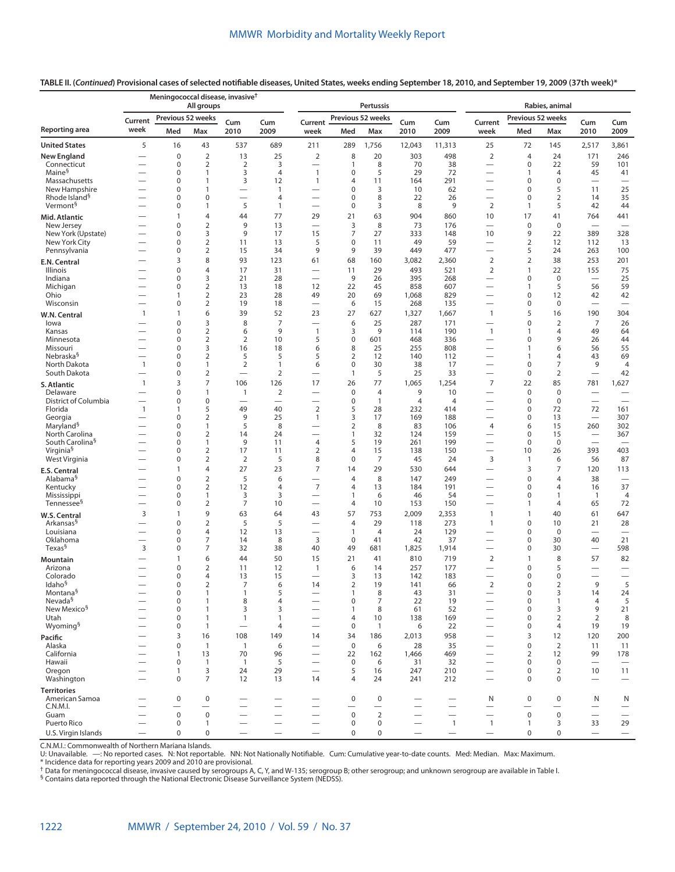**TABLE II. (***Continued***) Provisional cases of selected notifiable diseases, United States, weeks ending September 18, 2010, and September 19, 2009 (37th week)\***

|                                            |                               | Meningococcal disease, invasive <sup>†</sup> | All groups          |                                  |                          |                                                             |                     | <b>Pertussis</b>  |                   |                          | Rabies, animal                                       |                                         |                                         |                                        |                                                      |  |
|--------------------------------------------|-------------------------------|----------------------------------------------|---------------------|----------------------------------|--------------------------|-------------------------------------------------------------|---------------------|-------------------|-------------------|--------------------------|------------------------------------------------------|-----------------------------------------|-----------------------------------------|----------------------------------------|------------------------------------------------------|--|
|                                            | Current                       | Previous 52 weeks                            |                     |                                  | Cum                      | Current                                                     |                     | Previous 52 weeks |                   |                          | Current                                              | Previous 52 weeks                       |                                         |                                        |                                                      |  |
| Reporting area                             | week                          | Med                                          | Max                 | Cum<br>2010                      | 2009                     | week                                                        | Med                 | Max               | Cum<br>2010       | Cum<br>2009              | week                                                 | Med                                     | Max                                     | Cum<br>2010                            | Cum<br>2009                                          |  |
| <b>United States</b>                       | 5                             | 16                                           | 43                  | 537                              | 689                      | 211                                                         | 289                 | 1,756             | 12,043            | 11,313                   | 25                                                   | 72                                      | 145                                     | 2,517                                  | 3,861                                                |  |
| <b>New England</b>                         | $\overline{\phantom{0}}$      | $\mathbf 0$                                  | $\overline{2}$      | 13                               | 25                       | $\overline{2}$                                              | 8                   | 20                | 303               | 498                      | 2                                                    | $\overline{4}$                          | 24                                      | 171                                    | 246                                                  |  |
| Connecticut                                |                               | $\mathbf 0$                                  | $\overline{2}$      | $\overline{2}$                   | 3                        |                                                             | $\mathbf{1}$        | 8                 | 70                | 38                       |                                                      | $\mathbf 0$                             | 22                                      | 59                                     | 101                                                  |  |
| Maine <sup>§</sup>                         |                               | 0                                            | 1                   | 3                                | $\overline{4}$           | $\mathbf{1}$                                                | 0                   | 5                 | 29                | 72                       | -                                                    | $\mathbf{1}$                            | $\overline{4}$                          | 45                                     | 41                                                   |  |
| Massachusetts<br>New Hampshire             |                               | $\mathbf 0$<br>$\mathbf 0$                   | 1<br>1              | 3                                | 12<br>$\mathbf{1}$       | $\mathbf{1}$                                                | 4<br>0              | 11<br>3           | 164<br>10         | 291<br>62                | $\overline{\phantom{0}}$<br>$\overline{\phantom{0}}$ | $\mathbf 0$<br>$\mathbf 0$              | $\boldsymbol{0}$<br>5                   | $\overline{\phantom{0}}$<br>11         | 25                                                   |  |
| Rhode Island <sup>§</sup>                  |                               | $\mathbf 0$                                  | 0                   | $\overline{\phantom{0}}$         | $\overline{4}$           | -                                                           | $\pmb{0}$           | 8                 | 22                | 26                       |                                                      | $\mathbf 0$                             | $\overline{2}$                          | 14                                     | 35                                                   |  |
| Vermont <sup>§</sup>                       |                               | 0                                            | 1                   | 5                                | $\mathbf{1}$             | $\overline{\phantom{0}}$                                    | $\pmb{0}$           | 3                 | 8                 | 9                        | 2                                                    | $\mathbf{1}$                            | 5                                       | 42                                     | 44                                                   |  |
| Mid. Atlantic                              |                               | $\mathbf{1}$                                 | 4                   | 44                               | 77                       | 29                                                          | 21                  | 63                | 904               | 860                      | 10                                                   | 17                                      | 41                                      | 764                                    | 441                                                  |  |
| New Jersey                                 |                               | $\mathbf 0$                                  | $\overline{2}$      | 9                                | 13                       | $\overline{\phantom{0}}$                                    | 3                   | 8                 | 73                | 176                      |                                                      | $\mathbf 0$                             | $\mathbf 0$                             | $\overline{\phantom{0}}$               |                                                      |  |
| New York (Upstate)                         |                               | $\mathbf 0$                                  | 3                   | 9                                | 17                       | 15                                                          | 7                   | 27                | 333               | 148                      | 10                                                   | 9                                       | 22                                      | 389                                    | 328                                                  |  |
| New York City                              |                               | $\mathbf 0$                                  | $\overline{2}$      | 11                               | 13                       | 5                                                           | 0                   | 11                | 49                | 59                       |                                                      | $\overline{2}$                          | 12                                      | 112                                    | 13                                                   |  |
| Pennsylvania                               |                               | $\mathsf{O}\xspace$                          | $\overline{2}$      | 15                               | 34                       | 9                                                           | 9                   | 39                | 449               | 477                      |                                                      | 5                                       | 24                                      | 263                                    | 100                                                  |  |
| E.N. Central                               |                               | 3                                            | 8                   | 93                               | 123                      | 61                                                          | 68                  | 160               | 3,082             | 2,360                    | $\overline{2}$                                       | $\overline{2}$                          | 38                                      | 253                                    | 201                                                  |  |
| Illinois                                   |                               | $\mathbf 0$                                  | 4                   | 17                               | 31                       | $\overline{\phantom{0}}$                                    | 11                  | 29                | 493               | 521                      | $\overline{2}$                                       | $\mathbf{1}$                            | 22                                      | 155                                    | 75                                                   |  |
| Indiana<br>Michigan                        |                               | 0<br>$\mathbf 0$                             | 3<br>$\overline{2}$ | 21<br>13                         | 28<br>18                 | $\overline{\phantom{0}}$<br>12                              | 9<br>22             | 26<br>45          | 395<br>858        | 268<br>607               | $\overline{\phantom{0}}$                             | $\mathbf 0$<br>$\mathbf{1}$             | $\mathbf 0$<br>5                        | $\overline{\phantom{0}}$<br>56         | 25<br>59                                             |  |
| Ohio                                       |                               | $\mathbf{1}$                                 | $\overline{2}$      | 23                               | 28                       | 49                                                          | 20                  | 69                | 1,068             | 829                      | $\overline{\phantom{0}}$                             | $\mathbf 0$                             | 12                                      | 42                                     | 42                                                   |  |
| Wisconsin                                  |                               | $\mathbf 0$                                  | $\overline{2}$      | 19                               | 18                       | $\overline{\phantom{0}}$                                    | 6                   | 15                | 268               | 135                      |                                                      | $\mathbf 0$                             | 0                                       | $\overline{\phantom{0}}$               | $\overline{\phantom{0}}$                             |  |
| W.N. Central                               | $\mathbf{1}$                  | 1                                            | 6                   | 39                               | 52                       | 23                                                          | 27                  | 627               | 1,327             | 1,667                    | $\mathbf{1}$                                         | 5                                       | 16                                      | 190                                    | 304                                                  |  |
| lowa                                       |                               | $\mathbf 0$                                  | 3                   | 8                                | $\overline{7}$           | $\overline{\phantom{0}}$                                    | 6                   | 25                | 287               | 171                      | $\overline{\phantom{0}}$                             | $\mathbf 0$                             | $\overline{2}$                          | 7                                      | 26                                                   |  |
| Kansas                                     |                               | $\mathbf 0$                                  | $\overline{2}$      | 6                                | 9                        | $\mathbf{1}$                                                | 3                   | 9                 | 114               | 190                      | $\mathbf{1}$                                         | $\mathbf{1}$                            | $\overline{4}$                          | 49                                     | 64                                                   |  |
| Minnesota                                  |                               | $\mathbf 0$                                  | $\overline{2}$      | $\overline{2}$                   | 10                       | 5                                                           | 0                   | 601               | 468               | 336                      |                                                      | $\mathbf 0$                             | 9                                       | 26                                     | 44                                                   |  |
| Missouri<br>Nebraska <sup>§</sup>          |                               | $\mathbf 0$<br>$\mathbf 0$                   | 3<br>$\overline{2}$ | 16<br>5                          | 18<br>5                  | 6<br>5                                                      | 8<br>$\overline{2}$ | 25<br>12          | 255<br>140        | 808                      |                                                      | $\overline{1}$<br>$\mathbf{1}$          | 6<br>$\overline{4}$                     | 56<br>43                               | 55<br>69                                             |  |
| North Dakota                               | $\mathbf{1}$                  | $\mathbf 0$                                  | $\mathbf{1}$        | $\overline{2}$                   | $\mathbf{1}$             | 6                                                           | 0                   | 30                | 38                | 112<br>17                | $\overline{\phantom{0}}$                             | $\mathbf 0$                             | $\overline{7}$                          | 9                                      | $\overline{4}$                                       |  |
| South Dakota                               | $\overline{\phantom{0}}$      | $\mathbf 0$                                  | $\overline{2}$      | $\overline{\phantom{0}}$         | $\overline{2}$           |                                                             | 1                   | 5                 | 25                | 33                       |                                                      | $\mathbf 0$                             | $\overline{2}$                          |                                        | 42                                                   |  |
| S. Atlantic                                | $\mathbf{1}$                  | 3                                            | $\overline{7}$      | 106                              | 126                      | 17                                                          | 26                  | 77                | 1,065             | 1,254                    | $\overline{7}$                                       | 22                                      | 85                                      | 781                                    | 1,627                                                |  |
| Delaware                                   |                               | $\mathbf 0$                                  | 1                   | 1                                | $\overline{2}$           | $\overline{\phantom{0}}$                                    | $\mathbf 0$         | $\overline{4}$    | 9                 | 10                       | $\overline{\phantom{0}}$                             | $\mathbf 0$                             | $\boldsymbol{0}$                        |                                        |                                                      |  |
| District of Columbia                       |                               | $\mathbf 0$                                  | 0                   | $\overline{\phantom{0}}$         | $\overline{\phantom{0}}$ | $\overline{\phantom{0}}$                                    | $\pmb{0}$           | $\overline{1}$    | $\overline{4}$    | $\overline{4}$           | $\overline{\phantom{0}}$                             | $\mathbf 0$                             | $\mathbf 0$                             | $\overline{\phantom{0}}$               | $\overline{\phantom{0}}$                             |  |
| Florida                                    | $\mathbf{1}$                  | $\mathbf{1}$                                 | 5                   | 49                               | 40                       | $\overline{2}$                                              | 5                   | 28                | 232               | 414                      | $\overline{\phantom{0}}$                             | $\mathbf 0$                             | 72                                      | 72                                     | 161                                                  |  |
| Georgia                                    |                               | $\mathbf 0$                                  | $\overline{2}$      | 9                                | 25                       | $\mathbf{1}$                                                | 3                   | 17                | 169               | 188                      | $\overline{\phantom{0}}$                             | $\mathbf 0$                             | 13                                      | $\overbrace{\phantom{12322111}}$       | 307                                                  |  |
| Maryland <sup>§</sup><br>North Carolina    | $\overline{\phantom{0}}$      | $\mathbf 0$<br>$\mathbf 0$                   | 1<br>$\overline{2}$ | 5<br>14                          | 8<br>24                  | —<br>$\overline{\phantom{0}}$                               | $\overline{2}$<br>1 | 8<br>32           | 83<br>124         | 106<br>159               | $\overline{4}$                                       | 6<br>$\mathbf 0$                        | 15<br>15                                | 260<br>$\overline{\phantom{0}}$        | 302<br>367                                           |  |
| South Carolina <sup>§</sup>                |                               | $\mathbf 0$                                  | 1                   | 9                                | 11                       | $\overline{4}$                                              | 5                   | 19                | 261               | 199                      | $\overline{\phantom{0}}$                             | $\mathbf 0$                             | $\mathbf 0$                             | $\overline{\phantom{0}}$               |                                                      |  |
| Virginia <sup>§</sup>                      | $\overline{\phantom{0}}$      | 0                                            | $\overline{2}$      | 17                               | 11                       | $\overline{2}$                                              | 4                   | 15                | 138               | 150                      |                                                      | 10                                      | 26                                      | 393                                    | 403                                                  |  |
| West Virginia                              |                               | 0                                            | $\overline{2}$      | $\overline{2}$                   | 5                        | 8                                                           | 0                   | $\overline{7}$    | 45                | 24                       | 3                                                    | $\mathbf{1}$                            | 6                                       | 56                                     | 87                                                   |  |
| <b>E.S. Central</b>                        |                               | $\mathbf{1}$                                 | 4                   | 27                               | 23                       | $\overline{7}$                                              | 14                  | 29                | 530               | 644                      | $\overline{\phantom{0}}$                             | 3                                       | $\overline{7}$                          | 120                                    | 113                                                  |  |
| Alabama <sup>§</sup>                       |                               | $\mathbf 0$                                  | $\overline{2}$      | 5                                | 6                        | $\overline{\phantom{0}}$                                    | 4                   | 8                 | 147               | 249                      | $\overline{\phantom{0}}$                             | $\mathbf 0$                             | $\overline{4}$                          | 38                                     |                                                      |  |
| Kentucky                                   |                               | $\mathbf 0$                                  | $\mathbf 2$         | 12                               | $\overline{4}$           | $\overline{7}$                                              | 4                   | 13                | 184               | 191                      | $\overline{\phantom{0}}$                             | $\mathbf 0$                             | 4                                       | 16                                     | 37                                                   |  |
| Mississippi<br>Tennessee <sup>§</sup>      | $\overline{\phantom{0}}$      | $\mathbf 0$<br>$\mathbf 0$                   | 1<br>$\overline{2}$ | 3<br>7                           | 3<br>10                  | $\overline{\phantom{0}}$                                    | 1<br>4              | 6<br>10           | 46<br>153         | 54<br>150                | $\overline{\phantom{0}}$                             | $\mathbf 0$<br>$\mathbf{1}$             | $\mathbf{1}$<br>$\overline{4}$          | $\mathbf{1}$<br>65                     | $\overline{4}$<br>72                                 |  |
|                                            |                               | $\mathbf{1}$                                 | 9                   |                                  | 64                       |                                                             |                     |                   |                   |                          |                                                      | $\mathbf{1}$                            |                                         |                                        |                                                      |  |
| W.S. Central<br>Arkansas <sup>§</sup>      | 3<br>$\overline{\phantom{0}}$ | $\mathbf 0$                                  | $\overline{2}$      | 63<br>5                          | 5                        | 43<br>—                                                     | 57<br>4             | 753<br>29         | 2,009<br>118      | 2,353<br>273             | $\mathbf{1}$<br>$\mathbf{1}$                         | $\mathbf{0}$                            | 40<br>10                                | 61<br>21                               | 647<br>28                                            |  |
| Louisiana                                  |                               | $\mathbf 0$                                  | 4                   | 12                               | 13                       | —                                                           | 1                   | $\overline{4}$    | 24                | 129                      |                                                      | $\mathbf{0}$                            | $\mathbf 0$                             | $\overline{\phantom{0}}$               | $\overline{\phantom{m}}$                             |  |
| Oklahoma                                   | $\overline{\phantom{0}}$      | $\mathbf 0$                                  | $\overline{7}$      | 14                               | 8                        | 3                                                           | $\mathbf 0$         | 41                | 42                | 37                       | $\overline{\phantom{0}}$                             | $\mathbf 0$                             | 30                                      | 40                                     | 21                                                   |  |
| Texas <sup>§</sup>                         | 3                             | 0                                            | 7                   | 32                               | 38                       | 40                                                          | 49                  | 681               | 1,825             | 1,914                    |                                                      | $\mathbf 0$                             | 30                                      |                                        | 598                                                  |  |
| Mountain                                   |                               | 1                                            | 6                   | 44                               | 50                       | 15                                                          | 21                  | 41                | 810               | 719                      | $\overline{2}$                                       | $\mathbf{1}$                            | 8                                       | 57                                     | 82                                                   |  |
| Arizona                                    |                               | $\mathbf 0$                                  | $\overline{2}$      | 11                               | 12                       | $\mathbf{1}$                                                | 6                   | 14                | 257               | 177                      |                                                      | $\mathbf 0$                             | 5                                       | -                                      | —                                                    |  |
| Colorado                                   | $\overline{\phantom{0}}$      | $\mathbf 0$                                  | 4                   | 13                               | 15                       | $\overline{\phantom{0}}$                                    | 3                   | 13                | 142               | 183                      | $\overline{\phantom{0}}$                             | $\mathbf 0$                             | $\mathbf 0$                             | $\overline{\phantom{0}}$               | $\overline{\phantom{0}}$                             |  |
| Idaho <sup>§</sup><br>Montana <sup>§</sup> |                               | $\Omega$<br>$\mathbf 0$                      | $\overline{2}$<br>1 | 7<br>$\mathbf{1}$                | 6<br>5                   | 14                                                          | 2<br>$\mathbf{1}$   | 19<br>$\,8\,$     | 141<br>43         | 66<br>31                 | $\overline{2}$                                       | $\Omega$<br>$\pmb{0}$                   | $\overline{2}$<br>3                     | 9<br>14                                | 5<br>24                                              |  |
| Nevada <sup>§</sup>                        |                               | $\mathbf 0$                                  | $\mathbf{1}$        | 8                                | $\overline{4}$           |                                                             | $\pmb{0}$           | $\overline{7}$    | 22                | 19                       |                                                      | $\pmb{0}$                               | $\mathbf{1}$                            | $\overline{4}$                         | 5                                                    |  |
| New Mexico <sup>§</sup>                    |                               | 0                                            | 1                   | 3                                | 3                        | $\overline{\phantom{0}}$                                    | $\mathbf{1}$        | 8                 | 61                | 52                       | $\overline{\phantom{0}}$                             | $\mathbf 0$                             | 3                                       | 9                                      | 21                                                   |  |
| Utah                                       |                               | 0                                            | 1                   | $\mathbf{1}$                     | $\mathbf{1}$             | $\overline{\phantom{0}}$                                    | 4                   | 10                | 138               | 169                      |                                                      | $\mathbf 0$                             | 2                                       | 2                                      | 8                                                    |  |
| Wyoming <sup>§</sup>                       |                               | 0                                            | $\mathbf{1}$        | $\overbrace{\phantom{12322111}}$ | 4                        | $\overline{\phantom{0}}$                                    | 0                   | $\overline{1}$    | 6                 | 22                       | $\overline{\phantom{0}}$                             | $\mathbf 0$                             | 4                                       | 19                                     | 19                                                   |  |
| Pacific                                    |                               | 3                                            | 16                  | 108                              | 149                      | 14                                                          | 34                  | 186               | 2,013             | 958                      | $\overline{\phantom{0}}$                             | $\overline{3}$                          | 12                                      | 120                                    | 200                                                  |  |
| Alaska                                     |                               | $\mathbf 0$                                  | $\mathbf{1}$        | $\overline{1}$                   | 6                        |                                                             | $\pmb{0}$           | 6                 | 28                | 35                       |                                                      | $\pmb{0}$                               | 2                                       | 11                                     | 11                                                   |  |
| California                                 |                               | 1                                            | 13                  | 70                               | 96                       | $\overline{\phantom{0}}$                                    | 22                  | 162               | 1,466             | 469                      | $\overline{\phantom{0}}$                             | $\sqrt{2}$<br>$\mathbf 0$               | 12                                      | 99                                     | 178                                                  |  |
| Hawaii<br>Oregon                           | $\overline{\phantom{0}}$      | $\mathbf 0$<br>$\mathbf{1}$                  | 1<br>3              | $\overline{1}$<br>24             | 5<br>29                  | $\overline{\phantom{0}}$<br>$\overbrace{\phantom{1232211}}$ | $\mathbf 0$<br>5    | 6<br>16           | 31<br>247         | 32<br>210                | $\overline{\phantom{0}}$<br>$\qquad \qquad -$        | $\mathbf 0$                             | $\mathbf 0$<br>$\overline{2}$           | $\overbrace{\phantom{12322111}}$<br>10 | $\overbrace{\phantom{1232211}}$<br>11                |  |
| Washington                                 |                               | $\mathbf 0$                                  | $\overline{7}$      | 12                               | 13                       | 14                                                          | $\overline{4}$      | 24                | 241               | 212                      | $\overline{\phantom{0}}$                             | $\mathbf 0$                             | $\Omega$                                | $\overline{\phantom{0}}$               | $\overbrace{\phantom{12322111}}$                     |  |
| <b>Territories</b>                         |                               |                                              |                     |                                  |                          |                                                             |                     |                   |                   |                          |                                                      |                                         |                                         |                                        |                                                      |  |
| American Samoa                             |                               | $\mathsf 0$                                  | $\pmb{0}$           |                                  | $\overline{\phantom{0}}$ |                                                             | $\mathbf 0$         | $\mathbf 0$       |                   | $\overline{\phantom{0}}$ | N                                                    | $\mathbf 0$                             | $\mathbf 0$                             | N                                      | N                                                    |  |
| C.N.M.I.<br>Guam                           | $\overline{\phantom{0}}$      | $\mathbf 0$                                  | $\mathsf 0$         |                                  | $\overline{\phantom{0}}$ |                                                             | $\mathbf 0$         | $\overline{2}$    | $\qquad \qquad -$ | $\qquad \qquad -$        | $\overline{\phantom{0}}$<br>$\qquad \qquad$          | $\overline{\phantom{0}}$<br>$\mathsf 0$ | $\overline{\phantom{0}}$<br>$\mathsf 0$ |                                        | $\overline{\phantom{m}}$<br>$\overline{\phantom{m}}$ |  |
| Puerto Rico                                |                               | $\mathbf 0$                                  | $\mathbf{1}$        |                                  | $\overline{\phantom{0}}$ |                                                             | $\mathbf 0$         | $\mathbf 0$       | $\qquad \qquad -$ | $\mathbf{1}$             | $\mathbf{1}$                                         | $\mathbf{1}$                            | 3                                       | 33                                     | 29                                                   |  |
| U.S. Virgin Islands                        |                               | $\mathbf 0$                                  | $\mathbf 0$         |                                  | $\overline{\phantom{0}}$ |                                                             | $\mathbf 0$         | 0                 |                   |                          | $\overline{\phantom{m}}$                             | $\mathbf 0$                             | $\mathbf 0$                             |                                        |                                                      |  |

C.N.M.I.: Commonwealth of Northern Mariana Islands.<br>U: Unavailable. —: No reported cases. N: Not reportable. NN: Not Nationally Notifiable. Cum: Cumulative year-to-date counts. Med: Median. Max: Maximum.<br>\* Unidence d

§ Contains data reported through the National Electronic Disease Surveillance System (NEDSS).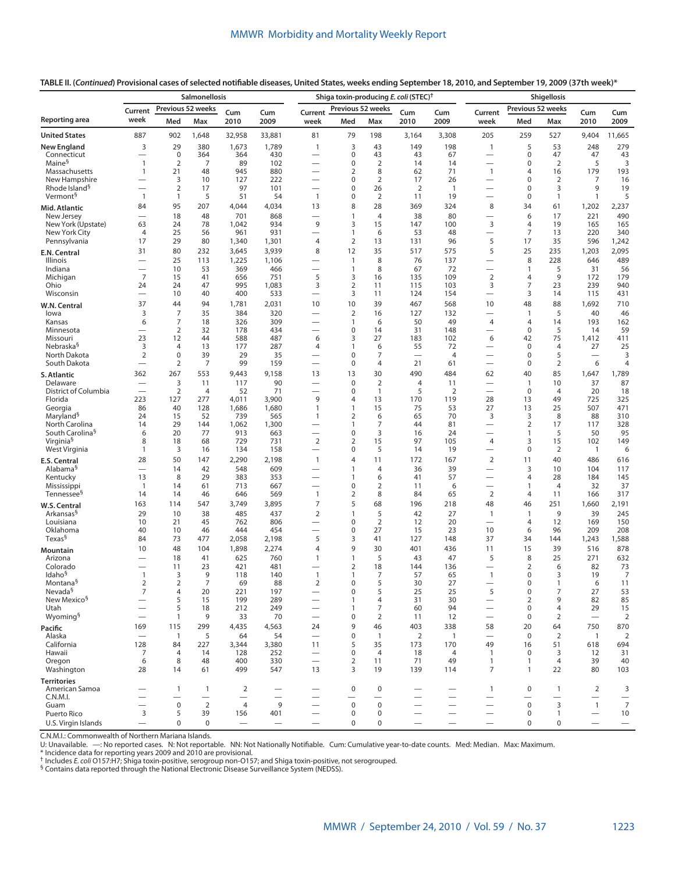**TABLE II. (***Continued***) Provisional cases of selected notifiable diseases, United States, weeks ending September 18, 2010, and September 19, 2009 (37th week)\***

|                                                   | Salmonellosis                            |                                |                       |                |                                                      |                                                      |                   |                      | Shiga toxin-producing E. coli (STEC) <sup>†</sup> |                                 | <b>Shigellosis</b>                 |                                       |                      |                                                    |                      |  |
|---------------------------------------------------|------------------------------------------|--------------------------------|-----------------------|----------------|------------------------------------------------------|------------------------------------------------------|-------------------|----------------------|---------------------------------------------------|---------------------------------|------------------------------------|---------------------------------------|----------------------|----------------------------------------------------|----------------------|--|
|                                                   | Previous 52 weeks<br>Current<br>Cum      |                                |                       | Cum            | Previous 52 weeks<br>Current<br>Cum<br>Cum           |                                                      |                   |                      | Previous 52 weeks<br>Current<br>Cum<br>Cum        |                                 |                                    |                                       |                      |                                                    |                      |  |
| Reporting area                                    | week                                     | Med                            | Max                   | 2010           | 2009                                                 | week                                                 | Med               | Max                  | 2010                                              | 2009                            | week                               | Med                                   | Max                  | 2010                                               | 2009                 |  |
| <b>United States</b>                              | 887                                      | 902                            | 1,648                 | 32,958         | 33,881                                               | 81                                                   | 79                | 198                  | 3,164                                             | 3,308                           | 205                                | 259                                   | 527                  | 9,404                                              | 11,665               |  |
| <b>New England</b>                                | 3                                        | 29                             | 380                   | 1,673          | 1,789                                                | $\mathbf{1}$                                         | 3                 | 43                   | 149                                               | 198                             | $\mathbf{1}$                       | 5                                     | 53                   | 248                                                | 279                  |  |
| Connecticut<br>Maine <sup>§</sup>                 | $\overline{\phantom{0}}$<br>$\mathbf{1}$ | $\mathbf 0$<br>$\overline{2}$  | 364<br>7              | 364<br>89      | 430<br>102                                           |                                                      | 0<br>0            | 43<br>$\overline{2}$ | 43<br>14                                          | 67<br>14                        | —                                  | $\mathbf 0$<br>$\mathbf 0$            | 47<br>2              | 47<br>5                                            | 43<br>3              |  |
| Massachusetts                                     | 1                                        | 21                             | 48                    | 945            | 880                                                  |                                                      | 2                 | 8                    | 62                                                | 71                              | $\mathbf{1}$                       | $\overline{4}$                        | 16                   | 179                                                | 193                  |  |
| New Hampshire                                     |                                          | 3                              | 10                    | 127            | 222                                                  | $\overline{\phantom{0}}$                             | 0                 | $\overline{2}$       | 17                                                | 26                              | $\overline{\phantom{0}}$           | $\mathbf 0$                           | 2                    | 7                                                  | 16                   |  |
| Rhode Island <sup>9</sup><br>Vermont <sup>§</sup> | $\mathbf{1}$                             | $\overline{2}$<br>$\mathbf{1}$ | 17<br>5               | 97<br>51       | 101<br>54                                            | $\mathbf{1}$                                         | 0<br>0            | 26<br>$\overline{2}$ | 2<br>11                                           | $\overline{1}$<br>19            | —                                  | $\mathbf 0$<br>$\mathbf 0$            | 3<br>$\mathbf{1}$    | 9<br>$\mathbf{1}$                                  | 19<br>5              |  |
| Mid. Atlantic                                     | 84                                       | 95                             | 207                   | 4,044          | 4,034                                                | 13                                                   | 8                 | 28                   | 369                                               | 324                             | 8                                  | 34                                    | 61                   | 1,202                                              | 2,237                |  |
| New Jersey                                        |                                          | 18                             | 48                    | 701            | 868                                                  |                                                      | 1                 | $\overline{4}$       | 38                                                | 80                              |                                    | 6                                     | 17                   | 221                                                | 490                  |  |
| New York (Upstate)                                | 63                                       | 24                             | 78                    | 1,042          | 934                                                  | 9                                                    | 3                 | 15                   | 147                                               | 100                             | 3                                  | $\overline{4}$                        | 19                   | 165                                                | 165                  |  |
| New York City                                     | $\overline{4}$                           | 25                             | 56                    | 961            | 931                                                  | $\overline{\phantom{0}}$                             | 1                 | 6                    | 53                                                | 48                              | $\overline{\phantom{0}}$           | 7                                     | 13                   | 220                                                | 340                  |  |
| Pennsylvania                                      | 17                                       | 29<br>80                       | 80<br>232             | 1,340<br>3,645 | 1,301<br>3,939                                       | 4<br>8                                               | 2<br>12           | 13<br>35             | 131<br>517                                        | 96<br>575                       | 5<br>5                             | 17                                    | 35<br>235            | 596                                                | 1,242<br>2,095       |  |
| E.N. Central<br>Illinois                          | 31<br>$\overline{\phantom{0}}$           | 25                             | 113                   | 1,225          | 1,106                                                |                                                      | $\overline{1}$    | 8                    | 76                                                | 137                             | $\overline{\phantom{0}}$           | 25<br>8                               | 228                  | 1,203<br>646                                       | 489                  |  |
| Indiana                                           |                                          | 10                             | 53                    | 369            | 466                                                  | $\overline{\phantom{0}}$                             | 1                 | 8                    | 67                                                | 72                              | —                                  | $\mathbf{1}$                          | 5                    | 31                                                 | 56                   |  |
| Michigan                                          | $\overline{7}$                           | 15                             | 41                    | 656            | 751                                                  | 5                                                    | 3                 | 16                   | 135                                               | 109                             | $\overline{2}$                     | $\overline{4}$                        | 9                    | 172                                                | 179                  |  |
| Ohio<br>Wisconsin                                 | 24<br>$\overline{\phantom{0}}$           | 24<br>10                       | 47<br>40              | 995<br>400     | 1,083<br>533                                         | 3<br>$\overline{\phantom{0}}$                        | 2<br>3            | 11<br>11             | 115<br>124                                        | 103<br>154                      | 3<br>$\overline{\phantom{0}}$      | 7<br>3                                | 23<br>14             | 239<br>115                                         | 940                  |  |
|                                                   | 37                                       | 44                             | 94                    | 1,781          | 2,031                                                | 10                                                   | 10                | 39                   | 467                                               | 568                             | 10                                 | 48                                    | 88                   | 1,692                                              | 431<br>710           |  |
| W.N. Central<br>lowa                              | 3                                        | $\overline{7}$                 | 35                    | 384            | 320                                                  |                                                      | $\overline{2}$    | 16                   | 127                                               | 132                             |                                    | $\overline{1}$                        | 5                    | 40                                                 | 46                   |  |
| Kansas                                            | 6                                        | 7                              | 18                    | 326            | 309                                                  | -                                                    | 1                 | 6                    | 50                                                | 49                              | $\overline{4}$                     | $\overline{4}$                        | 14                   | 193                                                | 162                  |  |
| Minnesota                                         |                                          | 2                              | 32                    | 178            | 434                                                  | $\overline{\phantom{0}}$                             | 0                 | 14                   | 31                                                | 148                             | $\overline{\phantom{0}}$           | 0                                     | 5                    | 14                                                 | 59                   |  |
| Missouri<br>Nebraska <sup>§</sup>                 | 23<br>3                                  | 12<br>$\overline{4}$           | 44<br>13              | 588<br>177     | 487<br>287                                           | 6<br>4                                               | 3<br>1            | 27<br>6              | 183<br>55                                         | 102<br>72                       | 6<br>$\overline{\phantom{0}}$      | 42<br>$\mathbf 0$                     | 75<br>$\overline{4}$ | 1,412<br>27                                        | 411<br>25            |  |
| North Dakota                                      | $\overline{2}$                           | $\boldsymbol{0}$               | 39                    | 29             | 35                                                   |                                                      | 0                 | 7                    | $\overline{\phantom{0}}$                          | $\overline{4}$                  | -                                  | $\mathbf 0$                           | 5                    | $\overline{\phantom{0}}$                           | 3                    |  |
| South Dakota                                      | $\overline{\phantom{0}}$                 | 2                              | 7                     | 99             | 159                                                  | $\overline{\phantom{0}}$                             | 0                 | $\overline{4}$       | 21                                                | 61                              | $\overline{\phantom{0}}$           | $\mathbf 0$                           | $\overline{2}$       | 6                                                  | 4                    |  |
| S. Atlantic                                       | 362                                      | 267                            | 553                   | 9,443          | 9,158                                                | 13                                                   | 13                | 30                   | 490                                               | 484                             | 62                                 | 40                                    | 85                   | 1,647                                              | 1,789                |  |
| Delaware                                          |                                          | 3                              | 11                    | 117            | 90                                                   |                                                      | 0                 | $\overline{2}$       | $\overline{4}$                                    | 11                              |                                    | $\overline{1}$                        | 10                   | 37                                                 | 87                   |  |
| District of Columbia<br>Florida                   | 223                                      | $\overline{2}$<br>127          | $\overline{4}$<br>277 | 52<br>4,011    | 71<br>3,900                                          | $\overline{\phantom{0}}$<br>9                        | 0<br>4            | $\mathbf{1}$<br>13   | 5<br>170                                          | 2<br>119                        | $\overline{\phantom{0}}$<br>28     | $\mathbf 0$<br>13                     | $\overline{4}$<br>49 | 20<br>725                                          | 18<br>325            |  |
| Georgia                                           | 86                                       | 40                             | 128                   | 1,686          | 1,680                                                | $\mathbf{1}$                                         | 1                 | 15                   | 75                                                | 53                              | 27                                 | 13                                    | 25                   | 507                                                | 471                  |  |
| Maryland <sup>§</sup>                             | 24                                       | 15                             | 52                    | 739            | 565                                                  | $\mathbf{1}$                                         | 2                 | 6                    | 65                                                | 70                              | 3                                  | 3                                     | 8                    | 88                                                 | 310                  |  |
| North Carolina<br>South Carolina <sup>§</sup>     | 14<br>6                                  | 29<br>20                       | 144<br>77             | 1,062<br>913   | 1,300<br>663                                         | $\overline{\phantom{0}}$                             | $\mathbf{1}$<br>0 | 7<br>3               | 44<br>16                                          | 81<br>24                        |                                    | 2<br>$\mathbf{1}$                     | 17<br>5              | 117<br>50                                          | 328<br>95            |  |
| Virginia <sup>§</sup>                             | 8                                        | 18                             | 68                    | 729            | 731                                                  | $\overline{2}$                                       | 2                 | 15                   | 97                                                | 105                             | 4                                  | 3                                     | 15                   | 102                                                | 149                  |  |
| West Virginia                                     | 1                                        | 3                              | 16                    | 134            | 158                                                  | $\overline{\phantom{0}}$                             | 0                 | 5                    | 14                                                | 19                              |                                    | 0                                     | 2                    | $\overline{1}$                                     | 6                    |  |
| E.S. Central                                      | 28                                       | 50                             | 147                   | 2,290          | 2,198                                                | $\mathbf{1}$                                         | 4                 | 11                   | 172                                               | 167                             | $\overline{2}$                     | 11                                    | 40                   | 486                                                | 616                  |  |
| Alabama <sup>§</sup>                              |                                          | 14                             | 42                    | 548            | 609                                                  |                                                      | 1                 | 4                    | 36                                                | 39                              |                                    | 3                                     | 10                   | 104                                                | 117                  |  |
| Kentucky<br>Mississippi                           | 13<br>1                                  | 8<br>14                        | 29<br>61              | 383<br>713     | 353<br>667                                           | $\overline{\phantom{0}}$                             | $\mathbf{1}$<br>0 | 6<br>2               | 41<br>11                                          | 57<br>6                         | $\overline{\phantom{0}}$           | $\overline{4}$<br>$\mathbf{1}$        | 28<br>4              | 184<br>32                                          | 145<br>37            |  |
| Tennessee <sup>§</sup>                            | 14                                       | 14                             | 46                    | 646            | 569                                                  | $\mathbf{1}$                                         | 2                 | 8                    | 84                                                | 65                              | $\overline{2}$                     | $\overline{4}$                        | 11                   | 166                                                | 317                  |  |
| W.S. Central                                      | 163                                      | 114                            | 547                   | 3,749          | 3,895                                                | 7                                                    | 5                 | 68                   | 196                                               | 218                             | 48                                 | 46                                    | 251                  | 1,660                                              | 2,191                |  |
| Arkansas <sup>§</sup>                             | 29                                       | 10                             | 38                    | 485            | 437                                                  | $\overline{2}$                                       | $\mathbf{1}$      | 5                    | 42                                                | 27                              | $\mathbf{1}$                       | $\mathbf{1}$                          | 9                    | 39                                                 | 245                  |  |
| Louisiana<br>Oklahoma                             | 10<br>40                                 | 21<br>10                       | 45<br>46              | 762<br>444     | 806<br>454                                           | $\overline{\phantom{0}}$<br>$\overline{\phantom{0}}$ | 0<br>0            | $\overline{2}$<br>27 | 12<br>15                                          | 20<br>23                        | $\overline{\phantom{0}}$<br>10     | 4<br>6                                | 12<br>96             | 169<br>209                                         | 150<br>208           |  |
| Texas <sup>§</sup>                                | 84                                       | 73                             | 477                   | 2,058          | 2,198                                                | 5                                                    | 3                 | 41                   | 127                                               | 148                             | 37                                 | 34                                    | 144                  | 1,243                                              | 1,588                |  |
| <b>Mountain</b>                                   | 10                                       | 48                             | 104                   | 1,898          | 2,274                                                | $\overline{4}$                                       | 9                 | 30                   | 401                                               | 436                             | 11                                 | 15                                    | 39                   | 516                                                | 878                  |  |
| Arizona                                           |                                          | 18                             | 41                    | 625            | 760                                                  | $\mathbf{1}$                                         | $\mathbf{1}$      | 5                    | 43                                                | 47                              | 5                                  | 8                                     | 25                   | 271                                                | 632                  |  |
| Colorado<br>Idaho <sup>§</sup>                    | $\mathbf{1}$                             | 11<br>3                        | 23                    | 421            | 481                                                  |                                                      | 2<br>1            | 18<br>7              | 144                                               | 136                             | $\mathbf{1}$                       | 2<br>$\mathbf 0$                      | 6                    | 82                                                 | 73<br>7              |  |
| Montana <sup>§</sup>                              | 2                                        | 2                              | 9<br>7                | 118<br>69      | 140<br>88                                            | $\mathbf{1}$<br>2                                    | 0                 | 5                    | 57<br>30                                          | 65<br>27                        | -                                  | $\Omega$                              | 3<br>1               | 19<br>6                                            | 11                   |  |
| Nevada <sup>§</sup>                               | 7                                        | $\overline{4}$                 | 20                    | 221            | 197                                                  |                                                      | $\pmb{0}$         | 5                    | 25                                                | 25                              | 5                                  | $\pmb{0}$                             | $\overline{7}$       | 27                                                 | 53                   |  |
| New Mexico <sup>§</sup>                           |                                          | 5                              | 15                    | 199            | 289                                                  |                                                      | 1                 | 4                    | 31                                                | 30                              | $\overline{\phantom{0}}$           | $\overline{2}$                        | 9                    | 82                                                 | 85                   |  |
| Utah<br>Wyoming <sup>§</sup>                      |                                          | 5<br>$\mathbf{1}$              | 18<br>9               | 212<br>33      | 249<br>70                                            | $\overline{\phantom{0}}$                             | 1<br>0            | 7<br>$\overline{2}$  | 60<br>11                                          | 94<br>12                        | $\qquad \qquad$<br>$\qquad \qquad$ | $\mathbf 0$<br>$\mathbf 0$            | 4<br>2               | 29<br>$\overline{\phantom{0}}$                     | 15<br>$\overline{2}$ |  |
| Pacific                                           | 169                                      | 115                            | 299                   | 4,435          | 4,563                                                | 24                                                   | 9                 | 46                   | 403                                               | 338                             | 58                                 | 20                                    | 64                   | 750                                                | 870                  |  |
| Alaska                                            |                                          | $\mathbf{1}$                   | 5                     | 64             | 54                                                   | $\overbrace{\phantom{1232211}}$                      | 0                 | $\overline{1}$       | 2                                                 | $\mathbf{1}$                    | $\overline{\phantom{m}}$           | $\mathbf 0$                           | 2                    | $\mathbf{1}$                                       | $\overline{2}$       |  |
| California                                        | 128                                      | 84                             | 227                   | 3,344          | 3,380                                                | 11                                                   | 5                 | 35                   | 173                                               | 170                             | 49                                 | 16                                    | 51                   | 618                                                | 694                  |  |
| Hawaii<br>Oregon                                  | 7<br>6                                   | 4<br>8                         | 14<br>48              | 128<br>400     | 252<br>330                                           |                                                      | 0<br>2            | $\overline{4}$<br>11 | 18<br>71                                          | 4<br>49                         | $\mathbf{1}$<br>$\mathbf{1}$       | $\mathbf 0$<br>$\mathbf{1}$           | 3<br>4               | 12<br>39                                           | 31<br>40             |  |
| Washington                                        | 28                                       | 14                             | 61                    | 499            | 547                                                  | 13                                                   | 3                 | 19                   | 139                                               | 114                             | $\overline{7}$                     | $\overline{1}$                        | 22                   | 80                                                 | 103                  |  |
| <b>Territories</b>                                |                                          |                                |                       |                |                                                      |                                                      |                   |                      |                                                   |                                 |                                    |                                       |                      |                                                    |                      |  |
| American Samoa<br>C.N.M.I.                        |                                          | $\mathbf{1}$                   | $\mathbf{1}$          | 2<br>$\equiv$  | $\overline{\phantom{0}}$<br>$\overline{\phantom{0}}$ |                                                      | $\mathbf 0$       | $\mathbf 0$          |                                                   | $\overline{\phantom{0}}$        | $\mathbf{1}$                       | $\pmb{0}$<br>$\overline{\phantom{0}}$ | $\mathbf{1}$         | $\overline{2}$<br>$\overbrace{\phantom{12322111}}$ | 3<br>$\equiv$        |  |
| Guam                                              |                                          | $\boldsymbol{0}$               | $\overline{2}$        | $\overline{4}$ | 9                                                    | $\overline{\phantom{0}}$                             | $\mathsf 0$       | $\mathbf 0$          | $\overline{\phantom{0}}$                          | $\qquad \qquad -$               | $\overline{\phantom{0}}$           | $\pmb{0}$                             | 3                    | $\overline{1}$                                     | $\overline{7}$       |  |
| Puerto Rico                                       | 3                                        | 5                              | 39                    | 156            | 401                                                  | $\overbrace{\phantom{123221111}}$                    | 0                 | 0                    | $\qquad \qquad$                                   | $\overbrace{\phantom{1232211}}$ |                                    | 0                                     | $\mathbf{1}$         | $\overbrace{\phantom{12322111}}$                   | 10                   |  |
| U.S. Virgin Islands                               | $\overline{\phantom{0}}$                 | $\mathbf 0$                    | $\mathbf 0$           |                | $\overline{\phantom{0}}$                             |                                                      | $\mathbf 0$       | $\mathsf 0$          |                                                   | $\overline{\phantom{0}}$        |                                    | $\mathbf 0$                           | $\mathbf 0$          |                                                    |                      |  |

C.N.M.I.: Commonwealth of Northern Mariana Islands.<br>U: Unavailable. —: No reported cases. N: Not reportable. NN: Not Nationally Notifiable. Cum: Cumulative year-to-date counts. Med: Median. Max: Maximum.<br>\* Incid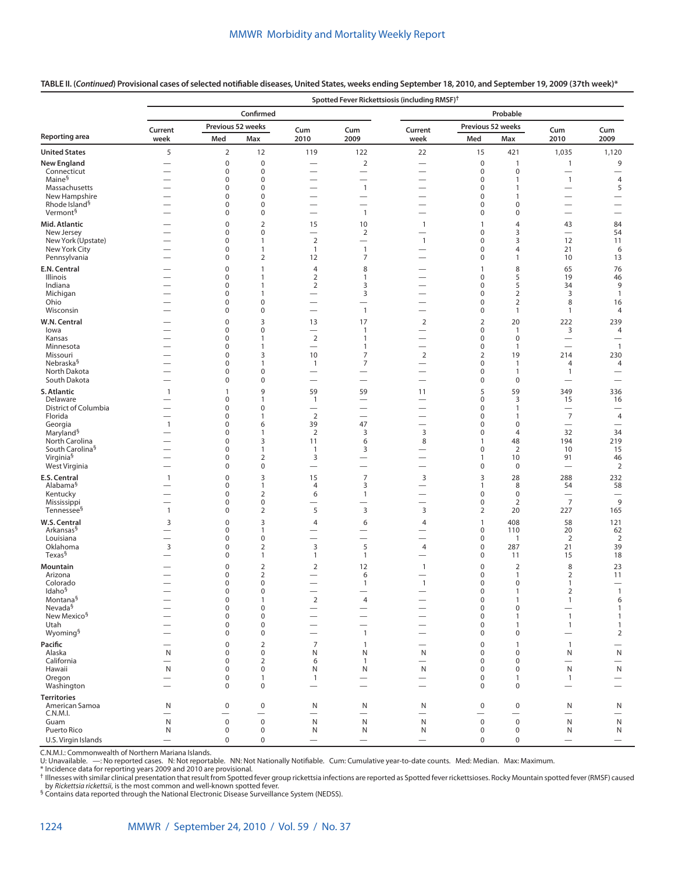|                                                    |                                                      |                            |                                         |                                            |                                          | Spotted Fever Rickettsiosis (including RMSF) <sup>†</sup> |                                         |                                       |                                            |                                          |
|----------------------------------------------------|------------------------------------------------------|----------------------------|-----------------------------------------|--------------------------------------------|------------------------------------------|-----------------------------------------------------------|-----------------------------------------|---------------------------------------|--------------------------------------------|------------------------------------------|
|                                                    |                                                      |                            | Confirmed                               |                                            |                                          |                                                           |                                         | Probable                              |                                            |                                          |
|                                                    | Current                                              |                            | Previous 52 weeks                       | Cum                                        | Cum                                      | Current                                                   | Previous 52 weeks                       |                                       | Cum                                        | Cum                                      |
| Reporting area                                     | week                                                 | Med                        | Max                                     | 2010                                       | 2009                                     | week                                                      | Med                                     | Max                                   | 2010                                       | 2009                                     |
| <b>United States</b>                               | 5                                                    | $\overline{2}$             | 12                                      | 119                                        | 122                                      | 22                                                        | 15                                      | 421                                   | 1,035                                      | 1,120                                    |
| <b>New England</b><br>Connecticut                  | $\overline{\phantom{0}}$                             | $\mathbf 0$<br>$\mathbf 0$ | $\pmb{0}$<br>$\mathbf 0$                | $\overline{\phantom{0}}$                   | $\sqrt{2}$<br>$\qquad \qquad -$          | $\overline{\phantom{0}}$                                  | $\mathbf 0$<br>$\mathbf 0$              | $\mathbf{1}$<br>$\mathbf 0$           | $\mathbf{1}$<br>$\qquad \qquad -$          | 9                                        |
| Maine <sup>§</sup>                                 | —                                                    | 0                          | $\pmb{0}$                               |                                            | $\overline{\phantom{0}}$                 |                                                           | $\mathbf 0$                             | $\mathbf{1}$                          | $\overline{1}$                             | $\overline{4}$                           |
| Massachusetts                                      |                                                      | 0                          | $\mathbf 0$                             |                                            | $\mathbf{1}$                             | $\overline{\phantom{0}}$                                  | $\mathbf 0$                             | $\mathbf{1}$                          |                                            | 5                                        |
| New Hampshire<br>Rhode Island <sup>§</sup>         | $\overline{\phantom{0}}$                             | 0<br>0                     | $\pmb{0}$<br>$\mathbf 0$                | $\overline{\phantom{0}}$                   |                                          |                                                           | 0<br>0                                  | $\mathbf{1}$<br>$\mathbf 0$           |                                            | $\overline{\phantom{0}}$                 |
| Vermont <sup>§</sup>                               |                                                      | 0                          | $\pmb{0}$                               |                                            | $\mathbf{1}$                             |                                                           | 0                                       | $\pmb{0}$                             | $\overline{\phantom{0}}$                   | $\overline{\phantom{0}}$                 |
| Mid. Atlantic                                      |                                                      | $\mathbf 0$                | $\overline{2}$                          | 15                                         | 10                                       | $\mathbf{1}$                                              | $\mathbf{1}$                            | 4                                     | 43                                         | 84                                       |
| New Jersey                                         |                                                      | 0                          | $\pmb{0}$                               | $\overline{\phantom{0}}$                   | $\overline{2}$                           |                                                           | $\mathbf 0$                             | 3                                     | $\overline{\phantom{0}}$                   | 54                                       |
| New York (Upstate)<br>New York City                | $\overline{\phantom{0}}$                             | 0<br>0                     | $\mathbf{1}$<br>1                       | $\mathbf 2$<br>$\mathbf{1}$                | $\overline{\phantom{0}}$<br>$\mathbf{1}$ | $\mathbf{1}$                                              | $\mathbf 0$<br>0                        | 3<br>4                                | 12<br>21                                   | 11<br>6                                  |
| Pennsylvania                                       |                                                      | 0                          | 2                                       | 12                                         | 7                                        | $\overline{\phantom{0}}$                                  | $\mathbf 0$                             | $\mathbf{1}$                          | 10                                         | 13                                       |
| E.N. Central                                       |                                                      | 0                          | $\mathbf{1}$                            | $\overline{4}$                             | 8                                        |                                                           | $\mathbf{1}$                            | 8                                     | 65                                         | 76                                       |
| Illinois                                           |                                                      | 0                          | $\mathbf{1}$                            | $\overline{2}$                             | 1                                        | $\overline{\phantom{0}}$                                  | $\mathbf 0$                             | 5                                     | 19                                         | 46                                       |
| Indiana<br>Michigan                                |                                                      | 0<br>0                     | 1<br>$\mathbf{1}$                       | $\overline{2}$                             | 3<br>$\mathsf 3$                         | $\overline{\phantom{0}}$<br>$\overline{\phantom{0}}$      | $\mathbf 0$<br>$\mathbf 0$              | 5<br>$\overline{2}$                   | 34<br>3                                    | 9<br>$\mathbf{1}$                        |
| Ohio                                               | $\overline{\phantom{0}}$                             | 0                          | $\pmb{0}$                               | $\overline{\phantom{0}}$                   | $\overline{\phantom{0}}$                 | $\overline{\phantom{0}}$                                  | 0                                       | $\overline{2}$                        | 8                                          | 16                                       |
| Wisconsin                                          |                                                      | 0                          | $\pmb{0}$                               | $\overline{\phantom{0}}$                   | $\mathbf{1}$                             |                                                           | $\mathbf 0$                             | $\mathbf{1}$                          | $\mathbf{1}$                               | 4                                        |
| W.N. Central                                       |                                                      | 0                          | 3                                       | 13                                         | 17                                       | 2                                                         | $\overline{2}$                          | 20                                    | 222                                        | 239                                      |
| lowa<br>Kansas                                     | —                                                    | 0<br>0                     | 0<br>1                                  | $\overline{\phantom{0}}$<br>$\overline{2}$ | $\mathbf{1}$<br>$\mathbf{1}$             | $\overline{\phantom{0}}$                                  | $\mathbf 0$<br>0                        | $\mathbf{1}$<br>$\pmb{0}$             | 3                                          | 4<br>$\overline{\phantom{0}}$            |
| Minnesota                                          |                                                      | 0                          | $\mathbf{1}$                            | $\overline{\phantom{0}}$                   | $\mathbf{1}$                             | $\overline{\phantom{0}}$                                  | $\mathbf 0$                             | $\mathbf{1}$                          | $\overline{\phantom{0}}$                   | $\mathbf{1}$                             |
| Missouri                                           |                                                      | 0                          | 3                                       | 10                                         | 7                                        | $\overline{2}$                                            | $\overline{2}$                          | 19                                    | 214                                        | 230                                      |
| Nebraska <sup>§</sup><br>North Dakota              | $\overline{\phantom{0}}$                             | 0<br>0                     | 1<br>$\pmb{0}$                          | $\mathbf{1}$<br>$\overline{\phantom{0}}$   | 7<br>$\overline{\phantom{0}}$            | $\overline{\phantom{0}}$                                  | $\mathbf 0$<br>0                        | $\mathbf{1}$<br>$\mathbf{1}$          | $\overline{4}$<br>$\mathbf{1}$             | 4<br>$\overline{\phantom{0}}$            |
| South Dakota                                       |                                                      | 0                          | $\pmb{0}$                               | $\overline{\phantom{0}}$                   | $\overline{\phantom{0}}$                 | $\overline{\phantom{0}}$                                  | 0                                       | $\boldsymbol{0}$                      |                                            | $\overline{\phantom{0}}$                 |
| S. Atlantic                                        | $\mathbf{1}$                                         | 1                          | 9                                       | 59                                         | 59                                       | 11                                                        | 5                                       | 59                                    | 349                                        | 336                                      |
| Delaware<br>District of Columbia                   |                                                      | 0                          | 1                                       | $\mathbf{1}$                               | -                                        | $\overline{\phantom{0}}$                                  | $\mathbf 0$                             | 3                                     | 15                                         | 16<br>$\overline{\phantom{0}}$           |
| Florida                                            | $\overline{\phantom{0}}$                             | 0<br>0                     | $\pmb{0}$<br>$\mathbf{1}$               | $\overline{2}$                             |                                          | $\overline{\phantom{0}}$<br>$\overline{\phantom{0}}$      | $\mathbf 0$<br>$\mathbf 0$              | $\mathbf{1}$<br>$\mathbf{1}$          | $\overline{\phantom{0}}$<br>$\overline{7}$ | $\overline{4}$                           |
| Georgia                                            | $\mathbf{1}$                                         | 0                          | 6                                       | 39                                         | 47                                       | $\overline{\phantom{0}}$                                  | 0                                       | $\mathbf 0$                           | $\overline{\phantom{0}}$                   | $\overline{\phantom{0}}$                 |
| Maryland <sup>§</sup>                              |                                                      | 0<br>0                     | $\mathbf{1}$<br>3                       | $\overline{2}$<br>11                       | 3                                        | 3                                                         | $\mathbf 0$<br>$\mathbf{1}$             | $\overline{4}$                        | 32<br>194                                  | 34<br>219                                |
| North Carolina<br>South Carolina <sup>§</sup>      | $\overline{\phantom{0}}$                             | 0                          | 1                                       | $\mathbf{1}$                               | 6<br>3                                   | 8<br>$\overline{\phantom{0}}$                             | $\mathbf 0$                             | 48<br>$\overline{2}$                  | 10                                         | 15                                       |
| Virginia <sup>§</sup>                              |                                                      | 0                          | $\overline{2}$                          | 3                                          | $\overline{\phantom{0}}$                 |                                                           | $\mathbf{1}$                            | 10                                    | 91                                         | 46                                       |
| West Virginia                                      |                                                      | 0                          | $\pmb{0}$                               | $\overline{\phantom{0}}$                   | $\overline{\phantom{0}}$                 |                                                           | $\mathbf 0$                             | $\boldsymbol{0}$                      | $\overline{\phantom{0}}$                   | $\overline{2}$                           |
| E.S. Central<br>Alabama <sup>§</sup>               | 1                                                    | $\pmb{0}$<br>0             | 3<br>1                                  | 15<br>$\overline{4}$                       | $\overline{7}$<br>3                      | 3                                                         | 3<br>$\overline{1}$                     | 28<br>8                               | 288<br>54                                  | 232<br>58                                |
| Kentucky                                           |                                                      | 0                          | $\overline{2}$                          | 6                                          | $\mathbf{1}$                             | $\overline{\phantom{0}}$                                  | $\mathbf 0$                             | $\boldsymbol{0}$                      |                                            | $\overline{\phantom{0}}$                 |
| Mississippi                                        | $\overline{\phantom{0}}$                             | 0                          | $\pmb{0}$                               | $\overline{\phantom{0}}$                   | -                                        | $\overline{\phantom{0}}$                                  | $\mathbf 0$                             | $\overline{2}$                        | $\overline{7}$                             | 9                                        |
| Tennessee <sup>§</sup>                             | $\mathbf{1}$                                         | 0                          | $\overline{2}$                          | 5                                          | 3                                        | 3                                                         | $\overline{2}$                          | 20                                    | 227                                        | 165                                      |
| W.S. Central<br>Arkansas <sup>§</sup>              | 3<br>$\overline{\phantom{0}}$                        | 0<br>0                     | 3<br>1                                  | $\overline{4}$                             | 6                                        | 4                                                         | $\mathbf{1}$<br>$\mathbf 0$             | 408<br>110                            | 58<br>20                                   | 121<br>62                                |
| Louisiana                                          | $\overline{\phantom{0}}$                             | 0                          | $\pmb{0}$                               |                                            | $\overline{\phantom{0}}$                 | $\overline{\phantom{0}}$                                  | $\mathbf 0$                             | $\overline{1}$                        | $\overline{2}$                             | $\overline{2}$                           |
| Oklahoma                                           | 3                                                    | 0                          | $\overline{2}$                          | 3                                          | 5                                        | 4                                                         | $\mathbf 0$                             | 287                                   | 21                                         | 39                                       |
| Texas <sup>§</sup>                                 | $\overline{\phantom{0}}$                             | 0                          | $\mathbf{1}$                            | $\mathbf{1}$                               | $\mathbf{1}$                             |                                                           | $\mathbf 0$                             | 11                                    | 15                                         | 18                                       |
| Mountain<br>Arizona                                |                                                      | 0<br>0                     | $\overline{2}$<br>$\overline{2}$        | $\overline{2}$<br>$\overline{\phantom{0}}$ | 12<br>6                                  | $\mathbf{1}$                                              | $\mathbf 0$<br>0                        | $\overline{2}$<br>$\mathbf{1}$        | 8<br>2                                     | 23<br>11                                 |
| Colorado                                           |                                                      | $\mathbf 0$                | $\pmb{0}$                               |                                            | $\mathbf{1}$                             | $\overline{1}$                                            | 0                                       | $\mathbf 0$                           | 1                                          | $\overline{\phantom{0}}$                 |
| <b>Idaho</b> <sup>3</sup><br>$\text{Montana}^{\S}$ | $\overline{\phantom{0}}$<br>$\overline{\phantom{0}}$ | U<br>0                     | 0<br>1                                  | -<br>$\mathbf 2$                           | $\overline{4}$                           |                                                           | 0<br>$\boldsymbol{0}$                   | $\mathbf{1}$                          | 2                                          |                                          |
| Nevada <sup>§</sup>                                |                                                      | 0                          | $\pmb{0}$                               | $\overline{\phantom{0}}$                   | $\overline{\phantom{0}}$                 | $\overline{\phantom{0}}$                                  | $\mathbf 0$                             | $\boldsymbol{0}$                      | $\mathbf{1}$<br>$\qquad \qquad$            | 6<br>$\mathbf{1}$                        |
| New Mexico <sup>§</sup>                            |                                                      | 0                          | $\pmb{0}$                               |                                            | $\overline{\phantom{0}}$                 |                                                           | $\boldsymbol{0}$                        | $\mathbf{1}$                          | $\overline{1}$                             | $\mathbf{1}$                             |
| Utah<br>Wyoming <sup>§</sup>                       |                                                      | 0<br>0                     | $\pmb{0}$<br>$\pmb{0}$                  | $\overline{\phantom{0}}$                   | $\overline{\phantom{0}}$<br>$\mathbf{1}$ |                                                           | $\boldsymbol{0}$<br>$\mathbf 0$         | $\mathbf{1}$<br>$\pmb{0}$             | $\mathbf{1}$<br>$\qquad \qquad$            | $\mathbf{1}$<br>$\overline{2}$           |
| Pacific                                            |                                                      | $\mathsf{O}\xspace$        | $\overline{2}$                          | 7                                          | $\mathbf{1}$                             |                                                           | $\mathbf 0$                             | $\mathbf{1}$                          | $\overline{1}$                             |                                          |
| Alaska                                             | $\mathsf{N}$                                         | 0                          | $\pmb{0}$                               | N                                          | N                                        | N                                                         | $\boldsymbol{0}$                        | $\mathbf 0$                           | N                                          | $\mathsf{N}$                             |
| California                                         |                                                      | 0                          | $\overline{2}$                          | 6                                          | $\mathbf{1}$                             | $\overline{\phantom{0}}$                                  | $\mathbf 0$                             | $\boldsymbol{0}$                      | $\overline{\phantom{0}}$                   | $\overline{\phantom{0}}$                 |
| Hawaii<br>Oregon                                   | N<br>$\overline{\phantom{0}}$                        | 0<br>$\mathbf 0$           | $\pmb{0}$<br>$\mathbf{1}$               | N<br>$\mathbf{1}$                          | N                                        | N<br>$\overline{\phantom{0}}$                             | $\boldsymbol{0}$<br>0                   | $\boldsymbol{0}$<br>$\mathbf{1}$      | $\mathsf{N}$<br>$\overline{1}$             | $\mathsf{N}$<br>$\overline{\phantom{0}}$ |
| Washington                                         |                                                      | $\mathbf 0$                | $\mathbf 0$                             | $\overline{\phantom{0}}$                   |                                          |                                                           | $\mathbf 0$                             | $\pmb{0}$                             | $\overline{\phantom{0}}$                   |                                          |
| <b>Territories</b>                                 |                                                      |                            |                                         |                                            |                                          |                                                           |                                         |                                       |                                            |                                          |
| American Samoa                                     | N                                                    | $\pmb{0}$                  | $\pmb{0}$                               | N                                          | N                                        | N                                                         | $\mathbf 0$                             | $\pmb{0}$                             | N                                          | N                                        |
| C.N.M.I.<br>Guam                                   | $\overline{\phantom{0}}$<br>N                        | $\mathsf 0$                | $\overline{\phantom{0}}$<br>$\mathbf 0$ | $\overline{\phantom{0}}$<br>$\mathsf{N}$   | $\overline{\phantom{0}}$<br>${\sf N}$    | $\overline{\phantom{0}}$<br>${\sf N}$                     | $\overline{\phantom{0}}$<br>$\mathsf 0$ | $\overline{\phantom{0}}$<br>$\pmb{0}$ | $\mathsf{N}$                               | $\overline{\phantom{0}}$<br>$\mathsf{N}$ |
| Puerto Rico                                        | N                                                    | $\mathbf 0$                | $\mathbf 0$                             | N                                          | N                                        | N                                                         | $\pmb{0}$                               | $\pmb{0}$                             | N                                          | N                                        |
| U.S. Virgin Islands                                |                                                      | $\pmb{0}$                  | $\pmb{0}$                               |                                            |                                          | $\qquad \qquad -$                                         | 0                                       | $\pmb{0}$                             | $\qquad \qquad -$                          |                                          |

**TABLE II. (***Continued***) Provisional cases of selected notifiable diseases, United States, weeks ending September 18, 2010, and September 19, 2009 (37th week)\***

C.N.M.I.: Commonwealth of Northern Mariana Islands.

U: Unavailable. —: No reported cases. N: Not reportable. NN: Not Nationally Notifiable. Cum: Cumulative year-to-date counts. Med: Median. Max: Maximum.

\* Incidence data for reporting years 2009 and 2010 are provisional.<br>† Illnesses with similar clinical presentation that result from Spotted fever group rickettsia infections are reported as Spotted fever rickettsioses. Roc

by *Rickettsia rickettsii*, is the most common and well-known spotted fever.<br><sup>§</sup> Contains data reported through the National Electronic Disease Surveillance System (NEDSS).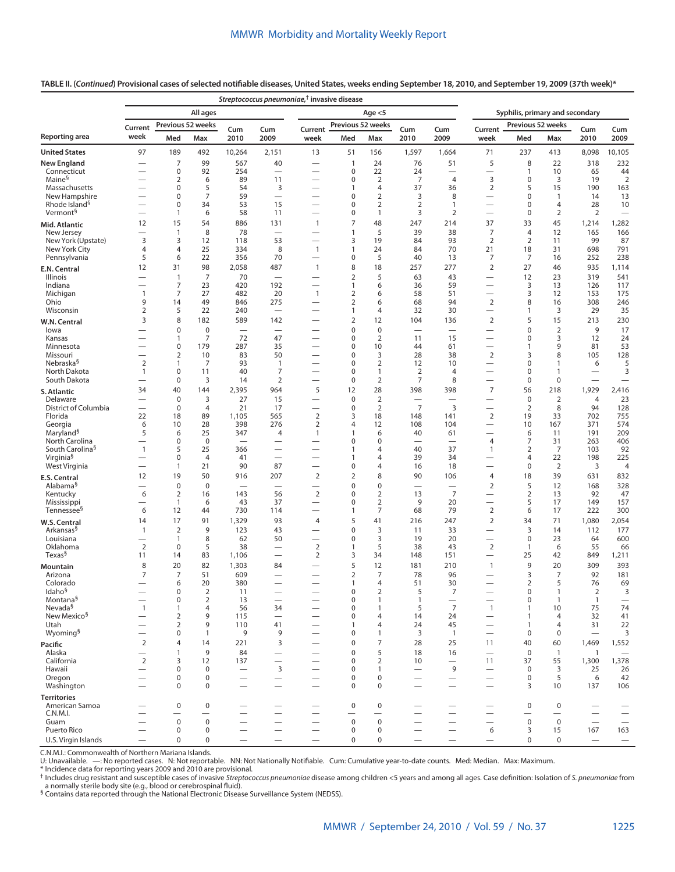## **TABLE II. (***Continued***) Provisional cases of selected notifiable diseases, United States, weeks ending September 18, 2010, and September 19, 2009 (37th week)\***

| Syphilis, primary and secondary<br>All ages<br>Age $<$ 5<br>Previous 52 weeks<br>Previous 52 weeks<br>Previous 52 weeks<br>Current<br>Cum<br>Current<br>Cum<br>Cum<br>Cum<br>Cum<br>Current<br>Cum<br>week<br>Med<br>Max<br>2010<br>2009<br>Med<br>Max<br>2010<br>2009<br>Med<br>2010<br>2009<br>week<br>week<br>Max<br>97<br>189<br>492<br>13<br>156<br>1,597<br>237<br>8,098<br>10,105<br>10,264<br>2,151<br>51<br>1,664<br>71<br>413<br>232<br>7<br>99<br>567<br>40<br>24<br>76<br>5<br>8<br>22<br>318<br>$\mathbf{1}$<br>51<br>$\pmb{0}$<br>92<br>22<br>24<br>10<br>44<br>Connecticut<br>254<br>0<br>$\mathbf{1}$<br>65<br>$\overline{\phantom{0}}$<br>$\overline{\phantom{0}}$<br>Maine <sup>§</sup><br>$\overline{2}$<br>89<br>$\pmb{0}$<br>$\overline{2}$<br>7<br>3<br>$\mathbf 0$<br>3<br>19<br>$\overline{2}$<br>6<br>11<br>$\overline{4}$<br>$\pmb{0}$<br>5<br>54<br>3<br>4<br>37<br>$\overline{2}$<br>5<br>15<br>190<br>163<br>Massachusetts<br>36<br>1<br>New Hampshire<br>7<br>59<br>0<br>$\overline{2}$<br>3<br>8<br>$\mathbf 0$<br>13<br>0<br>$\mathbf{1}$<br>14<br>—<br>Rhode Island <sup>§</sup><br>$\mathbf 0$<br>34<br>53<br>15<br>0<br>$\overline{2}$<br>$\overline{2}$<br>$\mathbf 0$<br>28<br>10<br>$\mathbf{1}$<br>4<br>$\overline{\phantom{0}}$<br>Vermont <sup>§</sup><br>58<br>0<br>3<br>2<br>$\mathbf 0$<br>$\overline{2}$<br>$\overline{2}$<br>1<br>6<br>11<br>1<br>$\overline{\phantom{0}}$<br>7<br>15<br>54<br>48<br>247<br>214<br>37<br>33<br>45<br>1,282<br>12<br>886<br>131<br>1,214<br>$\mathbf{1}$<br>Mid. Atlantic<br>$\mathbf{1}$<br>8<br>78<br>5<br>39<br>38<br>7<br>$\overline{4}$<br>12<br>165<br>166<br>New Jersey<br>$\mathbf{1}$<br>New York (Upstate)<br>3<br>3<br>12<br>53<br>3<br>19<br>84<br>93<br>2<br>$\overline{2}$<br>99<br>87<br>118<br>11<br>25<br>8<br>$\mathbf{1}$<br>24<br>84<br>70<br>21<br>698<br>791<br>New York City<br>4<br>4<br>334<br>$\mathbf{1}$<br>18<br>31<br>5<br>22<br>356<br>70<br>0<br>5<br>40<br>13<br>7<br>7<br>252<br>238<br>Pennsylvania<br>6<br>16<br>$\overline{\phantom{0}}$<br>8<br>18<br>12<br>98<br>2,058<br>487<br>277<br>2<br>27<br>935<br>1,114<br>31<br>$\mathbf{1}$<br>257<br>46<br>E.N. Central<br>$\overline{7}$<br>$\mathbf{1}$<br>70<br>$\overline{2}$<br>5<br>63<br>43<br>12<br>23<br>319<br>541<br>Illinois<br>$\overline{\phantom{0}}$<br>$\overline{\phantom{0}}$<br>Indiana<br>$\overline{7}$<br>23<br>420<br>192<br>59<br>3<br>117<br>1<br>6<br>36<br>13<br>126<br>$\overline{\phantom{0}}$<br>$\overline{7}$<br>27<br>482<br>20<br>$\overline{2}$<br>58<br>51<br>3<br>12<br>153<br>175<br>Michigan<br>1<br>$\mathbf{1}$<br>6<br>$\overline{2}$<br>9<br>14<br>49<br>275<br>2<br>68<br>94<br>8<br>308<br>246<br>Ohio<br>846<br>6<br>16<br>-<br>$\overline{2}$<br>5<br>22<br>240<br>32<br>30<br>3<br>29<br>35<br>Wisconsin<br>$\mathbf{1}$<br>4<br>$\mathbf{1}$<br>$\overline{\phantom{0}}$<br>8<br>5<br>15<br>230<br>3<br>182<br>589<br>142<br>$\overline{2}$<br>12<br>104<br>136<br>2<br>213<br>W.N. Central<br>—<br>$\mathbf 0$<br>$\mathbf 0$<br>0<br>$\mathbf 0$<br>$\mathbf 0$<br>$\overline{2}$<br>9<br>17<br>lowa<br>$\overline{\phantom{0}}$<br>$\overbrace{\phantom{12322111}}$<br>-<br>7<br>72<br>47<br>0<br>$\overline{2}$<br>11<br>15<br>$\mathbf 0$<br>3<br>24<br>1<br>12<br>Kansas<br>$\pmb{0}$<br>179<br>287<br>35<br>0<br>10<br>9<br>81<br>53<br>44<br>61<br>$\mathbf{1}$<br>Minnesota<br>$\overline{2}$<br>83<br>50<br>0<br>3<br>28<br>38<br>$\overline{2}$<br>3<br>8<br>105<br>128<br>10<br>Missouri<br>Nebraska <sup>§</sup><br>$\overline{2}$<br>7<br>93<br>0<br>$\overline{2}$<br>12<br>10<br>$\mathbf 0$<br>5<br>$\mathbf{1}$<br>$\mathbf{1}$<br>$\mathbf{1}$<br>6<br>40<br>7<br>0<br>$\overline{2}$<br>$\mathbf 0$<br>3<br>North Dakota<br>1<br>0<br>11<br>1<br>$\overline{4}$<br>$\mathbf{1}$<br>$\overline{\phantom{0}}$<br>$\overline{2}$<br>$\overline{2}$<br>$\overline{7}$<br>8<br>South Dakota<br>0<br>3<br>$\pmb{0}$<br>$\mathbf 0$<br>$\mathbf 0$<br>14<br>$\overline{\phantom{0}}$<br>$\overline{\phantom{0}}$<br>$\overline{\phantom{0}}$<br>$\overline{\phantom{0}}$<br>5<br>28<br>$\overline{7}$<br>1,929<br>40<br>144<br>2,395<br>964<br>12<br>398<br>398<br>56<br>218<br>2,416<br>34<br>S. Atlantic<br>$\pmb{0}$<br>3<br>27<br>15<br>$\pmb{0}$<br>$\overline{2}$<br>$\mathbf 0$<br>$\overline{2}$<br>23<br>Delaware<br>$\overline{4}$<br>—<br>$\overline{\phantom{0}}$<br>—<br>$\overline{7}$<br>District of Columbia<br>$\pmb{0}$<br>$\overline{4}$<br>21<br>17<br>$\pmb{0}$<br>$\overline{2}$<br>3<br>$\overline{2}$<br>8<br>94<br>128<br>$\overline{\phantom{0}}$<br>$\overline{\phantom{0}}$<br>$\overline{\phantom{0}}$<br>Florida<br>22<br>18<br>89<br>1,105<br>565<br>$\overline{2}$<br>3<br>18<br>148<br>2<br>19<br>33<br>702<br>755<br>141<br>$\mathbf 2$<br>10<br>28<br>398<br>276<br>104<br>10<br>371<br>574<br>Georgia<br>6<br>4<br>12<br>108<br>167<br>Maryland <sup>§</sup><br>5<br>209<br>25<br>191<br>6<br>347<br>6<br>40<br>61<br>6<br>11<br>4<br>$\mathbf{1}$<br>1<br>$\overline{\phantom{0}}$<br>North Carolina<br>$\mathbf{0}$<br>$\overline{4}$<br>7<br>406<br>$\mathbf 0$<br>0<br>0<br>31<br>263<br>$\overline{\phantom{0}}$<br>—<br>$\overline{\phantom{0}}$<br>South Carolina <sup>§</sup><br>$\mathbf{1}$<br>5<br>25<br>40<br>37<br>$\overline{2}$<br>$\overline{7}$<br>103<br>92<br>366<br>1<br>4<br>$\mathbf{1}$<br>$\overline{\phantom{0}}$<br>-<br>Virginia <sup>§</sup><br>39<br>22<br>198<br>225<br>$\mathbf 0$<br>$\overline{4}$<br>41<br>4<br>34<br>4<br>1<br>$\overline{\phantom{0}}$<br>-<br>—<br>87<br>West Virginia<br>21<br>90<br>18<br>$\mathbf 0$<br>$\overline{2}$<br>0<br>4<br>16<br>3<br>4<br>1<br>$\overline{\phantom{0}}$<br>$\overline{\phantom{0}}$<br>$\overline{\phantom{0}}$<br>$\overline{2}$<br>$\overline{2}$<br>12<br>19<br>50<br>207<br>8<br>90<br>18<br>39<br>631<br>916<br>106<br>4<br>832<br>E.S. Central<br>0<br>5<br>328<br>$\mathbf 0$<br>$\mathbf 0$<br>0<br>$\overline{2}$<br>12<br>168<br>Alabama <sup>§</sup><br>$\overline{\phantom{0}}$<br>$\overline{\phantom{0}}$<br>$\overline{2}$<br>$\overline{7}$<br>6<br>$\overline{2}$<br>143<br>0<br>$\overline{2}$<br>13<br>2<br>92<br>47<br>Kentucky<br>16<br>56<br>13<br>$\overline{2}$<br>5<br>43<br>37<br>0<br>9<br>20<br>157<br>Mississippi<br>$\mathbf{1}$<br>6<br>17<br>149<br>$\overline{\phantom{0}}$<br>$\overline{\phantom{0}}$<br>$\overline{7}$<br>$\mathbf 2$<br>6<br>68<br>79<br>6<br>222<br>300<br>Tennessee <sup>§</sup><br>12<br>730<br>17<br>44<br>114<br>1<br>—<br>5<br>247<br>$\overline{2}$<br>71<br>2,054<br>17<br>91<br>1,329<br>93<br>41<br>34<br>1,080<br>14<br>$\overline{4}$<br>216<br>W.S. Central<br>3<br>$\overline{3}$<br>177<br>Arkansas <sup>§</sup><br>$\overline{2}$<br>9<br>123<br>43<br>0<br>33<br>112<br>$\mathbf{1}$<br>11<br>14<br>—<br>600<br>8<br>50<br>3<br>19<br>20<br>$\mathbf 0$<br>23<br>Louisiana<br>62<br>0<br>64<br>1<br>$\overline{\phantom{0}}$<br>$\overline{\phantom{0}}$<br>$\overline{2}$<br>$\overline{2}$<br>$\overline{2}$<br>5<br>38<br>5<br>55<br>Oklahoma<br>$\mathbf 0$<br>38<br>43<br>6<br>66<br>1<br>$\mathbf{1}$<br>Texas <sup>§</sup><br>83<br>$\overline{2}$<br>3<br>25<br>11<br>1,106<br>34<br>148<br>151<br>42<br>849<br>1,211<br>14<br>5<br>82<br>12<br>9<br>309<br>393<br>8<br>20<br>1,303<br>84<br>181<br>210<br>$\mathbf{1}$<br>20<br>Mountain<br>$\overline{2}$<br>$\overline{7}$<br>7<br>$\overline{7}$<br>51<br>609<br>78<br>96<br>3<br>$\overline{7}$<br>92<br>181<br>Arizona<br>$\overline{\phantom{0}}$<br>—<br>20<br>51<br>$\overline{2}$<br>5<br>69<br>6<br>380<br>30<br>76<br>Colorado<br>1<br>4<br>-<br>ldaho <sup>s</sup><br>0<br>2<br>11<br>0<br>2<br>5<br>7<br>0<br>-1<br>2<br>3<br>$\overline{2}$<br>Montana <sup>§</sup><br>$\pmb{0}$<br>0<br>$\mathbf 0$<br>13<br>$\mathbf{1}$<br>$\mathbf{1}$<br>$\mathbf{1}$<br>$\overline{\phantom{m}}$<br>1<br>$\overline{\phantom{0}}$<br>$\overline{7}$<br>Nevada <sup>§</sup><br>75<br>74<br>$\mathbf{1}$<br>4<br>56<br>34<br>0<br>$\mathbf{1}$<br>5<br>$\mathbf{1}$<br>10<br>$\mathbf{1}$<br>1<br>—<br>New Mexico <sup>§</sup><br>9<br>41<br>$\overline{2}$<br>115<br>0<br>14<br>24<br>32<br>$\overline{4}$<br>$\overline{4}$<br>1<br>Utah<br>22<br>$\overline{2}$<br>9<br>110<br>41<br>45<br>31<br>4<br>24<br>4<br>1<br>1<br>$\overline{\phantom{0}}$<br>—<br>Wyoming <sup>§</sup><br>3<br>$\mathbf 0$<br>$\mathbf{1}$<br>9<br>9<br>0<br>1<br>3<br>$\mathbf{1}$<br>$\mathbf 0$<br>$\mathbf 0$<br>$\overline{\phantom{0}}$<br>$\overline{\phantom{0}}$<br>$\mathbf 2$<br>7<br>14<br>221<br>3<br>0<br>28<br>25<br>40<br>1,469<br>1,552<br>4<br>11<br>60<br>Pacific<br>9<br>5<br>Alaska<br>84<br>0<br>18<br>16<br>$\mathbf 0$<br>$\overline{1}$<br>$\overline{1}$<br>$\mathbf{1}$<br>-<br>$\overline{2}$<br>12<br>1,378<br>California<br>0<br>$\overline{2}$<br>11<br>37<br>55<br>1,300<br>3<br>137<br>10<br>$\mathsf 3$<br>9<br>$\mathbf 0$<br>Hawaii<br>$\mathbf 0$<br>0<br>3<br>25<br>26<br>0<br>$\mathbf{1}$<br>$\overline{\phantom{0}}$<br>$\overline{\phantom{0}}$<br>$\overline{\phantom{0}}$<br>0<br>$\pmb{0}$<br>$\boldsymbol{0}$<br>5<br>42<br>Oregon<br>0<br>0<br>6<br>$\overline{\phantom{0}}$<br>$\overline{\phantom{0}}$<br>$\overline{\phantom{0}}$<br>0<br>$\mathbf 0$<br>3<br>137<br>106<br>Washington<br>0<br>$\mathbf 0$<br>10<br>$\overline{\phantom{0}}$<br>—<br>$\overline{\phantom{0}}$<br>$\overline{\phantom{0}}$<br>$\overline{\phantom{0}}$<br><b>Territories</b><br>0<br>0<br>$\mathbf 0$<br>$\mathbf 0$<br>$\mathbf 0$<br>American Samoa<br>0<br>-<br>—<br>—<br>——<br>C.N.M.I.<br>$\overline{\phantom{0}}$<br>$\overline{\phantom{0}}$<br>-<br>—<br>$\overline{\phantom{0}}$<br>—<br>$\pmb{0}$<br>$\pmb{0}$<br>$\pmb{0}$<br>$\mathbf 0$<br>$\mathsf 0$<br>$\mathsf 0$<br>Guam<br>$\overline{\phantom{0}}$<br>$\overline{\phantom{0}}$<br>$\overline{\phantom{0}}$<br>Puerto Rico<br>0<br>$\pmb{0}$<br>$\mathbf 0$<br>6<br>3<br>15<br>167<br>163<br>0<br>$\overline{\phantom{0}}$<br>$\overline{\phantom{0}}$<br>$\qquad \qquad$<br>U.S. Virgin Islands<br>$\mathbf 0$<br>0<br>0<br>0<br>$\mathbf 0$<br>$\boldsymbol{0}$<br>$\equiv$<br>$\overline{\phantom{0}}$<br>$\overline{\phantom{0}}$<br>$\overline{\phantom{0}}$ |                       |  | Streptococcus pneumoniae, <sup>†</sup> invasive disease |  |  |  |  |  |  |  |  |  |
|-----------------------------------------------------------------------------------------------------------------------------------------------------------------------------------------------------------------------------------------------------------------------------------------------------------------------------------------------------------------------------------------------------------------------------------------------------------------------------------------------------------------------------------------------------------------------------------------------------------------------------------------------------------------------------------------------------------------------------------------------------------------------------------------------------------------------------------------------------------------------------------------------------------------------------------------------------------------------------------------------------------------------------------------------------------------------------------------------------------------------------------------------------------------------------------------------------------------------------------------------------------------------------------------------------------------------------------------------------------------------------------------------------------------------------------------------------------------------------------------------------------------------------------------------------------------------------------------------------------------------------------------------------------------------------------------------------------------------------------------------------------------------------------------------------------------------------------------------------------------------------------------------------------------------------------------------------------------------------------------------------------------------------------------------------------------------------------------------------------------------------------------------------------------------------------------------------------------------------------------------------------------------------------------------------------------------------------------------------------------------------------------------------------------------------------------------------------------------------------------------------------------------------------------------------------------------------------------------------------------------------------------------------------------------------------------------------------------------------------------------------------------------------------------------------------------------------------------------------------------------------------------------------------------------------------------------------------------------------------------------------------------------------------------------------------------------------------------------------------------------------------------------------------------------------------------------------------------------------------------------------------------------------------------------------------------------------------------------------------------------------------------------------------------------------------------------------------------------------------------------------------------------------------------------------------------------------------------------------------------------------------------------------------------------------------------------------------------------------------------------------------------------------------------------------------------------------------------------------------------------------------------------------------------------------------------------------------------------------------------------------------------------------------------------------------------------------------------------------------------------------------------------------------------------------------------------------------------------------------------------------------------------------------------------------------------------------------------------------------------------------------------------------------------------------------------------------------------------------------------------------------------------------------------------------------------------------------------------------------------------------------------------------------------------------------------------------------------------------------------------------------------------------------------------------------------------------------------------------------------------------------------------------------------------------------------------------------------------------------------------------------------------------------------------------------------------------------------------------------------------------------------------------------------------------------------------------------------------------------------------------------------------------------------------------------------------------------------------------------------------------------------------------------------------------------------------------------------------------------------------------------------------------------------------------------------------------------------------------------------------------------------------------------------------------------------------------------------------------------------------------------------------------------------------------------------------------------------------------------------------------------------------------------------------------------------------------------------------------------------------------------------------------------------------------------------------------------------------------------------------------------------------------------------------------------------------------------------------------------------------------------------------------------------------------------------------------------------------------------------------------------------------------------------------------------------------------------------------------------------------------------------------------------------------------------------------------------------------------------------------------------------------------------------------------------------------------------------------------------------------------------------------------------------------------------------------------------------------------------------------------------------------------------------------------------------------------------------------------------------------------------------------------------------------------------------------------------------------------------------------------------------------------------------------------------------------------------------------------------------------------------------------------------------------------------------------------------------------------------------------------------------------------------------------------------------------------------------------------------------------------------------------------------------------------------------------------------------------------------------------------------------------------------------------------------------------------------------------------------------------------------------------------------------------------------------------------------------------------------------------------------------------------------------------------------------------------------------------------------------------------------------------------------------------------------------------------------------------------------------------------------------------------------------------------------------------------------------------------------------------------------------------------------------------------------------------------------------------------------------------------------------------------------------------------------------------------------------------------------------------------------------------------------------------------------------------------------------------------------------------------------------------------------------------------------------------------------------------------------------------------------------------------------------------------------------------------------------------------------------------------------------------------------------------------------------------------------------------------------------------------------------------------------------------------------------------------------------------------------------------------------------------------------------------------------------------------------------------------------------------------------------------------------------------------------------------------------------------------------------------------------------------------------------------------------------------------------------------------------------------------------------------------------------------------------------------------------------------------------------------------------------------------------------------------------------------------------------------------------------------------------------------------------------------------------------------------------------------------------------------------------------------------------------------------------------------------------------------------------------------------------------------------------------------------------------------------------------------------------------------------------------------------------------------------------------------------------------------------------------|-----------------------|--|---------------------------------------------------------|--|--|--|--|--|--|--|--|--|
|                                                                                                                                                                                                                                                                                                                                                                                                                                                                                                                                                                                                                                                                                                                                                                                                                                                                                                                                                                                                                                                                                                                                                                                                                                                                                                                                                                                                                                                                                                                                                                                                                                                                                                                                                                                                                                                                                                                                                                                                                                                                                                                                                                                                                                                                                                                                                                                                                                                                                                                                                                                                                                                                                                                                                                                                                                                                                                                                                                                                                                                                                                                                                                                                                                                                                                                                                                                                                                                                                                                                                                                                                                                                                                                                                                                                                                                                                                                                                                                                                                                                                                                                                                                                                                                                                                                                                                                                                                                                                                                                                                                                                                                                                                                                                                                                                                                                                                                                                                                                                                                                                                                                                                                                                                                                                                                                                                                                                                                                                                                                                                                                                                                                                                                                                                                                                                                                                                                                                                                                                                                                                                                                                                                                                                                                                                                                                                                                                                                                                                                                                                                                                                                                                                                                                                                                                                                                                                                                                                                                                                                                                                                                                                                                                                                                                                                                                                                                                                                                                                                                                                                                                                                                                                                                                                                                                                                                                                                                                                                                                                                                                                                                                                                                                                                                                                                                                                                                                                                                                                                                                                                                                                                                                                                                                                                                                                                                                                                                                                                                                                                                                                                                                                                                                                                                                                                                                                                                                                                                                                                                                                                                                                                                                                                                                                                                                                                                                                                                                                                                                                                                                                                                                                                                                                         |                       |  |                                                         |  |  |  |  |  |  |  |  |  |
|                                                                                                                                                                                                                                                                                                                                                                                                                                                                                                                                                                                                                                                                                                                                                                                                                                                                                                                                                                                                                                                                                                                                                                                                                                                                                                                                                                                                                                                                                                                                                                                                                                                                                                                                                                                                                                                                                                                                                                                                                                                                                                                                                                                                                                                                                                                                                                                                                                                                                                                                                                                                                                                                                                                                                                                                                                                                                                                                                                                                                                                                                                                                                                                                                                                                                                                                                                                                                                                                                                                                                                                                                                                                                                                                                                                                                                                                                                                                                                                                                                                                                                                                                                                                                                                                                                                                                                                                                                                                                                                                                                                                                                                                                                                                                                                                                                                                                                                                                                                                                                                                                                                                                                                                                                                                                                                                                                                                                                                                                                                                                                                                                                                                                                                                                                                                                                                                                                                                                                                                                                                                                                                                                                                                                                                                                                                                                                                                                                                                                                                                                                                                                                                                                                                                                                                                                                                                                                                                                                                                                                                                                                                                                                                                                                                                                                                                                                                                                                                                                                                                                                                                                                                                                                                                                                                                                                                                                                                                                                                                                                                                                                                                                                                                                                                                                                                                                                                                                                                                                                                                                                                                                                                                                                                                                                                                                                                                                                                                                                                                                                                                                                                                                                                                                                                                                                                                                                                                                                                                                                                                                                                                                                                                                                                                                                                                                                                                                                                                                                                                                                                                                                                                                                                                                                         |                       |  |                                                         |  |  |  |  |  |  |  |  |  |
|                                                                                                                                                                                                                                                                                                                                                                                                                                                                                                                                                                                                                                                                                                                                                                                                                                                                                                                                                                                                                                                                                                                                                                                                                                                                                                                                                                                                                                                                                                                                                                                                                                                                                                                                                                                                                                                                                                                                                                                                                                                                                                                                                                                                                                                                                                                                                                                                                                                                                                                                                                                                                                                                                                                                                                                                                                                                                                                                                                                                                                                                                                                                                                                                                                                                                                                                                                                                                                                                                                                                                                                                                                                                                                                                                                                                                                                                                                                                                                                                                                                                                                                                                                                                                                                                                                                                                                                                                                                                                                                                                                                                                                                                                                                                                                                                                                                                                                                                                                                                                                                                                                                                                                                                                                                                                                                                                                                                                                                                                                                                                                                                                                                                                                                                                                                                                                                                                                                                                                                                                                                                                                                                                                                                                                                                                                                                                                                                                                                                                                                                                                                                                                                                                                                                                                                                                                                                                                                                                                                                                                                                                                                                                                                                                                                                                                                                                                                                                                                                                                                                                                                                                                                                                                                                                                                                                                                                                                                                                                                                                                                                                                                                                                                                                                                                                                                                                                                                                                                                                                                                                                                                                                                                                                                                                                                                                                                                                                                                                                                                                                                                                                                                                                                                                                                                                                                                                                                                                                                                                                                                                                                                                                                                                                                                                                                                                                                                                                                                                                                                                                                                                                                                                                                                                                         | <b>Reporting area</b> |  |                                                         |  |  |  |  |  |  |  |  |  |
|                                                                                                                                                                                                                                                                                                                                                                                                                                                                                                                                                                                                                                                                                                                                                                                                                                                                                                                                                                                                                                                                                                                                                                                                                                                                                                                                                                                                                                                                                                                                                                                                                                                                                                                                                                                                                                                                                                                                                                                                                                                                                                                                                                                                                                                                                                                                                                                                                                                                                                                                                                                                                                                                                                                                                                                                                                                                                                                                                                                                                                                                                                                                                                                                                                                                                                                                                                                                                                                                                                                                                                                                                                                                                                                                                                                                                                                                                                                                                                                                                                                                                                                                                                                                                                                                                                                                                                                                                                                                                                                                                                                                                                                                                                                                                                                                                                                                                                                                                                                                                                                                                                                                                                                                                                                                                                                                                                                                                                                                                                                                                                                                                                                                                                                                                                                                                                                                                                                                                                                                                                                                                                                                                                                                                                                                                                                                                                                                                                                                                                                                                                                                                                                                                                                                                                                                                                                                                                                                                                                                                                                                                                                                                                                                                                                                                                                                                                                                                                                                                                                                                                                                                                                                                                                                                                                                                                                                                                                                                                                                                                                                                                                                                                                                                                                                                                                                                                                                                                                                                                                                                                                                                                                                                                                                                                                                                                                                                                                                                                                                                                                                                                                                                                                                                                                                                                                                                                                                                                                                                                                                                                                                                                                                                                                                                                                                                                                                                                                                                                                                                                                                                                                                                                                                                                         | <b>United States</b>  |  |                                                         |  |  |  |  |  |  |  |  |  |
|                                                                                                                                                                                                                                                                                                                                                                                                                                                                                                                                                                                                                                                                                                                                                                                                                                                                                                                                                                                                                                                                                                                                                                                                                                                                                                                                                                                                                                                                                                                                                                                                                                                                                                                                                                                                                                                                                                                                                                                                                                                                                                                                                                                                                                                                                                                                                                                                                                                                                                                                                                                                                                                                                                                                                                                                                                                                                                                                                                                                                                                                                                                                                                                                                                                                                                                                                                                                                                                                                                                                                                                                                                                                                                                                                                                                                                                                                                                                                                                                                                                                                                                                                                                                                                                                                                                                                                                                                                                                                                                                                                                                                                                                                                                                                                                                                                                                                                                                                                                                                                                                                                                                                                                                                                                                                                                                                                                                                                                                                                                                                                                                                                                                                                                                                                                                                                                                                                                                                                                                                                                                                                                                                                                                                                                                                                                                                                                                                                                                                                                                                                                                                                                                                                                                                                                                                                                                                                                                                                                                                                                                                                                                                                                                                                                                                                                                                                                                                                                                                                                                                                                                                                                                                                                                                                                                                                                                                                                                                                                                                                                                                                                                                                                                                                                                                                                                                                                                                                                                                                                                                                                                                                                                                                                                                                                                                                                                                                                                                                                                                                                                                                                                                                                                                                                                                                                                                                                                                                                                                                                                                                                                                                                                                                                                                                                                                                                                                                                                                                                                                                                                                                                                                                                                                                         | <b>New England</b>    |  |                                                         |  |  |  |  |  |  |  |  |  |
|                                                                                                                                                                                                                                                                                                                                                                                                                                                                                                                                                                                                                                                                                                                                                                                                                                                                                                                                                                                                                                                                                                                                                                                                                                                                                                                                                                                                                                                                                                                                                                                                                                                                                                                                                                                                                                                                                                                                                                                                                                                                                                                                                                                                                                                                                                                                                                                                                                                                                                                                                                                                                                                                                                                                                                                                                                                                                                                                                                                                                                                                                                                                                                                                                                                                                                                                                                                                                                                                                                                                                                                                                                                                                                                                                                                                                                                                                                                                                                                                                                                                                                                                                                                                                                                                                                                                                                                                                                                                                                                                                                                                                                                                                                                                                                                                                                                                                                                                                                                                                                                                                                                                                                                                                                                                                                                                                                                                                                                                                                                                                                                                                                                                                                                                                                                                                                                                                                                                                                                                                                                                                                                                                                                                                                                                                                                                                                                                                                                                                                                                                                                                                                                                                                                                                                                                                                                                                                                                                                                                                                                                                                                                                                                                                                                                                                                                                                                                                                                                                                                                                                                                                                                                                                                                                                                                                                                                                                                                                                                                                                                                                                                                                                                                                                                                                                                                                                                                                                                                                                                                                                                                                                                                                                                                                                                                                                                                                                                                                                                                                                                                                                                                                                                                                                                                                                                                                                                                                                                                                                                                                                                                                                                                                                                                                                                                                                                                                                                                                                                                                                                                                                                                                                                                                                         |                       |  |                                                         |  |  |  |  |  |  |  |  |  |
|                                                                                                                                                                                                                                                                                                                                                                                                                                                                                                                                                                                                                                                                                                                                                                                                                                                                                                                                                                                                                                                                                                                                                                                                                                                                                                                                                                                                                                                                                                                                                                                                                                                                                                                                                                                                                                                                                                                                                                                                                                                                                                                                                                                                                                                                                                                                                                                                                                                                                                                                                                                                                                                                                                                                                                                                                                                                                                                                                                                                                                                                                                                                                                                                                                                                                                                                                                                                                                                                                                                                                                                                                                                                                                                                                                                                                                                                                                                                                                                                                                                                                                                                                                                                                                                                                                                                                                                                                                                                                                                                                                                                                                                                                                                                                                                                                                                                                                                                                                                                                                                                                                                                                                                                                                                                                                                                                                                                                                                                                                                                                                                                                                                                                                                                                                                                                                                                                                                                                                                                                                                                                                                                                                                                                                                                                                                                                                                                                                                                                                                                                                                                                                                                                                                                                                                                                                                                                                                                                                                                                                                                                                                                                                                                                                                                                                                                                                                                                                                                                                                                                                                                                                                                                                                                                                                                                                                                                                                                                                                                                                                                                                                                                                                                                                                                                                                                                                                                                                                                                                                                                                                                                                                                                                                                                                                                                                                                                                                                                                                                                                                                                                                                                                                                                                                                                                                                                                                                                                                                                                                                                                                                                                                                                                                                                                                                                                                                                                                                                                                                                                                                                                                                                                                                                                         |                       |  |                                                         |  |  |  |  |  |  |  |  |  |
|                                                                                                                                                                                                                                                                                                                                                                                                                                                                                                                                                                                                                                                                                                                                                                                                                                                                                                                                                                                                                                                                                                                                                                                                                                                                                                                                                                                                                                                                                                                                                                                                                                                                                                                                                                                                                                                                                                                                                                                                                                                                                                                                                                                                                                                                                                                                                                                                                                                                                                                                                                                                                                                                                                                                                                                                                                                                                                                                                                                                                                                                                                                                                                                                                                                                                                                                                                                                                                                                                                                                                                                                                                                                                                                                                                                                                                                                                                                                                                                                                                                                                                                                                                                                                                                                                                                                                                                                                                                                                                                                                                                                                                                                                                                                                                                                                                                                                                                                                                                                                                                                                                                                                                                                                                                                                                                                                                                                                                                                                                                                                                                                                                                                                                                                                                                                                                                                                                                                                                                                                                                                                                                                                                                                                                                                                                                                                                                                                                                                                                                                                                                                                                                                                                                                                                                                                                                                                                                                                                                                                                                                                                                                                                                                                                                                                                                                                                                                                                                                                                                                                                                                                                                                                                                                                                                                                                                                                                                                                                                                                                                                                                                                                                                                                                                                                                                                                                                                                                                                                                                                                                                                                                                                                                                                                                                                                                                                                                                                                                                                                                                                                                                                                                                                                                                                                                                                                                                                                                                                                                                                                                                                                                                                                                                                                                                                                                                                                                                                                                                                                                                                                                                                                                                                                                         |                       |  |                                                         |  |  |  |  |  |  |  |  |  |
|                                                                                                                                                                                                                                                                                                                                                                                                                                                                                                                                                                                                                                                                                                                                                                                                                                                                                                                                                                                                                                                                                                                                                                                                                                                                                                                                                                                                                                                                                                                                                                                                                                                                                                                                                                                                                                                                                                                                                                                                                                                                                                                                                                                                                                                                                                                                                                                                                                                                                                                                                                                                                                                                                                                                                                                                                                                                                                                                                                                                                                                                                                                                                                                                                                                                                                                                                                                                                                                                                                                                                                                                                                                                                                                                                                                                                                                                                                                                                                                                                                                                                                                                                                                                                                                                                                                                                                                                                                                                                                                                                                                                                                                                                                                                                                                                                                                                                                                                                                                                                                                                                                                                                                                                                                                                                                                                                                                                                                                                                                                                                                                                                                                                                                                                                                                                                                                                                                                                                                                                                                                                                                                                                                                                                                                                                                                                                                                                                                                                                                                                                                                                                                                                                                                                                                                                                                                                                                                                                                                                                                                                                                                                                                                                                                                                                                                                                                                                                                                                                                                                                                                                                                                                                                                                                                                                                                                                                                                                                                                                                                                                                                                                                                                                                                                                                                                                                                                                                                                                                                                                                                                                                                                                                                                                                                                                                                                                                                                                                                                                                                                                                                                                                                                                                                                                                                                                                                                                                                                                                                                                                                                                                                                                                                                                                                                                                                                                                                                                                                                                                                                                                                                                                                                                                                         |                       |  |                                                         |  |  |  |  |  |  |  |  |  |
|                                                                                                                                                                                                                                                                                                                                                                                                                                                                                                                                                                                                                                                                                                                                                                                                                                                                                                                                                                                                                                                                                                                                                                                                                                                                                                                                                                                                                                                                                                                                                                                                                                                                                                                                                                                                                                                                                                                                                                                                                                                                                                                                                                                                                                                                                                                                                                                                                                                                                                                                                                                                                                                                                                                                                                                                                                                                                                                                                                                                                                                                                                                                                                                                                                                                                                                                                                                                                                                                                                                                                                                                                                                                                                                                                                                                                                                                                                                                                                                                                                                                                                                                                                                                                                                                                                                                                                                                                                                                                                                                                                                                                                                                                                                                                                                                                                                                                                                                                                                                                                                                                                                                                                                                                                                                                                                                                                                                                                                                                                                                                                                                                                                                                                                                                                                                                                                                                                                                                                                                                                                                                                                                                                                                                                                                                                                                                                                                                                                                                                                                                                                                                                                                                                                                                                                                                                                                                                                                                                                                                                                                                                                                                                                                                                                                                                                                                                                                                                                                                                                                                                                                                                                                                                                                                                                                                                                                                                                                                                                                                                                                                                                                                                                                                                                                                                                                                                                                                                                                                                                                                                                                                                                                                                                                                                                                                                                                                                                                                                                                                                                                                                                                                                                                                                                                                                                                                                                                                                                                                                                                                                                                                                                                                                                                                                                                                                                                                                                                                                                                                                                                                                                                                                                                                                         |                       |  |                                                         |  |  |  |  |  |  |  |  |  |
|                                                                                                                                                                                                                                                                                                                                                                                                                                                                                                                                                                                                                                                                                                                                                                                                                                                                                                                                                                                                                                                                                                                                                                                                                                                                                                                                                                                                                                                                                                                                                                                                                                                                                                                                                                                                                                                                                                                                                                                                                                                                                                                                                                                                                                                                                                                                                                                                                                                                                                                                                                                                                                                                                                                                                                                                                                                                                                                                                                                                                                                                                                                                                                                                                                                                                                                                                                                                                                                                                                                                                                                                                                                                                                                                                                                                                                                                                                                                                                                                                                                                                                                                                                                                                                                                                                                                                                                                                                                                                                                                                                                                                                                                                                                                                                                                                                                                                                                                                                                                                                                                                                                                                                                                                                                                                                                                                                                                                                                                                                                                                                                                                                                                                                                                                                                                                                                                                                                                                                                                                                                                                                                                                                                                                                                                                                                                                                                                                                                                                                                                                                                                                                                                                                                                                                                                                                                                                                                                                                                                                                                                                                                                                                                                                                                                                                                                                                                                                                                                                                                                                                                                                                                                                                                                                                                                                                                                                                                                                                                                                                                                                                                                                                                                                                                                                                                                                                                                                                                                                                                                                                                                                                                                                                                                                                                                                                                                                                                                                                                                                                                                                                                                                                                                                                                                                                                                                                                                                                                                                                                                                                                                                                                                                                                                                                                                                                                                                                                                                                                                                                                                                                                                                                                                                                         |                       |  |                                                         |  |  |  |  |  |  |  |  |  |
|                                                                                                                                                                                                                                                                                                                                                                                                                                                                                                                                                                                                                                                                                                                                                                                                                                                                                                                                                                                                                                                                                                                                                                                                                                                                                                                                                                                                                                                                                                                                                                                                                                                                                                                                                                                                                                                                                                                                                                                                                                                                                                                                                                                                                                                                                                                                                                                                                                                                                                                                                                                                                                                                                                                                                                                                                                                                                                                                                                                                                                                                                                                                                                                                                                                                                                                                                                                                                                                                                                                                                                                                                                                                                                                                                                                                                                                                                                                                                                                                                                                                                                                                                                                                                                                                                                                                                                                                                                                                                                                                                                                                                                                                                                                                                                                                                                                                                                                                                                                                                                                                                                                                                                                                                                                                                                                                                                                                                                                                                                                                                                                                                                                                                                                                                                                                                                                                                                                                                                                                                                                                                                                                                                                                                                                                                                                                                                                                                                                                                                                                                                                                                                                                                                                                                                                                                                                                                                                                                                                                                                                                                                                                                                                                                                                                                                                                                                                                                                                                                                                                                                                                                                                                                                                                                                                                                                                                                                                                                                                                                                                                                                                                                                                                                                                                                                                                                                                                                                                                                                                                                                                                                                                                                                                                                                                                                                                                                                                                                                                                                                                                                                                                                                                                                                                                                                                                                                                                                                                                                                                                                                                                                                                                                                                                                                                                                                                                                                                                                                                                                                                                                                                                                                                                                                         |                       |  |                                                         |  |  |  |  |  |  |  |  |  |
|                                                                                                                                                                                                                                                                                                                                                                                                                                                                                                                                                                                                                                                                                                                                                                                                                                                                                                                                                                                                                                                                                                                                                                                                                                                                                                                                                                                                                                                                                                                                                                                                                                                                                                                                                                                                                                                                                                                                                                                                                                                                                                                                                                                                                                                                                                                                                                                                                                                                                                                                                                                                                                                                                                                                                                                                                                                                                                                                                                                                                                                                                                                                                                                                                                                                                                                                                                                                                                                                                                                                                                                                                                                                                                                                                                                                                                                                                                                                                                                                                                                                                                                                                                                                                                                                                                                                                                                                                                                                                                                                                                                                                                                                                                                                                                                                                                                                                                                                                                                                                                                                                                                                                                                                                                                                                                                                                                                                                                                                                                                                                                                                                                                                                                                                                                                                                                                                                                                                                                                                                                                                                                                                                                                                                                                                                                                                                                                                                                                                                                                                                                                                                                                                                                                                                                                                                                                                                                                                                                                                                                                                                                                                                                                                                                                                                                                                                                                                                                                                                                                                                                                                                                                                                                                                                                                                                                                                                                                                                                                                                                                                                                                                                                                                                                                                                                                                                                                                                                                                                                                                                                                                                                                                                                                                                                                                                                                                                                                                                                                                                                                                                                                                                                                                                                                                                                                                                                                                                                                                                                                                                                                                                                                                                                                                                                                                                                                                                                                                                                                                                                                                                                                                                                                                                                         |                       |  |                                                         |  |  |  |  |  |  |  |  |  |
|                                                                                                                                                                                                                                                                                                                                                                                                                                                                                                                                                                                                                                                                                                                                                                                                                                                                                                                                                                                                                                                                                                                                                                                                                                                                                                                                                                                                                                                                                                                                                                                                                                                                                                                                                                                                                                                                                                                                                                                                                                                                                                                                                                                                                                                                                                                                                                                                                                                                                                                                                                                                                                                                                                                                                                                                                                                                                                                                                                                                                                                                                                                                                                                                                                                                                                                                                                                                                                                                                                                                                                                                                                                                                                                                                                                                                                                                                                                                                                                                                                                                                                                                                                                                                                                                                                                                                                                                                                                                                                                                                                                                                                                                                                                                                                                                                                                                                                                                                                                                                                                                                                                                                                                                                                                                                                                                                                                                                                                                                                                                                                                                                                                                                                                                                                                                                                                                                                                                                                                                                                                                                                                                                                                                                                                                                                                                                                                                                                                                                                                                                                                                                                                                                                                                                                                                                                                                                                                                                                                                                                                                                                                                                                                                                                                                                                                                                                                                                                                                                                                                                                                                                                                                                                                                                                                                                                                                                                                                                                                                                                                                                                                                                                                                                                                                                                                                                                                                                                                                                                                                                                                                                                                                                                                                                                                                                                                                                                                                                                                                                                                                                                                                                                                                                                                                                                                                                                                                                                                                                                                                                                                                                                                                                                                                                                                                                                                                                                                                                                                                                                                                                                                                                                                                                                         |                       |  |                                                         |  |  |  |  |  |  |  |  |  |
|                                                                                                                                                                                                                                                                                                                                                                                                                                                                                                                                                                                                                                                                                                                                                                                                                                                                                                                                                                                                                                                                                                                                                                                                                                                                                                                                                                                                                                                                                                                                                                                                                                                                                                                                                                                                                                                                                                                                                                                                                                                                                                                                                                                                                                                                                                                                                                                                                                                                                                                                                                                                                                                                                                                                                                                                                                                                                                                                                                                                                                                                                                                                                                                                                                                                                                                                                                                                                                                                                                                                                                                                                                                                                                                                                                                                                                                                                                                                                                                                                                                                                                                                                                                                                                                                                                                                                                                                                                                                                                                                                                                                                                                                                                                                                                                                                                                                                                                                                                                                                                                                                                                                                                                                                                                                                                                                                                                                                                                                                                                                                                                                                                                                                                                                                                                                                                                                                                                                                                                                                                                                                                                                                                                                                                                                                                                                                                                                                                                                                                                                                                                                                                                                                                                                                                                                                                                                                                                                                                                                                                                                                                                                                                                                                                                                                                                                                                                                                                                                                                                                                                                                                                                                                                                                                                                                                                                                                                                                                                                                                                                                                                                                                                                                                                                                                                                                                                                                                                                                                                                                                                                                                                                                                                                                                                                                                                                                                                                                                                                                                                                                                                                                                                                                                                                                                                                                                                                                                                                                                                                                                                                                                                                                                                                                                                                                                                                                                                                                                                                                                                                                                                                                                                                                                                         |                       |  |                                                         |  |  |  |  |  |  |  |  |  |
|                                                                                                                                                                                                                                                                                                                                                                                                                                                                                                                                                                                                                                                                                                                                                                                                                                                                                                                                                                                                                                                                                                                                                                                                                                                                                                                                                                                                                                                                                                                                                                                                                                                                                                                                                                                                                                                                                                                                                                                                                                                                                                                                                                                                                                                                                                                                                                                                                                                                                                                                                                                                                                                                                                                                                                                                                                                                                                                                                                                                                                                                                                                                                                                                                                                                                                                                                                                                                                                                                                                                                                                                                                                                                                                                                                                                                                                                                                                                                                                                                                                                                                                                                                                                                                                                                                                                                                                                                                                                                                                                                                                                                                                                                                                                                                                                                                                                                                                                                                                                                                                                                                                                                                                                                                                                                                                                                                                                                                                                                                                                                                                                                                                                                                                                                                                                                                                                                                                                                                                                                                                                                                                                                                                                                                                                                                                                                                                                                                                                                                                                                                                                                                                                                                                                                                                                                                                                                                                                                                                                                                                                                                                                                                                                                                                                                                                                                                                                                                                                                                                                                                                                                                                                                                                                                                                                                                                                                                                                                                                                                                                                                                                                                                                                                                                                                                                                                                                                                                                                                                                                                                                                                                                                                                                                                                                                                                                                                                                                                                                                                                                                                                                                                                                                                                                                                                                                                                                                                                                                                                                                                                                                                                                                                                                                                                                                                                                                                                                                                                                                                                                                                                                                                                                                                                         |                       |  |                                                         |  |  |  |  |  |  |  |  |  |
|                                                                                                                                                                                                                                                                                                                                                                                                                                                                                                                                                                                                                                                                                                                                                                                                                                                                                                                                                                                                                                                                                                                                                                                                                                                                                                                                                                                                                                                                                                                                                                                                                                                                                                                                                                                                                                                                                                                                                                                                                                                                                                                                                                                                                                                                                                                                                                                                                                                                                                                                                                                                                                                                                                                                                                                                                                                                                                                                                                                                                                                                                                                                                                                                                                                                                                                                                                                                                                                                                                                                                                                                                                                                                                                                                                                                                                                                                                                                                                                                                                                                                                                                                                                                                                                                                                                                                                                                                                                                                                                                                                                                                                                                                                                                                                                                                                                                                                                                                                                                                                                                                                                                                                                                                                                                                                                                                                                                                                                                                                                                                                                                                                                                                                                                                                                                                                                                                                                                                                                                                                                                                                                                                                                                                                                                                                                                                                                                                                                                                                                                                                                                                                                                                                                                                                                                                                                                                                                                                                                                                                                                                                                                                                                                                                                                                                                                                                                                                                                                                                                                                                                                                                                                                                                                                                                                                                                                                                                                                                                                                                                                                                                                                                                                                                                                                                                                                                                                                                                                                                                                                                                                                                                                                                                                                                                                                                                                                                                                                                                                                                                                                                                                                                                                                                                                                                                                                                                                                                                                                                                                                                                                                                                                                                                                                                                                                                                                                                                                                                                                                                                                                                                                                                                                                                         |                       |  |                                                         |  |  |  |  |  |  |  |  |  |
|                                                                                                                                                                                                                                                                                                                                                                                                                                                                                                                                                                                                                                                                                                                                                                                                                                                                                                                                                                                                                                                                                                                                                                                                                                                                                                                                                                                                                                                                                                                                                                                                                                                                                                                                                                                                                                                                                                                                                                                                                                                                                                                                                                                                                                                                                                                                                                                                                                                                                                                                                                                                                                                                                                                                                                                                                                                                                                                                                                                                                                                                                                                                                                                                                                                                                                                                                                                                                                                                                                                                                                                                                                                                                                                                                                                                                                                                                                                                                                                                                                                                                                                                                                                                                                                                                                                                                                                                                                                                                                                                                                                                                                                                                                                                                                                                                                                                                                                                                                                                                                                                                                                                                                                                                                                                                                                                                                                                                                                                                                                                                                                                                                                                                                                                                                                                                                                                                                                                                                                                                                                                                                                                                                                                                                                                                                                                                                                                                                                                                                                                                                                                                                                                                                                                                                                                                                                                                                                                                                                                                                                                                                                                                                                                                                                                                                                                                                                                                                                                                                                                                                                                                                                                                                                                                                                                                                                                                                                                                                                                                                                                                                                                                                                                                                                                                                                                                                                                                                                                                                                                                                                                                                                                                                                                                                                                                                                                                                                                                                                                                                                                                                                                                                                                                                                                                                                                                                                                                                                                                                                                                                                                                                                                                                                                                                                                                                                                                                                                                                                                                                                                                                                                                                                                                                         |                       |  |                                                         |  |  |  |  |  |  |  |  |  |
|                                                                                                                                                                                                                                                                                                                                                                                                                                                                                                                                                                                                                                                                                                                                                                                                                                                                                                                                                                                                                                                                                                                                                                                                                                                                                                                                                                                                                                                                                                                                                                                                                                                                                                                                                                                                                                                                                                                                                                                                                                                                                                                                                                                                                                                                                                                                                                                                                                                                                                                                                                                                                                                                                                                                                                                                                                                                                                                                                                                                                                                                                                                                                                                                                                                                                                                                                                                                                                                                                                                                                                                                                                                                                                                                                                                                                                                                                                                                                                                                                                                                                                                                                                                                                                                                                                                                                                                                                                                                                                                                                                                                                                                                                                                                                                                                                                                                                                                                                                                                                                                                                                                                                                                                                                                                                                                                                                                                                                                                                                                                                                                                                                                                                                                                                                                                                                                                                                                                                                                                                                                                                                                                                                                                                                                                                                                                                                                                                                                                                                                                                                                                                                                                                                                                                                                                                                                                                                                                                                                                                                                                                                                                                                                                                                                                                                                                                                                                                                                                                                                                                                                                                                                                                                                                                                                                                                                                                                                                                                                                                                                                                                                                                                                                                                                                                                                                                                                                                                                                                                                                                                                                                                                                                                                                                                                                                                                                                                                                                                                                                                                                                                                                                                                                                                                                                                                                                                                                                                                                                                                                                                                                                                                                                                                                                                                                                                                                                                                                                                                                                                                                                                                                                                                                                                         |                       |  |                                                         |  |  |  |  |  |  |  |  |  |
|                                                                                                                                                                                                                                                                                                                                                                                                                                                                                                                                                                                                                                                                                                                                                                                                                                                                                                                                                                                                                                                                                                                                                                                                                                                                                                                                                                                                                                                                                                                                                                                                                                                                                                                                                                                                                                                                                                                                                                                                                                                                                                                                                                                                                                                                                                                                                                                                                                                                                                                                                                                                                                                                                                                                                                                                                                                                                                                                                                                                                                                                                                                                                                                                                                                                                                                                                                                                                                                                                                                                                                                                                                                                                                                                                                                                                                                                                                                                                                                                                                                                                                                                                                                                                                                                                                                                                                                                                                                                                                                                                                                                                                                                                                                                                                                                                                                                                                                                                                                                                                                                                                                                                                                                                                                                                                                                                                                                                                                                                                                                                                                                                                                                                                                                                                                                                                                                                                                                                                                                                                                                                                                                                                                                                                                                                                                                                                                                                                                                                                                                                                                                                                                                                                                                                                                                                                                                                                                                                                                                                                                                                                                                                                                                                                                                                                                                                                                                                                                                                                                                                                                                                                                                                                                                                                                                                                                                                                                                                                                                                                                                                                                                                                                                                                                                                                                                                                                                                                                                                                                                                                                                                                                                                                                                                                                                                                                                                                                                                                                                                                                                                                                                                                                                                                                                                                                                                                                                                                                                                                                                                                                                                                                                                                                                                                                                                                                                                                                                                                                                                                                                                                                                                                                                                                         |                       |  |                                                         |  |  |  |  |  |  |  |  |  |
|                                                                                                                                                                                                                                                                                                                                                                                                                                                                                                                                                                                                                                                                                                                                                                                                                                                                                                                                                                                                                                                                                                                                                                                                                                                                                                                                                                                                                                                                                                                                                                                                                                                                                                                                                                                                                                                                                                                                                                                                                                                                                                                                                                                                                                                                                                                                                                                                                                                                                                                                                                                                                                                                                                                                                                                                                                                                                                                                                                                                                                                                                                                                                                                                                                                                                                                                                                                                                                                                                                                                                                                                                                                                                                                                                                                                                                                                                                                                                                                                                                                                                                                                                                                                                                                                                                                                                                                                                                                                                                                                                                                                                                                                                                                                                                                                                                                                                                                                                                                                                                                                                                                                                                                                                                                                                                                                                                                                                                                                                                                                                                                                                                                                                                                                                                                                                                                                                                                                                                                                                                                                                                                                                                                                                                                                                                                                                                                                                                                                                                                                                                                                                                                                                                                                                                                                                                                                                                                                                                                                                                                                                                                                                                                                                                                                                                                                                                                                                                                                                                                                                                                                                                                                                                                                                                                                                                                                                                                                                                                                                                                                                                                                                                                                                                                                                                                                                                                                                                                                                                                                                                                                                                                                                                                                                                                                                                                                                                                                                                                                                                                                                                                                                                                                                                                                                                                                                                                                                                                                                                                                                                                                                                                                                                                                                                                                                                                                                                                                                                                                                                                                                                                                                                                                                                         |                       |  |                                                         |  |  |  |  |  |  |  |  |  |
|                                                                                                                                                                                                                                                                                                                                                                                                                                                                                                                                                                                                                                                                                                                                                                                                                                                                                                                                                                                                                                                                                                                                                                                                                                                                                                                                                                                                                                                                                                                                                                                                                                                                                                                                                                                                                                                                                                                                                                                                                                                                                                                                                                                                                                                                                                                                                                                                                                                                                                                                                                                                                                                                                                                                                                                                                                                                                                                                                                                                                                                                                                                                                                                                                                                                                                                                                                                                                                                                                                                                                                                                                                                                                                                                                                                                                                                                                                                                                                                                                                                                                                                                                                                                                                                                                                                                                                                                                                                                                                                                                                                                                                                                                                                                                                                                                                                                                                                                                                                                                                                                                                                                                                                                                                                                                                                                                                                                                                                                                                                                                                                                                                                                                                                                                                                                                                                                                                                                                                                                                                                                                                                                                                                                                                                                                                                                                                                                                                                                                                                                                                                                                                                                                                                                                                                                                                                                                                                                                                                                                                                                                                                                                                                                                                                                                                                                                                                                                                                                                                                                                                                                                                                                                                                                                                                                                                                                                                                                                                                                                                                                                                                                                                                                                                                                                                                                                                                                                                                                                                                                                                                                                                                                                                                                                                                                                                                                                                                                                                                                                                                                                                                                                                                                                                                                                                                                                                                                                                                                                                                                                                                                                                                                                                                                                                                                                                                                                                                                                                                                                                                                                                                                                                                                                                         |                       |  |                                                         |  |  |  |  |  |  |  |  |  |
|                                                                                                                                                                                                                                                                                                                                                                                                                                                                                                                                                                                                                                                                                                                                                                                                                                                                                                                                                                                                                                                                                                                                                                                                                                                                                                                                                                                                                                                                                                                                                                                                                                                                                                                                                                                                                                                                                                                                                                                                                                                                                                                                                                                                                                                                                                                                                                                                                                                                                                                                                                                                                                                                                                                                                                                                                                                                                                                                                                                                                                                                                                                                                                                                                                                                                                                                                                                                                                                                                                                                                                                                                                                                                                                                                                                                                                                                                                                                                                                                                                                                                                                                                                                                                                                                                                                                                                                                                                                                                                                                                                                                                                                                                                                                                                                                                                                                                                                                                                                                                                                                                                                                                                                                                                                                                                                                                                                                                                                                                                                                                                                                                                                                                                                                                                                                                                                                                                                                                                                                                                                                                                                                                                                                                                                                                                                                                                                                                                                                                                                                                                                                                                                                                                                                                                                                                                                                                                                                                                                                                                                                                                                                                                                                                                                                                                                                                                                                                                                                                                                                                                                                                                                                                                                                                                                                                                                                                                                                                                                                                                                                                                                                                                                                                                                                                                                                                                                                                                                                                                                                                                                                                                                                                                                                                                                                                                                                                                                                                                                                                                                                                                                                                                                                                                                                                                                                                                                                                                                                                                                                                                                                                                                                                                                                                                                                                                                                                                                                                                                                                                                                                                                                                                                                                                         |                       |  |                                                         |  |  |  |  |  |  |  |  |  |
|                                                                                                                                                                                                                                                                                                                                                                                                                                                                                                                                                                                                                                                                                                                                                                                                                                                                                                                                                                                                                                                                                                                                                                                                                                                                                                                                                                                                                                                                                                                                                                                                                                                                                                                                                                                                                                                                                                                                                                                                                                                                                                                                                                                                                                                                                                                                                                                                                                                                                                                                                                                                                                                                                                                                                                                                                                                                                                                                                                                                                                                                                                                                                                                                                                                                                                                                                                                                                                                                                                                                                                                                                                                                                                                                                                                                                                                                                                                                                                                                                                                                                                                                                                                                                                                                                                                                                                                                                                                                                                                                                                                                                                                                                                                                                                                                                                                                                                                                                                                                                                                                                                                                                                                                                                                                                                                                                                                                                                                                                                                                                                                                                                                                                                                                                                                                                                                                                                                                                                                                                                                                                                                                                                                                                                                                                                                                                                                                                                                                                                                                                                                                                                                                                                                                                                                                                                                                                                                                                                                                                                                                                                                                                                                                                                                                                                                                                                                                                                                                                                                                                                                                                                                                                                                                                                                                                                                                                                                                                                                                                                                                                                                                                                                                                                                                                                                                                                                                                                                                                                                                                                                                                                                                                                                                                                                                                                                                                                                                                                                                                                                                                                                                                                                                                                                                                                                                                                                                                                                                                                                                                                                                                                                                                                                                                                                                                                                                                                                                                                                                                                                                                                                                                                                                                                         |                       |  |                                                         |  |  |  |  |  |  |  |  |  |
|                                                                                                                                                                                                                                                                                                                                                                                                                                                                                                                                                                                                                                                                                                                                                                                                                                                                                                                                                                                                                                                                                                                                                                                                                                                                                                                                                                                                                                                                                                                                                                                                                                                                                                                                                                                                                                                                                                                                                                                                                                                                                                                                                                                                                                                                                                                                                                                                                                                                                                                                                                                                                                                                                                                                                                                                                                                                                                                                                                                                                                                                                                                                                                                                                                                                                                                                                                                                                                                                                                                                                                                                                                                                                                                                                                                                                                                                                                                                                                                                                                                                                                                                                                                                                                                                                                                                                                                                                                                                                                                                                                                                                                                                                                                                                                                                                                                                                                                                                                                                                                                                                                                                                                                                                                                                                                                                                                                                                                                                                                                                                                                                                                                                                                                                                                                                                                                                                                                                                                                                                                                                                                                                                                                                                                                                                                                                                                                                                                                                                                                                                                                                                                                                                                                                                                                                                                                                                                                                                                                                                                                                                                                                                                                                                                                                                                                                                                                                                                                                                                                                                                                                                                                                                                                                                                                                                                                                                                                                                                                                                                                                                                                                                                                                                                                                                                                                                                                                                                                                                                                                                                                                                                                                                                                                                                                                                                                                                                                                                                                                                                                                                                                                                                                                                                                                                                                                                                                                                                                                                                                                                                                                                                                                                                                                                                                                                                                                                                                                                                                                                                                                                                                                                                                                                                         |                       |  |                                                         |  |  |  |  |  |  |  |  |  |
|                                                                                                                                                                                                                                                                                                                                                                                                                                                                                                                                                                                                                                                                                                                                                                                                                                                                                                                                                                                                                                                                                                                                                                                                                                                                                                                                                                                                                                                                                                                                                                                                                                                                                                                                                                                                                                                                                                                                                                                                                                                                                                                                                                                                                                                                                                                                                                                                                                                                                                                                                                                                                                                                                                                                                                                                                                                                                                                                                                                                                                                                                                                                                                                                                                                                                                                                                                                                                                                                                                                                                                                                                                                                                                                                                                                                                                                                                                                                                                                                                                                                                                                                                                                                                                                                                                                                                                                                                                                                                                                                                                                                                                                                                                                                                                                                                                                                                                                                                                                                                                                                                                                                                                                                                                                                                                                                                                                                                                                                                                                                                                                                                                                                                                                                                                                                                                                                                                                                                                                                                                                                                                                                                                                                                                                                                                                                                                                                                                                                                                                                                                                                                                                                                                                                                                                                                                                                                                                                                                                                                                                                                                                                                                                                                                                                                                                                                                                                                                                                                                                                                                                                                                                                                                                                                                                                                                                                                                                                                                                                                                                                                                                                                                                                                                                                                                                                                                                                                                                                                                                                                                                                                                                                                                                                                                                                                                                                                                                                                                                                                                                                                                                                                                                                                                                                                                                                                                                                                                                                                                                                                                                                                                                                                                                                                                                                                                                                                                                                                                                                                                                                                                                                                                                                                                         |                       |  |                                                         |  |  |  |  |  |  |  |  |  |
|                                                                                                                                                                                                                                                                                                                                                                                                                                                                                                                                                                                                                                                                                                                                                                                                                                                                                                                                                                                                                                                                                                                                                                                                                                                                                                                                                                                                                                                                                                                                                                                                                                                                                                                                                                                                                                                                                                                                                                                                                                                                                                                                                                                                                                                                                                                                                                                                                                                                                                                                                                                                                                                                                                                                                                                                                                                                                                                                                                                                                                                                                                                                                                                                                                                                                                                                                                                                                                                                                                                                                                                                                                                                                                                                                                                                                                                                                                                                                                                                                                                                                                                                                                                                                                                                                                                                                                                                                                                                                                                                                                                                                                                                                                                                                                                                                                                                                                                                                                                                                                                                                                                                                                                                                                                                                                                                                                                                                                                                                                                                                                                                                                                                                                                                                                                                                                                                                                                                                                                                                                                                                                                                                                                                                                                                                                                                                                                                                                                                                                                                                                                                                                                                                                                                                                                                                                                                                                                                                                                                                                                                                                                                                                                                                                                                                                                                                                                                                                                                                                                                                                                                                                                                                                                                                                                                                                                                                                                                                                                                                                                                                                                                                                                                                                                                                                                                                                                                                                                                                                                                                                                                                                                                                                                                                                                                                                                                                                                                                                                                                                                                                                                                                                                                                                                                                                                                                                                                                                                                                                                                                                                                                                                                                                                                                                                                                                                                                                                                                                                                                                                                                                                                                                                                                                         |                       |  |                                                         |  |  |  |  |  |  |  |  |  |
|                                                                                                                                                                                                                                                                                                                                                                                                                                                                                                                                                                                                                                                                                                                                                                                                                                                                                                                                                                                                                                                                                                                                                                                                                                                                                                                                                                                                                                                                                                                                                                                                                                                                                                                                                                                                                                                                                                                                                                                                                                                                                                                                                                                                                                                                                                                                                                                                                                                                                                                                                                                                                                                                                                                                                                                                                                                                                                                                                                                                                                                                                                                                                                                                                                                                                                                                                                                                                                                                                                                                                                                                                                                                                                                                                                                                                                                                                                                                                                                                                                                                                                                                                                                                                                                                                                                                                                                                                                                                                                                                                                                                                                                                                                                                                                                                                                                                                                                                                                                                                                                                                                                                                                                                                                                                                                                                                                                                                                                                                                                                                                                                                                                                                                                                                                                                                                                                                                                                                                                                                                                                                                                                                                                                                                                                                                                                                                                                                                                                                                                                                                                                                                                                                                                                                                                                                                                                                                                                                                                                                                                                                                                                                                                                                                                                                                                                                                                                                                                                                                                                                                                                                                                                                                                                                                                                                                                                                                                                                                                                                                                                                                                                                                                                                                                                                                                                                                                                                                                                                                                                                                                                                                                                                                                                                                                                                                                                                                                                                                                                                                                                                                                                                                                                                                                                                                                                                                                                                                                                                                                                                                                                                                                                                                                                                                                                                                                                                                                                                                                                                                                                                                                                                                                                                                         |                       |  |                                                         |  |  |  |  |  |  |  |  |  |
|                                                                                                                                                                                                                                                                                                                                                                                                                                                                                                                                                                                                                                                                                                                                                                                                                                                                                                                                                                                                                                                                                                                                                                                                                                                                                                                                                                                                                                                                                                                                                                                                                                                                                                                                                                                                                                                                                                                                                                                                                                                                                                                                                                                                                                                                                                                                                                                                                                                                                                                                                                                                                                                                                                                                                                                                                                                                                                                                                                                                                                                                                                                                                                                                                                                                                                                                                                                                                                                                                                                                                                                                                                                                                                                                                                                                                                                                                                                                                                                                                                                                                                                                                                                                                                                                                                                                                                                                                                                                                                                                                                                                                                                                                                                                                                                                                                                                                                                                                                                                                                                                                                                                                                                                                                                                                                                                                                                                                                                                                                                                                                                                                                                                                                                                                                                                                                                                                                                                                                                                                                                                                                                                                                                                                                                                                                                                                                                                                                                                                                                                                                                                                                                                                                                                                                                                                                                                                                                                                                                                                                                                                                                                                                                                                                                                                                                                                                                                                                                                                                                                                                                                                                                                                                                                                                                                                                                                                                                                                                                                                                                                                                                                                                                                                                                                                                                                                                                                                                                                                                                                                                                                                                                                                                                                                                                                                                                                                                                                                                                                                                                                                                                                                                                                                                                                                                                                                                                                                                                                                                                                                                                                                                                                                                                                                                                                                                                                                                                                                                                                                                                                                                                                                                                                                                         |                       |  |                                                         |  |  |  |  |  |  |  |  |  |
|                                                                                                                                                                                                                                                                                                                                                                                                                                                                                                                                                                                                                                                                                                                                                                                                                                                                                                                                                                                                                                                                                                                                                                                                                                                                                                                                                                                                                                                                                                                                                                                                                                                                                                                                                                                                                                                                                                                                                                                                                                                                                                                                                                                                                                                                                                                                                                                                                                                                                                                                                                                                                                                                                                                                                                                                                                                                                                                                                                                                                                                                                                                                                                                                                                                                                                                                                                                                                                                                                                                                                                                                                                                                                                                                                                                                                                                                                                                                                                                                                                                                                                                                                                                                                                                                                                                                                                                                                                                                                                                                                                                                                                                                                                                                                                                                                                                                                                                                                                                                                                                                                                                                                                                                                                                                                                                                                                                                                                                                                                                                                                                                                                                                                                                                                                                                                                                                                                                                                                                                                                                                                                                                                                                                                                                                                                                                                                                                                                                                                                                                                                                                                                                                                                                                                                                                                                                                                                                                                                                                                                                                                                                                                                                                                                                                                                                                                                                                                                                                                                                                                                                                                                                                                                                                                                                                                                                                                                                                                                                                                                                                                                                                                                                                                                                                                                                                                                                                                                                                                                                                                                                                                                                                                                                                                                                                                                                                                                                                                                                                                                                                                                                                                                                                                                                                                                                                                                                                                                                                                                                                                                                                                                                                                                                                                                                                                                                                                                                                                                                                                                                                                                                                                                                                                                         |                       |  |                                                         |  |  |  |  |  |  |  |  |  |
|                                                                                                                                                                                                                                                                                                                                                                                                                                                                                                                                                                                                                                                                                                                                                                                                                                                                                                                                                                                                                                                                                                                                                                                                                                                                                                                                                                                                                                                                                                                                                                                                                                                                                                                                                                                                                                                                                                                                                                                                                                                                                                                                                                                                                                                                                                                                                                                                                                                                                                                                                                                                                                                                                                                                                                                                                                                                                                                                                                                                                                                                                                                                                                                                                                                                                                                                                                                                                                                                                                                                                                                                                                                                                                                                                                                                                                                                                                                                                                                                                                                                                                                                                                                                                                                                                                                                                                                                                                                                                                                                                                                                                                                                                                                                                                                                                                                                                                                                                                                                                                                                                                                                                                                                                                                                                                                                                                                                                                                                                                                                                                                                                                                                                                                                                                                                                                                                                                                                                                                                                                                                                                                                                                                                                                                                                                                                                                                                                                                                                                                                                                                                                                                                                                                                                                                                                                                                                                                                                                                                                                                                                                                                                                                                                                                                                                                                                                                                                                                                                                                                                                                                                                                                                                                                                                                                                                                                                                                                                                                                                                                                                                                                                                                                                                                                                                                                                                                                                                                                                                                                                                                                                                                                                                                                                                                                                                                                                                                                                                                                                                                                                                                                                                                                                                                                                                                                                                                                                                                                                                                                                                                                                                                                                                                                                                                                                                                                                                                                                                                                                                                                                                                                                                                                                                         |                       |  |                                                         |  |  |  |  |  |  |  |  |  |
|                                                                                                                                                                                                                                                                                                                                                                                                                                                                                                                                                                                                                                                                                                                                                                                                                                                                                                                                                                                                                                                                                                                                                                                                                                                                                                                                                                                                                                                                                                                                                                                                                                                                                                                                                                                                                                                                                                                                                                                                                                                                                                                                                                                                                                                                                                                                                                                                                                                                                                                                                                                                                                                                                                                                                                                                                                                                                                                                                                                                                                                                                                                                                                                                                                                                                                                                                                                                                                                                                                                                                                                                                                                                                                                                                                                                                                                                                                                                                                                                                                                                                                                                                                                                                                                                                                                                                                                                                                                                                                                                                                                                                                                                                                                                                                                                                                                                                                                                                                                                                                                                                                                                                                                                                                                                                                                                                                                                                                                                                                                                                                                                                                                                                                                                                                                                                                                                                                                                                                                                                                                                                                                                                                                                                                                                                                                                                                                                                                                                                                                                                                                                                                                                                                                                                                                                                                                                                                                                                                                                                                                                                                                                                                                                                                                                                                                                                                                                                                                                                                                                                                                                                                                                                                                                                                                                                                                                                                                                                                                                                                                                                                                                                                                                                                                                                                                                                                                                                                                                                                                                                                                                                                                                                                                                                                                                                                                                                                                                                                                                                                                                                                                                                                                                                                                                                                                                                                                                                                                                                                                                                                                                                                                                                                                                                                                                                                                                                                                                                                                                                                                                                                                                                                                                                                         |                       |  |                                                         |  |  |  |  |  |  |  |  |  |
|                                                                                                                                                                                                                                                                                                                                                                                                                                                                                                                                                                                                                                                                                                                                                                                                                                                                                                                                                                                                                                                                                                                                                                                                                                                                                                                                                                                                                                                                                                                                                                                                                                                                                                                                                                                                                                                                                                                                                                                                                                                                                                                                                                                                                                                                                                                                                                                                                                                                                                                                                                                                                                                                                                                                                                                                                                                                                                                                                                                                                                                                                                                                                                                                                                                                                                                                                                                                                                                                                                                                                                                                                                                                                                                                                                                                                                                                                                                                                                                                                                                                                                                                                                                                                                                                                                                                                                                                                                                                                                                                                                                                                                                                                                                                                                                                                                                                                                                                                                                                                                                                                                                                                                                                                                                                                                                                                                                                                                                                                                                                                                                                                                                                                                                                                                                                                                                                                                                                                                                                                                                                                                                                                                                                                                                                                                                                                                                                                                                                                                                                                                                                                                                                                                                                                                                                                                                                                                                                                                                                                                                                                                                                                                                                                                                                                                                                                                                                                                                                                                                                                                                                                                                                                                                                                                                                                                                                                                                                                                                                                                                                                                                                                                                                                                                                                                                                                                                                                                                                                                                                                                                                                                                                                                                                                                                                                                                                                                                                                                                                                                                                                                                                                                                                                                                                                                                                                                                                                                                                                                                                                                                                                                                                                                                                                                                                                                                                                                                                                                                                                                                                                                                                                                                                                                         |                       |  |                                                         |  |  |  |  |  |  |  |  |  |
|                                                                                                                                                                                                                                                                                                                                                                                                                                                                                                                                                                                                                                                                                                                                                                                                                                                                                                                                                                                                                                                                                                                                                                                                                                                                                                                                                                                                                                                                                                                                                                                                                                                                                                                                                                                                                                                                                                                                                                                                                                                                                                                                                                                                                                                                                                                                                                                                                                                                                                                                                                                                                                                                                                                                                                                                                                                                                                                                                                                                                                                                                                                                                                                                                                                                                                                                                                                                                                                                                                                                                                                                                                                                                                                                                                                                                                                                                                                                                                                                                                                                                                                                                                                                                                                                                                                                                                                                                                                                                                                                                                                                                                                                                                                                                                                                                                                                                                                                                                                                                                                                                                                                                                                                                                                                                                                                                                                                                                                                                                                                                                                                                                                                                                                                                                                                                                                                                                                                                                                                                                                                                                                                                                                                                                                                                                                                                                                                                                                                                                                                                                                                                                                                                                                                                                                                                                                                                                                                                                                                                                                                                                                                                                                                                                                                                                                                                                                                                                                                                                                                                                                                                                                                                                                                                                                                                                                                                                                                                                                                                                                                                                                                                                                                                                                                                                                                                                                                                                                                                                                                                                                                                                                                                                                                                                                                                                                                                                                                                                                                                                                                                                                                                                                                                                                                                                                                                                                                                                                                                                                                                                                                                                                                                                                                                                                                                                                                                                                                                                                                                                                                                                                                                                                                                                         |                       |  |                                                         |  |  |  |  |  |  |  |  |  |
|                                                                                                                                                                                                                                                                                                                                                                                                                                                                                                                                                                                                                                                                                                                                                                                                                                                                                                                                                                                                                                                                                                                                                                                                                                                                                                                                                                                                                                                                                                                                                                                                                                                                                                                                                                                                                                                                                                                                                                                                                                                                                                                                                                                                                                                                                                                                                                                                                                                                                                                                                                                                                                                                                                                                                                                                                                                                                                                                                                                                                                                                                                                                                                                                                                                                                                                                                                                                                                                                                                                                                                                                                                                                                                                                                                                                                                                                                                                                                                                                                                                                                                                                                                                                                                                                                                                                                                                                                                                                                                                                                                                                                                                                                                                                                                                                                                                                                                                                                                                                                                                                                                                                                                                                                                                                                                                                                                                                                                                                                                                                                                                                                                                                                                                                                                                                                                                                                                                                                                                                                                                                                                                                                                                                                                                                                                                                                                                                                                                                                                                                                                                                                                                                                                                                                                                                                                                                                                                                                                                                                                                                                                                                                                                                                                                                                                                                                                                                                                                                                                                                                                                                                                                                                                                                                                                                                                                                                                                                                                                                                                                                                                                                                                                                                                                                                                                                                                                                                                                                                                                                                                                                                                                                                                                                                                                                                                                                                                                                                                                                                                                                                                                                                                                                                                                                                                                                                                                                                                                                                                                                                                                                                                                                                                                                                                                                                                                                                                                                                                                                                                                                                                                                                                                                                                         |                       |  |                                                         |  |  |  |  |  |  |  |  |  |
|                                                                                                                                                                                                                                                                                                                                                                                                                                                                                                                                                                                                                                                                                                                                                                                                                                                                                                                                                                                                                                                                                                                                                                                                                                                                                                                                                                                                                                                                                                                                                                                                                                                                                                                                                                                                                                                                                                                                                                                                                                                                                                                                                                                                                                                                                                                                                                                                                                                                                                                                                                                                                                                                                                                                                                                                                                                                                                                                                                                                                                                                                                                                                                                                                                                                                                                                                                                                                                                                                                                                                                                                                                                                                                                                                                                                                                                                                                                                                                                                                                                                                                                                                                                                                                                                                                                                                                                                                                                                                                                                                                                                                                                                                                                                                                                                                                                                                                                                                                                                                                                                                                                                                                                                                                                                                                                                                                                                                                                                                                                                                                                                                                                                                                                                                                                                                                                                                                                                                                                                                                                                                                                                                                                                                                                                                                                                                                                                                                                                                                                                                                                                                                                                                                                                                                                                                                                                                                                                                                                                                                                                                                                                                                                                                                                                                                                                                                                                                                                                                                                                                                                                                                                                                                                                                                                                                                                                                                                                                                                                                                                                                                                                                                                                                                                                                                                                                                                                                                                                                                                                                                                                                                                                                                                                                                                                                                                                                                                                                                                                                                                                                                                                                                                                                                                                                                                                                                                                                                                                                                                                                                                                                                                                                                                                                                                                                                                                                                                                                                                                                                                                                                                                                                                                                                         |                       |  |                                                         |  |  |  |  |  |  |  |  |  |
|                                                                                                                                                                                                                                                                                                                                                                                                                                                                                                                                                                                                                                                                                                                                                                                                                                                                                                                                                                                                                                                                                                                                                                                                                                                                                                                                                                                                                                                                                                                                                                                                                                                                                                                                                                                                                                                                                                                                                                                                                                                                                                                                                                                                                                                                                                                                                                                                                                                                                                                                                                                                                                                                                                                                                                                                                                                                                                                                                                                                                                                                                                                                                                                                                                                                                                                                                                                                                                                                                                                                                                                                                                                                                                                                                                                                                                                                                                                                                                                                                                                                                                                                                                                                                                                                                                                                                                                                                                                                                                                                                                                                                                                                                                                                                                                                                                                                                                                                                                                                                                                                                                                                                                                                                                                                                                                                                                                                                                                                                                                                                                                                                                                                                                                                                                                                                                                                                                                                                                                                                                                                                                                                                                                                                                                                                                                                                                                                                                                                                                                                                                                                                                                                                                                                                                                                                                                                                                                                                                                                                                                                                                                                                                                                                                                                                                                                                                                                                                                                                                                                                                                                                                                                                                                                                                                                                                                                                                                                                                                                                                                                                                                                                                                                                                                                                                                                                                                                                                                                                                                                                                                                                                                                                                                                                                                                                                                                                                                                                                                                                                                                                                                                                                                                                                                                                                                                                                                                                                                                                                                                                                                                                                                                                                                                                                                                                                                                                                                                                                                                                                                                                                                                                                                                                                         |                       |  |                                                         |  |  |  |  |  |  |  |  |  |
|                                                                                                                                                                                                                                                                                                                                                                                                                                                                                                                                                                                                                                                                                                                                                                                                                                                                                                                                                                                                                                                                                                                                                                                                                                                                                                                                                                                                                                                                                                                                                                                                                                                                                                                                                                                                                                                                                                                                                                                                                                                                                                                                                                                                                                                                                                                                                                                                                                                                                                                                                                                                                                                                                                                                                                                                                                                                                                                                                                                                                                                                                                                                                                                                                                                                                                                                                                                                                                                                                                                                                                                                                                                                                                                                                                                                                                                                                                                                                                                                                                                                                                                                                                                                                                                                                                                                                                                                                                                                                                                                                                                                                                                                                                                                                                                                                                                                                                                                                                                                                                                                                                                                                                                                                                                                                                                                                                                                                                                                                                                                                                                                                                                                                                                                                                                                                                                                                                                                                                                                                                                                                                                                                                                                                                                                                                                                                                                                                                                                                                                                                                                                                                                                                                                                                                                                                                                                                                                                                                                                                                                                                                                                                                                                                                                                                                                                                                                                                                                                                                                                                                                                                                                                                                                                                                                                                                                                                                                                                                                                                                                                                                                                                                                                                                                                                                                                                                                                                                                                                                                                                                                                                                                                                                                                                                                                                                                                                                                                                                                                                                                                                                                                                                                                                                                                                                                                                                                                                                                                                                                                                                                                                                                                                                                                                                                                                                                                                                                                                                                                                                                                                                                                                                                                                                         |                       |  |                                                         |  |  |  |  |  |  |  |  |  |
|                                                                                                                                                                                                                                                                                                                                                                                                                                                                                                                                                                                                                                                                                                                                                                                                                                                                                                                                                                                                                                                                                                                                                                                                                                                                                                                                                                                                                                                                                                                                                                                                                                                                                                                                                                                                                                                                                                                                                                                                                                                                                                                                                                                                                                                                                                                                                                                                                                                                                                                                                                                                                                                                                                                                                                                                                                                                                                                                                                                                                                                                                                                                                                                                                                                                                                                                                                                                                                                                                                                                                                                                                                                                                                                                                                                                                                                                                                                                                                                                                                                                                                                                                                                                                                                                                                                                                                                                                                                                                                                                                                                                                                                                                                                                                                                                                                                                                                                                                                                                                                                                                                                                                                                                                                                                                                                                                                                                                                                                                                                                                                                                                                                                                                                                                                                                                                                                                                                                                                                                                                                                                                                                                                                                                                                                                                                                                                                                                                                                                                                                                                                                                                                                                                                                                                                                                                                                                                                                                                                                                                                                                                                                                                                                                                                                                                                                                                                                                                                                                                                                                                                                                                                                                                                                                                                                                                                                                                                                                                                                                                                                                                                                                                                                                                                                                                                                                                                                                                                                                                                                                                                                                                                                                                                                                                                                                                                                                                                                                                                                                                                                                                                                                                                                                                                                                                                                                                                                                                                                                                                                                                                                                                                                                                                                                                                                                                                                                                                                                                                                                                                                                                                                                                                                                                         |                       |  |                                                         |  |  |  |  |  |  |  |  |  |
|                                                                                                                                                                                                                                                                                                                                                                                                                                                                                                                                                                                                                                                                                                                                                                                                                                                                                                                                                                                                                                                                                                                                                                                                                                                                                                                                                                                                                                                                                                                                                                                                                                                                                                                                                                                                                                                                                                                                                                                                                                                                                                                                                                                                                                                                                                                                                                                                                                                                                                                                                                                                                                                                                                                                                                                                                                                                                                                                                                                                                                                                                                                                                                                                                                                                                                                                                                                                                                                                                                                                                                                                                                                                                                                                                                                                                                                                                                                                                                                                                                                                                                                                                                                                                                                                                                                                                                                                                                                                                                                                                                                                                                                                                                                                                                                                                                                                                                                                                                                                                                                                                                                                                                                                                                                                                                                                                                                                                                                                                                                                                                                                                                                                                                                                                                                                                                                                                                                                                                                                                                                                                                                                                                                                                                                                                                                                                                                                                                                                                                                                                                                                                                                                                                                                                                                                                                                                                                                                                                                                                                                                                                                                                                                                                                                                                                                                                                                                                                                                                                                                                                                                                                                                                                                                                                                                                                                                                                                                                                                                                                                                                                                                                                                                                                                                                                                                                                                                                                                                                                                                                                                                                                                                                                                                                                                                                                                                                                                                                                                                                                                                                                                                                                                                                                                                                                                                                                                                                                                                                                                                                                                                                                                                                                                                                                                                                                                                                                                                                                                                                                                                                                                                                                                                                                         |                       |  |                                                         |  |  |  |  |  |  |  |  |  |
|                                                                                                                                                                                                                                                                                                                                                                                                                                                                                                                                                                                                                                                                                                                                                                                                                                                                                                                                                                                                                                                                                                                                                                                                                                                                                                                                                                                                                                                                                                                                                                                                                                                                                                                                                                                                                                                                                                                                                                                                                                                                                                                                                                                                                                                                                                                                                                                                                                                                                                                                                                                                                                                                                                                                                                                                                                                                                                                                                                                                                                                                                                                                                                                                                                                                                                                                                                                                                                                                                                                                                                                                                                                                                                                                                                                                                                                                                                                                                                                                                                                                                                                                                                                                                                                                                                                                                                                                                                                                                                                                                                                                                                                                                                                                                                                                                                                                                                                                                                                                                                                                                                                                                                                                                                                                                                                                                                                                                                                                                                                                                                                                                                                                                                                                                                                                                                                                                                                                                                                                                                                                                                                                                                                                                                                                                                                                                                                                                                                                                                                                                                                                                                                                                                                                                                                                                                                                                                                                                                                                                                                                                                                                                                                                                                                                                                                                                                                                                                                                                                                                                                                                                                                                                                                                                                                                                                                                                                                                                                                                                                                                                                                                                                                                                                                                                                                                                                                                                                                                                                                                                                                                                                                                                                                                                                                                                                                                                                                                                                                                                                                                                                                                                                                                                                                                                                                                                                                                                                                                                                                                                                                                                                                                                                                                                                                                                                                                                                                                                                                                                                                                                                                                                                                                                                         |                       |  |                                                         |  |  |  |  |  |  |  |  |  |
|                                                                                                                                                                                                                                                                                                                                                                                                                                                                                                                                                                                                                                                                                                                                                                                                                                                                                                                                                                                                                                                                                                                                                                                                                                                                                                                                                                                                                                                                                                                                                                                                                                                                                                                                                                                                                                                                                                                                                                                                                                                                                                                                                                                                                                                                                                                                                                                                                                                                                                                                                                                                                                                                                                                                                                                                                                                                                                                                                                                                                                                                                                                                                                                                                                                                                                                                                                                                                                                                                                                                                                                                                                                                                                                                                                                                                                                                                                                                                                                                                                                                                                                                                                                                                                                                                                                                                                                                                                                                                                                                                                                                                                                                                                                                                                                                                                                                                                                                                                                                                                                                                                                                                                                                                                                                                                                                                                                                                                                                                                                                                                                                                                                                                                                                                                                                                                                                                                                                                                                                                                                                                                                                                                                                                                                                                                                                                                                                                                                                                                                                                                                                                                                                                                                                                                                                                                                                                                                                                                                                                                                                                                                                                                                                                                                                                                                                                                                                                                                                                                                                                                                                                                                                                                                                                                                                                                                                                                                                                                                                                                                                                                                                                                                                                                                                                                                                                                                                                                                                                                                                                                                                                                                                                                                                                                                                                                                                                                                                                                                                                                                                                                                                                                                                                                                                                                                                                                                                                                                                                                                                                                                                                                                                                                                                                                                                                                                                                                                                                                                                                                                                                                                                                                                                                                         |                       |  |                                                         |  |  |  |  |  |  |  |  |  |
|                                                                                                                                                                                                                                                                                                                                                                                                                                                                                                                                                                                                                                                                                                                                                                                                                                                                                                                                                                                                                                                                                                                                                                                                                                                                                                                                                                                                                                                                                                                                                                                                                                                                                                                                                                                                                                                                                                                                                                                                                                                                                                                                                                                                                                                                                                                                                                                                                                                                                                                                                                                                                                                                                                                                                                                                                                                                                                                                                                                                                                                                                                                                                                                                                                                                                                                                                                                                                                                                                                                                                                                                                                                                                                                                                                                                                                                                                                                                                                                                                                                                                                                                                                                                                                                                                                                                                                                                                                                                                                                                                                                                                                                                                                                                                                                                                                                                                                                                                                                                                                                                                                                                                                                                                                                                                                                                                                                                                                                                                                                                                                                                                                                                                                                                                                                                                                                                                                                                                                                                                                                                                                                                                                                                                                                                                                                                                                                                                                                                                                                                                                                                                                                                                                                                                                                                                                                                                                                                                                                                                                                                                                                                                                                                                                                                                                                                                                                                                                                                                                                                                                                                                                                                                                                                                                                                                                                                                                                                                                                                                                                                                                                                                                                                                                                                                                                                                                                                                                                                                                                                                                                                                                                                                                                                                                                                                                                                                                                                                                                                                                                                                                                                                                                                                                                                                                                                                                                                                                                                                                                                                                                                                                                                                                                                                                                                                                                                                                                                                                                                                                                                                                                                                                                                                                         |                       |  |                                                         |  |  |  |  |  |  |  |  |  |
|                                                                                                                                                                                                                                                                                                                                                                                                                                                                                                                                                                                                                                                                                                                                                                                                                                                                                                                                                                                                                                                                                                                                                                                                                                                                                                                                                                                                                                                                                                                                                                                                                                                                                                                                                                                                                                                                                                                                                                                                                                                                                                                                                                                                                                                                                                                                                                                                                                                                                                                                                                                                                                                                                                                                                                                                                                                                                                                                                                                                                                                                                                                                                                                                                                                                                                                                                                                                                                                                                                                                                                                                                                                                                                                                                                                                                                                                                                                                                                                                                                                                                                                                                                                                                                                                                                                                                                                                                                                                                                                                                                                                                                                                                                                                                                                                                                                                                                                                                                                                                                                                                                                                                                                                                                                                                                                                                                                                                                                                                                                                                                                                                                                                                                                                                                                                                                                                                                                                                                                                                                                                                                                                                                                                                                                                                                                                                                                                                                                                                                                                                                                                                                                                                                                                                                                                                                                                                                                                                                                                                                                                                                                                                                                                                                                                                                                                                                                                                                                                                                                                                                                                                                                                                                                                                                                                                                                                                                                                                                                                                                                                                                                                                                                                                                                                                                                                                                                                                                                                                                                                                                                                                                                                                                                                                                                                                                                                                                                                                                                                                                                                                                                                                                                                                                                                                                                                                                                                                                                                                                                                                                                                                                                                                                                                                                                                                                                                                                                                                                                                                                                                                                                                                                                                                                         |                       |  |                                                         |  |  |  |  |  |  |  |  |  |
|                                                                                                                                                                                                                                                                                                                                                                                                                                                                                                                                                                                                                                                                                                                                                                                                                                                                                                                                                                                                                                                                                                                                                                                                                                                                                                                                                                                                                                                                                                                                                                                                                                                                                                                                                                                                                                                                                                                                                                                                                                                                                                                                                                                                                                                                                                                                                                                                                                                                                                                                                                                                                                                                                                                                                                                                                                                                                                                                                                                                                                                                                                                                                                                                                                                                                                                                                                                                                                                                                                                                                                                                                                                                                                                                                                                                                                                                                                                                                                                                                                                                                                                                                                                                                                                                                                                                                                                                                                                                                                                                                                                                                                                                                                                                                                                                                                                                                                                                                                                                                                                                                                                                                                                                                                                                                                                                                                                                                                                                                                                                                                                                                                                                                                                                                                                                                                                                                                                                                                                                                                                                                                                                                                                                                                                                                                                                                                                                                                                                                                                                                                                                                                                                                                                                                                                                                                                                                                                                                                                                                                                                                                                                                                                                                                                                                                                                                                                                                                                                                                                                                                                                                                                                                                                                                                                                                                                                                                                                                                                                                                                                                                                                                                                                                                                                                                                                                                                                                                                                                                                                                                                                                                                                                                                                                                                                                                                                                                                                                                                                                                                                                                                                                                                                                                                                                                                                                                                                                                                                                                                                                                                                                                                                                                                                                                                                                                                                                                                                                                                                                                                                                                                                                                                                                                         |                       |  |                                                         |  |  |  |  |  |  |  |  |  |
|                                                                                                                                                                                                                                                                                                                                                                                                                                                                                                                                                                                                                                                                                                                                                                                                                                                                                                                                                                                                                                                                                                                                                                                                                                                                                                                                                                                                                                                                                                                                                                                                                                                                                                                                                                                                                                                                                                                                                                                                                                                                                                                                                                                                                                                                                                                                                                                                                                                                                                                                                                                                                                                                                                                                                                                                                                                                                                                                                                                                                                                                                                                                                                                                                                                                                                                                                                                                                                                                                                                                                                                                                                                                                                                                                                                                                                                                                                                                                                                                                                                                                                                                                                                                                                                                                                                                                                                                                                                                                                                                                                                                                                                                                                                                                                                                                                                                                                                                                                                                                                                                                                                                                                                                                                                                                                                                                                                                                                                                                                                                                                                                                                                                                                                                                                                                                                                                                                                                                                                                                                                                                                                                                                                                                                                                                                                                                                                                                                                                                                                                                                                                                                                                                                                                                                                                                                                                                                                                                                                                                                                                                                                                                                                                                                                                                                                                                                                                                                                                                                                                                                                                                                                                                                                                                                                                                                                                                                                                                                                                                                                                                                                                                                                                                                                                                                                                                                                                                                                                                                                                                                                                                                                                                                                                                                                                                                                                                                                                                                                                                                                                                                                                                                                                                                                                                                                                                                                                                                                                                                                                                                                                                                                                                                                                                                                                                                                                                                                                                                                                                                                                                                                                                                                                                                         |                       |  |                                                         |  |  |  |  |  |  |  |  |  |
|                                                                                                                                                                                                                                                                                                                                                                                                                                                                                                                                                                                                                                                                                                                                                                                                                                                                                                                                                                                                                                                                                                                                                                                                                                                                                                                                                                                                                                                                                                                                                                                                                                                                                                                                                                                                                                                                                                                                                                                                                                                                                                                                                                                                                                                                                                                                                                                                                                                                                                                                                                                                                                                                                                                                                                                                                                                                                                                                                                                                                                                                                                                                                                                                                                                                                                                                                                                                                                                                                                                                                                                                                                                                                                                                                                                                                                                                                                                                                                                                                                                                                                                                                                                                                                                                                                                                                                                                                                                                                                                                                                                                                                                                                                                                                                                                                                                                                                                                                                                                                                                                                                                                                                                                                                                                                                                                                                                                                                                                                                                                                                                                                                                                                                                                                                                                                                                                                                                                                                                                                                                                                                                                                                                                                                                                                                                                                                                                                                                                                                                                                                                                                                                                                                                                                                                                                                                                                                                                                                                                                                                                                                                                                                                                                                                                                                                                                                                                                                                                                                                                                                                                                                                                                                                                                                                                                                                                                                                                                                                                                                                                                                                                                                                                                                                                                                                                                                                                                                                                                                                                                                                                                                                                                                                                                                                                                                                                                                                                                                                                                                                                                                                                                                                                                                                                                                                                                                                                                                                                                                                                                                                                                                                                                                                                                                                                                                                                                                                                                                                                                                                                                                                                                                                                                                         |                       |  |                                                         |  |  |  |  |  |  |  |  |  |
|                                                                                                                                                                                                                                                                                                                                                                                                                                                                                                                                                                                                                                                                                                                                                                                                                                                                                                                                                                                                                                                                                                                                                                                                                                                                                                                                                                                                                                                                                                                                                                                                                                                                                                                                                                                                                                                                                                                                                                                                                                                                                                                                                                                                                                                                                                                                                                                                                                                                                                                                                                                                                                                                                                                                                                                                                                                                                                                                                                                                                                                                                                                                                                                                                                                                                                                                                                                                                                                                                                                                                                                                                                                                                                                                                                                                                                                                                                                                                                                                                                                                                                                                                                                                                                                                                                                                                                                                                                                                                                                                                                                                                                                                                                                                                                                                                                                                                                                                                                                                                                                                                                                                                                                                                                                                                                                                                                                                                                                                                                                                                                                                                                                                                                                                                                                                                                                                                                                                                                                                                                                                                                                                                                                                                                                                                                                                                                                                                                                                                                                                                                                                                                                                                                                                                                                                                                                                                                                                                                                                                                                                                                                                                                                                                                                                                                                                                                                                                                                                                                                                                                                                                                                                                                                                                                                                                                                                                                                                                                                                                                                                                                                                                                                                                                                                                                                                                                                                                                                                                                                                                                                                                                                                                                                                                                                                                                                                                                                                                                                                                                                                                                                                                                                                                                                                                                                                                                                                                                                                                                                                                                                                                                                                                                                                                                                                                                                                                                                                                                                                                                                                                                                                                                                                                                         |                       |  |                                                         |  |  |  |  |  |  |  |  |  |
|                                                                                                                                                                                                                                                                                                                                                                                                                                                                                                                                                                                                                                                                                                                                                                                                                                                                                                                                                                                                                                                                                                                                                                                                                                                                                                                                                                                                                                                                                                                                                                                                                                                                                                                                                                                                                                                                                                                                                                                                                                                                                                                                                                                                                                                                                                                                                                                                                                                                                                                                                                                                                                                                                                                                                                                                                                                                                                                                                                                                                                                                                                                                                                                                                                                                                                                                                                                                                                                                                                                                                                                                                                                                                                                                                                                                                                                                                                                                                                                                                                                                                                                                                                                                                                                                                                                                                                                                                                                                                                                                                                                                                                                                                                                                                                                                                                                                                                                                                                                                                                                                                                                                                                                                                                                                                                                                                                                                                                                                                                                                                                                                                                                                                                                                                                                                                                                                                                                                                                                                                                                                                                                                                                                                                                                                                                                                                                                                                                                                                                                                                                                                                                                                                                                                                                                                                                                                                                                                                                                                                                                                                                                                                                                                                                                                                                                                                                                                                                                                                                                                                                                                                                                                                                                                                                                                                                                                                                                                                                                                                                                                                                                                                                                                                                                                                                                                                                                                                                                                                                                                                                                                                                                                                                                                                                                                                                                                                                                                                                                                                                                                                                                                                                                                                                                                                                                                                                                                                                                                                                                                                                                                                                                                                                                                                                                                                                                                                                                                                                                                                                                                                                                                                                                                                                         |                       |  |                                                         |  |  |  |  |  |  |  |  |  |
|                                                                                                                                                                                                                                                                                                                                                                                                                                                                                                                                                                                                                                                                                                                                                                                                                                                                                                                                                                                                                                                                                                                                                                                                                                                                                                                                                                                                                                                                                                                                                                                                                                                                                                                                                                                                                                                                                                                                                                                                                                                                                                                                                                                                                                                                                                                                                                                                                                                                                                                                                                                                                                                                                                                                                                                                                                                                                                                                                                                                                                                                                                                                                                                                                                                                                                                                                                                                                                                                                                                                                                                                                                                                                                                                                                                                                                                                                                                                                                                                                                                                                                                                                                                                                                                                                                                                                                                                                                                                                                                                                                                                                                                                                                                                                                                                                                                                                                                                                                                                                                                                                                                                                                                                                                                                                                                                                                                                                                                                                                                                                                                                                                                                                                                                                                                                                                                                                                                                                                                                                                                                                                                                                                                                                                                                                                                                                                                                                                                                                                                                                                                                                                                                                                                                                                                                                                                                                                                                                                                                                                                                                                                                                                                                                                                                                                                                                                                                                                                                                                                                                                                                                                                                                                                                                                                                                                                                                                                                                                                                                                                                                                                                                                                                                                                                                                                                                                                                                                                                                                                                                                                                                                                                                                                                                                                                                                                                                                                                                                                                                                                                                                                                                                                                                                                                                                                                                                                                                                                                                                                                                                                                                                                                                                                                                                                                                                                                                                                                                                                                                                                                                                                                                                                                                                         |                       |  |                                                         |  |  |  |  |  |  |  |  |  |
|                                                                                                                                                                                                                                                                                                                                                                                                                                                                                                                                                                                                                                                                                                                                                                                                                                                                                                                                                                                                                                                                                                                                                                                                                                                                                                                                                                                                                                                                                                                                                                                                                                                                                                                                                                                                                                                                                                                                                                                                                                                                                                                                                                                                                                                                                                                                                                                                                                                                                                                                                                                                                                                                                                                                                                                                                                                                                                                                                                                                                                                                                                                                                                                                                                                                                                                                                                                                                                                                                                                                                                                                                                                                                                                                                                                                                                                                                                                                                                                                                                                                                                                                                                                                                                                                                                                                                                                                                                                                                                                                                                                                                                                                                                                                                                                                                                                                                                                                                                                                                                                                                                                                                                                                                                                                                                                                                                                                                                                                                                                                                                                                                                                                                                                                                                                                                                                                                                                                                                                                                                                                                                                                                                                                                                                                                                                                                                                                                                                                                                                                                                                                                                                                                                                                                                                                                                                                                                                                                                                                                                                                                                                                                                                                                                                                                                                                                                                                                                                                                                                                                                                                                                                                                                                                                                                                                                                                                                                                                                                                                                                                                                                                                                                                                                                                                                                                                                                                                                                                                                                                                                                                                                                                                                                                                                                                                                                                                                                                                                                                                                                                                                                                                                                                                                                                                                                                                                                                                                                                                                                                                                                                                                                                                                                                                                                                                                                                                                                                                                                                                                                                                                                                                                                                                                         |                       |  |                                                         |  |  |  |  |  |  |  |  |  |
|                                                                                                                                                                                                                                                                                                                                                                                                                                                                                                                                                                                                                                                                                                                                                                                                                                                                                                                                                                                                                                                                                                                                                                                                                                                                                                                                                                                                                                                                                                                                                                                                                                                                                                                                                                                                                                                                                                                                                                                                                                                                                                                                                                                                                                                                                                                                                                                                                                                                                                                                                                                                                                                                                                                                                                                                                                                                                                                                                                                                                                                                                                                                                                                                                                                                                                                                                                                                                                                                                                                                                                                                                                                                                                                                                                                                                                                                                                                                                                                                                                                                                                                                                                                                                                                                                                                                                                                                                                                                                                                                                                                                                                                                                                                                                                                                                                                                                                                                                                                                                                                                                                                                                                                                                                                                                                                                                                                                                                                                                                                                                                                                                                                                                                                                                                                                                                                                                                                                                                                                                                                                                                                                                                                                                                                                                                                                                                                                                                                                                                                                                                                                                                                                                                                                                                                                                                                                                                                                                                                                                                                                                                                                                                                                                                                                                                                                                                                                                                                                                                                                                                                                                                                                                                                                                                                                                                                                                                                                                                                                                                                                                                                                                                                                                                                                                                                                                                                                                                                                                                                                                                                                                                                                                                                                                                                                                                                                                                                                                                                                                                                                                                                                                                                                                                                                                                                                                                                                                                                                                                                                                                                                                                                                                                                                                                                                                                                                                                                                                                                                                                                                                                                                                                                                                                         |                       |  |                                                         |  |  |  |  |  |  |  |  |  |
|                                                                                                                                                                                                                                                                                                                                                                                                                                                                                                                                                                                                                                                                                                                                                                                                                                                                                                                                                                                                                                                                                                                                                                                                                                                                                                                                                                                                                                                                                                                                                                                                                                                                                                                                                                                                                                                                                                                                                                                                                                                                                                                                                                                                                                                                                                                                                                                                                                                                                                                                                                                                                                                                                                                                                                                                                                                                                                                                                                                                                                                                                                                                                                                                                                                                                                                                                                                                                                                                                                                                                                                                                                                                                                                                                                                                                                                                                                                                                                                                                                                                                                                                                                                                                                                                                                                                                                                                                                                                                                                                                                                                                                                                                                                                                                                                                                                                                                                                                                                                                                                                                                                                                                                                                                                                                                                                                                                                                                                                                                                                                                                                                                                                                                                                                                                                                                                                                                                                                                                                                                                                                                                                                                                                                                                                                                                                                                                                                                                                                                                                                                                                                                                                                                                                                                                                                                                                                                                                                                                                                                                                                                                                                                                                                                                                                                                                                                                                                                                                                                                                                                                                                                                                                                                                                                                                                                                                                                                                                                                                                                                                                                                                                                                                                                                                                                                                                                                                                                                                                                                                                                                                                                                                                                                                                                                                                                                                                                                                                                                                                                                                                                                                                                                                                                                                                                                                                                                                                                                                                                                                                                                                                                                                                                                                                                                                                                                                                                                                                                                                                                                                                                                                                                                                                                         |                       |  |                                                         |  |  |  |  |  |  |  |  |  |
|                                                                                                                                                                                                                                                                                                                                                                                                                                                                                                                                                                                                                                                                                                                                                                                                                                                                                                                                                                                                                                                                                                                                                                                                                                                                                                                                                                                                                                                                                                                                                                                                                                                                                                                                                                                                                                                                                                                                                                                                                                                                                                                                                                                                                                                                                                                                                                                                                                                                                                                                                                                                                                                                                                                                                                                                                                                                                                                                                                                                                                                                                                                                                                                                                                                                                                                                                                                                                                                                                                                                                                                                                                                                                                                                                                                                                                                                                                                                                                                                                                                                                                                                                                                                                                                                                                                                                                                                                                                                                                                                                                                                                                                                                                                                                                                                                                                                                                                                                                                                                                                                                                                                                                                                                                                                                                                                                                                                                                                                                                                                                                                                                                                                                                                                                                                                                                                                                                                                                                                                                                                                                                                                                                                                                                                                                                                                                                                                                                                                                                                                                                                                                                                                                                                                                                                                                                                                                                                                                                                                                                                                                                                                                                                                                                                                                                                                                                                                                                                                                                                                                                                                                                                                                                                                                                                                                                                                                                                                                                                                                                                                                                                                                                                                                                                                                                                                                                                                                                                                                                                                                                                                                                                                                                                                                                                                                                                                                                                                                                                                                                                                                                                                                                                                                                                                                                                                                                                                                                                                                                                                                                                                                                                                                                                                                                                                                                                                                                                                                                                                                                                                                                                                                                                                                                         |                       |  |                                                         |  |  |  |  |  |  |  |  |  |
|                                                                                                                                                                                                                                                                                                                                                                                                                                                                                                                                                                                                                                                                                                                                                                                                                                                                                                                                                                                                                                                                                                                                                                                                                                                                                                                                                                                                                                                                                                                                                                                                                                                                                                                                                                                                                                                                                                                                                                                                                                                                                                                                                                                                                                                                                                                                                                                                                                                                                                                                                                                                                                                                                                                                                                                                                                                                                                                                                                                                                                                                                                                                                                                                                                                                                                                                                                                                                                                                                                                                                                                                                                                                                                                                                                                                                                                                                                                                                                                                                                                                                                                                                                                                                                                                                                                                                                                                                                                                                                                                                                                                                                                                                                                                                                                                                                                                                                                                                                                                                                                                                                                                                                                                                                                                                                                                                                                                                                                                                                                                                                                                                                                                                                                                                                                                                                                                                                                                                                                                                                                                                                                                                                                                                                                                                                                                                                                                                                                                                                                                                                                                                                                                                                                                                                                                                                                                                                                                                                                                                                                                                                                                                                                                                                                                                                                                                                                                                                                                                                                                                                                                                                                                                                                                                                                                                                                                                                                                                                                                                                                                                                                                                                                                                                                                                                                                                                                                                                                                                                                                                                                                                                                                                                                                                                                                                                                                                                                                                                                                                                                                                                                                                                                                                                                                                                                                                                                                                                                                                                                                                                                                                                                                                                                                                                                                                                                                                                                                                                                                                                                                                                                                                                                                                                         |                       |  |                                                         |  |  |  |  |  |  |  |  |  |
|                                                                                                                                                                                                                                                                                                                                                                                                                                                                                                                                                                                                                                                                                                                                                                                                                                                                                                                                                                                                                                                                                                                                                                                                                                                                                                                                                                                                                                                                                                                                                                                                                                                                                                                                                                                                                                                                                                                                                                                                                                                                                                                                                                                                                                                                                                                                                                                                                                                                                                                                                                                                                                                                                                                                                                                                                                                                                                                                                                                                                                                                                                                                                                                                                                                                                                                                                                                                                                                                                                                                                                                                                                                                                                                                                                                                                                                                                                                                                                                                                                                                                                                                                                                                                                                                                                                                                                                                                                                                                                                                                                                                                                                                                                                                                                                                                                                                                                                                                                                                                                                                                                                                                                                                                                                                                                                                                                                                                                                                                                                                                                                                                                                                                                                                                                                                                                                                                                                                                                                                                                                                                                                                                                                                                                                                                                                                                                                                                                                                                                                                                                                                                                                                                                                                                                                                                                                                                                                                                                                                                                                                                                                                                                                                                                                                                                                                                                                                                                                                                                                                                                                                                                                                                                                                                                                                                                                                                                                                                                                                                                                                                                                                                                                                                                                                                                                                                                                                                                                                                                                                                                                                                                                                                                                                                                                                                                                                                                                                                                                                                                                                                                                                                                                                                                                                                                                                                                                                                                                                                                                                                                                                                                                                                                                                                                                                                                                                                                                                                                                                                                                                                                                                                                                                                                         |                       |  |                                                         |  |  |  |  |  |  |  |  |  |
|                                                                                                                                                                                                                                                                                                                                                                                                                                                                                                                                                                                                                                                                                                                                                                                                                                                                                                                                                                                                                                                                                                                                                                                                                                                                                                                                                                                                                                                                                                                                                                                                                                                                                                                                                                                                                                                                                                                                                                                                                                                                                                                                                                                                                                                                                                                                                                                                                                                                                                                                                                                                                                                                                                                                                                                                                                                                                                                                                                                                                                                                                                                                                                                                                                                                                                                                                                                                                                                                                                                                                                                                                                                                                                                                                                                                                                                                                                                                                                                                                                                                                                                                                                                                                                                                                                                                                                                                                                                                                                                                                                                                                                                                                                                                                                                                                                                                                                                                                                                                                                                                                                                                                                                                                                                                                                                                                                                                                                                                                                                                                                                                                                                                                                                                                                                                                                                                                                                                                                                                                                                                                                                                                                                                                                                                                                                                                                                                                                                                                                                                                                                                                                                                                                                                                                                                                                                                                                                                                                                                                                                                                                                                                                                                                                                                                                                                                                                                                                                                                                                                                                                                                                                                                                                                                                                                                                                                                                                                                                                                                                                                                                                                                                                                                                                                                                                                                                                                                                                                                                                                                                                                                                                                                                                                                                                                                                                                                                                                                                                                                                                                                                                                                                                                                                                                                                                                                                                                                                                                                                                                                                                                                                                                                                                                                                                                                                                                                                                                                                                                                                                                                                                                                                                                                                         |                       |  |                                                         |  |  |  |  |  |  |  |  |  |

C.N.M.I.: Commonwealth of Northern Mariana Islands.<br>U: Unavailable. —: No reported cases. N: Not reportable. NN: Not Nationally Notifiable. Cum: Cumulative year-to-date counts. Med: Median. Max: Maximum.<br>\* Incidence

† Includes drug resistant and susceptible cases of invasive *Streptococcus pneumoniae* disease among children <5 years and among all ages. Case definition: Isolation of *S. pneumoniae* from<br>a normally sterile body site (e.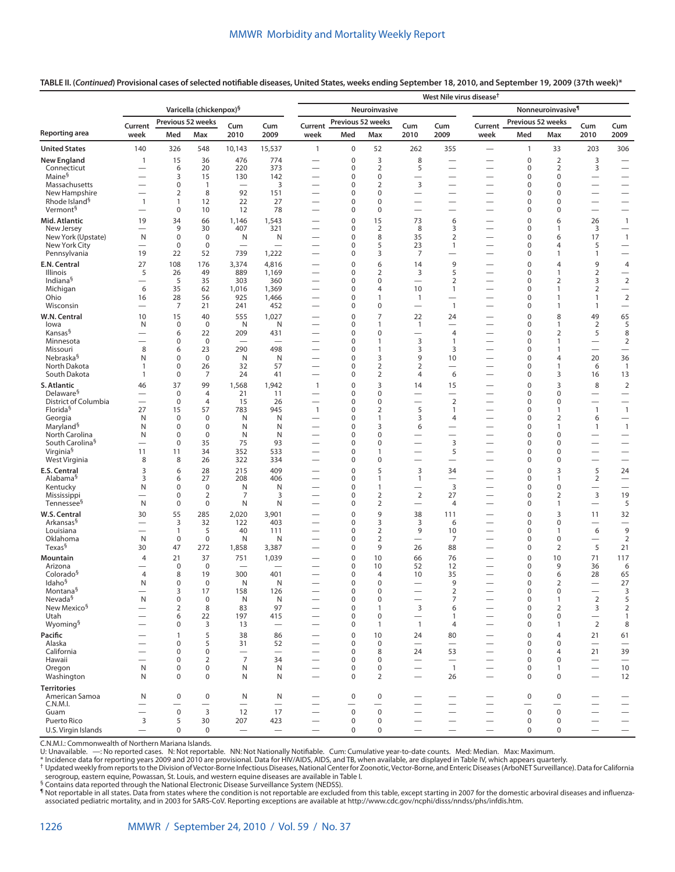**TABLE II. (***Continued***) Provisional cases of selected notifiable diseases, United States, weeks ending September 18, 2010, and September 19, 2009 (37th week)\***

|                                                      |                                                      |                                |                                               |                                       |                                        | West Nile virus disease <sup>t</sup>                          |                            |                                         |                                                      |                                                                     |                                                      |                            |                                |                                             |                                                      |  |
|------------------------------------------------------|------------------------------------------------------|--------------------------------|-----------------------------------------------|---------------------------------------|----------------------------------------|---------------------------------------------------------------|----------------------------|-----------------------------------------|------------------------------------------------------|---------------------------------------------------------------------|------------------------------------------------------|----------------------------|--------------------------------|---------------------------------------------|------------------------------------------------------|--|
|                                                      |                                                      |                                | Varicella (chickenpox) <sup>§</sup>           |                                       |                                        | Nonneuroinvasive <sup>¶</sup><br>Neuroinvasive                |                            |                                         |                                                      |                                                                     |                                                      |                            |                                |                                             |                                                      |  |
|                                                      | Current                                              |                                | Previous 52 weeks                             | Cum                                   | Cum                                    | Current                                                       | Previous 52 weeks          |                                         | Cum                                                  | Cum                                                                 | Current                                              | Previous 52 weeks          |                                | Cum                                         | Cum                                                  |  |
| Reporting area                                       | week                                                 | Med                            | Max                                           | 2010                                  | 2009                                   | week                                                          | Med                        | Max                                     | 2010                                                 | 2009                                                                | week                                                 | Med                        | Max                            | 2010                                        | 2009                                                 |  |
| <b>United States</b>                                 | 140                                                  | 326                            | 548                                           | 10,143                                | 15,537                                 | $\mathbf{1}$                                                  | $\mathsf 0$                | 52                                      | 262                                                  | 355                                                                 |                                                      | $\mathbf{1}$               | 33                             | 203                                         | 306                                                  |  |
| <b>New England</b>                                   | $\mathbf{1}$                                         | 15                             | 36                                            | 476                                   | 774                                    | —                                                             | $\mathbf 0$                | $\overline{3}$<br>$\overline{2}$        | 8                                                    |                                                                     |                                                      | $\mathbf 0$                | $\overline{2}$                 | 3                                           |                                                      |  |
| Connecticut<br>Maine <sup>§</sup>                    | $\overline{\phantom{0}}$                             | 6<br>3                         | 20<br>15                                      | 220<br>130                            | 373<br>142                             |                                                               | $\pmb{0}$<br>$\pmb{0}$     | $\mathbf 0$                             | 5<br>$\overline{\phantom{0}}$                        |                                                                     |                                                      | $\mathbf 0$<br>$\mathbf 0$ | $\overline{2}$<br>$\mathbf 0$  | 3                                           | $\overline{\phantom{0}}$                             |  |
| Massachusetts                                        | $\overline{\phantom{0}}$                             | 0                              | $\mathbf{1}$                                  | $\qquad \qquad$                       | 3                                      | $\overline{\phantom{0}}$                                      | $\mathbf 0$                | $\overline{2}$                          | 3                                                    |                                                                     |                                                      | $\mathbf 0$                | $\mathbf 0$                    |                                             | $\qquad \qquad$                                      |  |
| New Hampshire<br>Rhode Island <sup>§</sup>           | $\mathbf{1}$                                         | $\overline{2}$<br>$\mathbf{1}$ | 8<br>12                                       | 92<br>22                              | 151<br>27                              | $\overline{\phantom{0}}$                                      | $\mathbf 0$<br>0           | $\mathbf 0$<br>$\mathbf 0$              | $\overline{\phantom{0}}$<br>$\overline{\phantom{0}}$ | $\overline{\phantom{0}}$                                            | $\overline{\phantom{0}}$                             | $\mathbf 0$<br>$\mathbf 0$ | $\mathbf 0$<br>$\mathbf 0$     | $\overline{\phantom{0}}$                    | $\qquad \qquad$<br>$\qquad \qquad -$                 |  |
| Vermont <sup>§</sup>                                 |                                                      | $\mathbf 0$                    | 10                                            | 12                                    | 78                                     | $\overline{\phantom{0}}$                                      | $\mathbf 0$                | $\mathbf 0$                             | $\overline{\phantom{0}}$                             | $\overline{\phantom{0}}$                                            | -                                                    | $\mathbf 0$                | 0                              | $\qquad \qquad$                             | $\qquad \qquad -$                                    |  |
| Mid. Atlantic                                        | 19                                                   | 34                             | 66                                            | 1,146                                 | 1,543                                  | $\overline{\phantom{0}}$                                      | $\mathbf 0$                | 15                                      | 73                                                   | 6                                                                   | $\overline{\phantom{0}}$                             | $\mathbf 0$                | 6                              | 26                                          | $\mathbf{1}$                                         |  |
| New Jersey<br>New York (Upstate)                     | $\overline{\phantom{0}}$<br>N                        | 9<br>$\mathbf 0$               | 30<br>$\mathbf 0$                             | 407<br>N                              | 321<br>N                               | -                                                             | 0<br>$\mathbf 0$           | $\overline{2}$<br>8                     | 8<br>35                                              | 3<br>$\overline{2}$                                                 | $\overline{\phantom{0}}$<br>-                        | 0<br>0                     | 1<br>6                         | 3<br>17                                     | $\overline{\phantom{0}}$<br>$\mathbf{1}$             |  |
| New York City                                        |                                                      | 0                              | $\pmb{0}$                                     | $\overline{\phantom{0}}$              |                                        | —                                                             | 0                          | 5                                       | 23                                                   | 1                                                                   | $\overline{\phantom{0}}$                             | 0                          | 4                              | 5                                           | $\overline{\phantom{0}}$                             |  |
| Pennsylvania                                         | 19<br>27                                             | 22<br>108                      | 52<br>176                                     | 739<br>3,374                          | 1,222<br>4,816                         | $\overline{\phantom{0}}$                                      | $\mathbf 0$<br>$\mathbf 0$ | 3<br>6                                  | 7<br>14                                              | 9                                                                   |                                                      | 0<br>$\mathbf 0$           | 1<br>4                         | 1<br>9                                      | $\overline{\phantom{0}}$                             |  |
| E.N. Central<br>Illinois                             | 5                                                    | 26                             | 49                                            | 889                                   | 1,169                                  | —                                                             | $\mathbf 0$                | $\overline{2}$                          | 3                                                    | 5                                                                   | —                                                    | 0                          | 1                              | $\overline{2}$                              | 4<br>$\qquad \qquad$                                 |  |
| Indiana <sup>§</sup>                                 | $\overline{\phantom{0}}$                             | 5                              | 35                                            | 303                                   | 360                                    | $\overline{\phantom{0}}$                                      | 0                          | $\mathbf 0$                             | $\overline{\phantom{0}}$                             | $\overline{2}$                                                      | $\overline{\phantom{0}}$                             | $\mathbf 0$                | $\overline{2}$                 | 3                                           | $\overline{2}$                                       |  |
| Michigan<br>Ohio                                     | 6<br>16                                              | 35<br>28                       | 62<br>56                                      | 1,016<br>925                          | 1,369<br>1,466                         | —<br>—                                                        | $\mathbf 0$<br>$\mathbf 0$ | $\overline{4}$<br>$\mathbf{1}$          | 10<br>$\overline{1}$                                 | $\mathbf{1}$<br>$\overline{\phantom{0}}$                            | -                                                    | $\mathbf 0$<br>$\mathbf 0$ | 1<br>1                         | $\overline{2}$<br>$\mathbf{1}$              | $\qquad \qquad -$<br>$\overline{2}$                  |  |
| Wisconsin                                            | $\overline{\phantom{0}}$                             | 7                              | 21                                            | 241                                   | 452                                    | $\overline{\phantom{0}}$                                      | $\mathbf 0$                | $\mathbf 0$                             |                                                      | $\mathbf{1}$                                                        |                                                      | $\mathbf 0$                | 1                              | $\mathbf{1}$                                | $\overline{\phantom{m}}$                             |  |
| W.N. Central                                         | 10                                                   | 15                             | 40                                            | 555                                   | 1,027                                  | —                                                             | $\mathbf 0$                | $\overline{7}$                          | 22                                                   | 24                                                                  | —                                                    | $\mathbf 0$                | 8                              | 49                                          | 65                                                   |  |
| lowa<br>Kansas <sup>§</sup>                          | N                                                    | 0<br>6                         | 0<br>22                                       | N<br>209                              | N<br>431                               | —                                                             | 0<br>$\mathbf 0$           | 1<br>$\mathbf 0$                        | $\overline{1}$<br>$\overline{\phantom{0}}$           | $\overline{4}$                                                      | —                                                    | 0<br>$\mathbf 0$           | 1<br>$\overline{2}$            | $\overline{2}$<br>5                         | 5<br>8                                               |  |
| Minnesota                                            |                                                      | 0                              | $\mathbf 0$                                   | $\overline{\phantom{0}}$              |                                        | $\overline{\phantom{0}}$                                      | 0                          | $\mathbf{1}$                            | 3                                                    | 1                                                                   | —                                                    | 0                          | 1                              | $\overline{\phantom{0}}$                    | $\overline{2}$                                       |  |
| Missouri<br>Nebraska <sup>§</sup>                    | 8<br>N                                               | 6<br>0                         | 23<br>$\mathbf 0$                             | 290<br>N                              | 498<br>N                               | —<br>$\overline{\phantom{0}}$                                 | 0<br>0                     | $\overline{1}$<br>3                     | 3<br>9                                               | 3<br>10                                                             | —<br>$\overline{\phantom{0}}$                        | 0<br>0                     | $\mathbf{1}$<br>4              | $\overline{\phantom{0}}$<br>20              | $\overline{\phantom{m}}$<br>36                       |  |
| North Dakota                                         | 1                                                    | 0                              | 26                                            | 32                                    | 57                                     | $\overline{\phantom{0}}$                                      | $\mathbf 0$                | $\overline{2}$                          | $\overline{2}$                                       |                                                                     | $\overline{\phantom{0}}$                             | 0                          | 1                              | 6                                           | $\overline{1}$                                       |  |
| South Dakota                                         | 1                                                    | 0                              | 7                                             | 24                                    | 41                                     | $\overline{\phantom{0}}$                                      | 0                          | $\overline{2}$                          | 4                                                    | 6                                                                   | $\overline{\phantom{0}}$                             | 0                          | 3                              | 16                                          | 13                                                   |  |
| S. Atlantic<br>Delaware <sup>§</sup>                 | 46<br>$\overline{\phantom{0}}$                       | 37<br>$\mathbf 0$              | 99<br>$\overline{4}$                          | 1,568<br>21                           | 1,942<br>11                            | $\mathbf{1}$<br>$\overline{\phantom{0}}$                      | $\mathbf 0$<br>0           | 3<br>$\mathbf 0$                        | 14<br>$\overline{\phantom{0}}$                       | 15<br>$\overline{\phantom{0}}$                                      | -                                                    | $\mathbf 0$<br>$\mathbf 0$ | 3<br>0                         | 8                                           | $\overline{2}$<br>$\overline{\phantom{m}}$           |  |
| District of Columbia                                 | $\overline{\phantom{0}}$                             | $\mathbf 0$                    | $\overline{4}$                                | 15                                    | 26                                     | $\overline{\phantom{0}}$                                      | $\mathbf 0$                | $\mathbf 0$                             | $\overline{\phantom{0}}$                             | $\overline{2}$                                                      | -                                                    | $\mathbf 0$                | 0                              | $\qquad \qquad$                             | $\qquad \qquad -$                                    |  |
| Florida <sup>§</sup><br>Georgia                      | 27<br>N                                              | 15<br>$\mathbf 0$              | 57<br>$\mathbf 0$                             | 783<br>N                              | 945<br>N                               | $\mathbf{1}$<br>$\overline{\phantom{0}}$                      | $\mathbf 0$<br>$\mathbf 0$ | $\overline{2}$<br>$\mathbf{1}$          | 5<br>3                                               | $\mathbf{1}$<br>4                                                   | $\overline{\phantom{0}}$                             | $\mathbf 0$<br>0           | $\mathbf{1}$<br>$\overline{2}$ | $\mathbf{1}$<br>6                           | $\mathbf{1}$<br>$\overline{\phantom{m}}$             |  |
| Maryland <sup>§</sup>                                | N                                                    | $\mathbf 0$                    | $\mathbf 0$                                   | N                                     | Ν                                      | $\overline{\phantom{0}}$                                      | $\mathbf 0$                | 3                                       | 6                                                    |                                                                     | -                                                    | $\mathbf 0$                | $\mathbf{1}$                   | $\mathbf{1}$                                | $\overline{1}$                                       |  |
| North Carolina                                       | N                                                    | $\mathbf 0$                    | $\mathbf 0$                                   | N                                     | N                                      |                                                               | $\mathbf 0$                | $\mathbf 0$                             | $\overline{\phantom{0}}$                             | $\overline{\phantom{0}}$                                            | -                                                    | $\mathbf 0$                | $\Omega$                       | $\overline{\phantom{0}}$                    | $\overline{\phantom{0}}$                             |  |
| South Carolina <sup>§</sup><br>Virginia <sup>§</sup> | 11                                                   | 0<br>11                        | 35<br>34                                      | 75<br>352                             | 93<br>533                              | —<br>-                                                        | $\mathbf 0$<br>0           | $\pmb{0}$<br>$\mathbf{1}$               | $\overline{\phantom{0}}$<br>$\overline{\phantom{0}}$ | 3<br>5                                                              | $\overline{\phantom{0}}$<br>—                        | 0<br>0                     | 0<br>$\Omega$                  | $\qquad \qquad$<br>$\overline{\phantom{0}}$ | $\overline{\phantom{m}}$<br>$\overline{\phantom{0}}$ |  |
| West Virginia                                        | 8                                                    | 8                              | 26                                            | 322                                   | 334                                    | $\overline{\phantom{0}}$                                      | $\mathbf 0$                | $\pmb{0}$                               | $\overline{\phantom{0}}$                             | $\overline{\phantom{0}}$                                            |                                                      | 0                          | 0                              | $\overline{\phantom{0}}$                    | $\overbrace{\phantom{12322111}}$                     |  |
| E.S. Central                                         | 3                                                    | 6                              | 28                                            | 215                                   | 409                                    |                                                               | $\mathbf 0$                | 5                                       | 3                                                    | 34                                                                  |                                                      | $\mathbf 0$                | 3                              | 5                                           | 24                                                   |  |
| Alabama <sup>§</sup><br>Kentucky                     | 3<br>N                                               | 6<br>$\pmb{0}$                 | 27<br>$\pmb{0}$                               | 208<br>N                              | 406<br>N                               | $\overline{\phantom{0}}$                                      | 0<br>$\mathbf 0$           | $\mathbf{1}$<br>$\overline{1}$          | $\mathbf{1}$<br>$\overline{\phantom{0}}$             | $\overline{\phantom{0}}$<br>3                                       | $\overline{\phantom{0}}$<br>$\overline{\phantom{0}}$ | $\mathbf 0$<br>$\mathbf 0$ | 1<br>$\mathbf 0$               | $\overline{2}$<br>$\qquad \qquad$           | $\overline{\phantom{m}}$<br>$\overline{\phantom{0}}$ |  |
| Mississippi                                          |                                                      | 0                              | $\overline{2}$                                | 7                                     | 3                                      |                                                               | 0                          | $\overline{2}$                          | $\overline{2}$                                       | 27                                                                  | -                                                    | $\mathbf 0$                | $\overline{2}$                 | 3                                           | 19                                                   |  |
| Tennessee <sup>§</sup>                               | N                                                    | $\pmb{0}$                      | 0                                             | N                                     | Ν                                      | $\overline{\phantom{0}}$                                      | $\mathbf 0$                | 2                                       | $\overline{\phantom{0}}$                             | 4                                                                   | $\overline{\phantom{0}}$                             | $\mathbf 0$                | 1                              | $\overline{\phantom{m}}$                    | 5                                                    |  |
| W.S. Central<br>Arkansas <sup>§</sup>                | 30                                                   | 55<br>3                        | 285<br>32                                     | 2,020<br>122                          | 3,901<br>403                           | —                                                             | $\mathbf 0$<br>0           | 9<br>3                                  | 38<br>3                                              | 111<br>6                                                            | —<br>—                                               | $\mathbf 0$<br>0           | 3<br>0                         | 11<br>$\overline{\phantom{0}}$              | 32                                                   |  |
| Louisiana                                            |                                                      | $\mathbf{1}$                   | 5                                             | 40                                    | 111                                    | -                                                             | $\mathbf 0$                | $\mathbf 2$                             | 9                                                    | 10                                                                  | —                                                    | 0                          | 1                              | 6                                           | 9                                                    |  |
| Oklahoma<br>Texas <sup>§</sup>                       | N                                                    | 0                              | $\pmb{0}$                                     | N                                     | N                                      | —                                                             | $\mathbf 0$                | $\overline{2}$<br>9                     |                                                      | 7                                                                   | —                                                    | 0                          | 0                              | $\overbrace{\phantom{12322111}}$            | $\overline{2}$                                       |  |
| Mountain                                             | 30<br>4                                              | 47<br>21                       | 272<br>37                                     | 1,858<br>751                          | 3,387<br>1,039                         | —                                                             | $\mathbf 0$<br>$\mathbf 0$ | 10                                      | 26<br>66                                             | 88<br>76                                                            | —                                                    | 0<br>$\mathbf 0$           | 2<br>10                        | 5<br>71                                     | 21<br>117                                            |  |
| Arizona                                              |                                                      | $\pmb{0}$                      | $\mathbf 0$                                   |                                       |                                        |                                                               | 0                          | 10                                      | 52                                                   | 12                                                                  |                                                      | $\mathbf 0$                | 9                              | 36                                          | 6                                                    |  |
| Colorado <sup>§</sup>                                | 4                                                    | 8                              | 19                                            | 300                                   | 401                                    |                                                               | 0                          | $\overline{4}$                          | 10                                                   | 35                                                                  |                                                      | $\mathbf 0$                | 6                              | 28                                          | 65                                                   |  |
| Idaho <sup>§</sup><br>Montana <sup>§</sup>           | N                                                    | 0<br>3                         | 0<br>17                                       | N<br>158                              | N<br>126                               | $\overline{\phantom{0}}$                                      | 0<br>0                     | $\mathbf 0$<br>$\mathbf 0$              | $\overline{\phantom{0}}$                             | $\mathbf{Q}$<br>$\overline{2}$                                      |                                                      | $\mathbf{0}$<br>0          | $\overline{2}$<br>$\mathbf 0$  | $\qquad \qquad$                             | 27<br>3                                              |  |
| Nevada <sup>§</sup>                                  | N                                                    | 0                              | $\mathbf 0$                                   | N                                     | N                                      |                                                               | 0                          | $\mathbf 0$                             | $\overline{\phantom{0}}$                             | $\overline{7}$                                                      |                                                      | $\pmb{0}$                  | $\mathbf{1}$                   | 2                                           | 5                                                    |  |
| New Mexico <sup>§</sup><br>Utah                      | $\overline{\phantom{0}}$                             | 2<br>6                         | 8<br>22                                       | 83<br>197                             | 97<br>415                              | $\overline{\phantom{0}}$<br>$\overbrace{\phantom{123221111}}$ | 0<br>$\mathbf 0$           | $\overline{1}$<br>$\mathbf 0$           | 3<br>$\overline{\phantom{0}}$                        | 6<br>1                                                              | $\overline{\phantom{0}}$<br>$\overline{\phantom{0}}$ | $\mathbf 0$<br>$\mathbf 0$ | $\overline{2}$<br>$\mathbf 0$  | 3<br>$\qquad \qquad$                        | $\overline{2}$<br>$\mathbf{1}$                       |  |
| Wyoming <sup>§</sup>                                 | $\overline{\phantom{0}}$                             | $\mathbf 0$                    | 3                                             | 13                                    | $\overline{\phantom{0}}$               | $\overline{\phantom{0}}$                                      | $\mathbf 0$                | $\overline{1}$                          | $\overline{1}$                                       | 4                                                                   | $\overline{\phantom{0}}$                             | $\mathbf 0$                | 1                              | $\overline{2}$                              | 8                                                    |  |
| Pacific                                              |                                                      | $\mathbf{1}$                   | 5                                             | 38                                    | 86                                     | $\overline{\phantom{0}}$                                      | 0                          | 10                                      | 24                                                   | 80                                                                  | $\overline{\phantom{0}}$                             | $\mathbf 0$                | 4                              | 21                                          | 61                                                   |  |
| Alaska<br>California                                 | $\overline{\phantom{0}}$<br>$\overline{\phantom{0}}$ | 0<br>$\mathbf 0$               | 5<br>0                                        | 31<br>$\overbrace{\phantom{1232211}}$ | 52<br>$\overbrace{\phantom{12322111}}$ | $\overline{\phantom{0}}$<br>$\overline{\phantom{0}}$          | 0<br>$\mathbf 0$           | $\mathbf 0$<br>8                        | $\overline{\phantom{0}}$<br>24                       | $\overline{\phantom{0}}$<br>53                                      | $\overline{\phantom{0}}$                             | $\mathbf 0$<br>$\mathbf 0$ | $\Omega$<br>4                  | $\overline{\phantom{0}}$<br>21              | $\overline{\phantom{m}}$<br>39                       |  |
| Hawaii                                               |                                                      | 0                              | $\overline{2}$                                | $\overline{7}$                        | 34                                     | $\overline{\phantom{0}}$                                      | 0                          | $\mathbf 0$                             | $\overbrace{\phantom{12322111}}$                     | $\overline{\phantom{0}}$                                            | $\overline{\phantom{0}}$                             | $\mathbf 0$                | $\mathbf 0$                    | $\overbrace{\phantom{12322111}}$            | $\qquad \qquad -$                                    |  |
| Oregon                                               | N                                                    | 0                              | $\pmb{0}$                                     | N                                     | N                                      | $\overline{\phantom{m}}$                                      | 0                          | $\mathbf 0$                             |                                                      | $\overline{1}$                                                      | $\overline{\phantom{0}}$                             | $\pmb{0}$                  | $\mathbf{1}$                   | $\equiv$                                    | 10                                                   |  |
| Washington                                           | N                                                    | $\mathbf 0$                    | 0                                             | N                                     | N                                      | $\overline{\phantom{0}}$                                      | $\mathbf 0$                | 2                                       | $\overline{\phantom{0}}$                             | 26                                                                  | $\overline{\phantom{0}}$                             | $\mathbf 0$                | $\mathbf 0$                    | $\overbrace{\phantom{12322111}}$            | 12                                                   |  |
| <b>Territories</b><br>American Samoa<br>C.N.M.I.     | N<br>$\overline{\phantom{0}}$                        | 0<br>$\overline{\phantom{0}}$  | $\pmb{0}$<br>$\overbrace{\phantom{12322111}}$ | N<br>$\equiv$                         | N<br>$\overbrace{\phantom{12322111}}$  | $\overline{\phantom{0}}$<br>$\overline{\phantom{0}}$          | $\mathbf 0$                | $\mathbf 0$<br>$\overline{\phantom{0}}$ | $\equiv$                                             | $\hspace{0.1mm}-\hspace{0.1mm}$<br>$\overbrace{\phantom{12322111}}$ | —<br>$\equiv$                                        | 0                          | 0<br>$\overline{\phantom{0}}$  | $\overline{\phantom{0}}$                    | $\overline{\phantom{0}}$                             |  |
| Guam                                                 | $\overbrace{\phantom{12322111}}$                     | $\pmb{0}$                      | $\overline{3}$                                | 12                                    | 17                                     | $\overline{\phantom{0}}$                                      | $\mathsf 0$                | $\mathbf 0$                             | $\overline{\phantom{0}}$                             | $\overbrace{\phantom{12322111}}$                                    | $\overline{\phantom{0}}$                             | $\pmb{0}$                  | $\mathbf 0$                    | $\overline{\phantom{0}}$                    | $\overline{\phantom{0}}$                             |  |
| Puerto Rico                                          | 3                                                    | 5                              | 30                                            | 207                                   | 423                                    | $\overline{\phantom{0}}$                                      | 0                          | $\mathbf 0$                             | $\overline{\phantom{0}}$                             | $\overbrace{\phantom{12322111}}$                                    | $\overline{\phantom{0}}$                             | 0                          | 0                              | $\overline{\phantom{0}}$                    | $\qquad \qquad -$                                    |  |
| U.S. Virgin Islands                                  | $\overline{\phantom{0}}$                             | $\mathbf 0$                    | $\mathsf 0$                                   | $\overline{\phantom{0}}$              | $\overline{\phantom{0}}$               | $\overline{\phantom{m}}$                                      | $\mathbf 0$                | $\mathbf 0$                             | $\overline{\phantom{0}}$                             | $\overbrace{\phantom{12322111}}$                                    | $\overline{\phantom{0}}$                             | $\mathbf 0$                | 0                              | $\overbrace{\phantom{12322111}}$            | $\qquad \qquad -$                                    |  |

C.N.M.I.: Commonwealth of Northern Mariana Islands.

U: Unavailable. —: No reported cases. N: Not reportable. NN: Not Nationally Notifiable. Cum: Cumulative year-to-date counts. Med: Median. Max: Maximum.<br>\* Incidence data for reporting years 2009 and 2010 are prov

serogroup, eastern equine, Powassan, St. Louis, and western equine diseases are available in Table I.

§ Contains data reported through the National Electronic Disease Surveillance System (NEDSS).

¶ Not reportable in all states. Data from states where the condition is not reportable are excluded from this table, except starting in 2007 for the domestic arboviral diseases and influenzaassociated pediatric mortality, and in 2003 for SARS-CoV. Reporting exceptions are available at <http://www.cdc.gov/ncphi/disss/nndss/phs/infdis.htm>.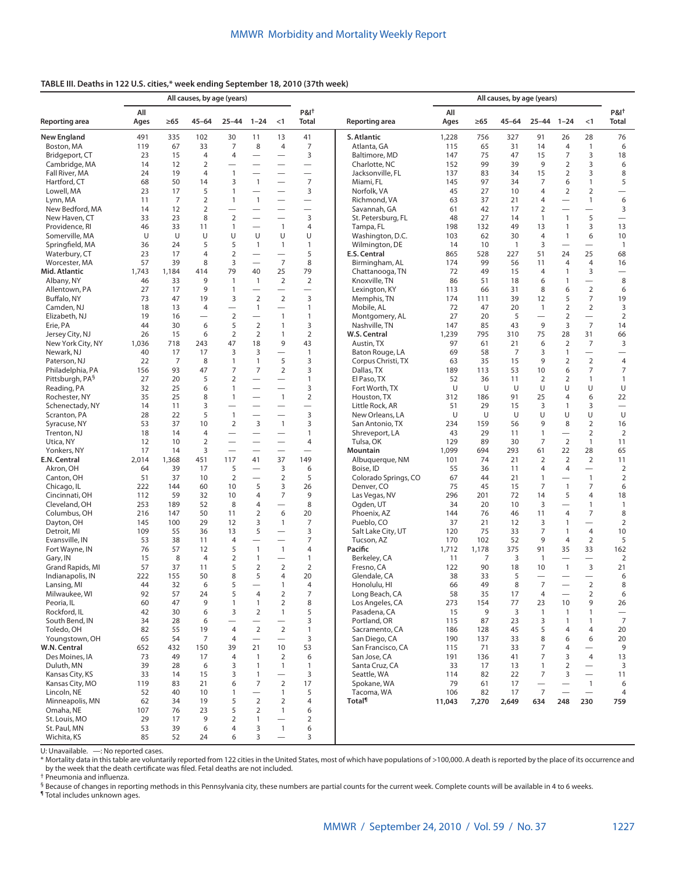## **TABLE III. Deaths in 122 U.S. cities,\* week ending September 18, 2010 (37th week)**

|                                      | All causes, by age (years)                                 |                |                          |                          |                                |                                          |                                  |                                  | All causes, by age (years) |            |                |                          |                                  |                          |                          |
|--------------------------------------|------------------------------------------------------------|----------------|--------------------------|--------------------------|--------------------------------|------------------------------------------|----------------------------------|----------------------------------|----------------------------|------------|----------------|--------------------------|----------------------------------|--------------------------|--------------------------|
| Reporting area                       | All<br>$1 - 24$<br>Ages<br>$\geq 65$<br>45-64<br>$25 - 44$ |                | < 1                      | $P&I^+$<br><b>Total</b>  | Reporting area                 | All<br>Ages                              | $\geq 65$                        | $45 - 64$                        | $25 - 44$                  | $1 - 24$   | < 1            | $P&I^+$<br>Total         |                                  |                          |                          |
| <b>New England</b>                   | 491                                                        | 335            | 102                      | 30                       | 11                             | 13                                       | 41                               | S. Atlantic                      | 1,228                      | 756        | 327            | 91                       | 26                               | 28                       | 76                       |
| Boston, MA                           | 119                                                        | 67             | 33                       | 7                        | 8                              | 4                                        | $\overline{7}$                   | Atlanta, GA                      | 115                        | 65         | 31             | 14                       | $\overline{4}$                   | $\mathbf{1}$             | 6                        |
| Bridgeport, CT                       | 23                                                         | 15             | $\overline{4}$           | 4                        |                                | $\overline{\phantom{0}}$                 | 3                                | Baltimore, MD                    | 147                        | 75         | 47             | 15                       | $\overline{7}$                   | 3                        | 18                       |
| Cambridge, MA                        | 14                                                         | 12             | $\overline{2}$           |                          | $\overline{\phantom{0}}$       | $\equiv$                                 | $\overbrace{\phantom{12322111}}$ | Charlotte, NC                    | 152                        | 99         | 39             | 9                        | $\overline{2}$                   | 3                        | 6                        |
| Fall River, MA                       | 24                                                         | 19             | 4                        | $\mathbf{1}$             |                                | $\overline{\phantom{0}}$                 | $\overbrace{\phantom{12322111}}$ | Jacksonville, FL                 | 137                        | 83         | 34             | 15                       | $\overline{2}$                   | 3                        | 8                        |
| Hartford, CT                         | 68                                                         | 50             | 14                       | 3                        | $\mathbf{1}$                   |                                          | $\overline{7}$                   | Miami, FL                        | 145                        | 97         | 34             | 7                        | 6                                | $\mathbf{1}$             | 5                        |
| Lowell, MA                           | 23                                                         | 17             | 5                        | $\mathbf{1}$             | $\overline{\phantom{0}}$       | $\overline{\phantom{0}}$                 | 3                                | Norfolk, VA                      | 45                         | 27         | 10             | 4                        | 2                                | 2                        | $\overline{\phantom{0}}$ |
| Lynn, MA                             | 11                                                         | $\overline{7}$ | $\overline{2}$           | $\mathbf{1}$             | $\mathbf{1}$                   | $\overline{\phantom{0}}$                 | $\overline{\phantom{0}}$         | Richmond, VA                     | 63                         | 37         | 21             | 4                        | —                                | $\mathbf{1}$             | 6                        |
| New Bedford, MA                      | 14                                                         | 12             | $\overline{2}$           | $\overline{\phantom{0}}$ |                                | $\overline{\phantom{0}}$                 | $\overbrace{\phantom{12322111}}$ | Savannah, GA                     | 61                         | 42         | 17             | $\overline{2}$           | $\equiv$                         | $\overline{\phantom{0}}$ | 3                        |
| New Haven, CT                        | 33                                                         | 23             | 8                        | $\overline{2}$           | $\overline{\phantom{0}}$       |                                          | 3                                | St. Petersburg, FL               | 48                         | 27         | 14             | 1                        | $\overline{1}$                   | 5                        | $\qquad \qquad -$        |
| Providence, RI                       | 46                                                         | 33             | 11                       | $\mathbf{1}$             |                                | $\mathbf{1}$                             | 4                                | Tampa, FL                        | 198                        | 132        | 49             | 13                       | $\mathbf{1}$                     | 3                        | 13                       |
| Somerville, MA                       | U                                                          | U              | U                        | U                        | U                              | U                                        | U                                | Washington, D.C.                 | 103                        | 62         | 30             | $\overline{4}$           | $\overline{1}$                   | 6                        | 10                       |
| Springfield, MA                      | 36                                                         | 24             | 5                        | 5                        | $\mathbf{1}$                   | $\mathbf{1}$<br>$\overline{\phantom{0}}$ | $\mathbf{1}$                     | Wilmington, DE                   | 14                         | 10         | $\overline{1}$ | 3                        |                                  |                          | $\overline{1}$           |
| Waterbury, CT                        | 23<br>57                                                   | 17<br>39       | 4<br>8                   | $\overline{2}$<br>3      |                                | $\overline{7}$                           | 5<br>8                           | E.S. Central                     | 865<br>174                 | 528<br>99  | 227            | 51                       | 24                               | 25<br>$\overline{4}$     | 68                       |
| Worcester, MA<br>Mid. Atlantic       | 1,743                                                      | 1,184          | 414                      | 79                       | $\overline{\phantom{0}}$<br>40 | 25                                       | 79                               | Birmingham, AL                   | 72                         | 49         | 56<br>15       | 11<br>4                  | $\overline{4}$<br>$\overline{1}$ | 3                        | 16                       |
| Albany, NY                           | 46                                                         | 33             | 9                        | $\mathbf{1}$             | $\mathbf{1}$                   | $\overline{2}$                           | $\overline{2}$                   | Chattanooga, TN<br>Knoxville, TN | 86                         | 51         | 18             | 6                        | $\mathbf{1}$                     |                          | $\qquad \qquad$<br>8     |
| Allentown, PA                        | 27                                                         | 17             | 9                        | 1                        |                                | $\overline{\phantom{0}}$                 | $\overbrace{\phantom{12322111}}$ | Lexington, KY                    | 113                        | 66         | 31             | 8                        | 6                                | $\overline{2}$           | 6                        |
| Buffalo, NY                          | 73                                                         | 47             | 19                       | 3                        | $\overline{2}$                 | $\overline{2}$                           | 3                                | Memphis, TN                      | 174                        | 111        | 39             | 12                       | 5                                | $\overline{7}$           | 19                       |
| Camden, NJ                           | 18                                                         | 13             | $\overline{4}$           |                          | 1                              |                                          | $\mathbf{1}$                     | Mobile, AL                       | 72                         | 47         | 20             | $\mathbf{1}$             | $\overline{2}$                   | $\overline{2}$           | 3                        |
| Elizabeth, NJ                        | 19                                                         | 16             | $\overline{\phantom{0}}$ | $\overline{2}$           |                                | $\mathbf{1}$                             | $\mathbf{1}$                     | Montgomery, AL                   | 27                         | 20         | 5              |                          | $\overline{2}$                   | $\equiv$                 | $\overline{2}$           |
| Erie, PA                             | 44                                                         | 30             | 6                        | 5                        | $\overline{2}$                 | $\mathbf{1}$                             | 3                                | Nashville, TN                    | 147                        | 85         | 43             | 9                        | 3                                | $\overline{7}$           | 14                       |
| Jersey City, NJ                      | 26                                                         | 15             | 6                        | $\overline{2}$           | 2                              | $\mathbf{1}$                             | $\overline{2}$                   | W.S. Central                     | 1,239                      | 795        | 310            | 75                       | 28                               | 31                       | 66                       |
| New York City, NY                    | 1,036                                                      | 718            | 243                      | 47                       | 18                             | 9                                        | 43                               | Austin, TX                       | 97                         | 61         | 21             | 6                        | $\overline{2}$                   | 7                        | 3                        |
| Newark, NJ                           | 40                                                         | 17             | 17                       | 3                        | 3                              | $\overline{\phantom{0}}$                 | $\mathbf{1}$                     | Baton Rouge, LA                  | 69                         | 58         | $\overline{7}$ | 3                        | $\mathbf{1}$                     | $\overline{\phantom{0}}$ |                          |
| Paterson, NJ                         | 22                                                         | 7              | 8                        | 1                        | $\mathbf{1}$                   | 5                                        | 3                                | Corpus Christi, TX               | 63                         | 35         | 15             | 9                        | $\overline{2}$                   | $\overline{2}$           | 4                        |
| Philadelphia, PA                     | 156                                                        | 93             | 47                       | 7                        | $\overline{7}$                 | 2                                        | 3                                | Dallas, TX                       | 189                        | 113        | 53             | 10                       | 6                                | $\overline{7}$           | $\overline{7}$           |
| Pittsburgh, PA <sup>§</sup>          | 27                                                         | 20             | 5                        | $\overline{2}$           | $\overline{\phantom{0}}$       | $\overline{\phantom{0}}$                 | $\mathbf{1}$                     | El Paso, TX                      | 52                         | 36         | 11             | $\overline{2}$           | $\overline{2}$                   | $\mathbf{1}$             | $\mathbf{1}$             |
| Reading, PA                          | 32                                                         | 25             | 6                        | $\mathbf{1}$             |                                | $\overline{\phantom{0}}$                 | 3                                | Fort Worth, TX                   | U                          | U          | U              | U                        | U                                | U                        | U                        |
| Rochester, NY                        | 35                                                         | 25             | 8                        | $\mathbf{1}$             | $\overline{\phantom{0}}$       | $\overline{1}$                           | $\overline{2}$                   | Houston, TX                      | 312                        | 186        | 91             | 25                       | $\overline{4}$                   | 6                        | 22                       |
| Schenectady, NY                      | 14                                                         | 11             | 3                        | $\overline{\phantom{0}}$ |                                |                                          | $\overline{\phantom{0}}$         | Little Rock, AR                  | 51                         | 29         | 15             | 3                        | $\mathbf{1}$                     | 3                        | $\overline{\phantom{0}}$ |
| Scranton, PA                         | 28                                                         | 22             | 5                        | $\mathbf{1}$             |                                |                                          | 3                                | New Orleans, LA                  | U                          | U          | U              | U                        | U                                | U                        | U                        |
| Syracuse, NY                         | 53                                                         | 37             | 10                       | $\overline{2}$           | 3                              | $\overline{1}$                           | 3                                | San Antonio, TX                  | 234                        | 159        | 56             | 9                        | 8                                | $\overline{2}$           | 16                       |
| Trenton, NJ                          | 18                                                         | 14             | $\overline{4}$           |                          |                                | $\overline{\phantom{0}}$                 | $\mathbf{1}$                     | Shreveport, LA                   | 43                         | 29         | 11             | 1                        | $\overline{\phantom{0}}$         | $\overline{2}$           | $\overline{2}$           |
| Utica, NY                            | 12                                                         | 10             | $\overline{2}$           |                          |                                | $\equiv$                                 | $\overline{4}$                   | Tulsa, OK                        | 129                        | 89         | 30             | $\overline{7}$           | $\overline{2}$                   | $\mathbf{1}$             | 11                       |
| Yonkers, NY                          | 17                                                         | 14             | 3                        | $\overline{\phantom{0}}$ |                                | $\overline{\phantom{0}}$                 | $\overline{\phantom{0}}$         | Mountain                         | 1,099                      | 694        | 293            | 61                       | 22                               | 28                       | 65                       |
| E.N. Central                         | 2,014                                                      | 1,368          | 451                      | 117                      | 41                             | 37                                       | 149                              | Albuquerque, NM                  | 101                        | 74         | 21             | 2                        | $\overline{2}$                   | $\overline{2}$           | 11                       |
| Akron, OH                            | 64                                                         | 39             | 17                       | 5                        |                                | 3                                        | 6                                | Boise, ID                        | 55                         | 36         | 11             | 4                        | $\overline{4}$                   | $\equiv$                 | $\overline{2}$           |
| Canton, OH                           | 51                                                         | 37             | 10                       | $\overline{2}$           | $\overline{\phantom{0}}$       | 2                                        | 5                                | Colorado Springs, CO             | 67                         | 44         | 21             | 1                        | $\overline{\phantom{0}}$         | $\mathbf{1}$             | $\overline{2}$           |
| Chicago, IL                          | 222                                                        | 144            | 60                       | 10                       | 5                              | 3                                        | 26                               | Denver, CO                       | 75                         | 45         | 15             | 7                        | $\overline{1}$                   | $\overline{7}$           | 6                        |
| Cincinnati, OH                       | 112                                                        | 59             | 32                       | 10                       | $\overline{4}$                 | 7                                        | 9                                | Las Vegas, NV                    | 296                        | 201        | 72             | 14                       | 5                                | $\overline{4}$           | 18                       |
| Cleveland, OH                        | 253                                                        | 189            | 52                       | 8                        | 4                              | $\equiv$                                 | 8                                | Ogden, UT                        | 34                         | 20         | 10             | 3                        | $\equiv$                         | $\mathbf{1}$             | $\mathbf{1}$             |
| Columbus, OH                         | 216                                                        | 147            | 50                       | 11                       | $\overline{2}$                 | 6                                        | 20                               | Phoenix, AZ                      | 144                        | 76         | 46             | 11                       | $\overline{4}$                   | $\overline{7}$           | 8                        |
| Dayton, OH                           | 145                                                        | 100            | 29                       | 12                       | 3                              | $\mathbf{1}$                             | $\overline{7}$                   | Pueblo, CO                       | 37                         | 21         | 12             | 3                        | $\mathbf{1}$                     | $\overline{\phantom{0}}$ | 2                        |
| Detroit, MI                          | 109                                                        | 55             | 36                       | 13                       | 5                              | $\overline{\phantom{0}}$                 | 3                                | Salt Lake City, UT               | 120                        | 75         | 33             | $\overline{7}$           | $\mathbf{1}$                     | $\overline{4}$           | 10                       |
| Evansville, IN                       | 53                                                         | 38             | 11                       | 4                        |                                |                                          | 7                                | Tucson, AZ                       | 170                        | 102        | 52             | 9                        | $\overline{4}$                   | $\overline{2}$           | 5                        |
| Fort Wayne, IN<br>Garv, IN           | 76<br>15                                                   | 57<br>8        | 12<br>$\overline{4}$     | 5<br>2                   | $\mathbf{1}$                   | $\mathbf{1}$                             | 4<br>$\mathbf{1}$                | Pacific<br>Berkeley, CA          | 1,712<br>11                | 1,178<br>7 | 375<br>3       | 91<br>$\mathbf{1}$       | 35                               | 33                       | 162                      |
|                                      | 57                                                         | 37             | 11                       | 5                        | $\mathbf{1}$<br>$\overline{2}$ | $\overline{2}$                           | $\overline{2}$                   |                                  | 122                        | 90         | 18             | 10                       | $\mathbf{1}$                     | 3                        | $\overline{2}$<br>21     |
| Grand Rapids, MI<br>Indianapolis, IN | 222                                                        | 155            | 50                       | 8                        | 5                              | $\overline{4}$                           | 20                               | Fresno, CA<br>Glendale, CA       | 38                         | 33         | 5              | $\overline{\phantom{0}}$ | $\overline{\phantom{0}}$         |                          | 6                        |
|                                      | 44                                                         | 32             | 6                        | 5                        |                                |                                          | 4                                | Honolulu, HI                     | 66                         | 49         | 8              | $\overline{7}$           |                                  | $\overline{2}$           | 8                        |
| Lansing, MI<br>Milwaukee, WI         | 92                                                         | 57             | 24                       | 5                        | $\overline{4}$                 | $\overline{2}$                           | 7                                | Long Beach, CA                   | 58                         | 35         | 17             | 4                        | $\overline{\phantom{0}}$         | $\overline{2}$           | 6                        |
| Peoria, IL                           | 60                                                         | 47             | 9                        | $\mathbf{1}$             | 1                              | $\overline{2}$                           | 8                                | Los Angeles, CA                  | 273                        | 154        | 77             | 23                       | 10                               | 9                        | 26                       |
| Rockford, IL                         | 42                                                         | 30             | 6                        | 3                        | 2                              | $\mathbf{1}$                             | 5                                | Pasadena, CA                     | 15                         | 9          | 3              | $\mathbf{1}$             | $\mathbf{1}$                     | 1                        | $\qquad \qquad$          |
| South Bend, IN                       | 34                                                         | 28             | 6                        |                          |                                | —                                        | 3                                | Portland, OR                     | 115                        | 87         | 23             | 3                        | $\mathbf{1}$                     | $\mathbf{1}$             | $\overline{7}$           |
| Toledo, OH                           | 82                                                         | 55             | 19                       | 4                        | $\overline{2}$                 | $\overline{2}$                           | $\mathbf{1}$                     | Sacramento, CA                   | 186                        | 128        | 45             | 5                        | $\overline{4}$                   | 4                        | 20                       |
| Youngstown, OH                       | 65                                                         | 54             | 7                        | 4                        | $\overline{\phantom{0}}$       | $\overline{\phantom{0}}$                 | 3                                | San Diego, CA                    | 190                        | 137        | 33             | 8                        | 6                                | 6                        | 20                       |
| W.N. Central                         | 652                                                        | 432            | 150                      | 39                       | 21                             | 10                                       | 53                               | San Francisco, CA                | 115                        | 71         | 33             | 7                        | 4                                | $\qquad \qquad$          | 9                        |
| Des Moines, IA                       | 73                                                         | 49             | 17                       | 4                        | $\overline{1}$                 | 2                                        | 6                                | San Jose, CA                     | 191                        | 136        | 41             | 7                        | 3                                | $\overline{4}$           | 13                       |
| Duluth, MN                           | 39                                                         | 28             | 6                        | 3                        | $\mathbf{1}$                   | $\mathbf{1}$                             | $\mathbf{1}$                     | Santa Cruz, CA                   | 33                         | 17         | 13             | 1                        | $\overline{2}$                   |                          | 3                        |
| Kansas City, KS                      | 33                                                         | 14             | 15                       | 3                        | $\mathbf{1}$                   |                                          | 3                                | Seattle, WA                      | 114                        | 82         | 22             | 7                        | 3                                | $\overline{\phantom{0}}$ | 11                       |
| Kansas City, MO                      | 119                                                        | 83             | 21                       | 6                        | 7                              | $\overline{2}$                           | 17                               | Spokane, WA                      | 79                         | 61         | 17             |                          |                                  | $\mathbf{1}$             | 6                        |
| Lincoln, NE                          | 52                                                         | 40             | 10                       | 1                        | $\overline{\phantom{0}}$       | $\mathbf{1}$                             | 5                                | Tacoma, WA                       | 106                        | 82         | 17             | 7                        |                                  | $\overline{\phantom{0}}$ | 4                        |
| Minneapolis, MN                      | 62                                                         | 34             | 19                       | 5                        | $\overline{2}$                 | $\overline{2}$                           | 4                                | <b>Total</b> <sup>1</sup>        | 11,043                     | 7,270      | 2,649          | 634                      | 248                              | 230                      | 759                      |
| Omaha, NE                            | 107                                                        | 76             | 23                       | 5                        | 2                              | $\mathbf{1}$                             | 6                                |                                  |                            |            |                |                          |                                  |                          |                          |
| St. Louis, MO                        | 29                                                         | 17             | 9                        | $\overline{2}$           | 1                              | $\overline{\phantom{0}}$                 | $\overline{2}$                   |                                  |                            |            |                |                          |                                  |                          |                          |
| St. Paul, MN                         | 53                                                         | 39             | 6                        | 4                        | 3                              | $\mathbf{1}$                             | 6                                |                                  |                            |            |                |                          |                                  |                          |                          |
| Wichita, KS                          | 85                                                         | 52             | 24                       | 6                        | 3                              |                                          | 3                                |                                  |                            |            |                |                          |                                  |                          |                          |

U: Unavailable. —: No reported cases.

\* Mortality data in this table are voluntarily reported from 122 cities in the United States, most of which have populations of >100,000. A death is reported by the place of its occurrence and by the week that the death certificate was filed. Fetal deaths are not included. † Pneumonia and influenza.

 ${}^5$  Because of changes in reporting methods in this Pennsylvania city, these numbers are partial counts for the current week. Complete counts will be available in 4 to 6 weeks.

¶ Total includes unknown ages.